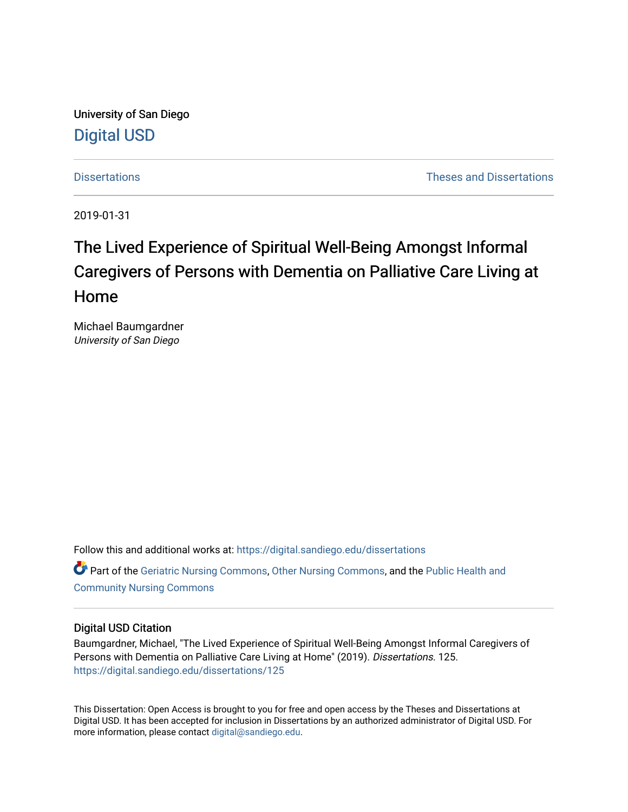University of San Diego [Digital USD](https://digital.sandiego.edu/)

[Dissertations](https://digital.sandiego.edu/dissertations) [Theses and Dissertations](https://digital.sandiego.edu/etd) 

2019-01-31

# The Lived Experience of Spiritual Well-Being Amongst Informal Caregivers of Persons with Dementia on Palliative Care Living at Home

Michael Baumgardner University of San Diego

Follow this and additional works at: [https://digital.sandiego.edu/dissertations](https://digital.sandiego.edu/dissertations?utm_source=digital.sandiego.edu%2Fdissertations%2F125&utm_medium=PDF&utm_campaign=PDFCoverPages) **C** Part of the [Geriatric Nursing Commons,](http://network.bepress.com/hgg/discipline/1034?utm_source=digital.sandiego.edu%2Fdissertations%2F125&utm_medium=PDF&utm_campaign=PDFCoverPages) [Other Nursing Commons](http://network.bepress.com/hgg/discipline/729?utm_source=digital.sandiego.edu%2Fdissertations%2F125&utm_medium=PDF&utm_campaign=PDFCoverPages), and the [Public Health and](http://network.bepress.com/hgg/discipline/725?utm_source=digital.sandiego.edu%2Fdissertations%2F125&utm_medium=PDF&utm_campaign=PDFCoverPages) [Community Nursing Commons](http://network.bepress.com/hgg/discipline/725?utm_source=digital.sandiego.edu%2Fdissertations%2F125&utm_medium=PDF&utm_campaign=PDFCoverPages) 

# Digital USD Citation

Baumgardner, Michael, "The Lived Experience of Spiritual Well-Being Amongst Informal Caregivers of Persons with Dementia on Palliative Care Living at Home" (2019). Dissertations. 125. [https://digital.sandiego.edu/dissertations/125](https://digital.sandiego.edu/dissertations/125?utm_source=digital.sandiego.edu%2Fdissertations%2F125&utm_medium=PDF&utm_campaign=PDFCoverPages)

This Dissertation: Open Access is brought to you for free and open access by the Theses and Dissertations at Digital USD. It has been accepted for inclusion in Dissertations by an authorized administrator of Digital USD. For more information, please contact [digital@sandiego.edu.](mailto:digital@sandiego.edu)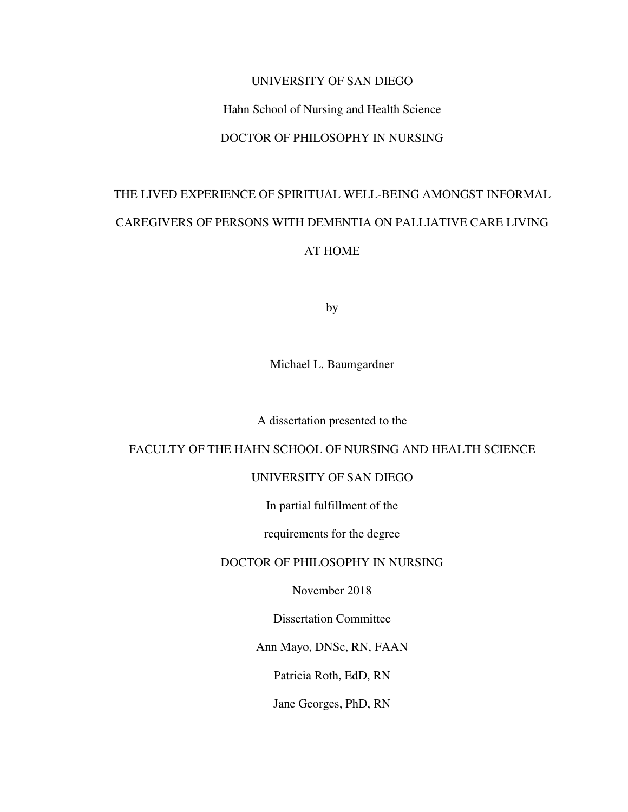# UNIVERSITY OF SAN DIEGO

# Hahn School of Nursing and Health Science

# DOCTOR OF PHILOSOPHY IN NURSING

# THE LIVED EXPERIENCE OF SPIRITUAL WELL-BEING AMONGST INFORMAL CAREGIVERS OF PERSONS WITH DEMENTIA ON PALLIATIVE CARE LIVING AT HOME

by

Michael L. Baumgardner

A dissertation presented to the

# FACULTY OF THE HAHN SCHOOL OF NURSING AND HEALTH SCIENCE

# UNIVERSITY OF SAN DIEGO

In partial fulfillment of the

requirements for the degree

# DOCTOR OF PHILOSOPHY IN NURSING

November 2018

Dissertation Committee

Ann Mayo, DNSc, RN, FAAN

Patricia Roth, EdD, RN

Jane Georges, PhD, RN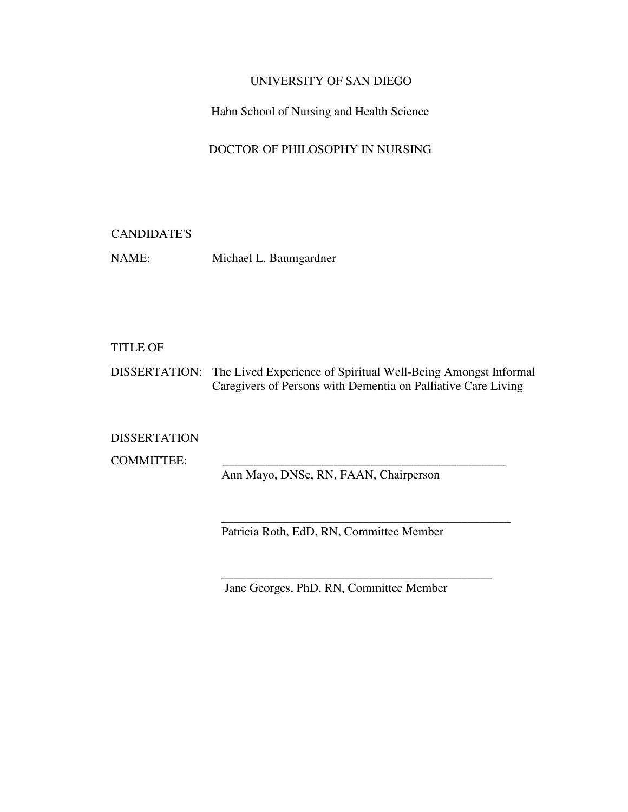# UNIVERSITY OF SAN DIEGO

Hahn School of Nursing and Health Science

# DOCTOR OF PHILOSOPHY IN NURSING

# CANDIDATE'S

NAME: Michael L. Baumgardner

# TITLE OF

DISSERTATION: The Lived Experience of Spiritual Well-Being Amongst Informal Caregivers of Persons with Dementia on Palliative Care Living

DISSERTATION

COMMITTEE:

Ann Mayo, DNSc, RN, FAAN, Chairperson

Patricia Roth, EdD, RN, Committee Member

\_\_\_\_\_\_\_\_\_\_\_\_\_\_\_\_\_\_\_\_\_\_\_\_\_\_\_\_\_\_\_\_\_\_\_\_\_\_\_\_\_\_\_\_\_\_\_

\_\_\_\_\_\_\_\_\_\_\_\_\_\_\_\_\_\_\_\_\_\_\_\_\_\_\_\_\_\_\_\_\_\_\_\_\_\_\_\_\_\_\_\_

Jane Georges, PhD, RN, Committee Member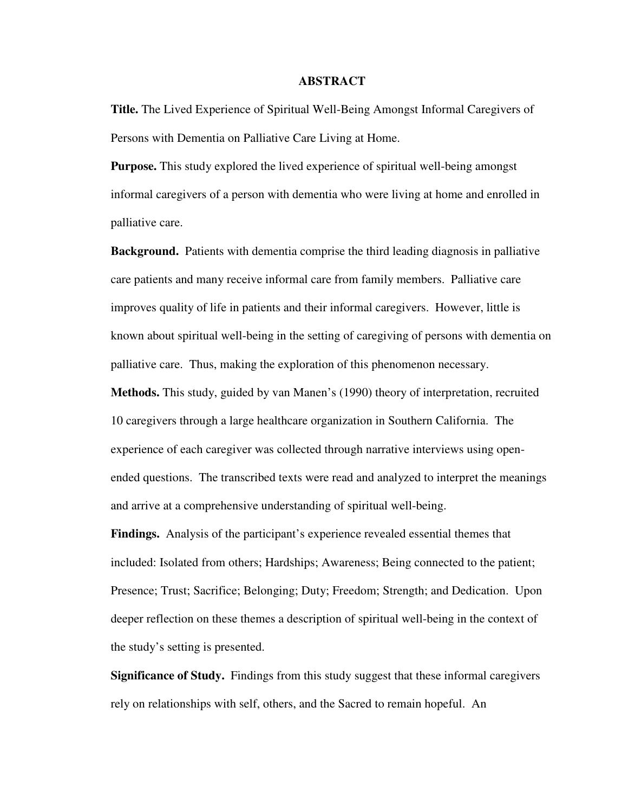## **ABSTRACT**

**Title.** The Lived Experience of Spiritual Well-Being Amongst Informal Caregivers of Persons with Dementia on Palliative Care Living at Home.

**Purpose.** This study explored the lived experience of spiritual well-being amongst informal caregivers of a person with dementia who were living at home and enrolled in palliative care.

**Background.** Patients with dementia comprise the third leading diagnosis in palliative care patients and many receive informal care from family members. Palliative care improves quality of life in patients and their informal caregivers. However, little is known about spiritual well-being in the setting of caregiving of persons with dementia on palliative care. Thus, making the exploration of this phenomenon necessary.

**Methods.** This study, guided by van Manen's (1990) theory of interpretation, recruited 10 caregivers through a large healthcare organization in Southern California. The experience of each caregiver was collected through narrative interviews using openended questions. The transcribed texts were read and analyzed to interpret the meanings and arrive at a comprehensive understanding of spiritual well-being.

**Findings.** Analysis of the participant's experience revealed essential themes that included: Isolated from others; Hardships; Awareness; Being connected to the patient; Presence; Trust; Sacrifice; Belonging; Duty; Freedom; Strength; and Dedication. Upon deeper reflection on these themes a description of spiritual well-being in the context of the study's setting is presented.

**Significance of Study.** Findings from this study suggest that these informal caregivers rely on relationships with self, others, and the Sacred to remain hopeful. An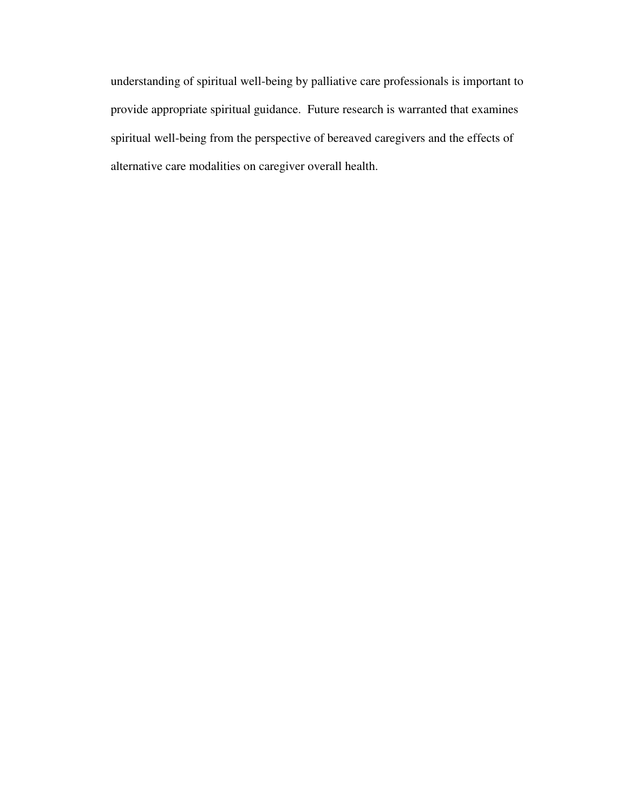understanding of spiritual well-being by palliative care professionals is important to provide appropriate spiritual guidance. Future research is warranted that examines spiritual well-being from the perspective of bereaved caregivers and the effects of alternative care modalities on caregiver overall health.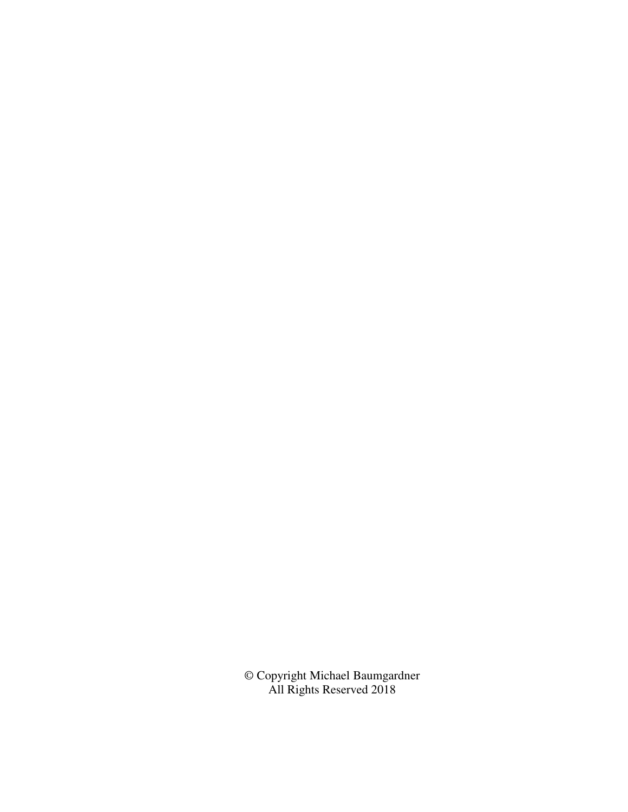© Copyright Michael Baumgardner All Rights Reserved 2018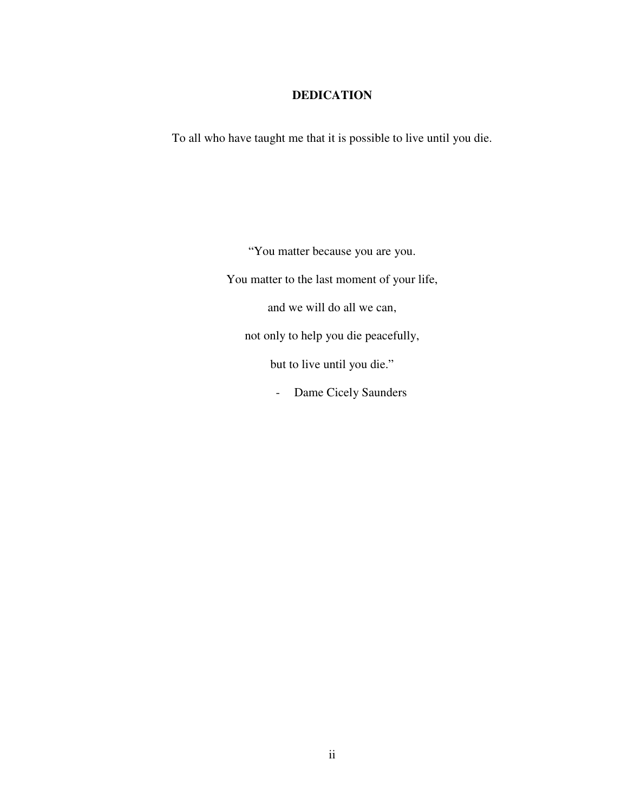# **DEDICATION**

To all who have taught me that it is possible to live until you die.

"You matter because you are you. You matter to the last moment of your life, and we will do all we can, not only to help you die peacefully, but to live until you die." - Dame Cicely Saunders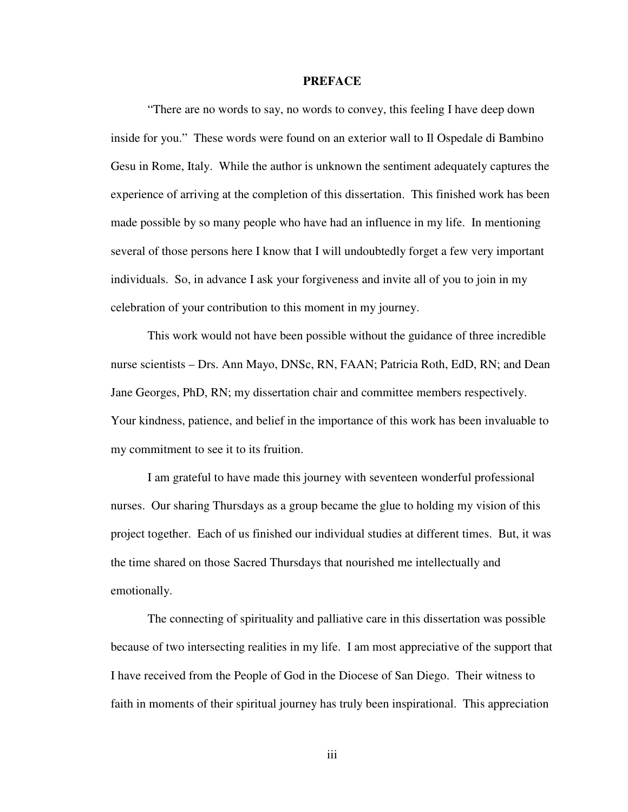### **PREFACE**

"There are no words to say, no words to convey, this feeling I have deep down inside for you." These words were found on an exterior wall to Il Ospedale di Bambino Gesu in Rome, Italy. While the author is unknown the sentiment adequately captures the experience of arriving at the completion of this dissertation. This finished work has been made possible by so many people who have had an influence in my life. In mentioning several of those persons here I know that I will undoubtedly forget a few very important individuals. So, in advance I ask your forgiveness and invite all of you to join in my celebration of your contribution to this moment in my journey.

This work would not have been possible without the guidance of three incredible nurse scientists – Drs. Ann Mayo, DNSc, RN, FAAN; Patricia Roth, EdD, RN; and Dean Jane Georges, PhD, RN; my dissertation chair and committee members respectively. Your kindness, patience, and belief in the importance of this work has been invaluable to my commitment to see it to its fruition.

I am grateful to have made this journey with seventeen wonderful professional nurses. Our sharing Thursdays as a group became the glue to holding my vision of this project together. Each of us finished our individual studies at different times. But, it was the time shared on those Sacred Thursdays that nourished me intellectually and emotionally.

The connecting of spirituality and palliative care in this dissertation was possible because of two intersecting realities in my life. I am most appreciative of the support that I have received from the People of God in the Diocese of San Diego. Their witness to faith in moments of their spiritual journey has truly been inspirational. This appreciation

iii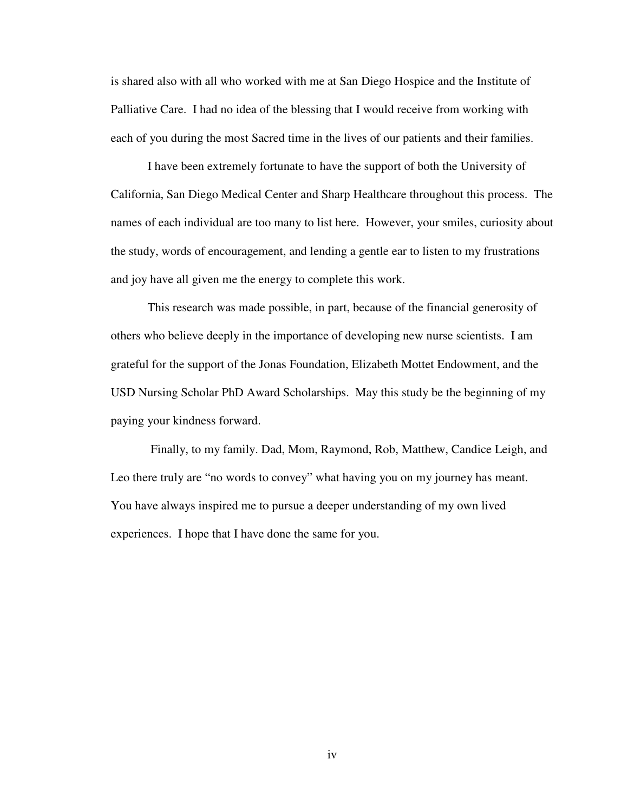is shared also with all who worked with me at San Diego Hospice and the Institute of Palliative Care. I had no idea of the blessing that I would receive from working with each of you during the most Sacred time in the lives of our patients and their families.

I have been extremely fortunate to have the support of both the University of California, San Diego Medical Center and Sharp Healthcare throughout this process. The names of each individual are too many to list here. However, your smiles, curiosity about the study, words of encouragement, and lending a gentle ear to listen to my frustrations and joy have all given me the energy to complete this work.

This research was made possible, in part, because of the financial generosity of others who believe deeply in the importance of developing new nurse scientists. I am grateful for the support of the Jonas Foundation, Elizabeth Mottet Endowment, and the USD Nursing Scholar PhD Award Scholarships. May this study be the beginning of my paying your kindness forward.

 Finally, to my family. Dad, Mom, Raymond, Rob, Matthew, Candice Leigh, and Leo there truly are "no words to convey" what having you on my journey has meant. You have always inspired me to pursue a deeper understanding of my own lived experiences. I hope that I have done the same for you.

iv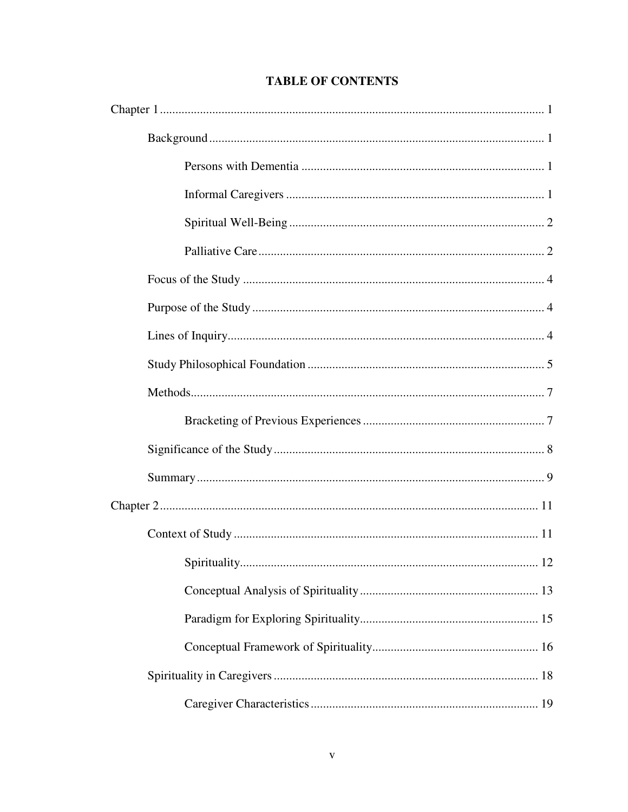# **TABLE OF CONTENTS**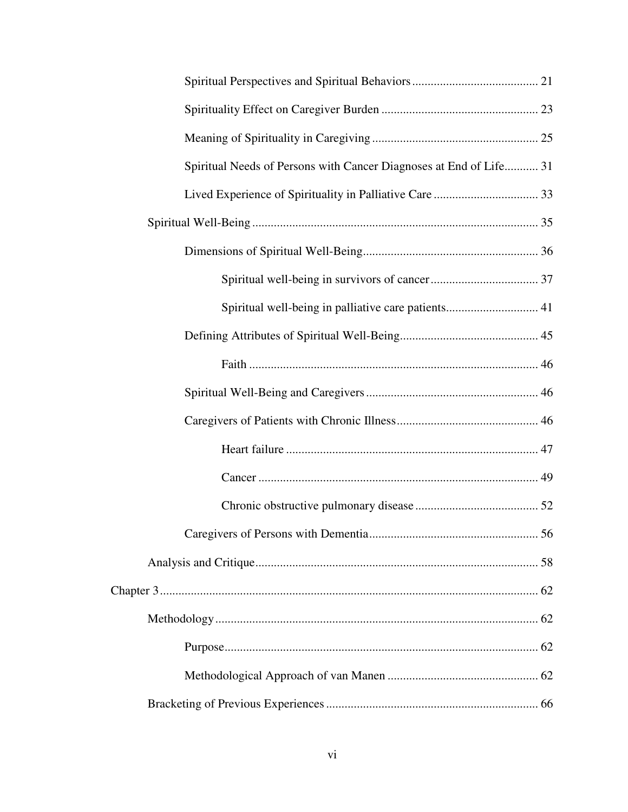| Spiritual Needs of Persons with Cancer Diagnoses at End of Life 31 |  |
|--------------------------------------------------------------------|--|
|                                                                    |  |
|                                                                    |  |
|                                                                    |  |
|                                                                    |  |
|                                                                    |  |
|                                                                    |  |
|                                                                    |  |
|                                                                    |  |
|                                                                    |  |
|                                                                    |  |
|                                                                    |  |
|                                                                    |  |
|                                                                    |  |
|                                                                    |  |
|                                                                    |  |
|                                                                    |  |
|                                                                    |  |
|                                                                    |  |
|                                                                    |  |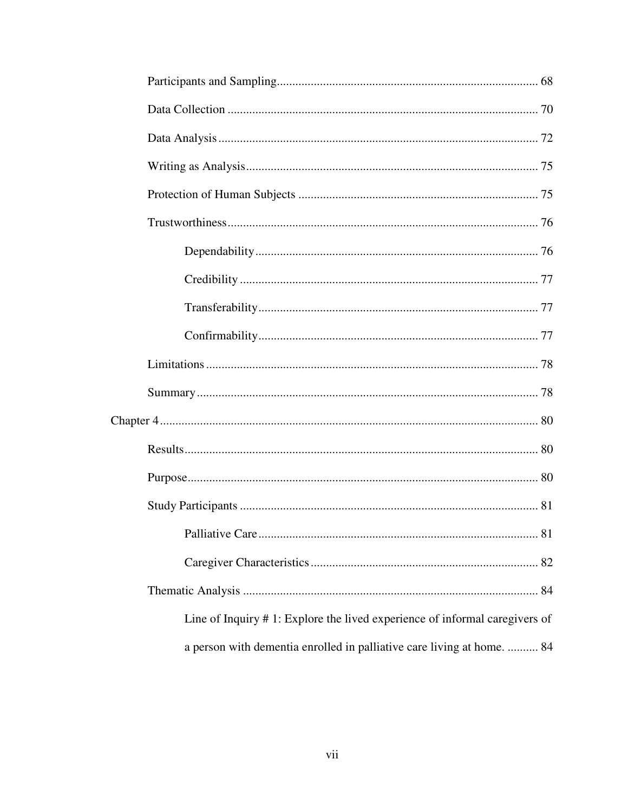| Line of Inquiry #1: Explore the lived experience of informal caregivers of |
|----------------------------------------------------------------------------|
| a person with dementia enrolled in palliative care living at home.  84     |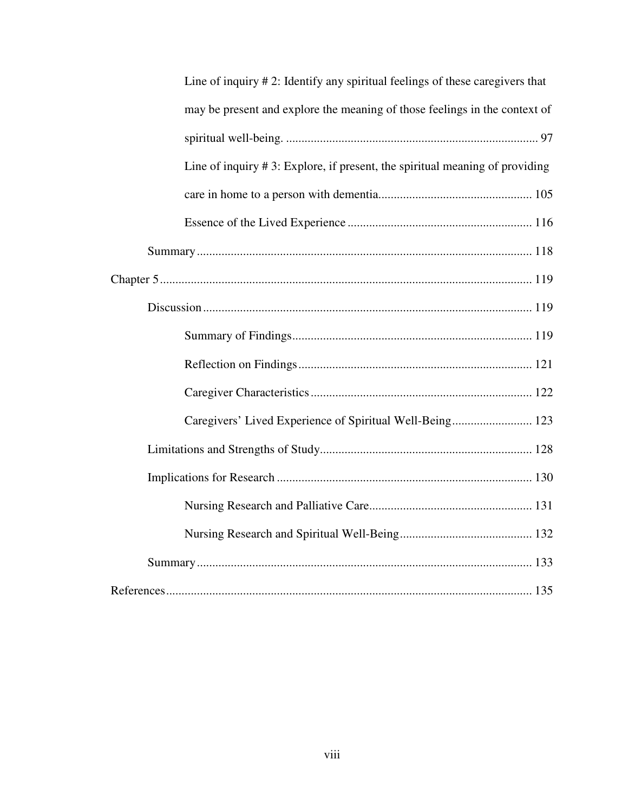| Line of inquiry #2: Identify any spiritual feelings of these caregivers that    |
|---------------------------------------------------------------------------------|
| may be present and explore the meaning of those feelings in the context of      |
|                                                                                 |
| Line of inquiry $# 3$ : Explore, if present, the spiritual meaning of providing |
|                                                                                 |
|                                                                                 |
|                                                                                 |
|                                                                                 |
|                                                                                 |
|                                                                                 |
|                                                                                 |
|                                                                                 |
| Caregivers' Lived Experience of Spiritual Well-Being 123                        |
|                                                                                 |
|                                                                                 |
|                                                                                 |
|                                                                                 |
|                                                                                 |
|                                                                                 |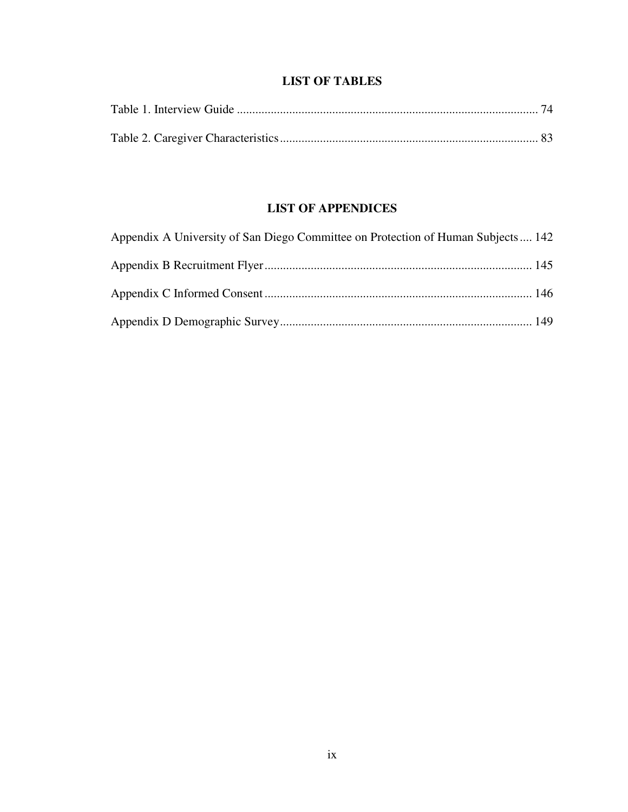# **LIST OF TABLES**

# **LIST OF APPENDICES**

| Appendix A University of San Diego Committee on Protection of Human Subjects 142 |  |
|----------------------------------------------------------------------------------|--|
|                                                                                  |  |
|                                                                                  |  |
|                                                                                  |  |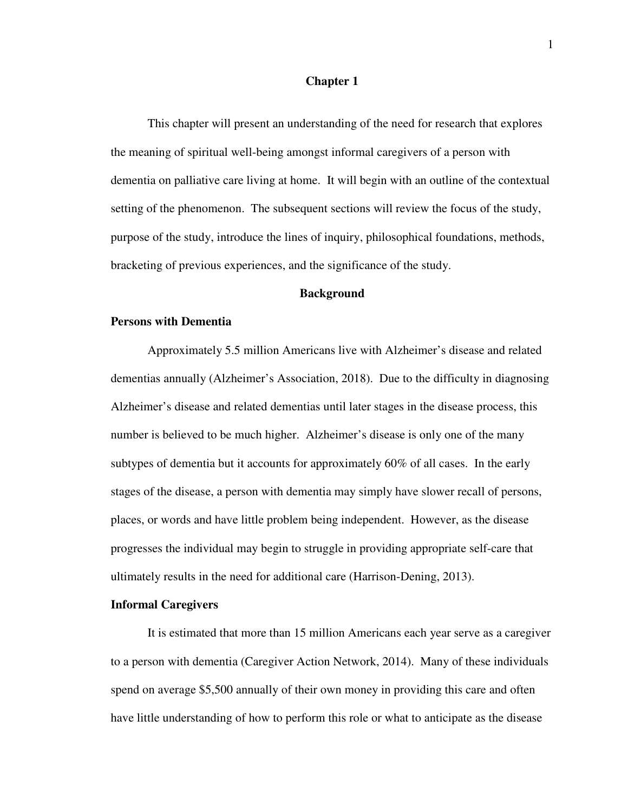#### **Chapter 1**

 This chapter will present an understanding of the need for research that explores the meaning of spiritual well-being amongst informal caregivers of a person with dementia on palliative care living at home. It will begin with an outline of the contextual setting of the phenomenon. The subsequent sections will review the focus of the study, purpose of the study, introduce the lines of inquiry, philosophical foundations, methods, bracketing of previous experiences, and the significance of the study.

### **Background**

### **Persons with Dementia**

Approximately 5.5 million Americans live with Alzheimer's disease and related dementias annually (Alzheimer's Association, 2018). Due to the difficulty in diagnosing Alzheimer's disease and related dementias until later stages in the disease process, this number is believed to be much higher. Alzheimer's disease is only one of the many subtypes of dementia but it accounts for approximately 60% of all cases. In the early stages of the disease, a person with dementia may simply have slower recall of persons, places, or words and have little problem being independent. However, as the disease progresses the individual may begin to struggle in providing appropriate self-care that ultimately results in the need for additional care (Harrison-Dening, 2013).

## **Informal Caregivers**

It is estimated that more than 15 million Americans each year serve as a caregiver to a person with dementia (Caregiver Action Network, 2014). Many of these individuals spend on average \$5,500 annually of their own money in providing this care and often have little understanding of how to perform this role or what to anticipate as the disease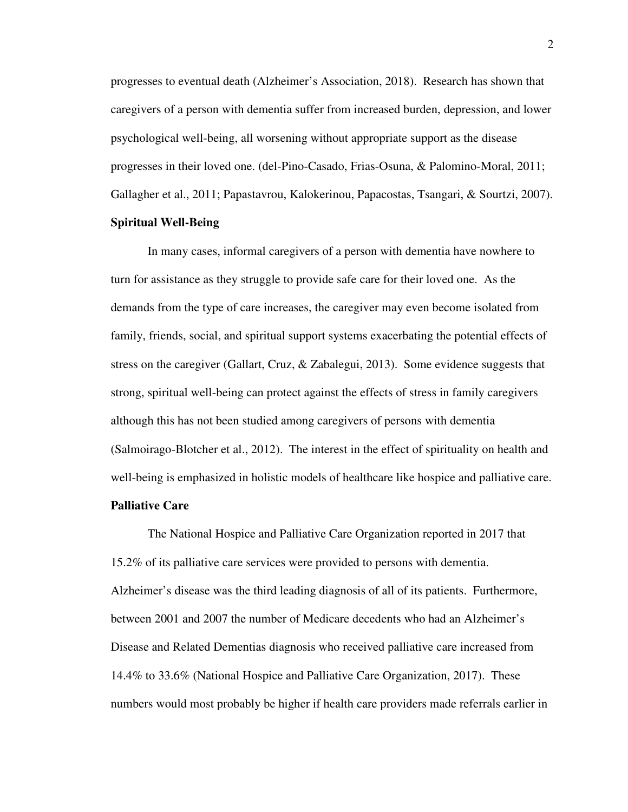progresses to eventual death (Alzheimer's Association, 2018). Research has shown that caregivers of a person with dementia suffer from increased burden, depression, and lower psychological well-being, all worsening without appropriate support as the disease progresses in their loved one. (del-Pino-Casado, Frias-Osuna, & Palomino-Moral, 2011; Gallagher et al., 2011; Papastavrou, Kalokerinou, Papacostas, Tsangari, & Sourtzi, 2007).

# **Spiritual Well-Being**

In many cases, informal caregivers of a person with dementia have nowhere to turn for assistance as they struggle to provide safe care for their loved one. As the demands from the type of care increases, the caregiver may even become isolated from family, friends, social, and spiritual support systems exacerbating the potential effects of stress on the caregiver (Gallart, Cruz, & Zabalegui, 2013). Some evidence suggests that strong, spiritual well-being can protect against the effects of stress in family caregivers although this has not been studied among caregivers of persons with dementia (Salmoirago-Blotcher et al., 2012). The interest in the effect of spirituality on health and well-being is emphasized in holistic models of healthcare like hospice and palliative care.

# **Palliative Care**

The National Hospice and Palliative Care Organization reported in 2017 that 15.2% of its palliative care services were provided to persons with dementia. Alzheimer's disease was the third leading diagnosis of all of its patients. Furthermore, between 2001 and 2007 the number of Medicare decedents who had an Alzheimer's Disease and Related Dementias diagnosis who received palliative care increased from 14.4% to 33.6% (National Hospice and Palliative Care Organization, 2017). These numbers would most probably be higher if health care providers made referrals earlier in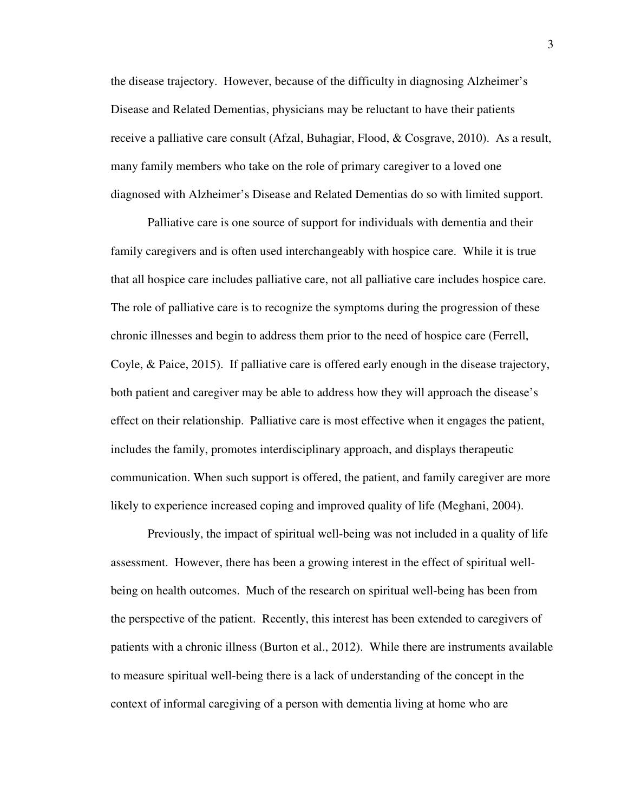the disease trajectory. However, because of the difficulty in diagnosing Alzheimer's Disease and Related Dementias, physicians may be reluctant to have their patients receive a palliative care consult (Afzal, Buhagiar, Flood, & Cosgrave, 2010). As a result, many family members who take on the role of primary caregiver to a loved one diagnosed with Alzheimer's Disease and Related Dementias do so with limited support.

Palliative care is one source of support for individuals with dementia and their family caregivers and is often used interchangeably with hospice care. While it is true that all hospice care includes palliative care, not all palliative care includes hospice care. The role of palliative care is to recognize the symptoms during the progression of these chronic illnesses and begin to address them prior to the need of hospice care (Ferrell, Coyle, & Paice, 2015). If palliative care is offered early enough in the disease trajectory, both patient and caregiver may be able to address how they will approach the disease's effect on their relationship. Palliative care is most effective when it engages the patient, includes the family, promotes interdisciplinary approach, and displays therapeutic communication. When such support is offered, the patient, and family caregiver are more likely to experience increased coping and improved quality of life (Meghani, 2004).

 Previously, the impact of spiritual well-being was not included in a quality of life assessment. However, there has been a growing interest in the effect of spiritual wellbeing on health outcomes. Much of the research on spiritual well-being has been from the perspective of the patient. Recently, this interest has been extended to caregivers of patients with a chronic illness (Burton et al., 2012). While there are instruments available to measure spiritual well-being there is a lack of understanding of the concept in the context of informal caregiving of a person with dementia living at home who are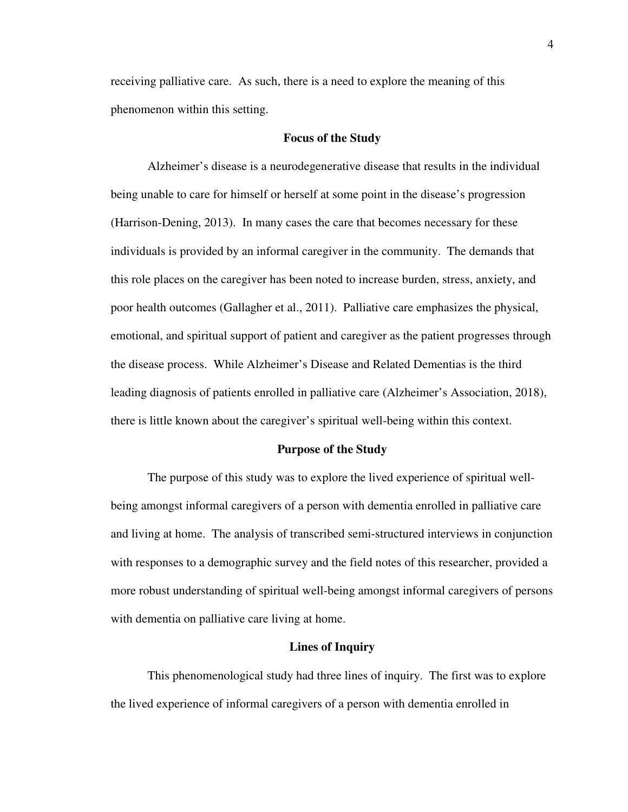receiving palliative care. As such, there is a need to explore the meaning of this phenomenon within this setting.

### **Focus of the Study**

 Alzheimer's disease is a neurodegenerative disease that results in the individual being unable to care for himself or herself at some point in the disease's progression (Harrison-Dening, 2013). In many cases the care that becomes necessary for these individuals is provided by an informal caregiver in the community. The demands that this role places on the caregiver has been noted to increase burden, stress, anxiety, and poor health outcomes (Gallagher et al., 2011). Palliative care emphasizes the physical, emotional, and spiritual support of patient and caregiver as the patient progresses through the disease process. While Alzheimer's Disease and Related Dementias is the third leading diagnosis of patients enrolled in palliative care (Alzheimer's Association, 2018), there is little known about the caregiver's spiritual well-being within this context.

#### **Purpose of the Study**

 The purpose of this study was to explore the lived experience of spiritual wellbeing amongst informal caregivers of a person with dementia enrolled in palliative care and living at home. The analysis of transcribed semi-structured interviews in conjunction with responses to a demographic survey and the field notes of this researcher, provided a more robust understanding of spiritual well-being amongst informal caregivers of persons with dementia on palliative care living at home.

#### **Lines of Inquiry**

 This phenomenological study had three lines of inquiry. The first was to explore the lived experience of informal caregivers of a person with dementia enrolled in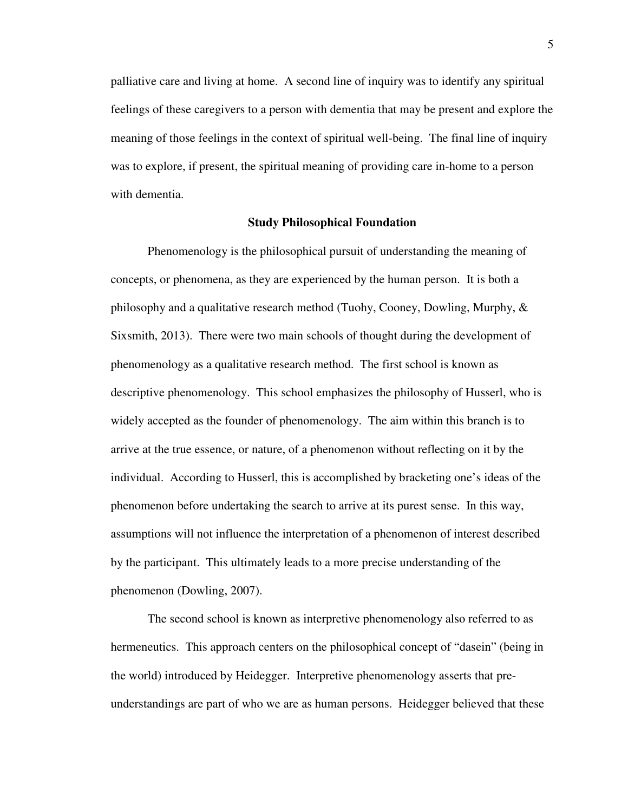palliative care and living at home. A second line of inquiry was to identify any spiritual feelings of these caregivers to a person with dementia that may be present and explore the meaning of those feelings in the context of spiritual well-being. The final line of inquiry was to explore, if present, the spiritual meaning of providing care in-home to a person with dementia.

# **Study Philosophical Foundation**

Phenomenology is the philosophical pursuit of understanding the meaning of concepts, or phenomena, as they are experienced by the human person. It is both a philosophy and a qualitative research method (Tuohy, Cooney, Dowling, Murphy, & Sixsmith, 2013). There were two main schools of thought during the development of phenomenology as a qualitative research method. The first school is known as descriptive phenomenology. This school emphasizes the philosophy of Husserl, who is widely accepted as the founder of phenomenology. The aim within this branch is to arrive at the true essence, or nature, of a phenomenon without reflecting on it by the individual. According to Husserl, this is accomplished by bracketing one's ideas of the phenomenon before undertaking the search to arrive at its purest sense. In this way, assumptions will not influence the interpretation of a phenomenon of interest described by the participant. This ultimately leads to a more precise understanding of the phenomenon (Dowling, 2007).

The second school is known as interpretive phenomenology also referred to as hermeneutics. This approach centers on the philosophical concept of "dasein" (being in the world) introduced by Heidegger. Interpretive phenomenology asserts that preunderstandings are part of who we are as human persons. Heidegger believed that these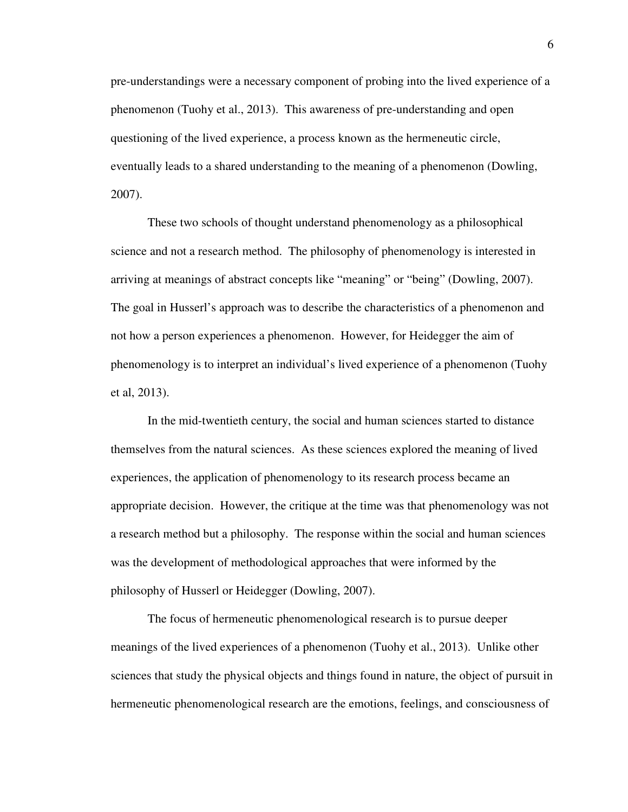pre-understandings were a necessary component of probing into the lived experience of a phenomenon (Tuohy et al., 2013). This awareness of pre-understanding and open questioning of the lived experience, a process known as the hermeneutic circle, eventually leads to a shared understanding to the meaning of a phenomenon (Dowling, 2007).

These two schools of thought understand phenomenology as a philosophical science and not a research method. The philosophy of phenomenology is interested in arriving at meanings of abstract concepts like "meaning" or "being" (Dowling, 2007). The goal in Husserl's approach was to describe the characteristics of a phenomenon and not how a person experiences a phenomenon. However, for Heidegger the aim of phenomenology is to interpret an individual's lived experience of a phenomenon (Tuohy et al, 2013).

In the mid-twentieth century, the social and human sciences started to distance themselves from the natural sciences. As these sciences explored the meaning of lived experiences, the application of phenomenology to its research process became an appropriate decision. However, the critique at the time was that phenomenology was not a research method but a philosophy. The response within the social and human sciences was the development of methodological approaches that were informed by the philosophy of Husserl or Heidegger (Dowling, 2007).

The focus of hermeneutic phenomenological research is to pursue deeper meanings of the lived experiences of a phenomenon (Tuohy et al., 2013). Unlike other sciences that study the physical objects and things found in nature, the object of pursuit in hermeneutic phenomenological research are the emotions, feelings, and consciousness of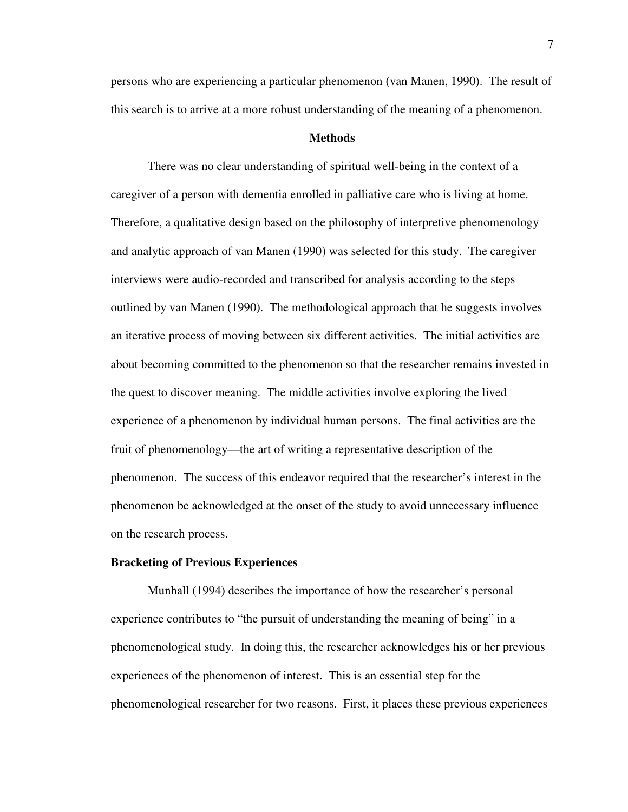persons who are experiencing a particular phenomenon (van Manen, 1990). The result of this search is to arrive at a more robust understanding of the meaning of a phenomenon.

# **Methods**

There was no clear understanding of spiritual well-being in the context of a caregiver of a person with dementia enrolled in palliative care who is living at home. Therefore, a qualitative design based on the philosophy of interpretive phenomenology and analytic approach of van Manen (1990) was selected for this study. The caregiver interviews were audio-recorded and transcribed for analysis according to the steps outlined by van Manen (1990). The methodological approach that he suggests involves an iterative process of moving between six different activities. The initial activities are about becoming committed to the phenomenon so that the researcher remains invested in the quest to discover meaning. The middle activities involve exploring the lived experience of a phenomenon by individual human persons. The final activities are the fruit of phenomenology—the art of writing a representative description of the phenomenon. The success of this endeavor required that the researcher's interest in the phenomenon be acknowledged at the onset of the study to avoid unnecessary influence on the research process.

#### **Bracketing of Previous Experiences**

 Munhall (1994) describes the importance of how the researcher's personal experience contributes to "the pursuit of understanding the meaning of being" in a phenomenological study. In doing this, the researcher acknowledges his or her previous experiences of the phenomenon of interest. This is an essential step for the phenomenological researcher for two reasons. First, it places these previous experiences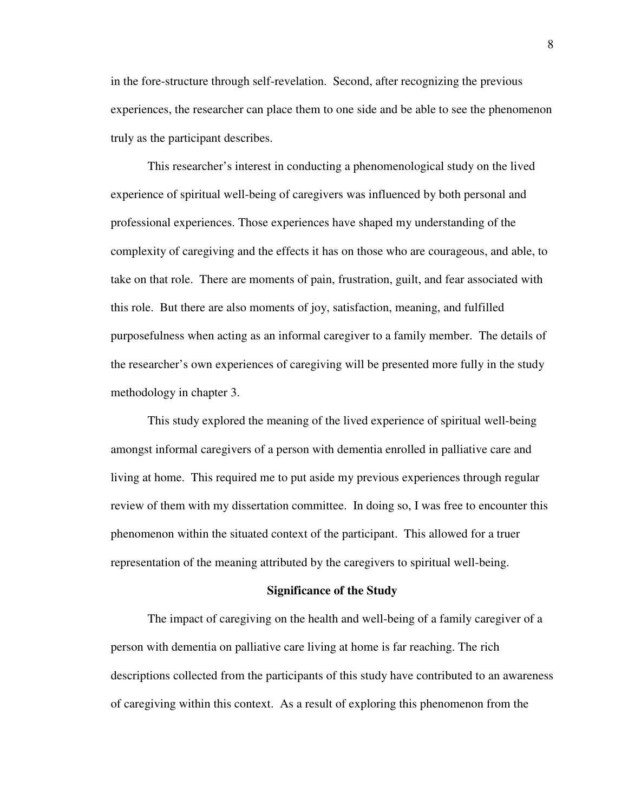in the fore-structure through self-revelation. Second, after recognizing the previous experiences, the researcher can place them to one side and be able to see the phenomenon truly as the participant describes.

This researcher's interest in conducting a phenomenological study on the lived experience of spiritual well-being of caregivers was influenced by both personal and professional experiences. Those experiences have shaped my understanding of the complexity of caregiving and the effects it has on those who are courageous, and able, to take on that role. There are moments of pain, frustration, guilt, and fear associated with this role. But there are also moments of joy, satisfaction, meaning, and fulfilled purposefulness when acting as an informal caregiver to a family member. The details of the researcher's own experiences of caregiving will be presented more fully in the study methodology in chapter 3.

This study explored the meaning of the lived experience of spiritual well-being amongst informal caregivers of a person with dementia enrolled in palliative care and living at home. This required me to put aside my previous experiences through regular review of them with my dissertation committee. In doing so, I was free to encounter this phenomenon within the situated context of the participant. This allowed for a truer representation of the meaning attributed by the caregivers to spiritual well-being.

#### **Significance of the Study**

The impact of caregiving on the health and well-being of a family caregiver of a person with dementia on palliative care living at home is far reaching. The rich descriptions collected from the participants of this study have contributed to an awareness of caregiving within this context. As a result of exploring this phenomenon from the

8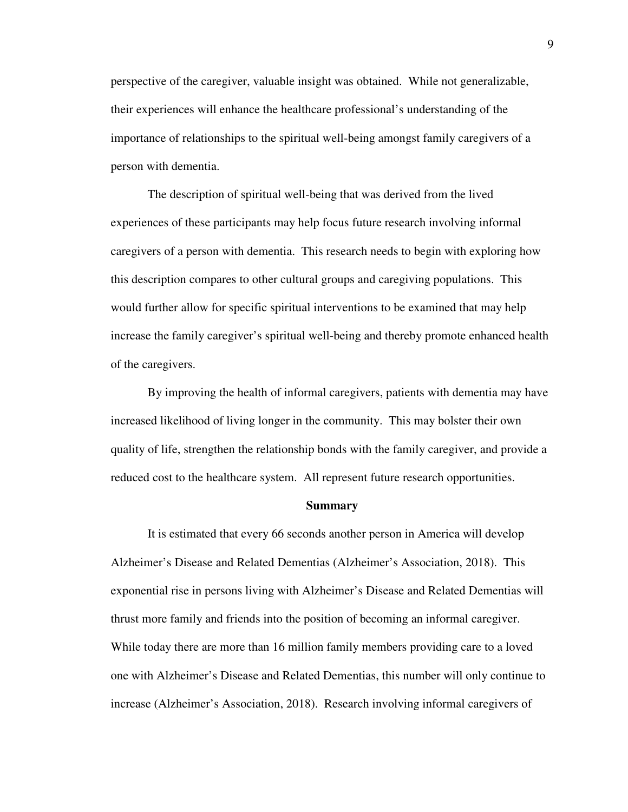perspective of the caregiver, valuable insight was obtained. While not generalizable, their experiences will enhance the healthcare professional's understanding of the importance of relationships to the spiritual well-being amongst family caregivers of a person with dementia.

The description of spiritual well-being that was derived from the lived experiences of these participants may help focus future research involving informal caregivers of a person with dementia. This research needs to begin with exploring how this description compares to other cultural groups and caregiving populations. This would further allow for specific spiritual interventions to be examined that may help increase the family caregiver's spiritual well-being and thereby promote enhanced health of the caregivers.

By improving the health of informal caregivers, patients with dementia may have increased likelihood of living longer in the community. This may bolster their own quality of life, strengthen the relationship bonds with the family caregiver, and provide a reduced cost to the healthcare system. All represent future research opportunities.

#### **Summary**

It is estimated that every 66 seconds another person in America will develop Alzheimer's Disease and Related Dementias (Alzheimer's Association, 2018). This exponential rise in persons living with Alzheimer's Disease and Related Dementias will thrust more family and friends into the position of becoming an informal caregiver. While today there are more than 16 million family members providing care to a loved one with Alzheimer's Disease and Related Dementias, this number will only continue to increase (Alzheimer's Association, 2018). Research involving informal caregivers of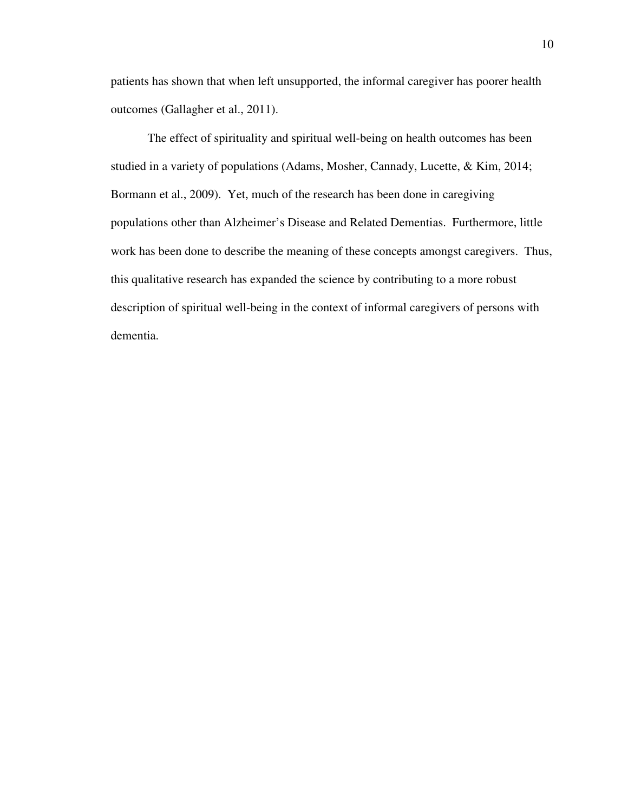patients has shown that when left unsupported, the informal caregiver has poorer health outcomes (Gallagher et al., 2011).

The effect of spirituality and spiritual well-being on health outcomes has been studied in a variety of populations (Adams, Mosher, Cannady, Lucette, & Kim, 2014; Bormann et al., 2009). Yet, much of the research has been done in caregiving populations other than Alzheimer's Disease and Related Dementias. Furthermore, little work has been done to describe the meaning of these concepts amongst caregivers. Thus, this qualitative research has expanded the science by contributing to a more robust description of spiritual well-being in the context of informal caregivers of persons with dementia.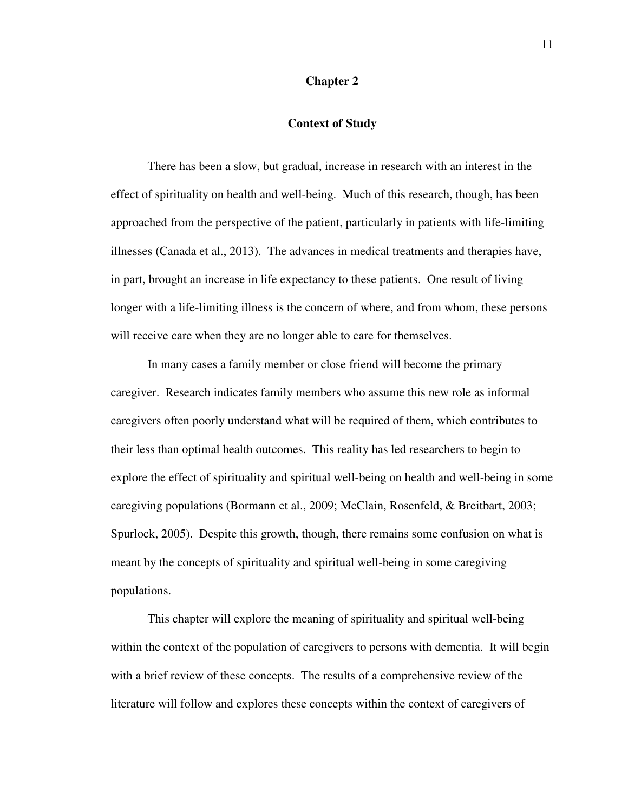## **Chapter 2**

# **Context of Study**

There has been a slow, but gradual, increase in research with an interest in the effect of spirituality on health and well-being. Much of this research, though, has been approached from the perspective of the patient, particularly in patients with life-limiting illnesses (Canada et al., 2013). The advances in medical treatments and therapies have, in part, brought an increase in life expectancy to these patients. One result of living longer with a life-limiting illness is the concern of where, and from whom, these persons will receive care when they are no longer able to care for themselves.

In many cases a family member or close friend will become the primary caregiver. Research indicates family members who assume this new role as informal caregivers often poorly understand what will be required of them, which contributes to their less than optimal health outcomes. This reality has led researchers to begin to explore the effect of spirituality and spiritual well-being on health and well-being in some caregiving populations (Bormann et al., 2009; McClain, Rosenfeld, & Breitbart, 2003; Spurlock, 2005). Despite this growth, though, there remains some confusion on what is meant by the concepts of spirituality and spiritual well-being in some caregiving populations.

 This chapter will explore the meaning of spirituality and spiritual well-being within the context of the population of caregivers to persons with dementia. It will begin with a brief review of these concepts. The results of a comprehensive review of the literature will follow and explores these concepts within the context of caregivers of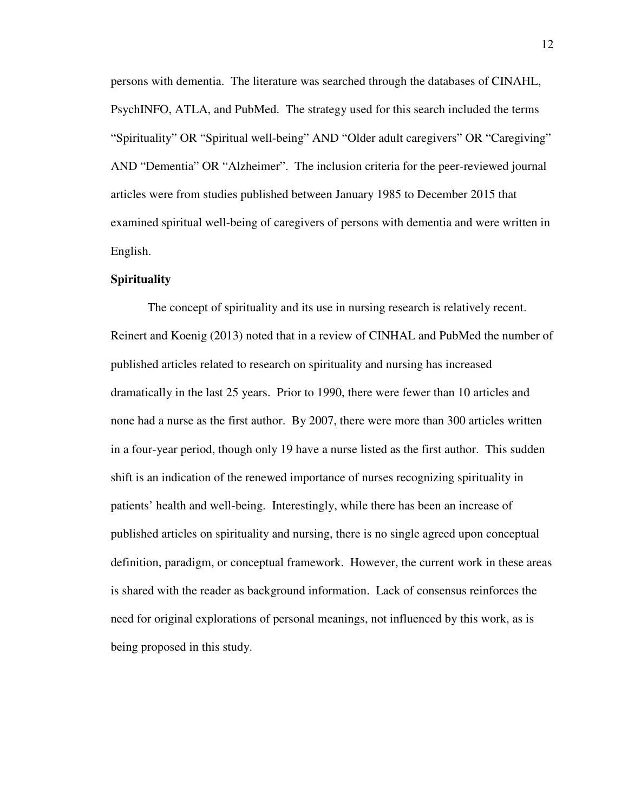persons with dementia. The literature was searched through the databases of CINAHL, PsychINFO, ATLA, and PubMed. The strategy used for this search included the terms "Spirituality" OR "Spiritual well-being" AND "Older adult caregivers" OR "Caregiving" AND "Dementia" OR "Alzheimer". The inclusion criteria for the peer-reviewed journal articles were from studies published between January 1985 to December 2015 that examined spiritual well-being of caregivers of persons with dementia and were written in English.

#### **Spirituality**

 The concept of spirituality and its use in nursing research is relatively recent. Reinert and Koenig (2013) noted that in a review of CINHAL and PubMed the number of published articles related to research on spirituality and nursing has increased dramatically in the last 25 years. Prior to 1990, there were fewer than 10 articles and none had a nurse as the first author. By 2007, there were more than 300 articles written in a four-year period, though only 19 have a nurse listed as the first author. This sudden shift is an indication of the renewed importance of nurses recognizing spirituality in patients' health and well-being. Interestingly, while there has been an increase of published articles on spirituality and nursing, there is no single agreed upon conceptual definition, paradigm, or conceptual framework. However, the current work in these areas is shared with the reader as background information. Lack of consensus reinforces the need for original explorations of personal meanings, not influenced by this work, as is being proposed in this study.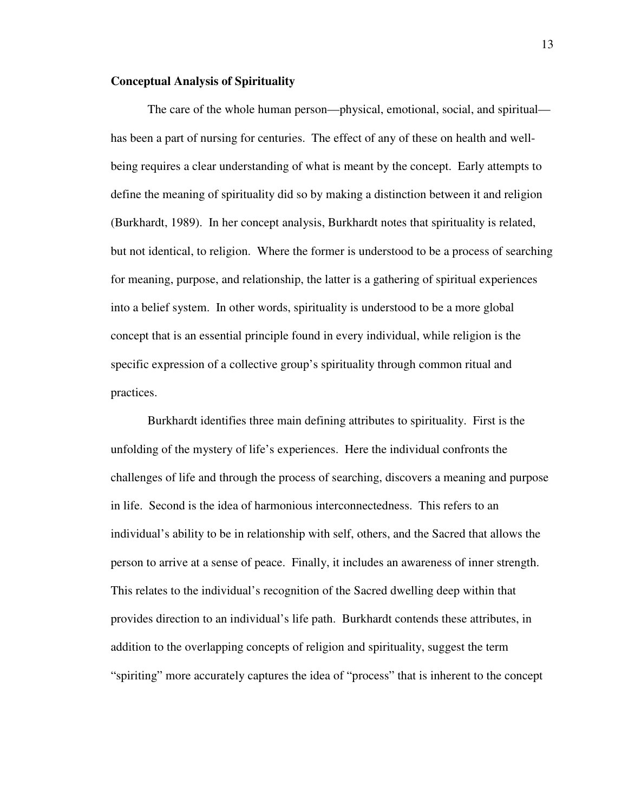### **Conceptual Analysis of Spirituality**

 The care of the whole human person—physical, emotional, social, and spiritual has been a part of nursing for centuries. The effect of any of these on health and wellbeing requires a clear understanding of what is meant by the concept. Early attempts to define the meaning of spirituality did so by making a distinction between it and religion (Burkhardt, 1989). In her concept analysis, Burkhardt notes that spirituality is related, but not identical, to religion. Where the former is understood to be a process of searching for meaning, purpose, and relationship, the latter is a gathering of spiritual experiences into a belief system. In other words, spirituality is understood to be a more global concept that is an essential principle found in every individual, while religion is the specific expression of a collective group's spirituality through common ritual and practices.

 Burkhardt identifies three main defining attributes to spirituality. First is the unfolding of the mystery of life's experiences. Here the individual confronts the challenges of life and through the process of searching, discovers a meaning and purpose in life. Second is the idea of harmonious interconnectedness. This refers to an individual's ability to be in relationship with self, others, and the Sacred that allows the person to arrive at a sense of peace. Finally, it includes an awareness of inner strength. This relates to the individual's recognition of the Sacred dwelling deep within that provides direction to an individual's life path. Burkhardt contends these attributes, in addition to the overlapping concepts of religion and spirituality, suggest the term "spiriting" more accurately captures the idea of "process" that is inherent to the concept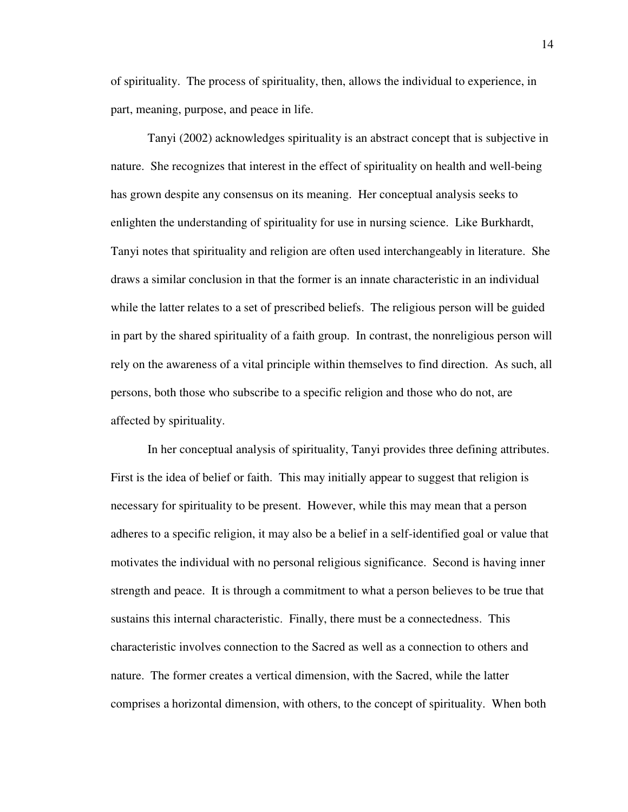of spirituality. The process of spirituality, then, allows the individual to experience, in part, meaning, purpose, and peace in life.

 Tanyi (2002) acknowledges spirituality is an abstract concept that is subjective in nature. She recognizes that interest in the effect of spirituality on health and well-being has grown despite any consensus on its meaning. Her conceptual analysis seeks to enlighten the understanding of spirituality for use in nursing science. Like Burkhardt, Tanyi notes that spirituality and religion are often used interchangeably in literature. She draws a similar conclusion in that the former is an innate characteristic in an individual while the latter relates to a set of prescribed beliefs. The religious person will be guided in part by the shared spirituality of a faith group. In contrast, the nonreligious person will rely on the awareness of a vital principle within themselves to find direction. As such, all persons, both those who subscribe to a specific religion and those who do not, are affected by spirituality.

 In her conceptual analysis of spirituality, Tanyi provides three defining attributes. First is the idea of belief or faith. This may initially appear to suggest that religion is necessary for spirituality to be present. However, while this may mean that a person adheres to a specific religion, it may also be a belief in a self-identified goal or value that motivates the individual with no personal religious significance. Second is having inner strength and peace. It is through a commitment to what a person believes to be true that sustains this internal characteristic. Finally, there must be a connectedness. This characteristic involves connection to the Sacred as well as a connection to others and nature. The former creates a vertical dimension, with the Sacred, while the latter comprises a horizontal dimension, with others, to the concept of spirituality. When both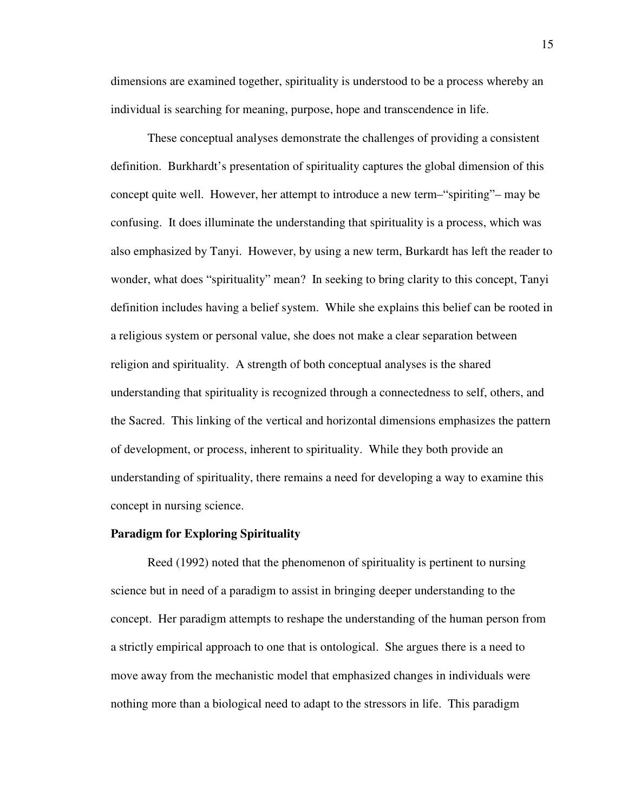dimensions are examined together, spirituality is understood to be a process whereby an individual is searching for meaning, purpose, hope and transcendence in life.

 These conceptual analyses demonstrate the challenges of providing a consistent definition. Burkhardt's presentation of spirituality captures the global dimension of this concept quite well. However, her attempt to introduce a new term–"spiriting"– may be confusing. It does illuminate the understanding that spirituality is a process, which was also emphasized by Tanyi. However, by using a new term, Burkardt has left the reader to wonder, what does "spirituality" mean? In seeking to bring clarity to this concept, Tanyi definition includes having a belief system. While she explains this belief can be rooted in a religious system or personal value, she does not make a clear separation between religion and spirituality. A strength of both conceptual analyses is the shared understanding that spirituality is recognized through a connectedness to self, others, and the Sacred. This linking of the vertical and horizontal dimensions emphasizes the pattern of development, or process, inherent to spirituality. While they both provide an understanding of spirituality, there remains a need for developing a way to examine this concept in nursing science.

## **Paradigm for Exploring Spirituality**

 Reed (1992) noted that the phenomenon of spirituality is pertinent to nursing science but in need of a paradigm to assist in bringing deeper understanding to the concept. Her paradigm attempts to reshape the understanding of the human person from a strictly empirical approach to one that is ontological. She argues there is a need to move away from the mechanistic model that emphasized changes in individuals were nothing more than a biological need to adapt to the stressors in life. This paradigm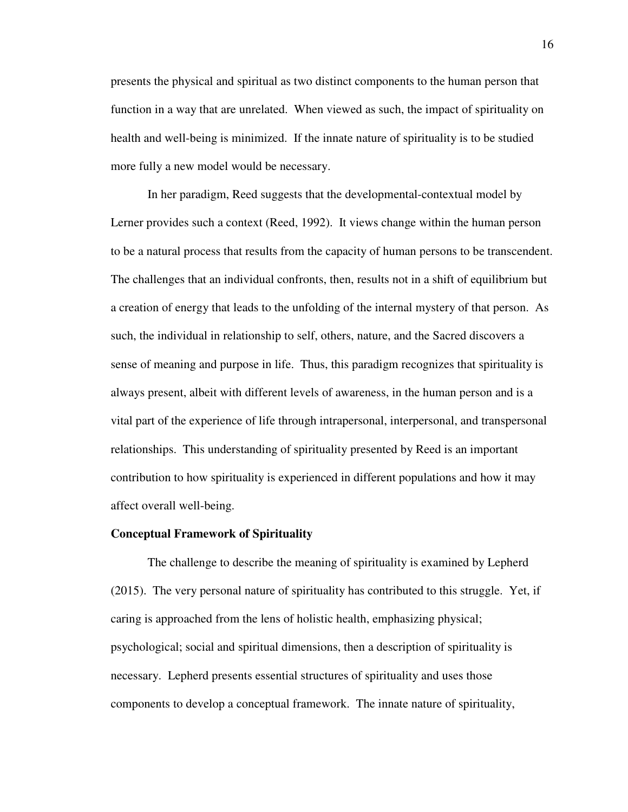presents the physical and spiritual as two distinct components to the human person that function in a way that are unrelated. When viewed as such, the impact of spirituality on health and well-being is minimized. If the innate nature of spirituality is to be studied more fully a new model would be necessary.

 In her paradigm, Reed suggests that the developmental-contextual model by Lerner provides such a context (Reed, 1992). It views change within the human person to be a natural process that results from the capacity of human persons to be transcendent. The challenges that an individual confronts, then, results not in a shift of equilibrium but a creation of energy that leads to the unfolding of the internal mystery of that person. As such, the individual in relationship to self, others, nature, and the Sacred discovers a sense of meaning and purpose in life. Thus, this paradigm recognizes that spirituality is always present, albeit with different levels of awareness, in the human person and is a vital part of the experience of life through intrapersonal, interpersonal, and transpersonal relationships. This understanding of spirituality presented by Reed is an important contribution to how spirituality is experienced in different populations and how it may affect overall well-being.

## **Conceptual Framework of Spirituality**

 The challenge to describe the meaning of spirituality is examined by Lepherd (2015). The very personal nature of spirituality has contributed to this struggle. Yet, if caring is approached from the lens of holistic health, emphasizing physical; psychological; social and spiritual dimensions, then a description of spirituality is necessary. Lepherd presents essential structures of spirituality and uses those components to develop a conceptual framework. The innate nature of spirituality,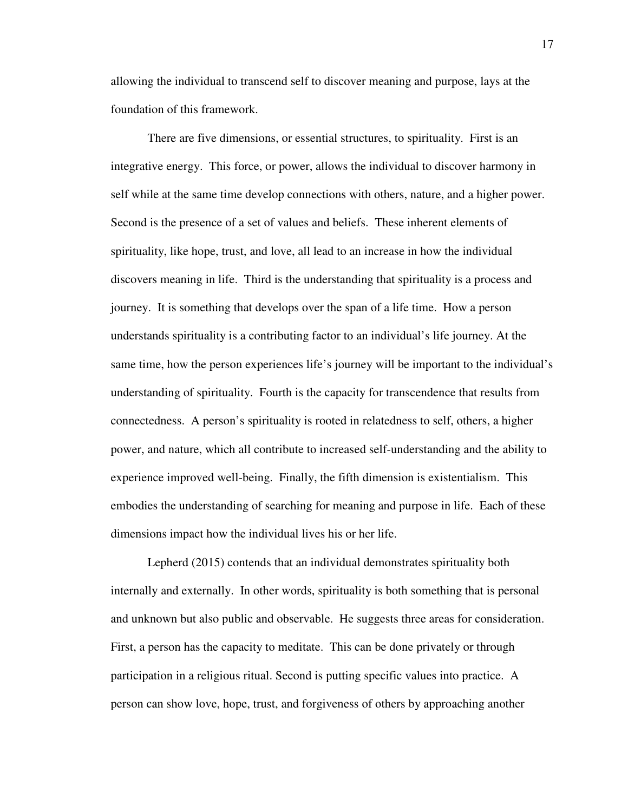allowing the individual to transcend self to discover meaning and purpose, lays at the foundation of this framework.

 There are five dimensions, or essential structures, to spirituality. First is an integrative energy. This force, or power, allows the individual to discover harmony in self while at the same time develop connections with others, nature, and a higher power. Second is the presence of a set of values and beliefs. These inherent elements of spirituality, like hope, trust, and love, all lead to an increase in how the individual discovers meaning in life. Third is the understanding that spirituality is a process and journey. It is something that develops over the span of a life time. How a person understands spirituality is a contributing factor to an individual's life journey. At the same time, how the person experiences life's journey will be important to the individual's understanding of spirituality. Fourth is the capacity for transcendence that results from connectedness. A person's spirituality is rooted in relatedness to self, others, a higher power, and nature, which all contribute to increased self-understanding and the ability to experience improved well-being. Finally, the fifth dimension is existentialism. This embodies the understanding of searching for meaning and purpose in life. Each of these dimensions impact how the individual lives his or her life.

 Lepherd (2015) contends that an individual demonstrates spirituality both internally and externally. In other words, spirituality is both something that is personal and unknown but also public and observable. He suggests three areas for consideration. First, a person has the capacity to meditate. This can be done privately or through participation in a religious ritual. Second is putting specific values into practice. A person can show love, hope, trust, and forgiveness of others by approaching another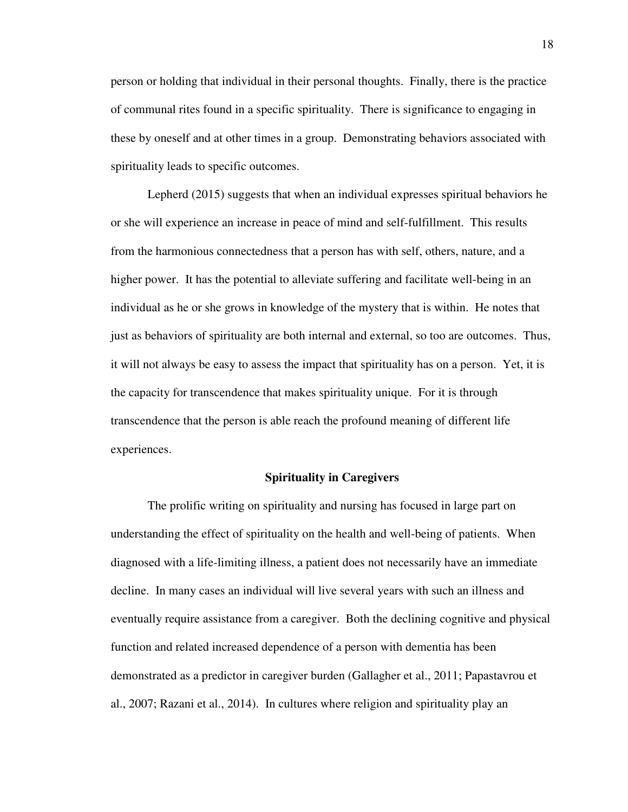person or holding that individual in their personal thoughts. Finally, there is the practice of communal rites found in a specific spirituality. There is significance to engaging in these by oneself and at other times in a group. Demonstrating behaviors associated with spirituality leads to specific outcomes.

 Lepherd (2015) suggests that when an individual expresses spiritual behaviors he or she will experience an increase in peace of mind and self-fulfillment. This results from the harmonious connectedness that a person has with self, others, nature, and a higher power. It has the potential to alleviate suffering and facilitate well-being in an individual as he or she grows in knowledge of the mystery that is within. He notes that just as behaviors of spirituality are both internal and external, so too are outcomes. Thus, it will not always be easy to assess the impact that spirituality has on a person. Yet, it is the capacity for transcendence that makes spirituality unique. For it is through transcendence that the person is able reach the profound meaning of different life experiences.

## **Spirituality in Caregivers**

 The prolific writing on spirituality and nursing has focused in large part on understanding the effect of spirituality on the health and well-being of patients. When diagnosed with a life-limiting illness, a patient does not necessarily have an immediate decline. In many cases an individual will live several years with such an illness and eventually require assistance from a caregiver. Both the declining cognitive and physical function and related increased dependence of a person with dementia has been demonstrated as a predictor in caregiver burden (Gallagher et al., 2011; Papastavrou et al., 2007; Razani et al., 2014). In cultures where religion and spirituality play an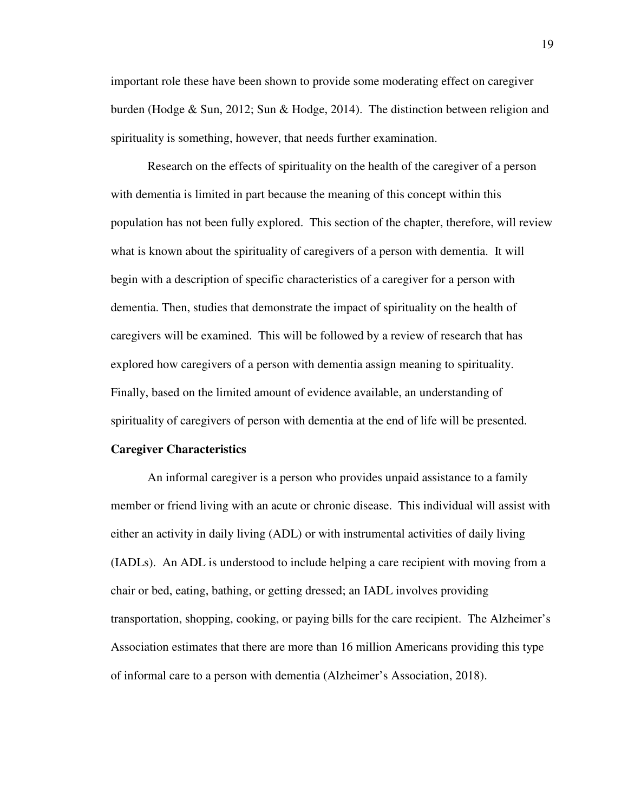important role these have been shown to provide some moderating effect on caregiver burden (Hodge & Sun, 2012; Sun & Hodge, 2014). The distinction between religion and spirituality is something, however, that needs further examination.

Research on the effects of spirituality on the health of the caregiver of a person with dementia is limited in part because the meaning of this concept within this population has not been fully explored. This section of the chapter, therefore, will review what is known about the spirituality of caregivers of a person with dementia. It will begin with a description of specific characteristics of a caregiver for a person with dementia. Then, studies that demonstrate the impact of spirituality on the health of caregivers will be examined. This will be followed by a review of research that has explored how caregivers of a person with dementia assign meaning to spirituality. Finally, based on the limited amount of evidence available, an understanding of spirituality of caregivers of person with dementia at the end of life will be presented.

#### **Caregiver Characteristics**

 An informal caregiver is a person who provides unpaid assistance to a family member or friend living with an acute or chronic disease. This individual will assist with either an activity in daily living (ADL) or with instrumental activities of daily living (IADLs). An ADL is understood to include helping a care recipient with moving from a chair or bed, eating, bathing, or getting dressed; an IADL involves providing transportation, shopping, cooking, or paying bills for the care recipient. The Alzheimer's Association estimates that there are more than 16 million Americans providing this type of informal care to a person with dementia (Alzheimer's Association, 2018).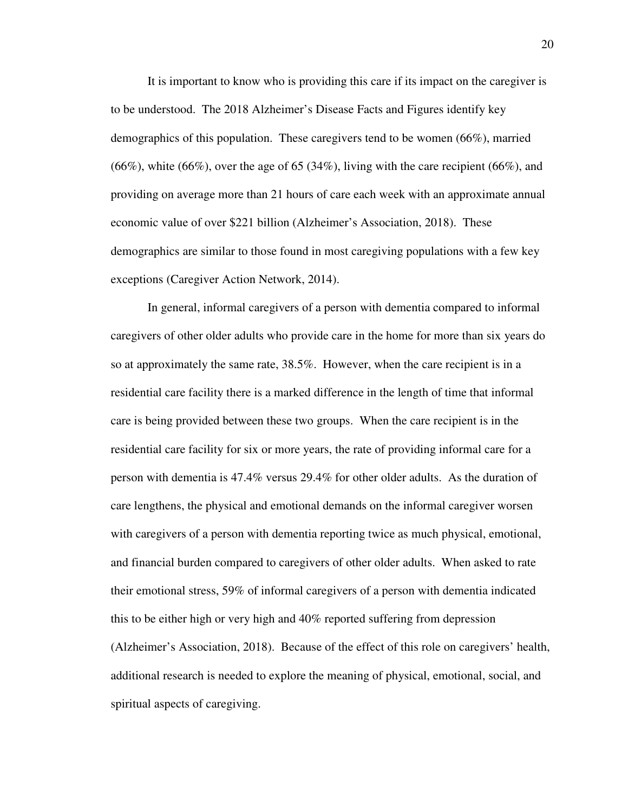It is important to know who is providing this care if its impact on the caregiver is to be understood. The 2018 Alzheimer's Disease Facts and Figures identify key demographics of this population. These caregivers tend to be women (66%), married  $(66\%)$ , white  $(66\%)$ , over the age of 65 (34%), living with the care recipient (66%), and providing on average more than 21 hours of care each week with an approximate annual economic value of over \$221 billion (Alzheimer's Association, 2018). These demographics are similar to those found in most caregiving populations with a few key exceptions (Caregiver Action Network, 2014).

In general, informal caregivers of a person with dementia compared to informal caregivers of other older adults who provide care in the home for more than six years do so at approximately the same rate, 38.5%. However, when the care recipient is in a residential care facility there is a marked difference in the length of time that informal care is being provided between these two groups. When the care recipient is in the residential care facility for six or more years, the rate of providing informal care for a person with dementia is 47.4% versus 29.4% for other older adults. As the duration of care lengthens, the physical and emotional demands on the informal caregiver worsen with caregivers of a person with dementia reporting twice as much physical, emotional, and financial burden compared to caregivers of other older adults. When asked to rate their emotional stress, 59% of informal caregivers of a person with dementia indicated this to be either high or very high and 40% reported suffering from depression (Alzheimer's Association, 2018). Because of the effect of this role on caregivers' health, additional research is needed to explore the meaning of physical, emotional, social, and spiritual aspects of caregiving.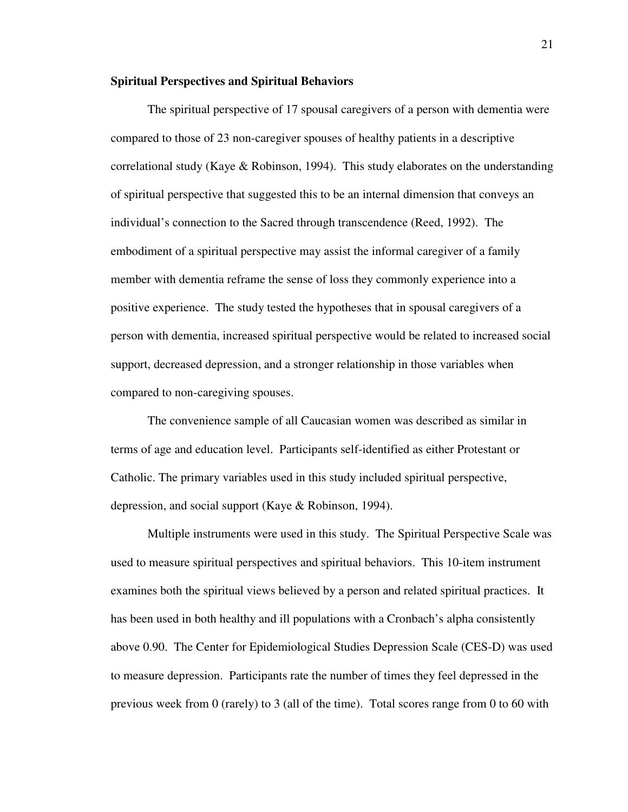#### **Spiritual Perspectives and Spiritual Behaviors**

 The spiritual perspective of 17 spousal caregivers of a person with dementia were compared to those of 23 non-caregiver spouses of healthy patients in a descriptive correlational study (Kaye & Robinson, 1994). This study elaborates on the understanding of spiritual perspective that suggested this to be an internal dimension that conveys an individual's connection to the Sacred through transcendence (Reed, 1992). The embodiment of a spiritual perspective may assist the informal caregiver of a family member with dementia reframe the sense of loss they commonly experience into a positive experience. The study tested the hypotheses that in spousal caregivers of a person with dementia, increased spiritual perspective would be related to increased social support, decreased depression, and a stronger relationship in those variables when compared to non-caregiving spouses.

The convenience sample of all Caucasian women was described as similar in terms of age and education level. Participants self-identified as either Protestant or Catholic. The primary variables used in this study included spiritual perspective, depression, and social support (Kaye & Robinson, 1994).

Multiple instruments were used in this study. The Spiritual Perspective Scale was used to measure spiritual perspectives and spiritual behaviors. This 10-item instrument examines both the spiritual views believed by a person and related spiritual practices. It has been used in both healthy and ill populations with a Cronbach's alpha consistently above 0.90. The Center for Epidemiological Studies Depression Scale (CES-D) was used to measure depression. Participants rate the number of times they feel depressed in the previous week from 0 (rarely) to 3 (all of the time). Total scores range from 0 to 60 with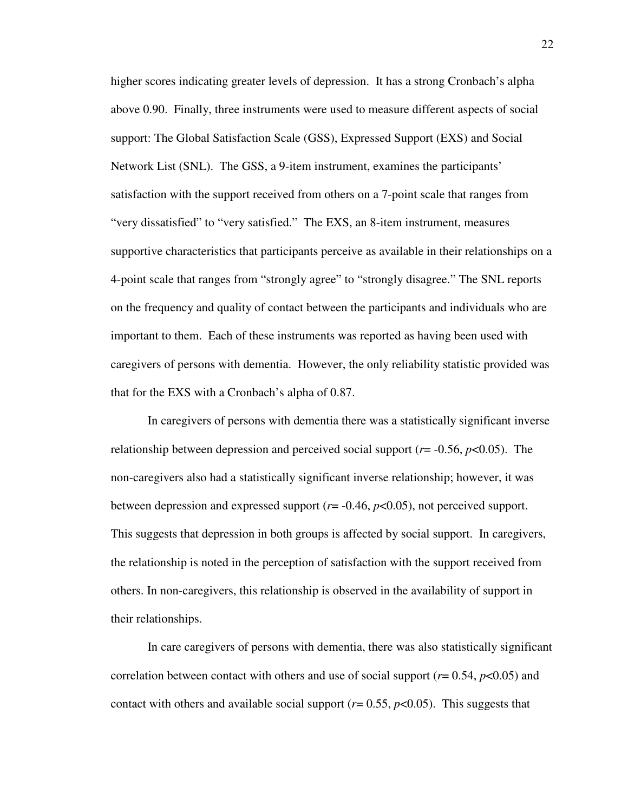higher scores indicating greater levels of depression. It has a strong Cronbach's alpha above 0.90. Finally, three instruments were used to measure different aspects of social support: The Global Satisfaction Scale (GSS), Expressed Support (EXS) and Social Network List (SNL). The GSS, a 9-item instrument, examines the participants' satisfaction with the support received from others on a 7-point scale that ranges from "very dissatisfied" to "very satisfied." The EXS, an 8-item instrument, measures supportive characteristics that participants perceive as available in their relationships on a 4-point scale that ranges from "strongly agree" to "strongly disagree." The SNL reports on the frequency and quality of contact between the participants and individuals who are important to them. Each of these instruments was reported as having been used with caregivers of persons with dementia. However, the only reliability statistic provided was that for the EXS with a Cronbach's alpha of 0.87.

In caregivers of persons with dementia there was a statistically significant inverse relationship between depression and perceived social support (*r*= -0.56, *p*<0.05). The non-caregivers also had a statistically significant inverse relationship; however, it was between depression and expressed support (*r*= -0.46, *p*<0.05), not perceived support. This suggests that depression in both groups is affected by social support. In caregivers, the relationship is noted in the perception of satisfaction with the support received from others. In non-caregivers, this relationship is observed in the availability of support in their relationships.

In care caregivers of persons with dementia, there was also statistically significant correlation between contact with others and use of social support (*r*= 0.54, *p*<0.05) and contact with others and available social support  $(r= 0.55, p<0.05)$ . This suggests that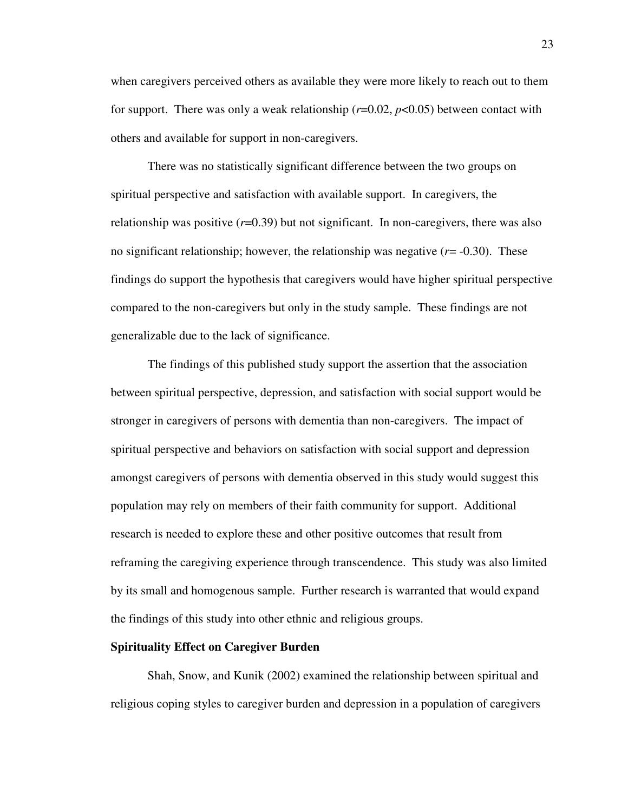when caregivers perceived others as available they were more likely to reach out to them for support. There was only a weak relationship  $(r=0.02, p<0.05)$  between contact with others and available for support in non-caregivers.

There was no statistically significant difference between the two groups on spiritual perspective and satisfaction with available support. In caregivers, the relationship was positive  $(r=0.39)$  but not significant. In non-caregivers, there was also no significant relationship; however, the relationship was negative (*r*= -0.30). These findings do support the hypothesis that caregivers would have higher spiritual perspective compared to the non-caregivers but only in the study sample. These findings are not generalizable due to the lack of significance.

The findings of this published study support the assertion that the association between spiritual perspective, depression, and satisfaction with social support would be stronger in caregivers of persons with dementia than non-caregivers. The impact of spiritual perspective and behaviors on satisfaction with social support and depression amongst caregivers of persons with dementia observed in this study would suggest this population may rely on members of their faith community for support. Additional research is needed to explore these and other positive outcomes that result from reframing the caregiving experience through transcendence. This study was also limited by its small and homogenous sample. Further research is warranted that would expand the findings of this study into other ethnic and religious groups.

## **Spirituality Effect on Caregiver Burden**

Shah, Snow, and Kunik (2002) examined the relationship between spiritual and religious coping styles to caregiver burden and depression in a population of caregivers

23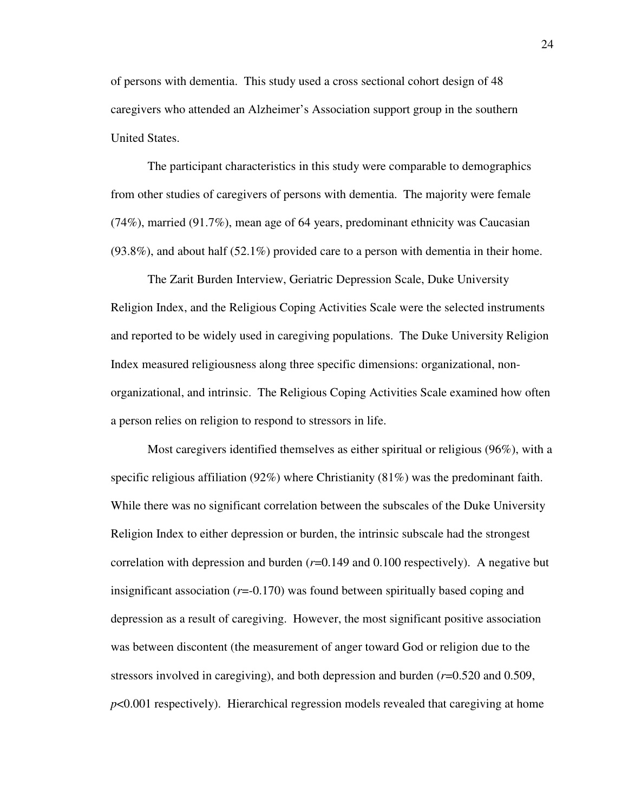of persons with dementia. This study used a cross sectional cohort design of 48 caregivers who attended an Alzheimer's Association support group in the southern United States.

The participant characteristics in this study were comparable to demographics from other studies of caregivers of persons with dementia. The majority were female (74%), married (91.7%), mean age of 64 years, predominant ethnicity was Caucasian  $(93.8\%)$ , and about half  $(52.1\%)$  provided care to a person with dementia in their home.

The Zarit Burden Interview, Geriatric Depression Scale, Duke University Religion Index, and the Religious Coping Activities Scale were the selected instruments and reported to be widely used in caregiving populations. The Duke University Religion Index measured religiousness along three specific dimensions: organizational, nonorganizational, and intrinsic. The Religious Coping Activities Scale examined how often a person relies on religion to respond to stressors in life.

Most caregivers identified themselves as either spiritual or religious (96%), with a specific religious affiliation (92%) where Christianity (81%) was the predominant faith. While there was no significant correlation between the subscales of the Duke University Religion Index to either depression or burden, the intrinsic subscale had the strongest correlation with depression and burden  $(r=0.149$  and 0.100 respectively). A negative but insignificant association (*r*=-0.170) was found between spiritually based coping and depression as a result of caregiving. However, the most significant positive association was between discontent (the measurement of anger toward God or religion due to the stressors involved in caregiving), and both depression and burden (*r*=0.520 and 0.509, *p*<0.001 respectively). Hierarchical regression models revealed that caregiving at home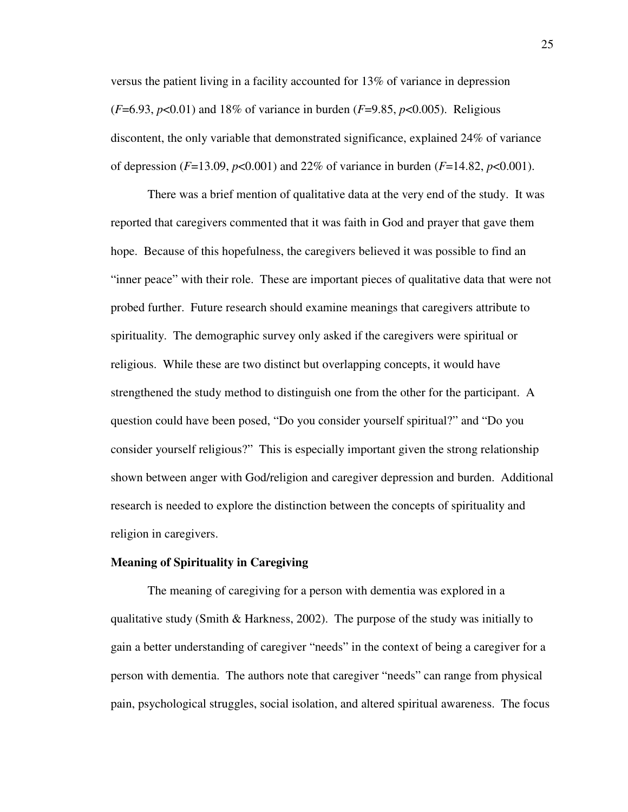versus the patient living in a facility accounted for 13% of variance in depression (*F*=6.93, *p*<0.01) and 18% of variance in burden (*F*=9.85, *p*<0.005). Religious discontent, the only variable that demonstrated significance, explained 24% of variance of depression (*F*=13.09, *p*<0.001) and 22% of variance in burden (*F*=14.82, *p*<0.001).

There was a brief mention of qualitative data at the very end of the study. It was reported that caregivers commented that it was faith in God and prayer that gave them hope. Because of this hopefulness, the caregivers believed it was possible to find an "inner peace" with their role. These are important pieces of qualitative data that were not probed further. Future research should examine meanings that caregivers attribute to spirituality. The demographic survey only asked if the caregivers were spiritual or religious. While these are two distinct but overlapping concepts, it would have strengthened the study method to distinguish one from the other for the participant. A question could have been posed, "Do you consider yourself spiritual?" and "Do you consider yourself religious?" This is especially important given the strong relationship shown between anger with God/religion and caregiver depression and burden. Additional research is needed to explore the distinction between the concepts of spirituality and religion in caregivers.

## **Meaning of Spirituality in Caregiving**

The meaning of caregiving for a person with dementia was explored in a qualitative study (Smith & Harkness, 2002). The purpose of the study was initially to gain a better understanding of caregiver "needs" in the context of being a caregiver for a person with dementia. The authors note that caregiver "needs" can range from physical pain, psychological struggles, social isolation, and altered spiritual awareness. The focus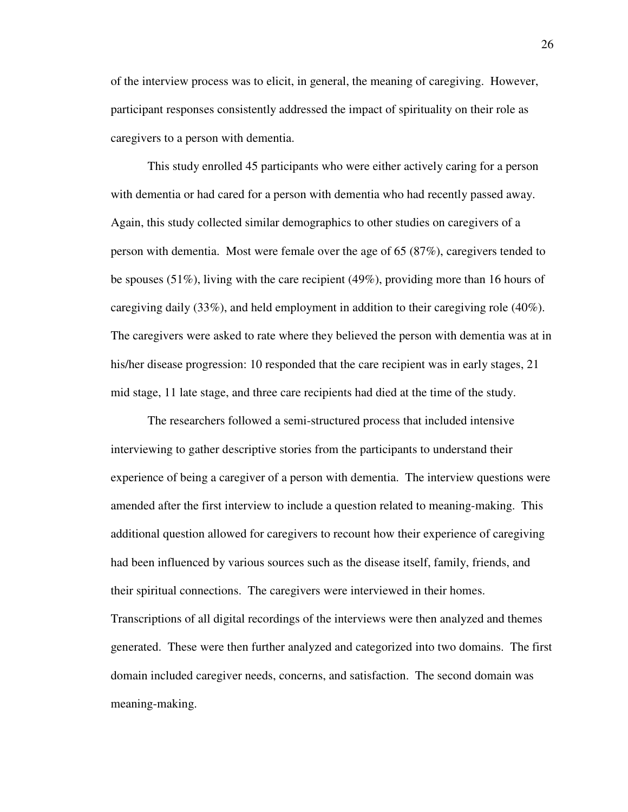of the interview process was to elicit, in general, the meaning of caregiving. However, participant responses consistently addressed the impact of spirituality on their role as caregivers to a person with dementia.

This study enrolled 45 participants who were either actively caring for a person with dementia or had cared for a person with dementia who had recently passed away. Again, this study collected similar demographics to other studies on caregivers of a person with dementia. Most were female over the age of 65 (87%), caregivers tended to be spouses (51%), living with the care recipient (49%), providing more than 16 hours of caregiving daily (33%), and held employment in addition to their caregiving role (40%). The caregivers were asked to rate where they believed the person with dementia was at in his/her disease progression: 10 responded that the care recipient was in early stages, 21 mid stage, 11 late stage, and three care recipients had died at the time of the study.

The researchers followed a semi-structured process that included intensive interviewing to gather descriptive stories from the participants to understand their experience of being a caregiver of a person with dementia. The interview questions were amended after the first interview to include a question related to meaning-making. This additional question allowed for caregivers to recount how their experience of caregiving had been influenced by various sources such as the disease itself, family, friends, and their spiritual connections. The caregivers were interviewed in their homes. Transcriptions of all digital recordings of the interviews were then analyzed and themes generated. These were then further analyzed and categorized into two domains. The first domain included caregiver needs, concerns, and satisfaction. The second domain was meaning-making.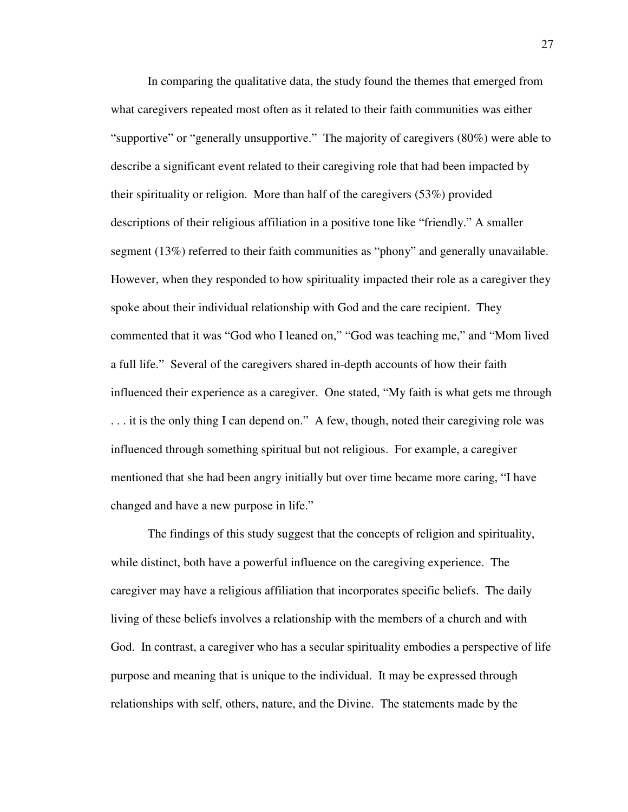In comparing the qualitative data, the study found the themes that emerged from what caregivers repeated most often as it related to their faith communities was either "supportive" or "generally unsupportive." The majority of caregivers (80%) were able to describe a significant event related to their caregiving role that had been impacted by their spirituality or religion. More than half of the caregivers (53%) provided descriptions of their religious affiliation in a positive tone like "friendly." A smaller segment (13%) referred to their faith communities as "phony" and generally unavailable. However, when they responded to how spirituality impacted their role as a caregiver they spoke about their individual relationship with God and the care recipient. They commented that it was "God who I leaned on," "God was teaching me," and "Mom lived a full life." Several of the caregivers shared in-depth accounts of how their faith influenced their experience as a caregiver. One stated, "My faith is what gets me through . . . it is the only thing I can depend on." A few, though, noted their caregiving role was influenced through something spiritual but not religious. For example, a caregiver mentioned that she had been angry initially but over time became more caring, "I have changed and have a new purpose in life."

The findings of this study suggest that the concepts of religion and spirituality, while distinct, both have a powerful influence on the caregiving experience. The caregiver may have a religious affiliation that incorporates specific beliefs. The daily living of these beliefs involves a relationship with the members of a church and with God. In contrast, a caregiver who has a secular spirituality embodies a perspective of life purpose and meaning that is unique to the individual. It may be expressed through relationships with self, others, nature, and the Divine. The statements made by the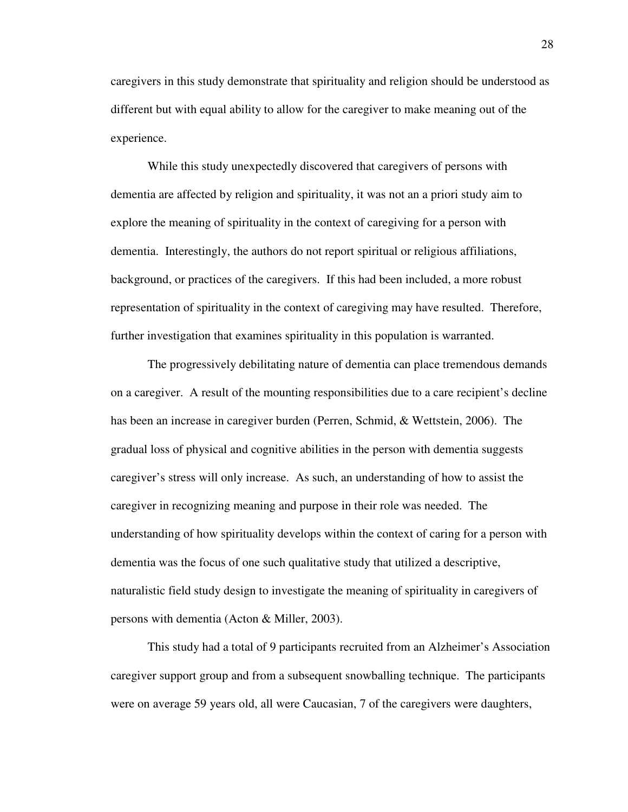caregivers in this study demonstrate that spirituality and religion should be understood as different but with equal ability to allow for the caregiver to make meaning out of the experience.

While this study unexpectedly discovered that caregivers of persons with dementia are affected by religion and spirituality, it was not an a priori study aim to explore the meaning of spirituality in the context of caregiving for a person with dementia. Interestingly, the authors do not report spiritual or religious affiliations, background, or practices of the caregivers. If this had been included, a more robust representation of spirituality in the context of caregiving may have resulted. Therefore, further investigation that examines spirituality in this population is warranted.

 The progressively debilitating nature of dementia can place tremendous demands on a caregiver. A result of the mounting responsibilities due to a care recipient's decline has been an increase in caregiver burden (Perren, Schmid, & Wettstein, 2006). The gradual loss of physical and cognitive abilities in the person with dementia suggests caregiver's stress will only increase. As such, an understanding of how to assist the caregiver in recognizing meaning and purpose in their role was needed. The understanding of how spirituality develops within the context of caring for a person with dementia was the focus of one such qualitative study that utilized a descriptive, naturalistic field study design to investigate the meaning of spirituality in caregivers of persons with dementia (Acton & Miller, 2003).

This study had a total of 9 participants recruited from an Alzheimer's Association caregiver support group and from a subsequent snowballing technique. The participants were on average 59 years old, all were Caucasian, 7 of the caregivers were daughters,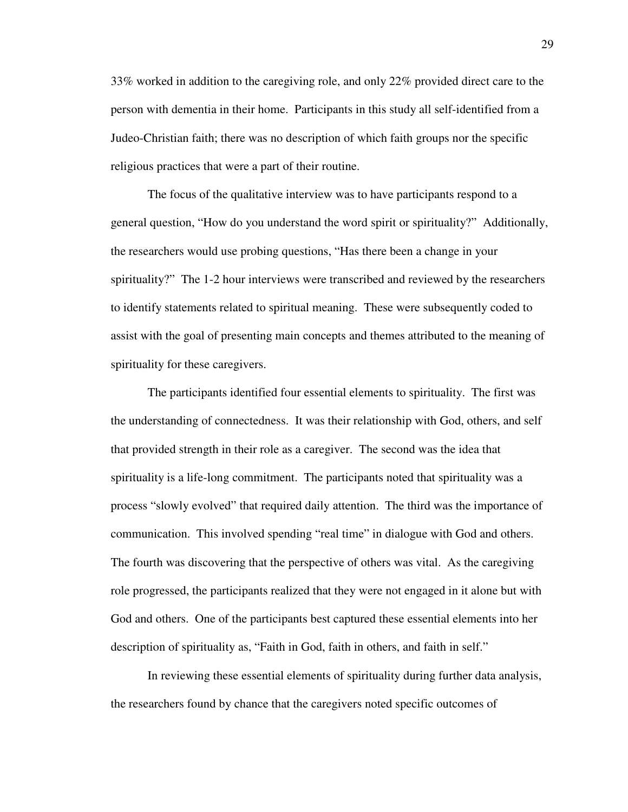33% worked in addition to the caregiving role, and only 22% provided direct care to the person with dementia in their home. Participants in this study all self-identified from a Judeo-Christian faith; there was no description of which faith groups nor the specific religious practices that were a part of their routine.

 The focus of the qualitative interview was to have participants respond to a general question, "How do you understand the word spirit or spirituality?" Additionally, the researchers would use probing questions, "Has there been a change in your spirituality?" The 1-2 hour interviews were transcribed and reviewed by the researchers to identify statements related to spiritual meaning. These were subsequently coded to assist with the goal of presenting main concepts and themes attributed to the meaning of spirituality for these caregivers.

The participants identified four essential elements to spirituality. The first was the understanding of connectedness. It was their relationship with God, others, and self that provided strength in their role as a caregiver. The second was the idea that spirituality is a life-long commitment. The participants noted that spirituality was a process "slowly evolved" that required daily attention. The third was the importance of communication. This involved spending "real time" in dialogue with God and others. The fourth was discovering that the perspective of others was vital. As the caregiving role progressed, the participants realized that they were not engaged in it alone but with God and others. One of the participants best captured these essential elements into her description of spirituality as, "Faith in God, faith in others, and faith in self."

In reviewing these essential elements of spirituality during further data analysis, the researchers found by chance that the caregivers noted specific outcomes of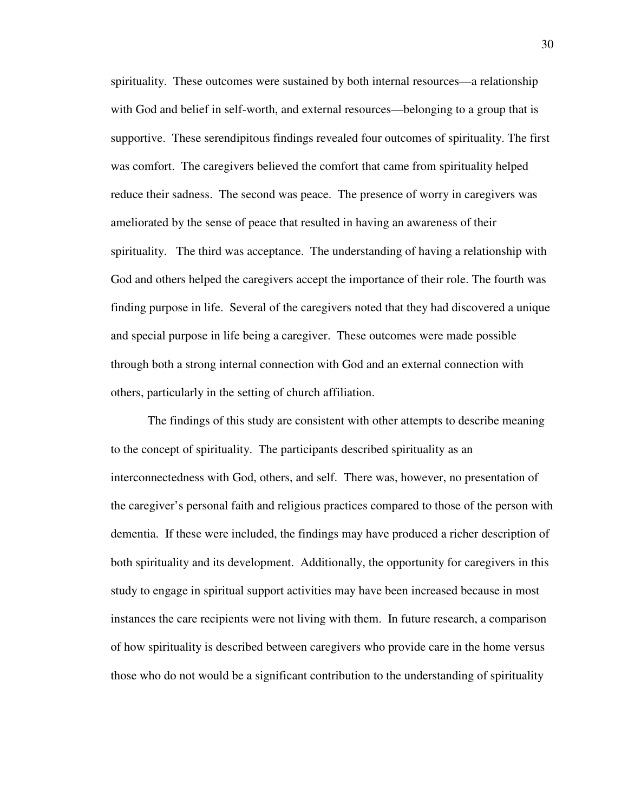spirituality. These outcomes were sustained by both internal resources—a relationship with God and belief in self-worth, and external resources—belonging to a group that is supportive. These serendipitous findings revealed four outcomes of spirituality. The first was comfort. The caregivers believed the comfort that came from spirituality helped reduce their sadness. The second was peace. The presence of worry in caregivers was ameliorated by the sense of peace that resulted in having an awareness of their spirituality. The third was acceptance. The understanding of having a relationship with God and others helped the caregivers accept the importance of their role. The fourth was finding purpose in life. Several of the caregivers noted that they had discovered a unique and special purpose in life being a caregiver. These outcomes were made possible through both a strong internal connection with God and an external connection with others, particularly in the setting of church affiliation.

The findings of this study are consistent with other attempts to describe meaning to the concept of spirituality. The participants described spirituality as an interconnectedness with God, others, and self. There was, however, no presentation of the caregiver's personal faith and religious practices compared to those of the person with dementia. If these were included, the findings may have produced a richer description of both spirituality and its development. Additionally, the opportunity for caregivers in this study to engage in spiritual support activities may have been increased because in most instances the care recipients were not living with them. In future research, a comparison of how spirituality is described between caregivers who provide care in the home versus those who do not would be a significant contribution to the understanding of spirituality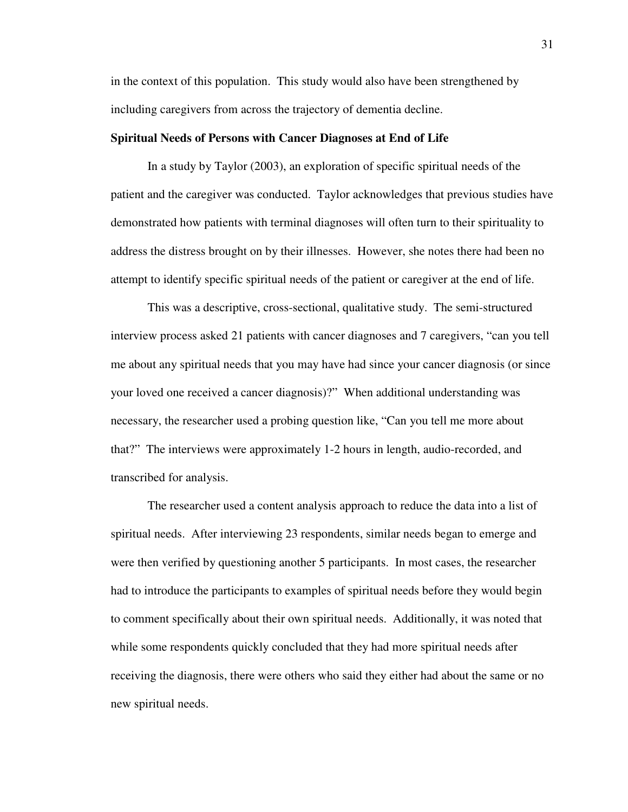in the context of this population. This study would also have been strengthened by including caregivers from across the trajectory of dementia decline.

### **Spiritual Needs of Persons with Cancer Diagnoses at End of Life**

In a study by Taylor (2003), an exploration of specific spiritual needs of the patient and the caregiver was conducted. Taylor acknowledges that previous studies have demonstrated how patients with terminal diagnoses will often turn to their spirituality to address the distress brought on by their illnesses. However, she notes there had been no attempt to identify specific spiritual needs of the patient or caregiver at the end of life.

This was a descriptive, cross-sectional, qualitative study. The semi-structured interview process asked 21 patients with cancer diagnoses and 7 caregivers, "can you tell me about any spiritual needs that you may have had since your cancer diagnosis (or since your loved one received a cancer diagnosis)?" When additional understanding was necessary, the researcher used a probing question like, "Can you tell me more about that?" The interviews were approximately 1-2 hours in length, audio-recorded, and transcribed for analysis.

The researcher used a content analysis approach to reduce the data into a list of spiritual needs. After interviewing 23 respondents, similar needs began to emerge and were then verified by questioning another 5 participants. In most cases, the researcher had to introduce the participants to examples of spiritual needs before they would begin to comment specifically about their own spiritual needs. Additionally, it was noted that while some respondents quickly concluded that they had more spiritual needs after receiving the diagnosis, there were others who said they either had about the same or no new spiritual needs.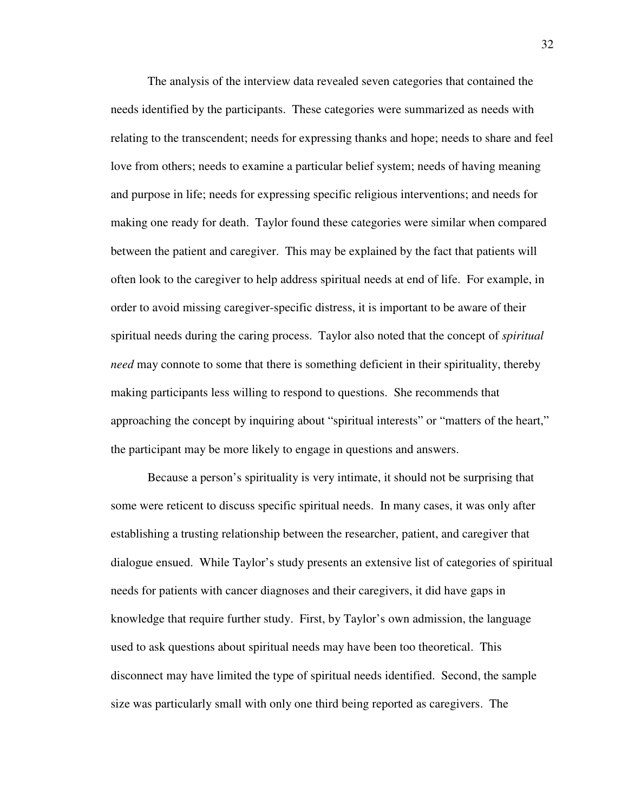The analysis of the interview data revealed seven categories that contained the needs identified by the participants. These categories were summarized as needs with relating to the transcendent; needs for expressing thanks and hope; needs to share and feel love from others; needs to examine a particular belief system; needs of having meaning and purpose in life; needs for expressing specific religious interventions; and needs for making one ready for death. Taylor found these categories were similar when compared between the patient and caregiver. This may be explained by the fact that patients will often look to the caregiver to help address spiritual needs at end of life. For example, in order to avoid missing caregiver-specific distress, it is important to be aware of their spiritual needs during the caring process. Taylor also noted that the concept of *spiritual need* may connote to some that there is something deficient in their spirituality, thereby making participants less willing to respond to questions. She recommends that approaching the concept by inquiring about "spiritual interests" or "matters of the heart," the participant may be more likely to engage in questions and answers.

Because a person's spirituality is very intimate, it should not be surprising that some were reticent to discuss specific spiritual needs. In many cases, it was only after establishing a trusting relationship between the researcher, patient, and caregiver that dialogue ensued. While Taylor's study presents an extensive list of categories of spiritual needs for patients with cancer diagnoses and their caregivers, it did have gaps in knowledge that require further study. First, by Taylor's own admission, the language used to ask questions about spiritual needs may have been too theoretical. This disconnect may have limited the type of spiritual needs identified. Second, the sample size was particularly small with only one third being reported as caregivers. The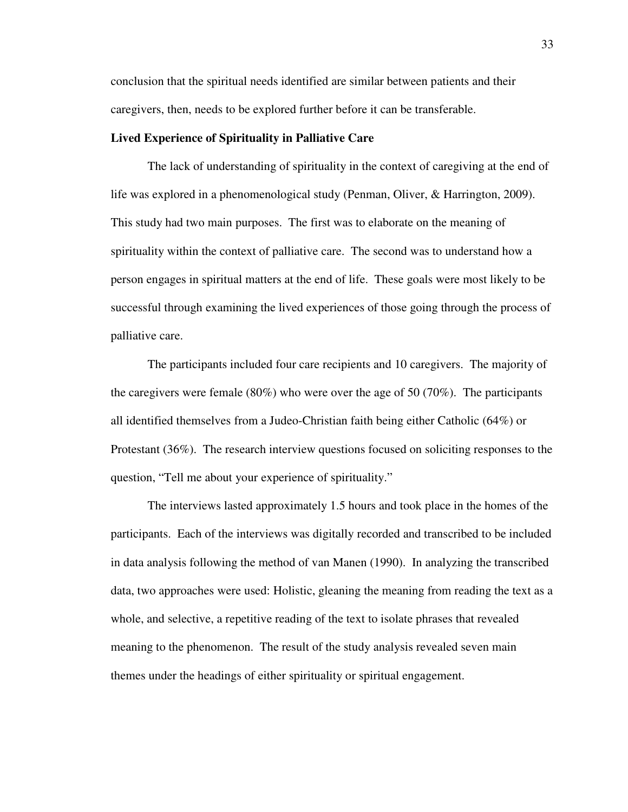conclusion that the spiritual needs identified are similar between patients and their caregivers, then, needs to be explored further before it can be transferable.

### **Lived Experience of Spirituality in Palliative Care**

 The lack of understanding of spirituality in the context of caregiving at the end of life was explored in a phenomenological study (Penman, Oliver, & Harrington, 2009). This study had two main purposes. The first was to elaborate on the meaning of spirituality within the context of palliative care. The second was to understand how a person engages in spiritual matters at the end of life. These goals were most likely to be successful through examining the lived experiences of those going through the process of palliative care.

The participants included four care recipients and 10 caregivers. The majority of the caregivers were female  $(80\%)$  who were over the age of 50 (70%). The participants all identified themselves from a Judeo-Christian faith being either Catholic (64%) or Protestant (36%). The research interview questions focused on soliciting responses to the question, "Tell me about your experience of spirituality."

The interviews lasted approximately 1.5 hours and took place in the homes of the participants. Each of the interviews was digitally recorded and transcribed to be included in data analysis following the method of van Manen (1990). In analyzing the transcribed data, two approaches were used: Holistic, gleaning the meaning from reading the text as a whole, and selective, a repetitive reading of the text to isolate phrases that revealed meaning to the phenomenon. The result of the study analysis revealed seven main themes under the headings of either spirituality or spiritual engagement.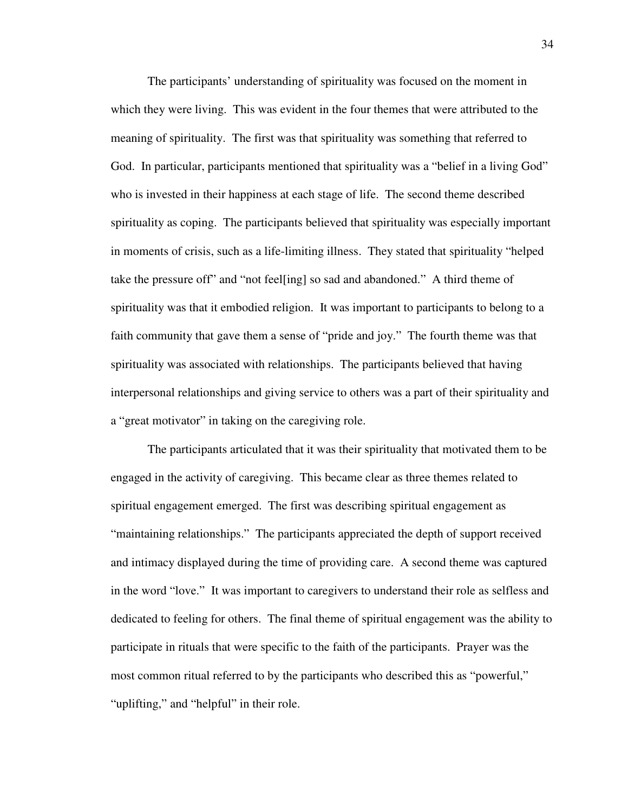The participants' understanding of spirituality was focused on the moment in which they were living. This was evident in the four themes that were attributed to the meaning of spirituality. The first was that spirituality was something that referred to God. In particular, participants mentioned that spirituality was a "belief in a living God" who is invested in their happiness at each stage of life. The second theme described spirituality as coping. The participants believed that spirituality was especially important in moments of crisis, such as a life-limiting illness. They stated that spirituality "helped take the pressure off" and "not feel[ing] so sad and abandoned." A third theme of spirituality was that it embodied religion. It was important to participants to belong to a faith community that gave them a sense of "pride and joy." The fourth theme was that spirituality was associated with relationships. The participants believed that having interpersonal relationships and giving service to others was a part of their spirituality and a "great motivator" in taking on the caregiving role.

 The participants articulated that it was their spirituality that motivated them to be engaged in the activity of caregiving. This became clear as three themes related to spiritual engagement emerged. The first was describing spiritual engagement as "maintaining relationships." The participants appreciated the depth of support received and intimacy displayed during the time of providing care. A second theme was captured in the word "love." It was important to caregivers to understand their role as selfless and dedicated to feeling for others. The final theme of spiritual engagement was the ability to participate in rituals that were specific to the faith of the participants. Prayer was the most common ritual referred to by the participants who described this as "powerful," "uplifting," and "helpful" in their role.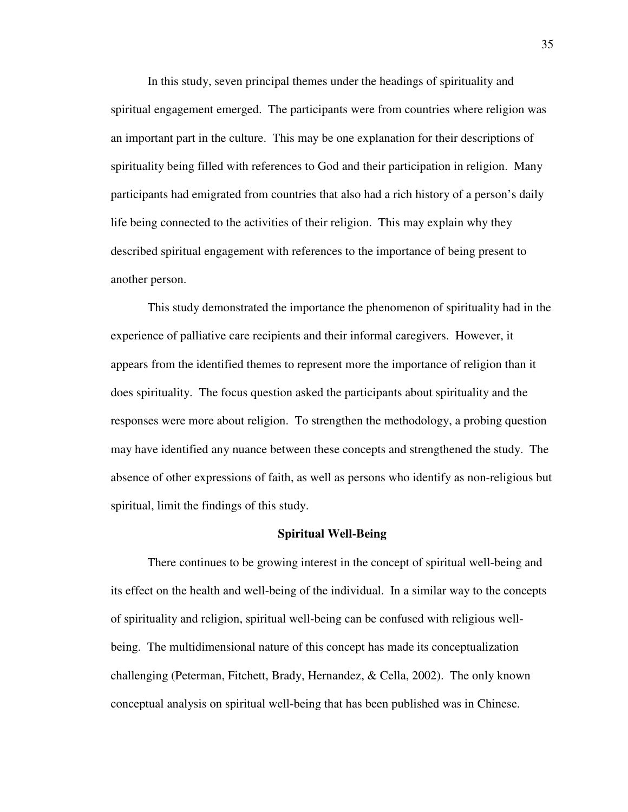In this study, seven principal themes under the headings of spirituality and spiritual engagement emerged. The participants were from countries where religion was an important part in the culture. This may be one explanation for their descriptions of spirituality being filled with references to God and their participation in religion. Many participants had emigrated from countries that also had a rich history of a person's daily life being connected to the activities of their religion. This may explain why they described spiritual engagement with references to the importance of being present to another person.

This study demonstrated the importance the phenomenon of spirituality had in the experience of palliative care recipients and their informal caregivers. However, it appears from the identified themes to represent more the importance of religion than it does spirituality. The focus question asked the participants about spirituality and the responses were more about religion. To strengthen the methodology, a probing question may have identified any nuance between these concepts and strengthened the study. The absence of other expressions of faith, as well as persons who identify as non-religious but spiritual, limit the findings of this study.

#### **Spiritual Well-Being**

There continues to be growing interest in the concept of spiritual well-being and its effect on the health and well-being of the individual. In a similar way to the concepts of spirituality and religion, spiritual well-being can be confused with religious wellbeing. The multidimensional nature of this concept has made its conceptualization challenging (Peterman, Fitchett, Brady, Hernandez, & Cella, 2002). The only known conceptual analysis on spiritual well-being that has been published was in Chinese.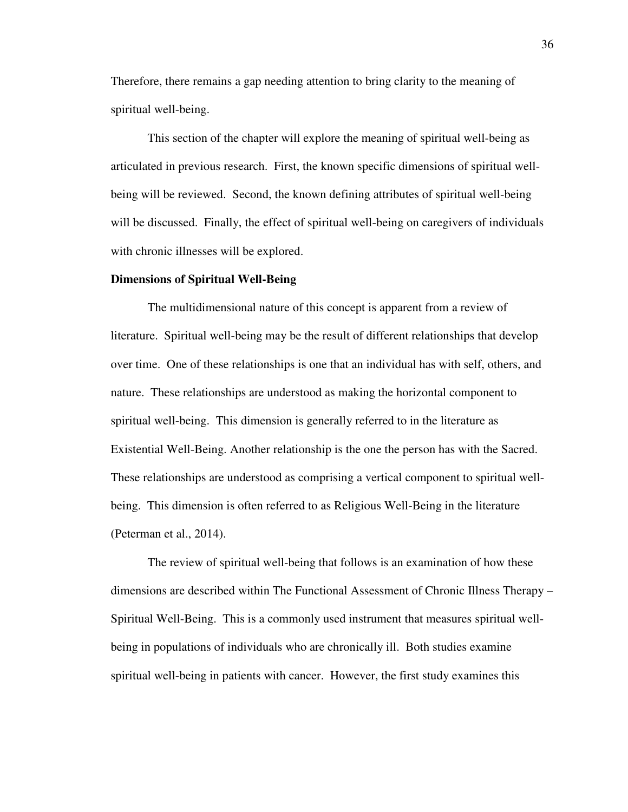Therefore, there remains a gap needing attention to bring clarity to the meaning of spiritual well-being.

This section of the chapter will explore the meaning of spiritual well-being as articulated in previous research. First, the known specific dimensions of spiritual wellbeing will be reviewed. Second, the known defining attributes of spiritual well-being will be discussed. Finally, the effect of spiritual well-being on caregivers of individuals with chronic illnesses will be explored.

#### **Dimensions of Spiritual Well-Being**

The multidimensional nature of this concept is apparent from a review of literature. Spiritual well-being may be the result of different relationships that develop over time. One of these relationships is one that an individual has with self, others, and nature. These relationships are understood as making the horizontal component to spiritual well-being. This dimension is generally referred to in the literature as Existential Well-Being. Another relationship is the one the person has with the Sacred. These relationships are understood as comprising a vertical component to spiritual wellbeing. This dimension is often referred to as Religious Well-Being in the literature (Peterman et al., 2014).

The review of spiritual well-being that follows is an examination of how these dimensions are described within The Functional Assessment of Chronic Illness Therapy – Spiritual Well-Being. This is a commonly used instrument that measures spiritual wellbeing in populations of individuals who are chronically ill. Both studies examine spiritual well-being in patients with cancer. However, the first study examines this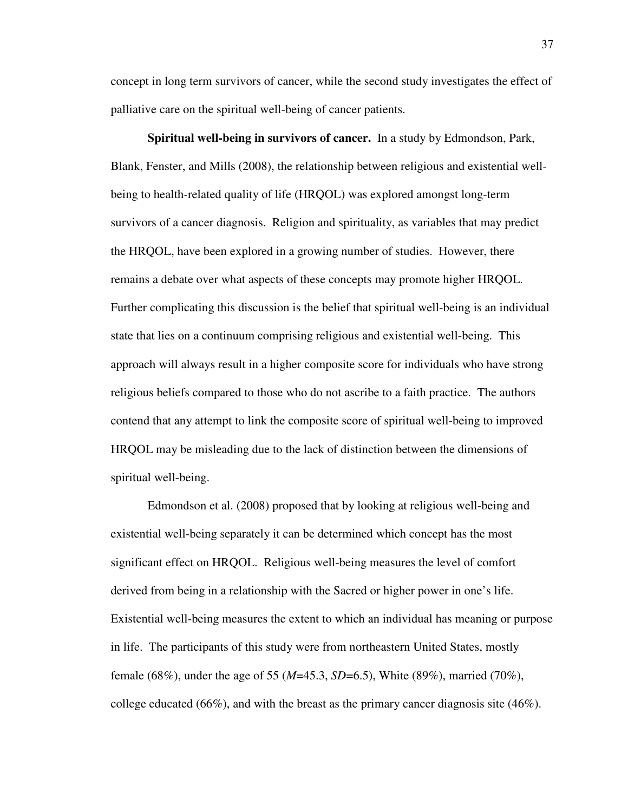concept in long term survivors of cancer, while the second study investigates the effect of palliative care on the spiritual well-being of cancer patients.

**Spiritual well-being in survivors of cancer.** In a study by Edmondson, Park, Blank, Fenster, and Mills (2008), the relationship between religious and existential wellbeing to health-related quality of life (HRQOL) was explored amongst long-term survivors of a cancer diagnosis. Religion and spirituality, as variables that may predict the HRQOL, have been explored in a growing number of studies. However, there remains a debate over what aspects of these concepts may promote higher HRQOL. Further complicating this discussion is the belief that spiritual well-being is an individual state that lies on a continuum comprising religious and existential well-being. This approach will always result in a higher composite score for individuals who have strong religious beliefs compared to those who do not ascribe to a faith practice. The authors contend that any attempt to link the composite score of spiritual well-being to improved HRQOL may be misleading due to the lack of distinction between the dimensions of spiritual well-being.

Edmondson et al. (2008) proposed that by looking at religious well-being and existential well-being separately it can be determined which concept has the most significant effect on HRQOL. Religious well-being measures the level of comfort derived from being in a relationship with the Sacred or higher power in one's life. Existential well-being measures the extent to which an individual has meaning or purpose in life. The participants of this study were from northeastern United States, mostly female (68%), under the age of 55 (*M*=45.3, *SD*=6.5), White (89%), married (70%), college educated (66%), and with the breast as the primary cancer diagnosis site (46%).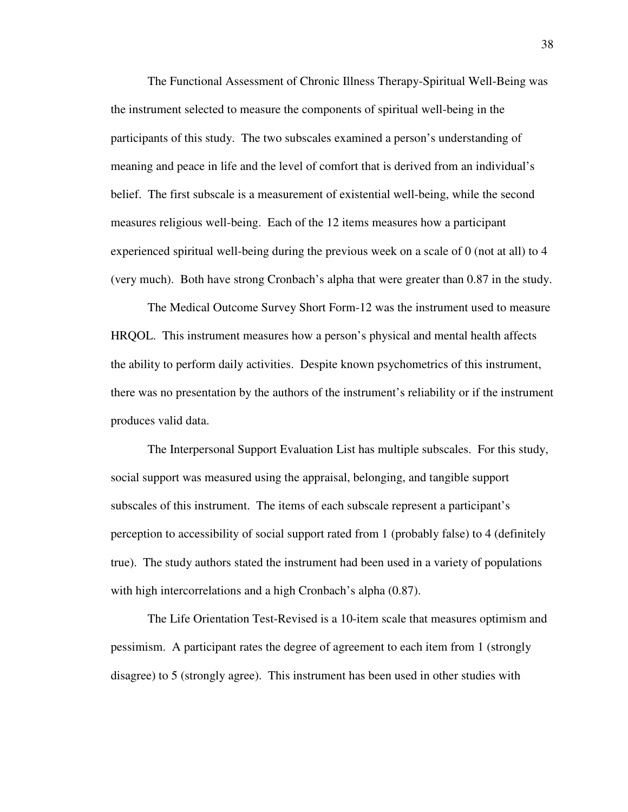The Functional Assessment of Chronic Illness Therapy-Spiritual Well-Being was the instrument selected to measure the components of spiritual well-being in the participants of this study. The two subscales examined a person's understanding of meaning and peace in life and the level of comfort that is derived from an individual's belief. The first subscale is a measurement of existential well-being, while the second measures religious well-being. Each of the 12 items measures how a participant experienced spiritual well-being during the previous week on a scale of 0 (not at all) to 4 (very much). Both have strong Cronbach's alpha that were greater than 0.87 in the study.

The Medical Outcome Survey Short Form-12 was the instrument used to measure HRQOL. This instrument measures how a person's physical and mental health affects the ability to perform daily activities. Despite known psychometrics of this instrument, there was no presentation by the authors of the instrument's reliability or if the instrument produces valid data.

The Interpersonal Support Evaluation List has multiple subscales. For this study, social support was measured using the appraisal, belonging, and tangible support subscales of this instrument. The items of each subscale represent a participant's perception to accessibility of social support rated from 1 (probably false) to 4 (definitely true). The study authors stated the instrument had been used in a variety of populations with high intercorrelations and a high Cronbach's alpha  $(0.87)$ .

The Life Orientation Test-Revised is a 10-item scale that measures optimism and pessimism. A participant rates the degree of agreement to each item from 1 (strongly disagree) to 5 (strongly agree). This instrument has been used in other studies with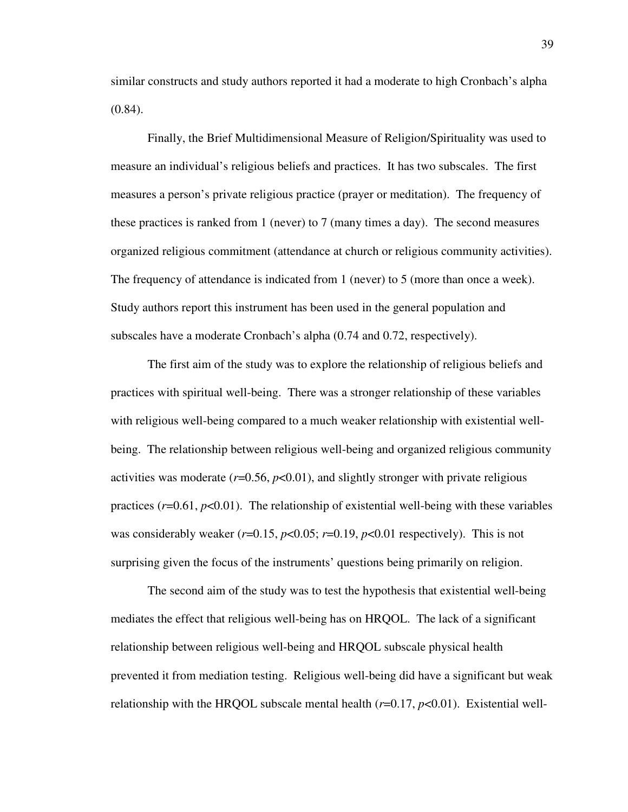similar constructs and study authors reported it had a moderate to high Cronbach's alpha  $(0.84)$ .

Finally, the Brief Multidimensional Measure of Religion/Spirituality was used to measure an individual's religious beliefs and practices. It has two subscales. The first measures a person's private religious practice (prayer or meditation). The frequency of these practices is ranked from 1 (never) to 7 (many times a day). The second measures organized religious commitment (attendance at church or religious community activities). The frequency of attendance is indicated from 1 (never) to 5 (more than once a week). Study authors report this instrument has been used in the general population and subscales have a moderate Cronbach's alpha (0.74 and 0.72, respectively).

 The first aim of the study was to explore the relationship of religious beliefs and practices with spiritual well-being. There was a stronger relationship of these variables with religious well-being compared to a much weaker relationship with existential wellbeing. The relationship between religious well-being and organized religious community activities was moderate  $(r=0.56, p<0.01)$ , and slightly stronger with private religious practices  $(r=0.61, p<0.01)$ . The relationship of existential well-being with these variables was considerably weaker  $(r=0.15, p<0.05; r=0.19, p<0.01$  respectively). This is not surprising given the focus of the instruments' questions being primarily on religion.

 The second aim of the study was to test the hypothesis that existential well-being mediates the effect that religious well-being has on HRQOL. The lack of a significant relationship between religious well-being and HRQOL subscale physical health prevented it from mediation testing. Religious well-being did have a significant but weak relationship with the HRQOL subscale mental health  $(r=0.17, p<0.01)$ . Existential well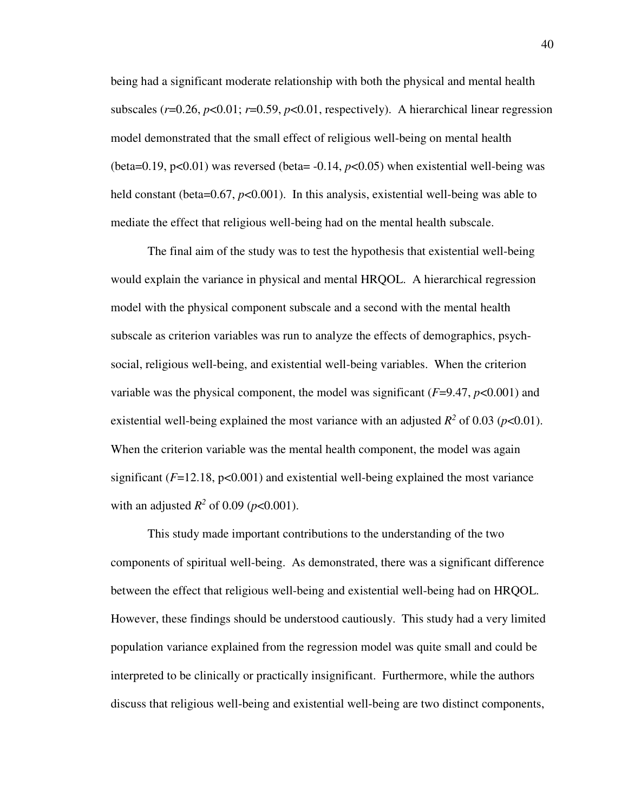being had a significant moderate relationship with both the physical and mental health subscales  $(r=0.26, p<0.01; r=0.59, p<0.01$ , respectively). A hierarchical linear regression model demonstrated that the small effect of religious well-being on mental health (beta=0.19,  $p<0.01$ ) was reversed (beta=  $-0.14$ ,  $p<0.05$ ) when existential well-being was held constant (beta=0.67, *p*<0.001). In this analysis, existential well-being was able to mediate the effect that religious well-being had on the mental health subscale.

 The final aim of the study was to test the hypothesis that existential well-being would explain the variance in physical and mental HRQOL. A hierarchical regression model with the physical component subscale and a second with the mental health subscale as criterion variables was run to analyze the effects of demographics, psychsocial, religious well-being, and existential well-being variables. When the criterion variable was the physical component, the model was significant (*F*=9.47, *p*<0.001) and existential well-being explained the most variance with an adjusted  $R^2$  of 0.03 ( $p$ <0.01). When the criterion variable was the mental health component, the model was again significant  $(F=12.18, p<0.001)$  and existential well-being explained the most variance with an adjusted  $R^2$  of 0.09 ( $p < 0.001$ ).

 This study made important contributions to the understanding of the two components of spiritual well-being. As demonstrated, there was a significant difference between the effect that religious well-being and existential well-being had on HRQOL. However, these findings should be understood cautiously. This study had a very limited population variance explained from the regression model was quite small and could be interpreted to be clinically or practically insignificant. Furthermore, while the authors discuss that religious well-being and existential well-being are two distinct components,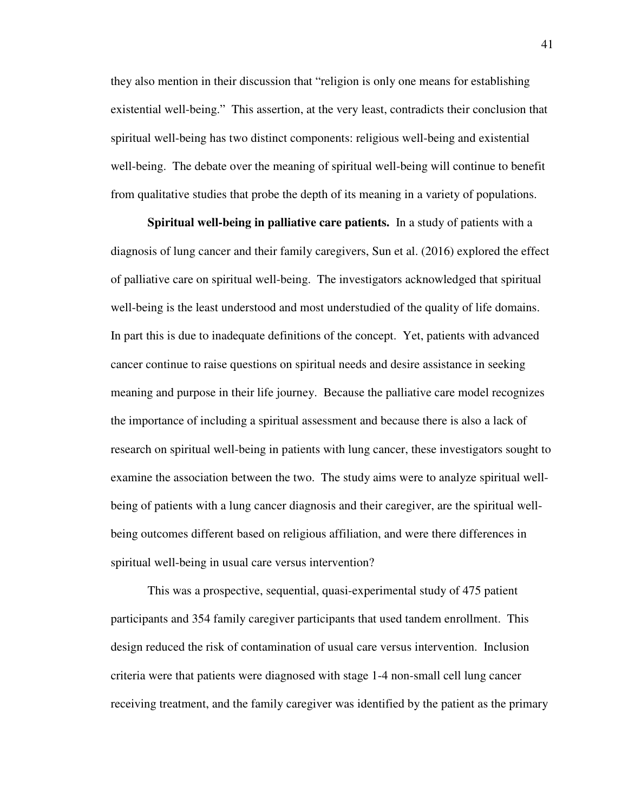they also mention in their discussion that "religion is only one means for establishing existential well-being." This assertion, at the very least, contradicts their conclusion that spiritual well-being has two distinct components: religious well-being and existential well-being. The debate over the meaning of spiritual well-being will continue to benefit from qualitative studies that probe the depth of its meaning in a variety of populations.

**Spiritual well-being in palliative care patients.** In a study of patients with a diagnosis of lung cancer and their family caregivers, Sun et al. (2016) explored the effect of palliative care on spiritual well-being. The investigators acknowledged that spiritual well-being is the least understood and most understudied of the quality of life domains. In part this is due to inadequate definitions of the concept. Yet, patients with advanced cancer continue to raise questions on spiritual needs and desire assistance in seeking meaning and purpose in their life journey. Because the palliative care model recognizes the importance of including a spiritual assessment and because there is also a lack of research on spiritual well-being in patients with lung cancer, these investigators sought to examine the association between the two. The study aims were to analyze spiritual wellbeing of patients with a lung cancer diagnosis and their caregiver, are the spiritual wellbeing outcomes different based on religious affiliation, and were there differences in spiritual well-being in usual care versus intervention?

 This was a prospective, sequential, quasi-experimental study of 475 patient participants and 354 family caregiver participants that used tandem enrollment. This design reduced the risk of contamination of usual care versus intervention. Inclusion criteria were that patients were diagnosed with stage 1-4 non-small cell lung cancer receiving treatment, and the family caregiver was identified by the patient as the primary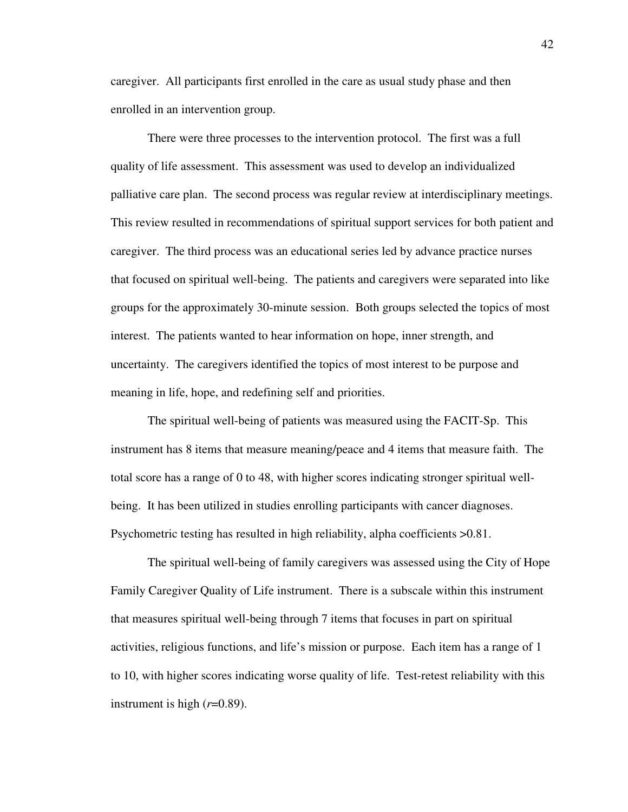caregiver. All participants first enrolled in the care as usual study phase and then enrolled in an intervention group.

There were three processes to the intervention protocol. The first was a full quality of life assessment. This assessment was used to develop an individualized palliative care plan. The second process was regular review at interdisciplinary meetings. This review resulted in recommendations of spiritual support services for both patient and caregiver. The third process was an educational series led by advance practice nurses that focused on spiritual well-being. The patients and caregivers were separated into like groups for the approximately 30-minute session. Both groups selected the topics of most interest. The patients wanted to hear information on hope, inner strength, and uncertainty. The caregivers identified the topics of most interest to be purpose and meaning in life, hope, and redefining self and priorities.

The spiritual well-being of patients was measured using the FACIT-Sp. This instrument has 8 items that measure meaning/peace and 4 items that measure faith. The total score has a range of 0 to 48, with higher scores indicating stronger spiritual wellbeing. It has been utilized in studies enrolling participants with cancer diagnoses. Psychometric testing has resulted in high reliability, alpha coefficients >0.81.

The spiritual well-being of family caregivers was assessed using the City of Hope Family Caregiver Quality of Life instrument. There is a subscale within this instrument that measures spiritual well-being through 7 items that focuses in part on spiritual activities, religious functions, and life's mission or purpose. Each item has a range of 1 to 10, with higher scores indicating worse quality of life. Test-retest reliability with this instrument is high (*r*=0.89).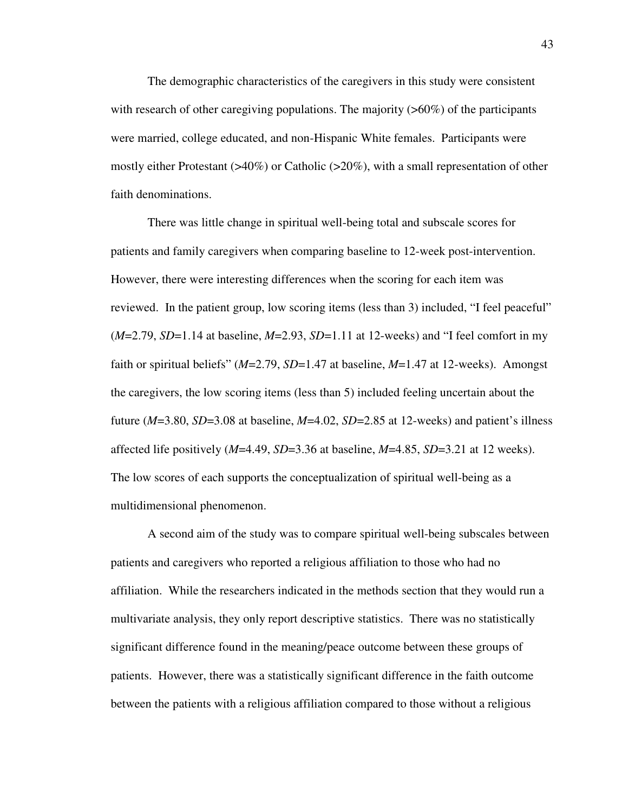The demographic characteristics of the caregivers in this study were consistent with research of other caregiving populations. The majority  $(560\%)$  of the participants were married, college educated, and non-Hispanic White females. Participants were mostly either Protestant (>40%) or Catholic (>20%), with a small representation of other faith denominations.

There was little change in spiritual well-being total and subscale scores for patients and family caregivers when comparing baseline to 12-week post-intervention. However, there were interesting differences when the scoring for each item was reviewed. In the patient group, low scoring items (less than 3) included, "I feel peaceful" (*M*=2.79, *SD*=1.14 at baseline, *M*=2.93, *SD*=1.11 at 12-weeks) and "I feel comfort in my faith or spiritual beliefs" (*M*=2.79, *SD*=1.47 at baseline, *M*=1.47 at 12-weeks). Amongst the caregivers, the low scoring items (less than 5) included feeling uncertain about the future (*M*=3.80, *SD*=3.08 at baseline, *M*=4.02, *SD*=2.85 at 12-weeks) and patient's illness affected life positively (*M*=4.49, *SD*=3.36 at baseline, *M*=4.85, *SD*=3.21 at 12 weeks). The low scores of each supports the conceptualization of spiritual well-being as a multidimensional phenomenon.

A second aim of the study was to compare spiritual well-being subscales between patients and caregivers who reported a religious affiliation to those who had no affiliation. While the researchers indicated in the methods section that they would run a multivariate analysis, they only report descriptive statistics. There was no statistically significant difference found in the meaning/peace outcome between these groups of patients. However, there was a statistically significant difference in the faith outcome between the patients with a religious affiliation compared to those without a religious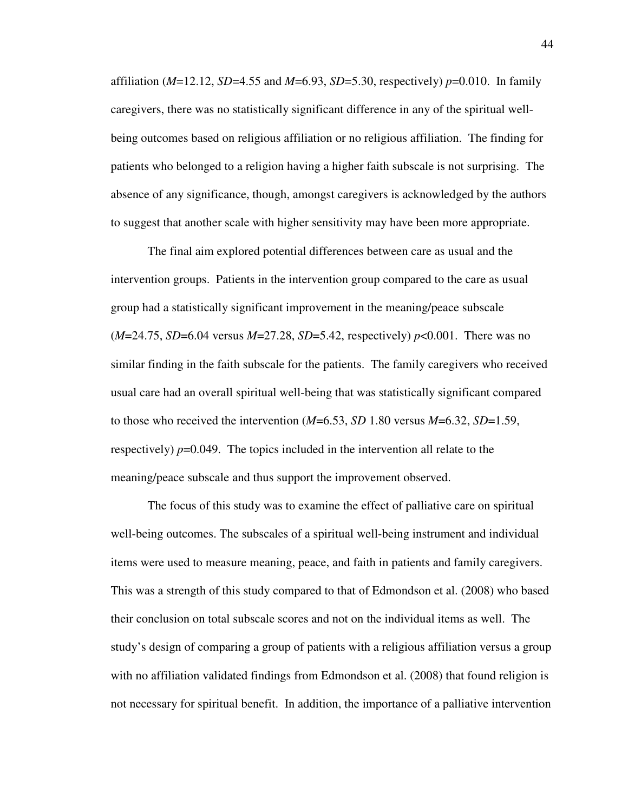affiliation (*M*=12.12, *SD*=4.55 and *M*=6.93, *SD*=5.30, respectively) *p*=0.010. In family caregivers, there was no statistically significant difference in any of the spiritual wellbeing outcomes based on religious affiliation or no religious affiliation. The finding for patients who belonged to a religion having a higher faith subscale is not surprising. The absence of any significance, though, amongst caregivers is acknowledged by the authors to suggest that another scale with higher sensitivity may have been more appropriate.

The final aim explored potential differences between care as usual and the intervention groups. Patients in the intervention group compared to the care as usual group had a statistically significant improvement in the meaning/peace subscale (*M*=24.75, *SD*=6.04 versus *M*=27.28, *SD*=5.42, respectively) *p*<0.001. There was no similar finding in the faith subscale for the patients. The family caregivers who received usual care had an overall spiritual well-being that was statistically significant compared to those who received the intervention (*M*=6.53, *SD* 1.80 versus *M*=6.32, *SD*=1.59, respectively)  $p=0.049$ . The topics included in the intervention all relate to the meaning/peace subscale and thus support the improvement observed.

The focus of this study was to examine the effect of palliative care on spiritual well-being outcomes. The subscales of a spiritual well-being instrument and individual items were used to measure meaning, peace, and faith in patients and family caregivers. This was a strength of this study compared to that of Edmondson et al. (2008) who based their conclusion on total subscale scores and not on the individual items as well. The study's design of comparing a group of patients with a religious affiliation versus a group with no affiliation validated findings from Edmondson et al. (2008) that found religion is not necessary for spiritual benefit. In addition, the importance of a palliative intervention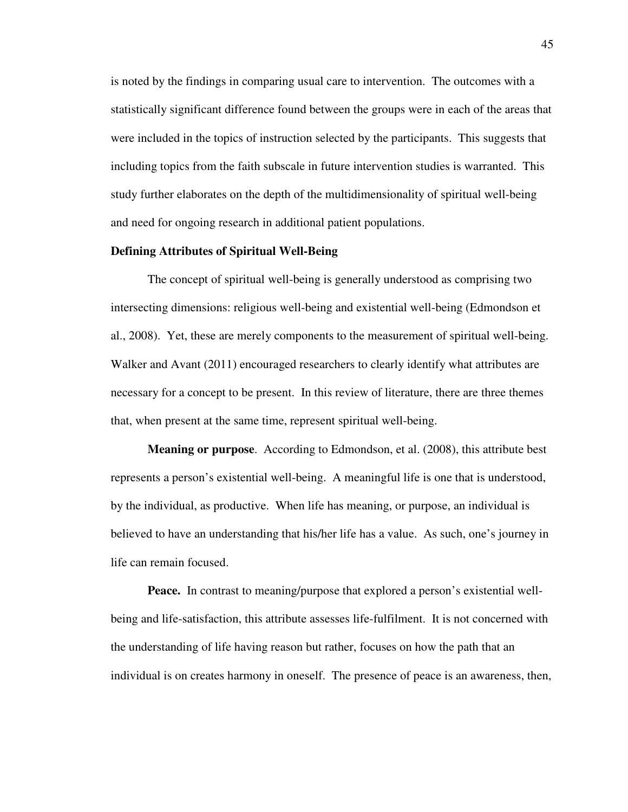is noted by the findings in comparing usual care to intervention. The outcomes with a statistically significant difference found between the groups were in each of the areas that were included in the topics of instruction selected by the participants. This suggests that including topics from the faith subscale in future intervention studies is warranted. This study further elaborates on the depth of the multidimensionality of spiritual well-being and need for ongoing research in additional patient populations.

# **Defining Attributes of Spiritual Well-Being**

The concept of spiritual well-being is generally understood as comprising two intersecting dimensions: religious well-being and existential well-being (Edmondson et al., 2008). Yet, these are merely components to the measurement of spiritual well-being. Walker and Avant (2011) encouraged researchers to clearly identify what attributes are necessary for a concept to be present. In this review of literature, there are three themes that, when present at the same time, represent spiritual well-being.

**Meaning or purpose**. According to Edmondson, et al. (2008), this attribute best represents a person's existential well-being. A meaningful life is one that is understood, by the individual, as productive. When life has meaning, or purpose, an individual is believed to have an understanding that his/her life has a value. As such, one's journey in life can remain focused.

**Peace.** In contrast to meaning/purpose that explored a person's existential wellbeing and life-satisfaction, this attribute assesses life-fulfilment. It is not concerned with the understanding of life having reason but rather, focuses on how the path that an individual is on creates harmony in oneself. The presence of peace is an awareness, then,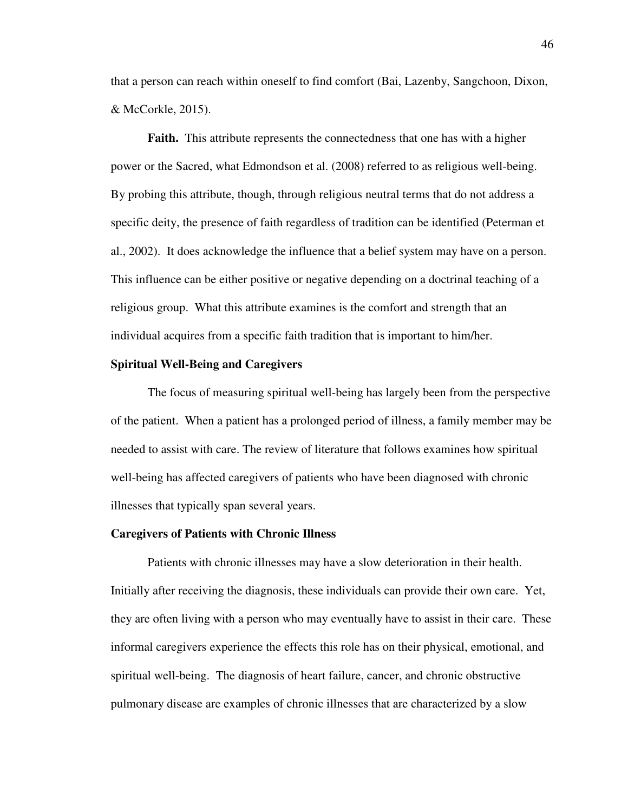that a person can reach within oneself to find comfort (Bai, Lazenby, Sangchoon, Dixon, & McCorkle, 2015).

**Faith.** This attribute represents the connectedness that one has with a higher power or the Sacred, what Edmondson et al. (2008) referred to as religious well-being. By probing this attribute, though, through religious neutral terms that do not address a specific deity, the presence of faith regardless of tradition can be identified (Peterman et al., 2002). It does acknowledge the influence that a belief system may have on a person. This influence can be either positive or negative depending on a doctrinal teaching of a religious group. What this attribute examines is the comfort and strength that an individual acquires from a specific faith tradition that is important to him/her.

# **Spiritual Well-Being and Caregivers**

The focus of measuring spiritual well-being has largely been from the perspective of the patient. When a patient has a prolonged period of illness, a family member may be needed to assist with care. The review of literature that follows examines how spiritual well-being has affected caregivers of patients who have been diagnosed with chronic illnesses that typically span several years.

## **Caregivers of Patients with Chronic Illness**

Patients with chronic illnesses may have a slow deterioration in their health. Initially after receiving the diagnosis, these individuals can provide their own care. Yet, they are often living with a person who may eventually have to assist in their care. These informal caregivers experience the effects this role has on their physical, emotional, and spiritual well-being. The diagnosis of heart failure, cancer, and chronic obstructive pulmonary disease are examples of chronic illnesses that are characterized by a slow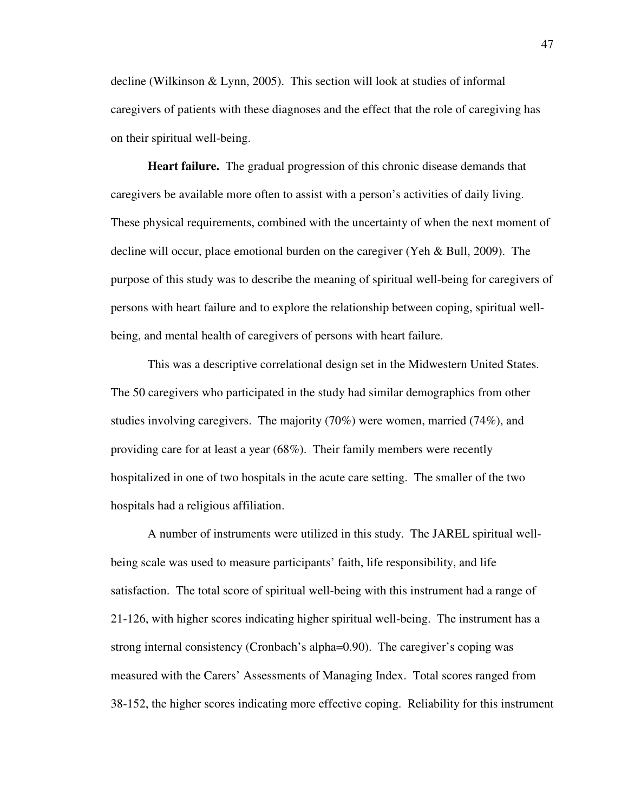decline (Wilkinson & Lynn, 2005). This section will look at studies of informal caregivers of patients with these diagnoses and the effect that the role of caregiving has on their spiritual well-being.

**Heart failure.** The gradual progression of this chronic disease demands that caregivers be available more often to assist with a person's activities of daily living. These physical requirements, combined with the uncertainty of when the next moment of decline will occur, place emotional burden on the caregiver (Yeh & Bull, 2009). The purpose of this study was to describe the meaning of spiritual well-being for caregivers of persons with heart failure and to explore the relationship between coping, spiritual wellbeing, and mental health of caregivers of persons with heart failure.

This was a descriptive correlational design set in the Midwestern United States. The 50 caregivers who participated in the study had similar demographics from other studies involving caregivers. The majority (70%) were women, married (74%), and providing care for at least a year (68%). Their family members were recently hospitalized in one of two hospitals in the acute care setting. The smaller of the two hospitals had a religious affiliation.

A number of instruments were utilized in this study. The JAREL spiritual wellbeing scale was used to measure participants' faith, life responsibility, and life satisfaction. The total score of spiritual well-being with this instrument had a range of 21-126, with higher scores indicating higher spiritual well-being. The instrument has a strong internal consistency (Cronbach's alpha=0.90). The caregiver's coping was measured with the Carers' Assessments of Managing Index. Total scores ranged from 38-152, the higher scores indicating more effective coping. Reliability for this instrument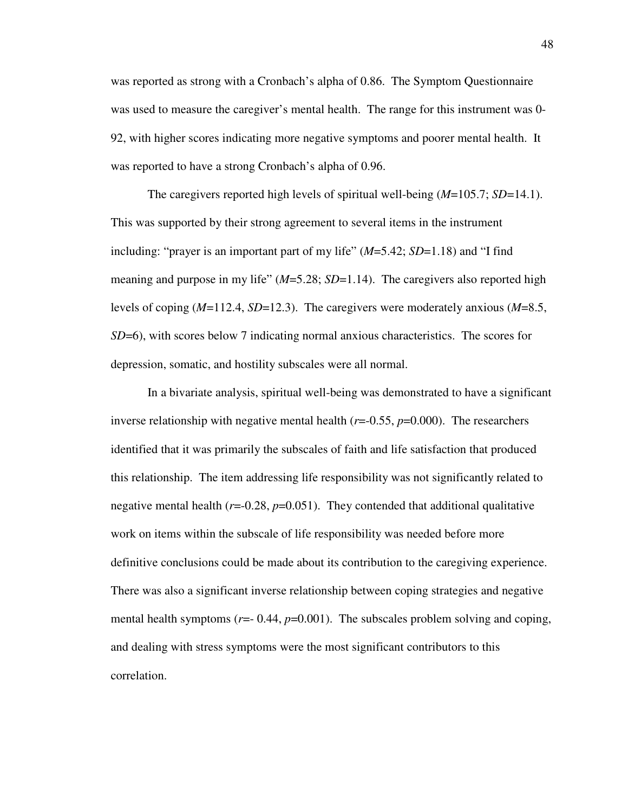was reported as strong with a Cronbach's alpha of 0.86. The Symptom Questionnaire was used to measure the caregiver's mental health. The range for this instrument was 0- 92, with higher scores indicating more negative symptoms and poorer mental health. It was reported to have a strong Cronbach's alpha of 0.96.

The caregivers reported high levels of spiritual well-being (*M*=105.7; *SD*=14.1). This was supported by their strong agreement to several items in the instrument including: "prayer is an important part of my life" (*M*=5.42; *SD*=1.18) and "I find meaning and purpose in my life" (*M*=5.28; *SD*=1.14). The caregivers also reported high levels of coping (*M*=112.4, *SD*=12.3). The caregivers were moderately anxious (*M*=8.5, *SD*=6), with scores below 7 indicating normal anxious characteristics. The scores for depression, somatic, and hostility subscales were all normal.

In a bivariate analysis, spiritual well-being was demonstrated to have a significant inverse relationship with negative mental health  $(r=0.55, p=0.000)$ . The researchers identified that it was primarily the subscales of faith and life satisfaction that produced this relationship. The item addressing life responsibility was not significantly related to negative mental health  $(r=0.28, p=0.051)$ . They contended that additional qualitative work on items within the subscale of life responsibility was needed before more definitive conclusions could be made about its contribution to the caregiving experience. There was also a significant inverse relationship between coping strategies and negative mental health symptoms ( $r=- 0.44$ ,  $p=0.001$ ). The subscales problem solving and coping, and dealing with stress symptoms were the most significant contributors to this correlation.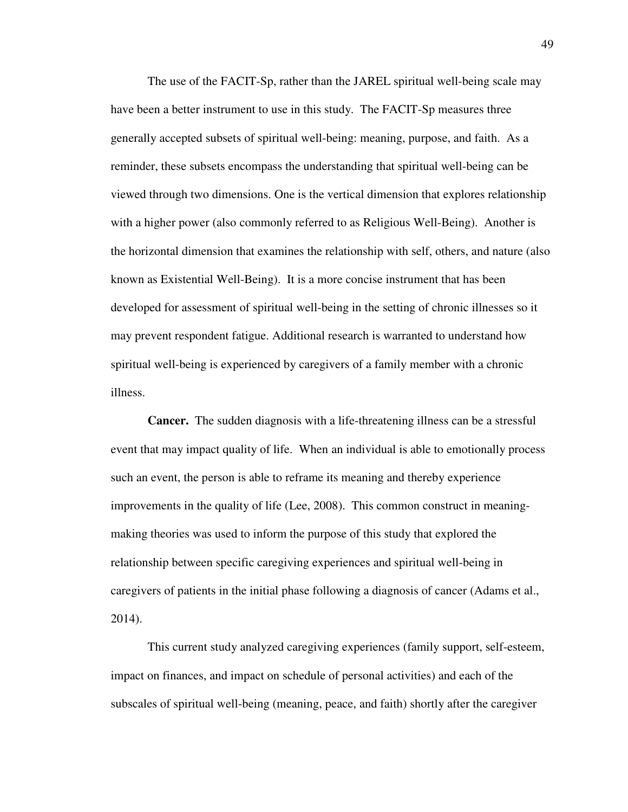The use of the FACIT-Sp, rather than the JAREL spiritual well-being scale may have been a better instrument to use in this study. The FACIT-Sp measures three generally accepted subsets of spiritual well-being: meaning, purpose, and faith. As a reminder, these subsets encompass the understanding that spiritual well-being can be viewed through two dimensions. One is the vertical dimension that explores relationship with a higher power (also commonly referred to as Religious Well-Being). Another is the horizontal dimension that examines the relationship with self, others, and nature (also known as Existential Well-Being). It is a more concise instrument that has been developed for assessment of spiritual well-being in the setting of chronic illnesses so it may prevent respondent fatigue. Additional research is warranted to understand how spiritual well-being is experienced by caregivers of a family member with a chronic illness.

**Cancer.** The sudden diagnosis with a life-threatening illness can be a stressful event that may impact quality of life. When an individual is able to emotionally process such an event, the person is able to reframe its meaning and thereby experience improvements in the quality of life (Lee, 2008). This common construct in meaningmaking theories was used to inform the purpose of this study that explored the relationship between specific caregiving experiences and spiritual well-being in caregivers of patients in the initial phase following a diagnosis of cancer (Adams et al., 2014).

This current study analyzed caregiving experiences (family support, self-esteem, impact on finances, and impact on schedule of personal activities) and each of the subscales of spiritual well-being (meaning, peace, and faith) shortly after the caregiver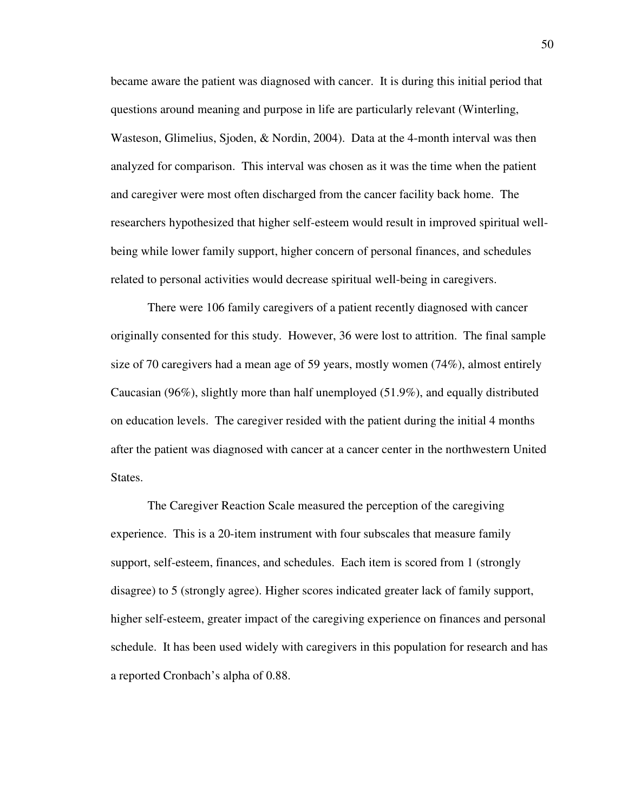became aware the patient was diagnosed with cancer. It is during this initial period that questions around meaning and purpose in life are particularly relevant (Winterling, Wasteson, Glimelius, Sjoden, & Nordin, 2004). Data at the 4-month interval was then analyzed for comparison. This interval was chosen as it was the time when the patient and caregiver were most often discharged from the cancer facility back home. The researchers hypothesized that higher self-esteem would result in improved spiritual wellbeing while lower family support, higher concern of personal finances, and schedules related to personal activities would decrease spiritual well-being in caregivers.

 There were 106 family caregivers of a patient recently diagnosed with cancer originally consented for this study. However, 36 were lost to attrition. The final sample size of 70 caregivers had a mean age of 59 years, mostly women (74%), almost entirely Caucasian (96%), slightly more than half unemployed (51.9%), and equally distributed on education levels. The caregiver resided with the patient during the initial 4 months after the patient was diagnosed with cancer at a cancer center in the northwestern United States.

The Caregiver Reaction Scale measured the perception of the caregiving experience. This is a 20-item instrument with four subscales that measure family support, self-esteem, finances, and schedules. Each item is scored from 1 (strongly disagree) to 5 (strongly agree). Higher scores indicated greater lack of family support, higher self-esteem, greater impact of the caregiving experience on finances and personal schedule. It has been used widely with caregivers in this population for research and has a reported Cronbach's alpha of 0.88.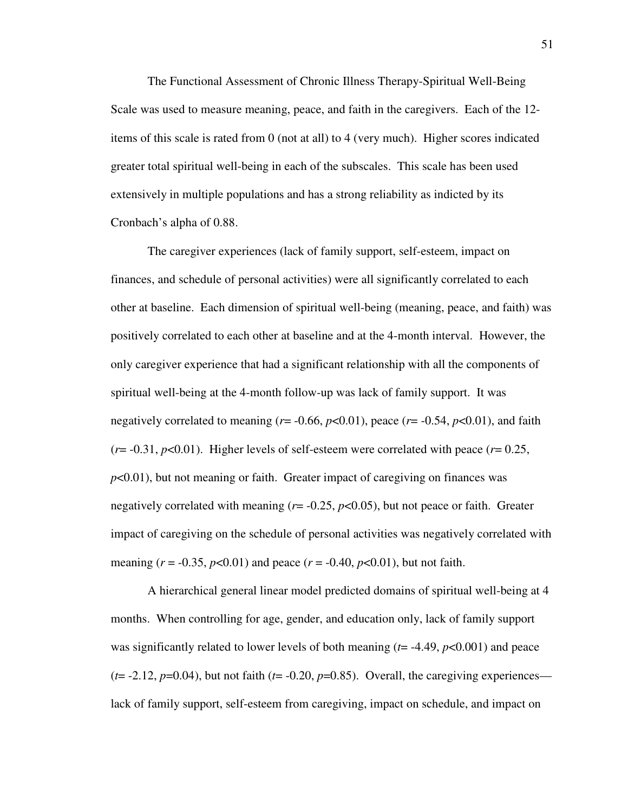The Functional Assessment of Chronic Illness Therapy-Spiritual Well-Being Scale was used to measure meaning, peace, and faith in the caregivers. Each of the 12 items of this scale is rated from 0 (not at all) to 4 (very much). Higher scores indicated greater total spiritual well-being in each of the subscales. This scale has been used extensively in multiple populations and has a strong reliability as indicted by its Cronbach's alpha of 0.88.

 The caregiver experiences (lack of family support, self-esteem, impact on finances, and schedule of personal activities) were all significantly correlated to each other at baseline. Each dimension of spiritual well-being (meaning, peace, and faith) was positively correlated to each other at baseline and at the 4-month interval. However, the only caregiver experience that had a significant relationship with all the components of spiritual well-being at the 4-month follow-up was lack of family support. It was negatively correlated to meaning ( $r = -0.66$ ,  $p < 0.01$ ), peace ( $r = -0.54$ ,  $p < 0.01$ ), and faith  $(r=0.31, p<0.01)$ . Higher levels of self-esteem were correlated with peace  $(r=0.25,$ *p*<0.01), but not meaning or faith. Greater impact of caregiving on finances was negatively correlated with meaning  $(r = -0.25, p < 0.05)$ , but not peace or faith. Greater impact of caregiving on the schedule of personal activities was negatively correlated with meaning ( $r = -0.35$ ,  $p < 0.01$ ) and peace ( $r = -0.40$ ,  $p < 0.01$ ), but not faith.

A hierarchical general linear model predicted domains of spiritual well-being at 4 months. When controlling for age, gender, and education only, lack of family support was significantly related to lower levels of both meaning (*t*= -4.49, *p*<0.001) and peace  $(t= -2.12, p=0.04)$ , but not faith  $(t= -0.20, p=0.85)$ . Overall, the caregiving experiences lack of family support, self-esteem from caregiving, impact on schedule, and impact on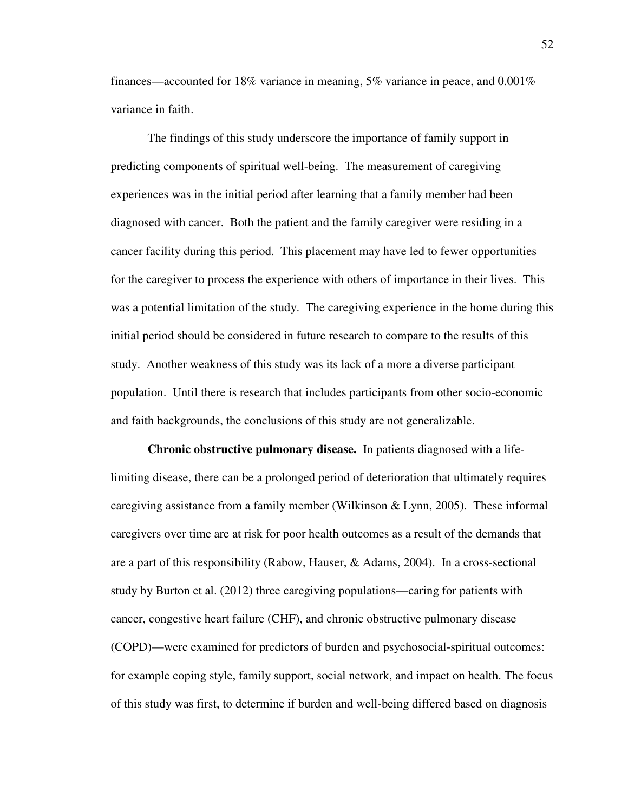finances—accounted for 18% variance in meaning,  $5\%$  variance in peace, and 0.001% variance in faith.

The findings of this study underscore the importance of family support in predicting components of spiritual well-being. The measurement of caregiving experiences was in the initial period after learning that a family member had been diagnosed with cancer. Both the patient and the family caregiver were residing in a cancer facility during this period. This placement may have led to fewer opportunities for the caregiver to process the experience with others of importance in their lives. This was a potential limitation of the study. The caregiving experience in the home during this initial period should be considered in future research to compare to the results of this study. Another weakness of this study was its lack of a more a diverse participant population. Until there is research that includes participants from other socio-economic and faith backgrounds, the conclusions of this study are not generalizable.

**Chronic obstructive pulmonary disease.** In patients diagnosed with a lifelimiting disease, there can be a prolonged period of deterioration that ultimately requires caregiving assistance from a family member (Wilkinson & Lynn, 2005). These informal caregivers over time are at risk for poor health outcomes as a result of the demands that are a part of this responsibility (Rabow, Hauser, & Adams, 2004). In a cross-sectional study by Burton et al. (2012) three caregiving populations—caring for patients with cancer, congestive heart failure (CHF), and chronic obstructive pulmonary disease (COPD)—were examined for predictors of burden and psychosocial-spiritual outcomes: for example coping style, family support, social network, and impact on health. The focus of this study was first, to determine if burden and well-being differed based on diagnosis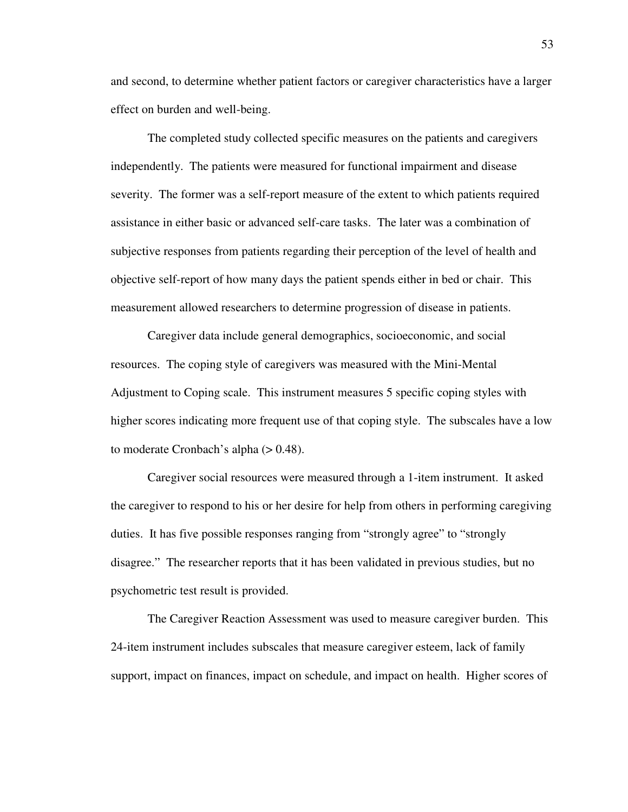and second, to determine whether patient factors or caregiver characteristics have a larger effect on burden and well-being.

The completed study collected specific measures on the patients and caregivers independently. The patients were measured for functional impairment and disease severity. The former was a self-report measure of the extent to which patients required assistance in either basic or advanced self-care tasks. The later was a combination of subjective responses from patients regarding their perception of the level of health and objective self-report of how many days the patient spends either in bed or chair. This measurement allowed researchers to determine progression of disease in patients.

Caregiver data include general demographics, socioeconomic, and social resources. The coping style of caregivers was measured with the Mini-Mental Adjustment to Coping scale. This instrument measures 5 specific coping styles with higher scores indicating more frequent use of that coping style. The subscales have a low to moderate Cronbach's alpha (> 0.48).

Caregiver social resources were measured through a 1-item instrument. It asked the caregiver to respond to his or her desire for help from others in performing caregiving duties. It has five possible responses ranging from "strongly agree" to "strongly disagree." The researcher reports that it has been validated in previous studies, but no psychometric test result is provided.

The Caregiver Reaction Assessment was used to measure caregiver burden. This 24-item instrument includes subscales that measure caregiver esteem, lack of family support, impact on finances, impact on schedule, and impact on health. Higher scores of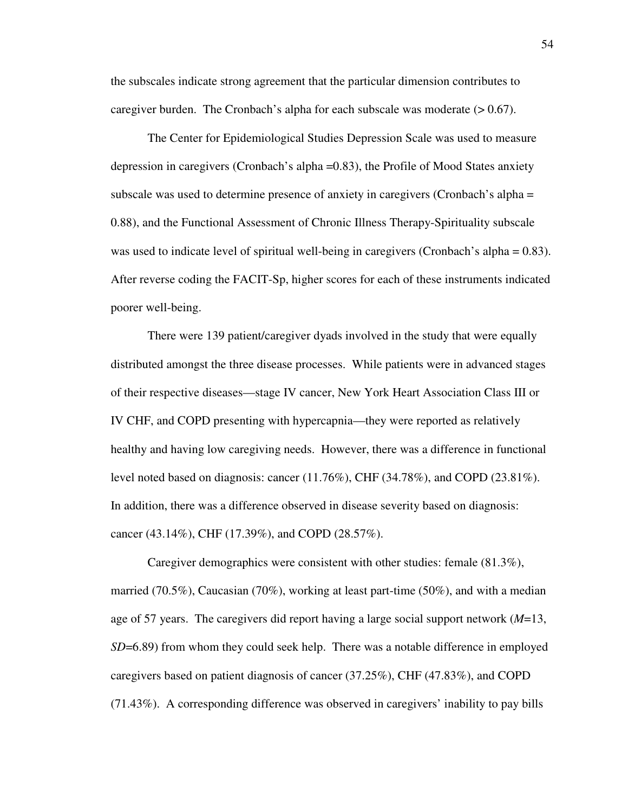the subscales indicate strong agreement that the particular dimension contributes to caregiver burden. The Cronbach's alpha for each subscale was moderate  $(> 0.67)$ .

The Center for Epidemiological Studies Depression Scale was used to measure depression in caregivers (Cronbach's alpha =0.83), the Profile of Mood States anxiety subscale was used to determine presence of anxiety in caregivers (Cronbach's alpha = 0.88), and the Functional Assessment of Chronic Illness Therapy-Spirituality subscale was used to indicate level of spiritual well-being in caregivers (Cronbach's alpha = 0.83). After reverse coding the FACIT-Sp, higher scores for each of these instruments indicated poorer well-being.

There were 139 patient/caregiver dyads involved in the study that were equally distributed amongst the three disease processes. While patients were in advanced stages of their respective diseases—stage IV cancer, New York Heart Association Class III or IV CHF, and COPD presenting with hypercapnia—they were reported as relatively healthy and having low caregiving needs. However, there was a difference in functional level noted based on diagnosis: cancer (11.76%), CHF (34.78%), and COPD (23.81%). In addition, there was a difference observed in disease severity based on diagnosis: cancer (43.14%), CHF (17.39%), and COPD (28.57%).

Caregiver demographics were consistent with other studies: female (81.3%), married (70.5%), Caucasian (70%), working at least part-time (50%), and with a median age of 57 years. The caregivers did report having a large social support network (*M*=13, *SD*=6.89) from whom they could seek help. There was a notable difference in employed caregivers based on patient diagnosis of cancer (37.25%), CHF (47.83%), and COPD (71.43%). A corresponding difference was observed in caregivers' inability to pay bills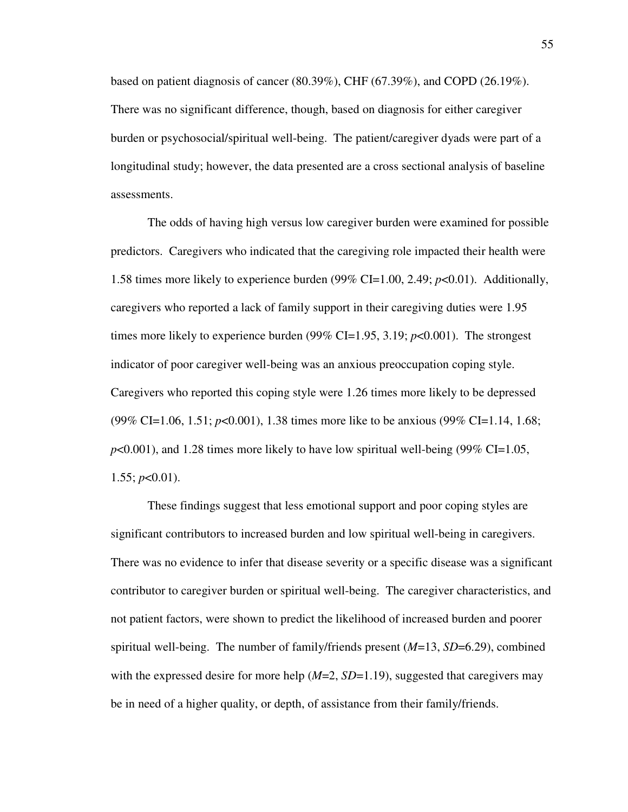based on patient diagnosis of cancer (80.39%), CHF (67.39%), and COPD (26.19%). There was no significant difference, though, based on diagnosis for either caregiver burden or psychosocial/spiritual well-being. The patient/caregiver dyads were part of a longitudinal study; however, the data presented are a cross sectional analysis of baseline assessments.

The odds of having high versus low caregiver burden were examined for possible predictors. Caregivers who indicated that the caregiving role impacted their health were 1.58 times more likely to experience burden (99% CI=1.00, 2.49; *p*<0.01). Additionally, caregivers who reported a lack of family support in their caregiving duties were 1.95 times more likely to experience burden (99% CI=1.95, 3.19; *p*<0.001). The strongest indicator of poor caregiver well-being was an anxious preoccupation coping style. Caregivers who reported this coping style were 1.26 times more likely to be depressed (99% CI=1.06, 1.51; *p*<0.001), 1.38 times more like to be anxious (99% CI=1.14, 1.68;  $p<0.001$ ), and 1.28 times more likely to have low spiritual well-being (99% CI=1.05,  $1.55$ ;  $p<0.01$ ).

These findings suggest that less emotional support and poor coping styles are significant contributors to increased burden and low spiritual well-being in caregivers. There was no evidence to infer that disease severity or a specific disease was a significant contributor to caregiver burden or spiritual well-being. The caregiver characteristics, and not patient factors, were shown to predict the likelihood of increased burden and poorer spiritual well-being. The number of family/friends present (*M*=13, *SD*=6.29), combined with the expressed desire for more help ( $M=2$ ,  $SD=1.19$ ), suggested that caregivers may be in need of a higher quality, or depth, of assistance from their family/friends.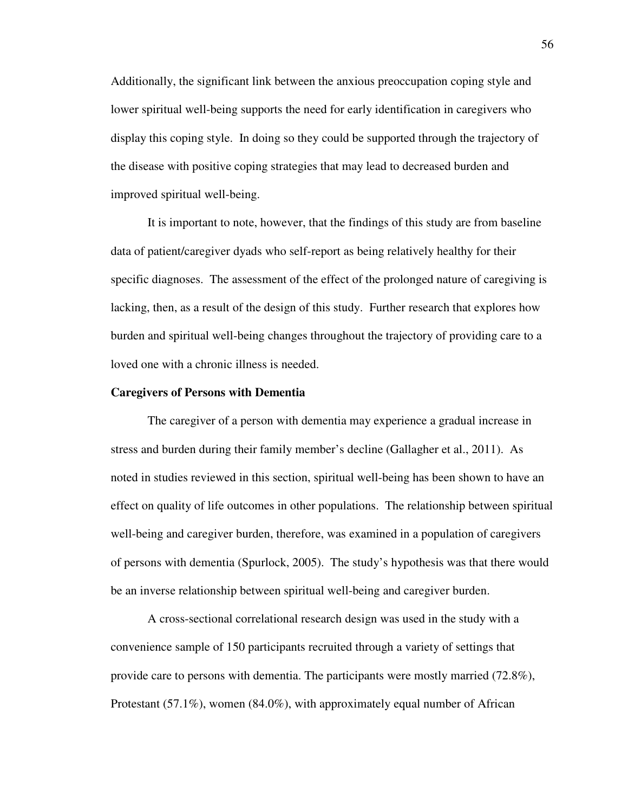Additionally, the significant link between the anxious preoccupation coping style and lower spiritual well-being supports the need for early identification in caregivers who display this coping style. In doing so they could be supported through the trajectory of the disease with positive coping strategies that may lead to decreased burden and improved spiritual well-being.

It is important to note, however, that the findings of this study are from baseline data of patient/caregiver dyads who self-report as being relatively healthy for their specific diagnoses. The assessment of the effect of the prolonged nature of caregiving is lacking, then, as a result of the design of this study. Further research that explores how burden and spiritual well-being changes throughout the trajectory of providing care to a loved one with a chronic illness is needed.

# **Caregivers of Persons with Dementia**

The caregiver of a person with dementia may experience a gradual increase in stress and burden during their family member's decline (Gallagher et al., 2011). As noted in studies reviewed in this section, spiritual well-being has been shown to have an effect on quality of life outcomes in other populations. The relationship between spiritual well-being and caregiver burden, therefore, was examined in a population of caregivers of persons with dementia (Spurlock, 2005). The study's hypothesis was that there would be an inverse relationship between spiritual well-being and caregiver burden.

A cross-sectional correlational research design was used in the study with a convenience sample of 150 participants recruited through a variety of settings that provide care to persons with dementia. The participants were mostly married (72.8%), Protestant (57.1%), women (84.0%), with approximately equal number of African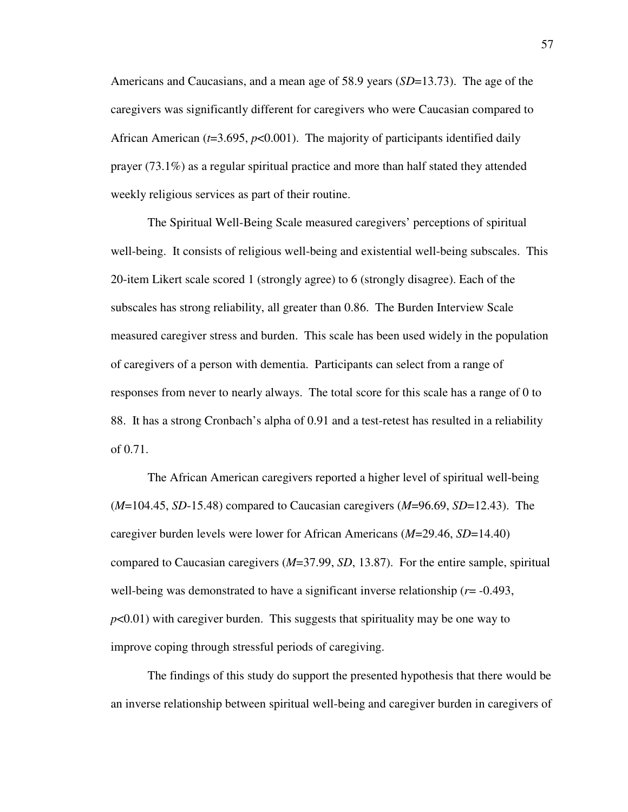Americans and Caucasians, and a mean age of 58.9 years (*SD*=13.73). The age of the caregivers was significantly different for caregivers who were Caucasian compared to African American (*t*=3.695, *p*<0.001). The majority of participants identified daily prayer (73.1%) as a regular spiritual practice and more than half stated they attended weekly religious services as part of their routine.

The Spiritual Well-Being Scale measured caregivers' perceptions of spiritual well-being. It consists of religious well-being and existential well-being subscales. This 20-item Likert scale scored 1 (strongly agree) to 6 (strongly disagree). Each of the subscales has strong reliability, all greater than 0.86. The Burden Interview Scale measured caregiver stress and burden. This scale has been used widely in the population of caregivers of a person with dementia. Participants can select from a range of responses from never to nearly always. The total score for this scale has a range of 0 to 88. It has a strong Cronbach's alpha of 0.91 and a test-retest has resulted in a reliability of 0.71.

The African American caregivers reported a higher level of spiritual well-being (*M*=104.45, *SD*-15.48) compared to Caucasian caregivers (*M*=96.69, *SD*=12.43). The caregiver burden levels were lower for African Americans (*M*=29.46, *SD*=14.40) compared to Caucasian caregivers (*M*=37.99, *SD*, 13.87). For the entire sample, spiritual well-being was demonstrated to have a significant inverse relationship  $(r = -0.493,$ *p*<0.01) with caregiver burden. This suggests that spirituality may be one way to improve coping through stressful periods of caregiving.

The findings of this study do support the presented hypothesis that there would be an inverse relationship between spiritual well-being and caregiver burden in caregivers of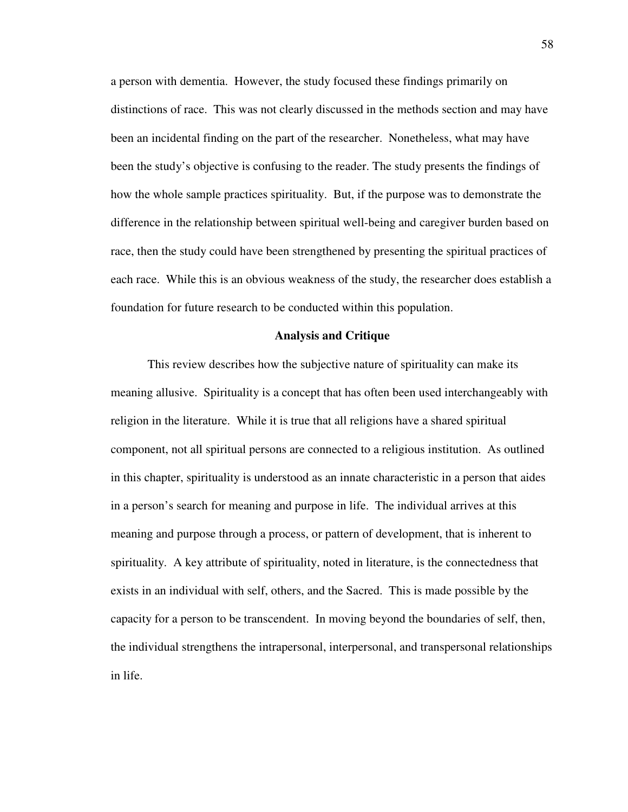a person with dementia. However, the study focused these findings primarily on distinctions of race. This was not clearly discussed in the methods section and may have been an incidental finding on the part of the researcher. Nonetheless, what may have been the study's objective is confusing to the reader. The study presents the findings of how the whole sample practices spirituality. But, if the purpose was to demonstrate the difference in the relationship between spiritual well-being and caregiver burden based on race, then the study could have been strengthened by presenting the spiritual practices of each race. While this is an obvious weakness of the study, the researcher does establish a foundation for future research to be conducted within this population.

#### **Analysis and Critique**

This review describes how the subjective nature of spirituality can make its meaning allusive. Spirituality is a concept that has often been used interchangeably with religion in the literature. While it is true that all religions have a shared spiritual component, not all spiritual persons are connected to a religious institution. As outlined in this chapter, spirituality is understood as an innate characteristic in a person that aides in a person's search for meaning and purpose in life. The individual arrives at this meaning and purpose through a process, or pattern of development, that is inherent to spirituality. A key attribute of spirituality, noted in literature, is the connectedness that exists in an individual with self, others, and the Sacred. This is made possible by the capacity for a person to be transcendent. In moving beyond the boundaries of self, then, the individual strengthens the intrapersonal, interpersonal, and transpersonal relationships in life.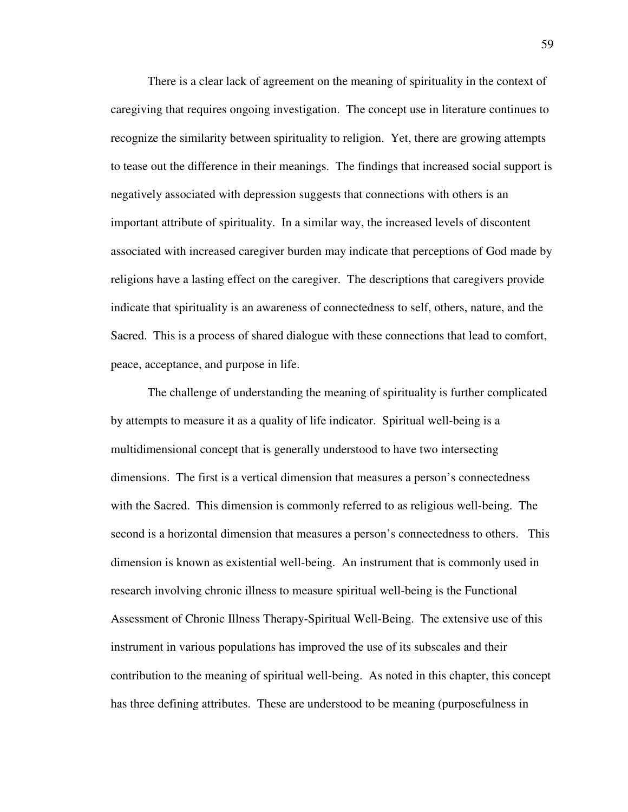There is a clear lack of agreement on the meaning of spirituality in the context of caregiving that requires ongoing investigation. The concept use in literature continues to recognize the similarity between spirituality to religion. Yet, there are growing attempts to tease out the difference in their meanings. The findings that increased social support is negatively associated with depression suggests that connections with others is an important attribute of spirituality. In a similar way, the increased levels of discontent associated with increased caregiver burden may indicate that perceptions of God made by religions have a lasting effect on the caregiver. The descriptions that caregivers provide indicate that spirituality is an awareness of connectedness to self, others, nature, and the Sacred. This is a process of shared dialogue with these connections that lead to comfort, peace, acceptance, and purpose in life.

The challenge of understanding the meaning of spirituality is further complicated by attempts to measure it as a quality of life indicator. Spiritual well-being is a multidimensional concept that is generally understood to have two intersecting dimensions. The first is a vertical dimension that measures a person's connectedness with the Sacred. This dimension is commonly referred to as religious well-being. The second is a horizontal dimension that measures a person's connectedness to others. This dimension is known as existential well-being. An instrument that is commonly used in research involving chronic illness to measure spiritual well-being is the Functional Assessment of Chronic Illness Therapy-Spiritual Well-Being. The extensive use of this instrument in various populations has improved the use of its subscales and their contribution to the meaning of spiritual well-being. As noted in this chapter, this concept has three defining attributes. These are understood to be meaning (purposefulness in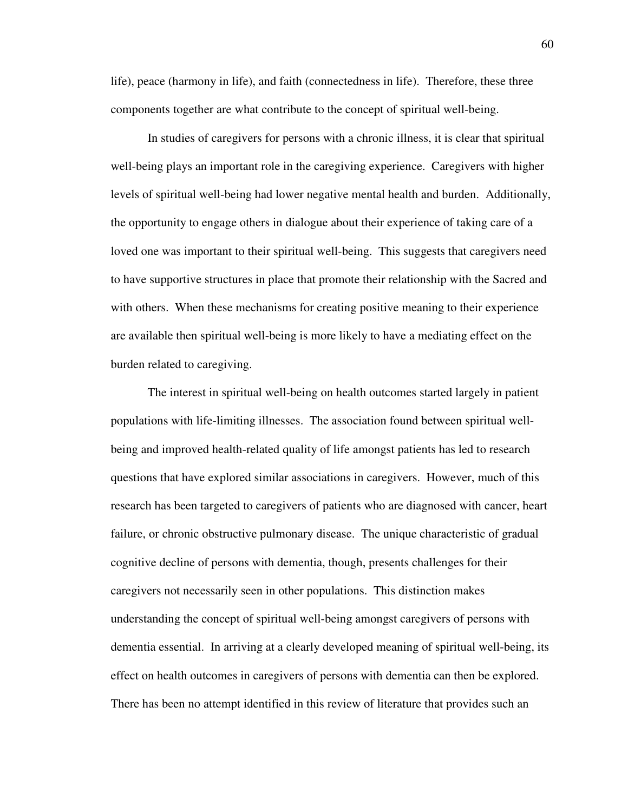life), peace (harmony in life), and faith (connectedness in life). Therefore, these three components together are what contribute to the concept of spiritual well-being.

In studies of caregivers for persons with a chronic illness, it is clear that spiritual well-being plays an important role in the caregiving experience. Caregivers with higher levels of spiritual well-being had lower negative mental health and burden. Additionally, the opportunity to engage others in dialogue about their experience of taking care of a loved one was important to their spiritual well-being. This suggests that caregivers need to have supportive structures in place that promote their relationship with the Sacred and with others. When these mechanisms for creating positive meaning to their experience are available then spiritual well-being is more likely to have a mediating effect on the burden related to caregiving.

The interest in spiritual well-being on health outcomes started largely in patient populations with life-limiting illnesses. The association found between spiritual wellbeing and improved health-related quality of life amongst patients has led to research questions that have explored similar associations in caregivers. However, much of this research has been targeted to caregivers of patients who are diagnosed with cancer, heart failure, or chronic obstructive pulmonary disease. The unique characteristic of gradual cognitive decline of persons with dementia, though, presents challenges for their caregivers not necessarily seen in other populations. This distinction makes understanding the concept of spiritual well-being amongst caregivers of persons with dementia essential. In arriving at a clearly developed meaning of spiritual well-being, its effect on health outcomes in caregivers of persons with dementia can then be explored. There has been no attempt identified in this review of literature that provides such an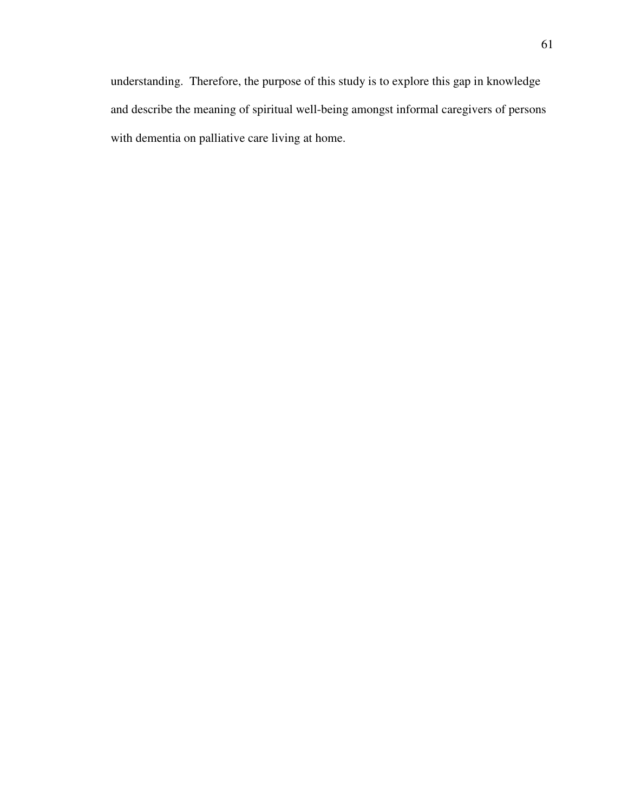understanding. Therefore, the purpose of this study is to explore this gap in knowledge and describe the meaning of spiritual well-being amongst informal caregivers of persons with dementia on palliative care living at home.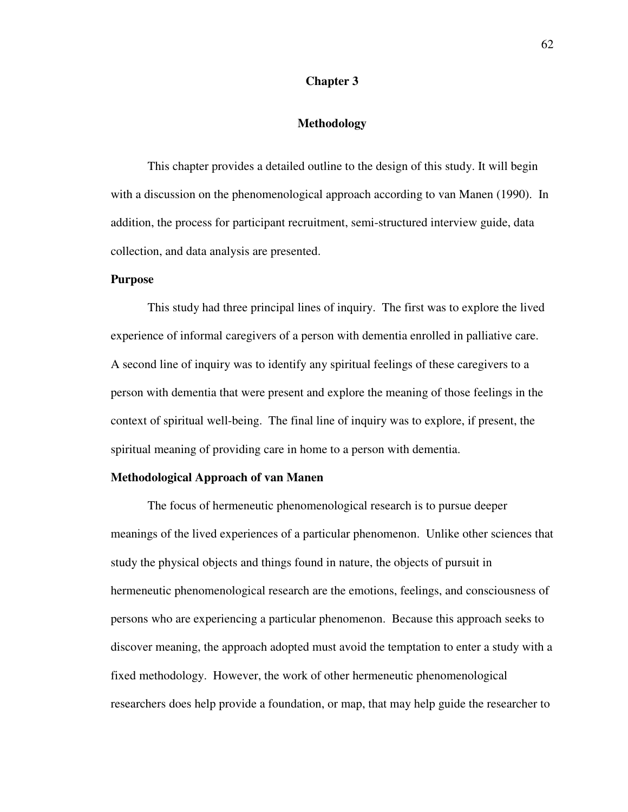# **Chapter 3**

# **Methodology**

 This chapter provides a detailed outline to the design of this study. It will begin with a discussion on the phenomenological approach according to van Manen (1990). In addition, the process for participant recruitment, semi-structured interview guide, data collection, and data analysis are presented.

#### **Purpose**

This study had three principal lines of inquiry. The first was to explore the lived experience of informal caregivers of a person with dementia enrolled in palliative care. A second line of inquiry was to identify any spiritual feelings of these caregivers to a person with dementia that were present and explore the meaning of those feelings in the context of spiritual well-being. The final line of inquiry was to explore, if present, the spiritual meaning of providing care in home to a person with dementia.

#### **Methodological Approach of van Manen**

 The focus of hermeneutic phenomenological research is to pursue deeper meanings of the lived experiences of a particular phenomenon. Unlike other sciences that study the physical objects and things found in nature, the objects of pursuit in hermeneutic phenomenological research are the emotions, feelings, and consciousness of persons who are experiencing a particular phenomenon. Because this approach seeks to discover meaning, the approach adopted must avoid the temptation to enter a study with a fixed methodology. However, the work of other hermeneutic phenomenological researchers does help provide a foundation, or map, that may help guide the researcher to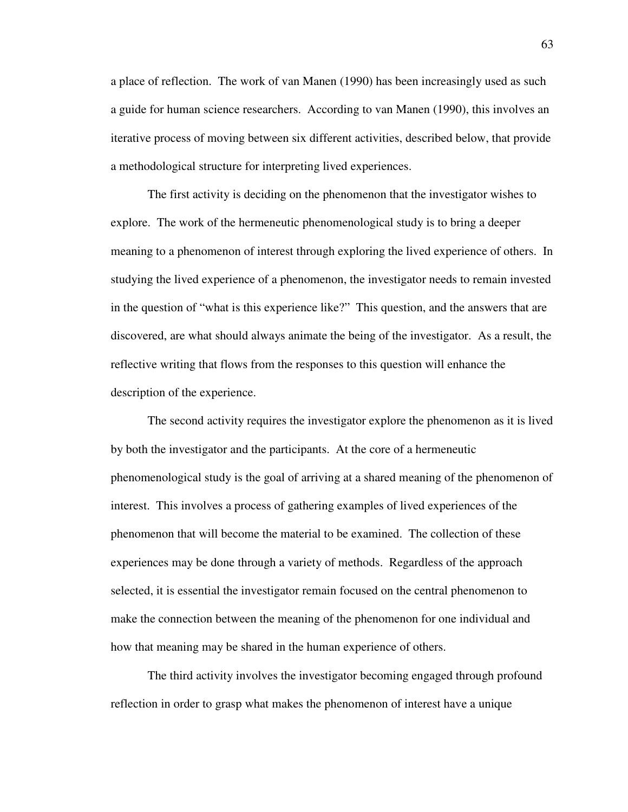a place of reflection. The work of van Manen (1990) has been increasingly used as such a guide for human science researchers. According to van Manen (1990), this involves an iterative process of moving between six different activities, described below, that provide a methodological structure for interpreting lived experiences.

 The first activity is deciding on the phenomenon that the investigator wishes to explore. The work of the hermeneutic phenomenological study is to bring a deeper meaning to a phenomenon of interest through exploring the lived experience of others. In studying the lived experience of a phenomenon, the investigator needs to remain invested in the question of "what is this experience like?" This question, and the answers that are discovered, are what should always animate the being of the investigator. As a result, the reflective writing that flows from the responses to this question will enhance the description of the experience.

 The second activity requires the investigator explore the phenomenon as it is lived by both the investigator and the participants. At the core of a hermeneutic phenomenological study is the goal of arriving at a shared meaning of the phenomenon of interest. This involves a process of gathering examples of lived experiences of the phenomenon that will become the material to be examined. The collection of these experiences may be done through a variety of methods. Regardless of the approach selected, it is essential the investigator remain focused on the central phenomenon to make the connection between the meaning of the phenomenon for one individual and how that meaning may be shared in the human experience of others.

 The third activity involves the investigator becoming engaged through profound reflection in order to grasp what makes the phenomenon of interest have a unique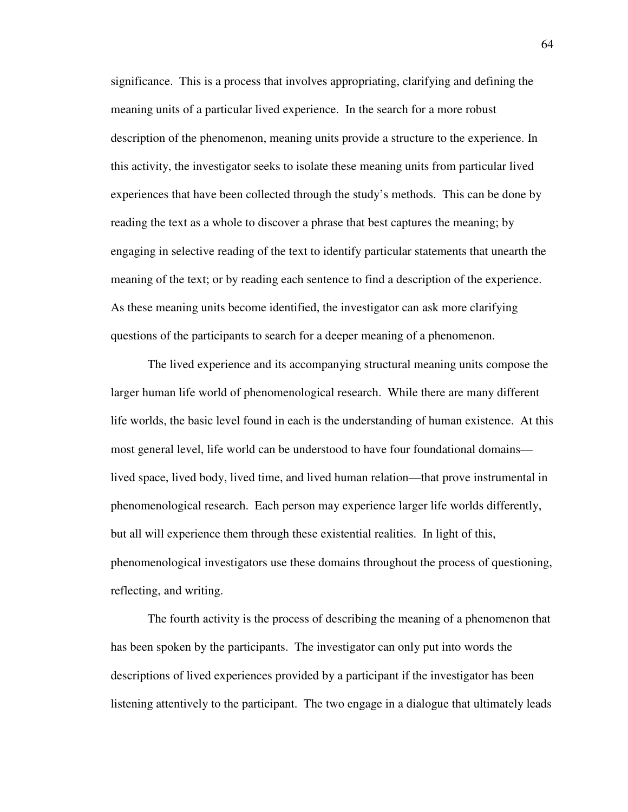significance. This is a process that involves appropriating, clarifying and defining the meaning units of a particular lived experience. In the search for a more robust description of the phenomenon, meaning units provide a structure to the experience. In this activity, the investigator seeks to isolate these meaning units from particular lived experiences that have been collected through the study's methods. This can be done by reading the text as a whole to discover a phrase that best captures the meaning; by engaging in selective reading of the text to identify particular statements that unearth the meaning of the text; or by reading each sentence to find a description of the experience. As these meaning units become identified, the investigator can ask more clarifying questions of the participants to search for a deeper meaning of a phenomenon.

The lived experience and its accompanying structural meaning units compose the larger human life world of phenomenological research. While there are many different life worlds, the basic level found in each is the understanding of human existence. At this most general level, life world can be understood to have four foundational domains lived space, lived body, lived time, and lived human relation—that prove instrumental in phenomenological research. Each person may experience larger life worlds differently, but all will experience them through these existential realities. In light of this, phenomenological investigators use these domains throughout the process of questioning, reflecting, and writing.

 The fourth activity is the process of describing the meaning of a phenomenon that has been spoken by the participants. The investigator can only put into words the descriptions of lived experiences provided by a participant if the investigator has been listening attentively to the participant. The two engage in a dialogue that ultimately leads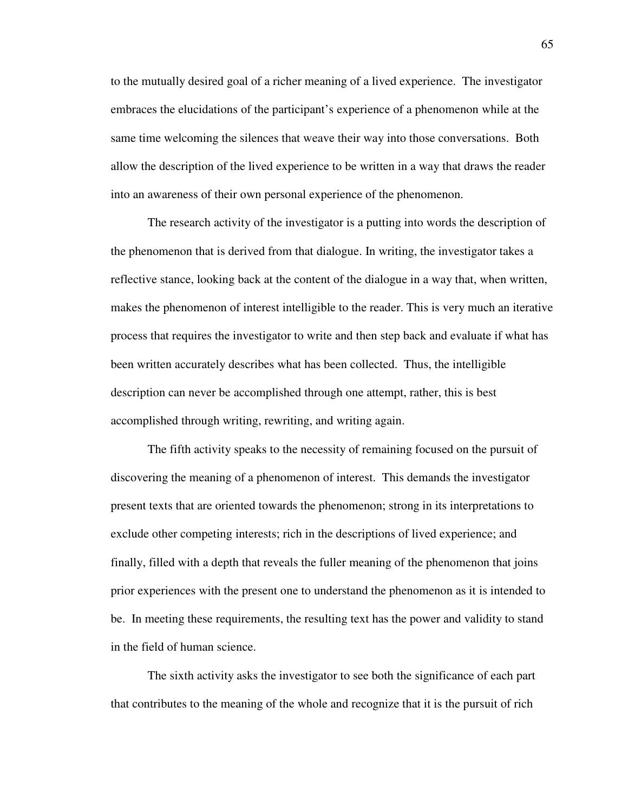to the mutually desired goal of a richer meaning of a lived experience. The investigator embraces the elucidations of the participant's experience of a phenomenon while at the same time welcoming the silences that weave their way into those conversations. Both allow the description of the lived experience to be written in a way that draws the reader into an awareness of their own personal experience of the phenomenon.

The research activity of the investigator is a putting into words the description of the phenomenon that is derived from that dialogue. In writing, the investigator takes a reflective stance, looking back at the content of the dialogue in a way that, when written, makes the phenomenon of interest intelligible to the reader. This is very much an iterative process that requires the investigator to write and then step back and evaluate if what has been written accurately describes what has been collected. Thus, the intelligible description can never be accomplished through one attempt, rather, this is best accomplished through writing, rewriting, and writing again.

 The fifth activity speaks to the necessity of remaining focused on the pursuit of discovering the meaning of a phenomenon of interest. This demands the investigator present texts that are oriented towards the phenomenon; strong in its interpretations to exclude other competing interests; rich in the descriptions of lived experience; and finally, filled with a depth that reveals the fuller meaning of the phenomenon that joins prior experiences with the present one to understand the phenomenon as it is intended to be. In meeting these requirements, the resulting text has the power and validity to stand in the field of human science.

 The sixth activity asks the investigator to see both the significance of each part that contributes to the meaning of the whole and recognize that it is the pursuit of rich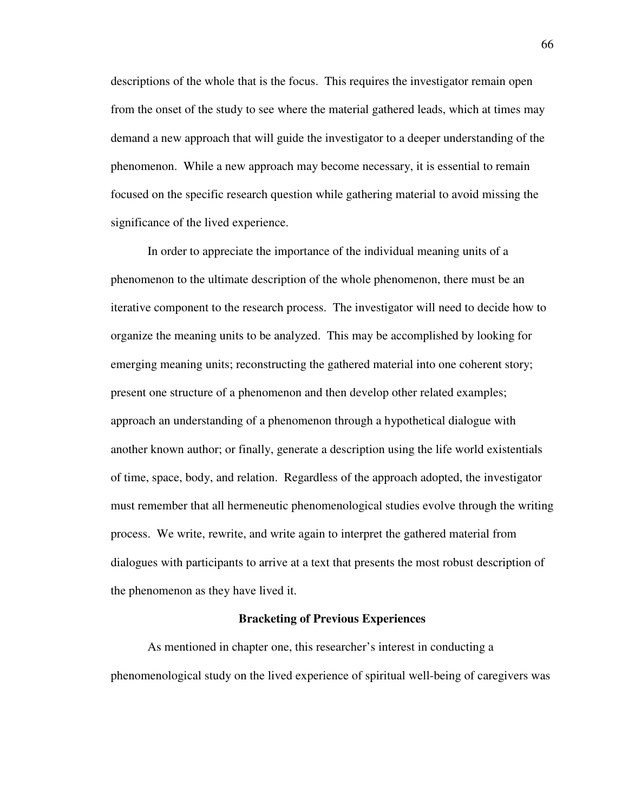descriptions of the whole that is the focus. This requires the investigator remain open from the onset of the study to see where the material gathered leads, which at times may demand a new approach that will guide the investigator to a deeper understanding of the phenomenon. While a new approach may become necessary, it is essential to remain focused on the specific research question while gathering material to avoid missing the significance of the lived experience.

In order to appreciate the importance of the individual meaning units of a phenomenon to the ultimate description of the whole phenomenon, there must be an iterative component to the research process. The investigator will need to decide how to organize the meaning units to be analyzed. This may be accomplished by looking for emerging meaning units; reconstructing the gathered material into one coherent story; present one structure of a phenomenon and then develop other related examples; approach an understanding of a phenomenon through a hypothetical dialogue with another known author; or finally, generate a description using the life world existentials of time, space, body, and relation. Regardless of the approach adopted, the investigator must remember that all hermeneutic phenomenological studies evolve through the writing process. We write, rewrite, and write again to interpret the gathered material from dialogues with participants to arrive at a text that presents the most robust description of the phenomenon as they have lived it.

#### **Bracketing of Previous Experiences**

 As mentioned in chapter one, this researcher's interest in conducting a phenomenological study on the lived experience of spiritual well-being of caregivers was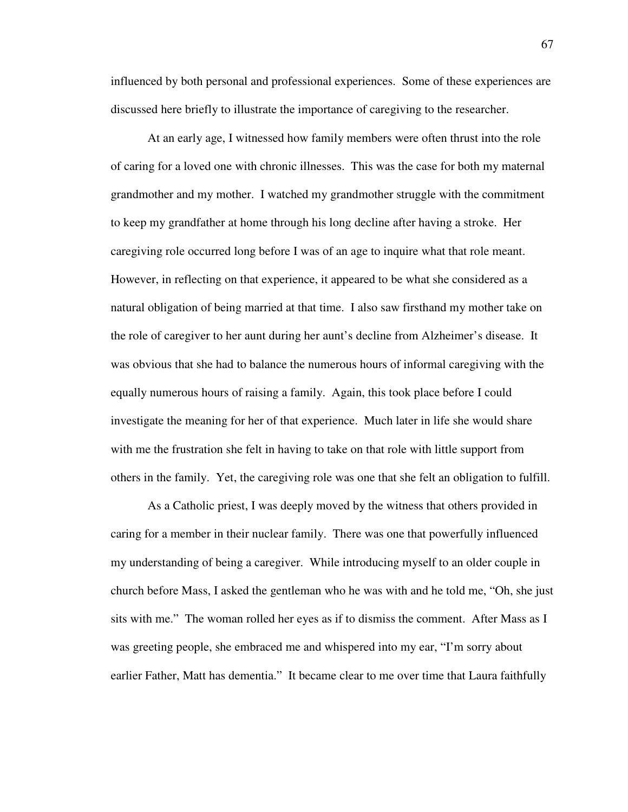influenced by both personal and professional experiences. Some of these experiences are discussed here briefly to illustrate the importance of caregiving to the researcher.

At an early age, I witnessed how family members were often thrust into the role of caring for a loved one with chronic illnesses. This was the case for both my maternal grandmother and my mother. I watched my grandmother struggle with the commitment to keep my grandfather at home through his long decline after having a stroke. Her caregiving role occurred long before I was of an age to inquire what that role meant. However, in reflecting on that experience, it appeared to be what she considered as a natural obligation of being married at that time. I also saw firsthand my mother take on the role of caregiver to her aunt during her aunt's decline from Alzheimer's disease. It was obvious that she had to balance the numerous hours of informal caregiving with the equally numerous hours of raising a family. Again, this took place before I could investigate the meaning for her of that experience. Much later in life she would share with me the frustration she felt in having to take on that role with little support from others in the family. Yet, the caregiving role was one that she felt an obligation to fulfill.

 As a Catholic priest, I was deeply moved by the witness that others provided in caring for a member in their nuclear family. There was one that powerfully influenced my understanding of being a caregiver. While introducing myself to an older couple in church before Mass, I asked the gentleman who he was with and he told me, "Oh, she just sits with me." The woman rolled her eyes as if to dismiss the comment. After Mass as I was greeting people, she embraced me and whispered into my ear, "I'm sorry about earlier Father, Matt has dementia." It became clear to me over time that Laura faithfully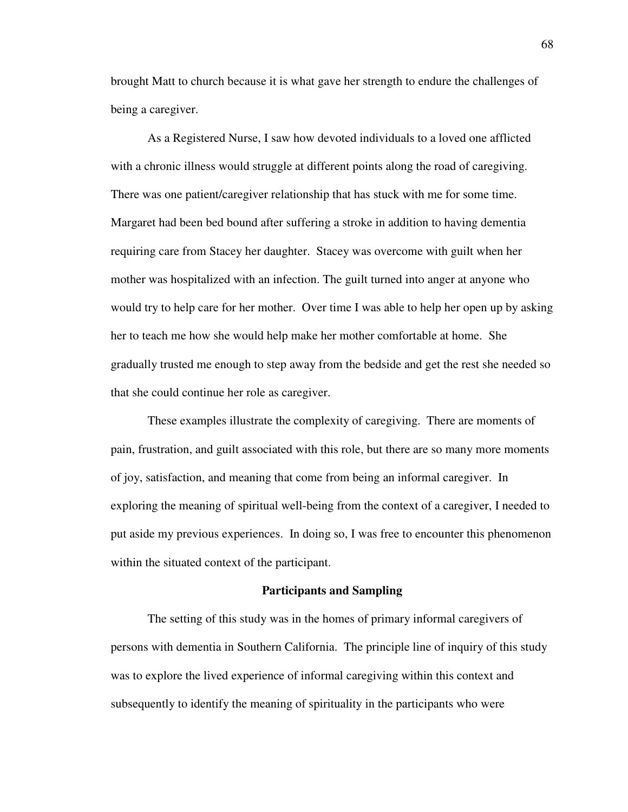brought Matt to church because it is what gave her strength to endure the challenges of being a caregiver.

 As a Registered Nurse, I saw how devoted individuals to a loved one afflicted with a chronic illness would struggle at different points along the road of caregiving. There was one patient/caregiver relationship that has stuck with me for some time. Margaret had been bed bound after suffering a stroke in addition to having dementia requiring care from Stacey her daughter. Stacey was overcome with guilt when her mother was hospitalized with an infection. The guilt turned into anger at anyone who would try to help care for her mother. Over time I was able to help her open up by asking her to teach me how she would help make her mother comfortable at home. She gradually trusted me enough to step away from the bedside and get the rest she needed so that she could continue her role as caregiver.

These examples illustrate the complexity of caregiving. There are moments of pain, frustration, and guilt associated with this role, but there are so many more moments of joy, satisfaction, and meaning that come from being an informal caregiver. In exploring the meaning of spiritual well-being from the context of a caregiver, I needed to put aside my previous experiences. In doing so, I was free to encounter this phenomenon within the situated context of the participant.

#### **Participants and Sampling**

 The setting of this study was in the homes of primary informal caregivers of persons with dementia in Southern California. The principle line of inquiry of this study was to explore the lived experience of informal caregiving within this context and subsequently to identify the meaning of spirituality in the participants who were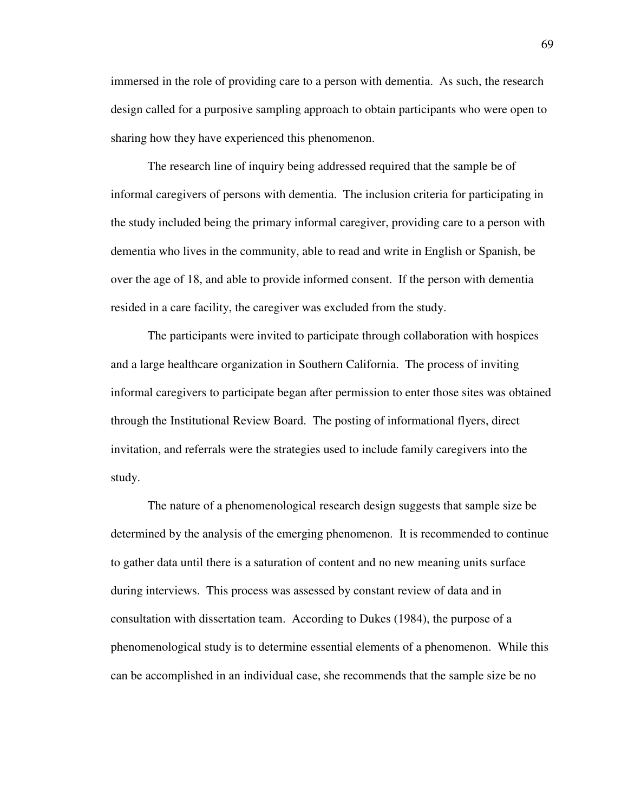immersed in the role of providing care to a person with dementia. As such, the research design called for a purposive sampling approach to obtain participants who were open to sharing how they have experienced this phenomenon.

 The research line of inquiry being addressed required that the sample be of informal caregivers of persons with dementia. The inclusion criteria for participating in the study included being the primary informal caregiver, providing care to a person with dementia who lives in the community, able to read and write in English or Spanish, be over the age of 18, and able to provide informed consent. If the person with dementia resided in a care facility, the caregiver was excluded from the study.

 The participants were invited to participate through collaboration with hospices and a large healthcare organization in Southern California. The process of inviting informal caregivers to participate began after permission to enter those sites was obtained through the Institutional Review Board. The posting of informational flyers, direct invitation, and referrals were the strategies used to include family caregivers into the study.

 The nature of a phenomenological research design suggests that sample size be determined by the analysis of the emerging phenomenon. It is recommended to continue to gather data until there is a saturation of content and no new meaning units surface during interviews. This process was assessed by constant review of data and in consultation with dissertation team. According to Dukes (1984), the purpose of a phenomenological study is to determine essential elements of a phenomenon. While this can be accomplished in an individual case, she recommends that the sample size be no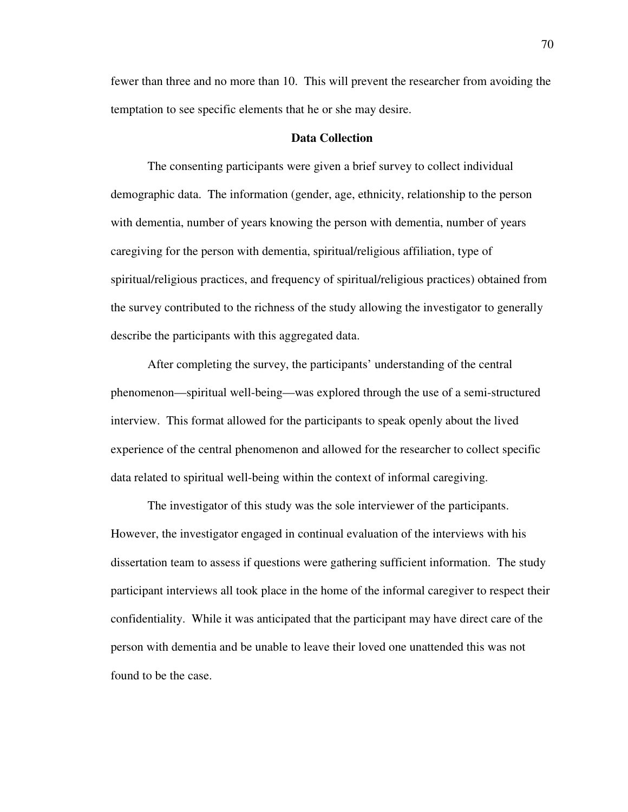fewer than three and no more than 10. This will prevent the researcher from avoiding the temptation to see specific elements that he or she may desire.

# **Data Collection**

 The consenting participants were given a brief survey to collect individual demographic data. The information (gender, age, ethnicity, relationship to the person with dementia, number of years knowing the person with dementia, number of years caregiving for the person with dementia, spiritual/religious affiliation, type of spiritual/religious practices, and frequency of spiritual/religious practices) obtained from the survey contributed to the richness of the study allowing the investigator to generally describe the participants with this aggregated data.

After completing the survey, the participants' understanding of the central phenomenon—spiritual well-being—was explored through the use of a semi-structured interview. This format allowed for the participants to speak openly about the lived experience of the central phenomenon and allowed for the researcher to collect specific data related to spiritual well-being within the context of informal caregiving.

 The investigator of this study was the sole interviewer of the participants. However, the investigator engaged in continual evaluation of the interviews with his dissertation team to assess if questions were gathering sufficient information. The study participant interviews all took place in the home of the informal caregiver to respect their confidentiality. While it was anticipated that the participant may have direct care of the person with dementia and be unable to leave their loved one unattended this was not found to be the case.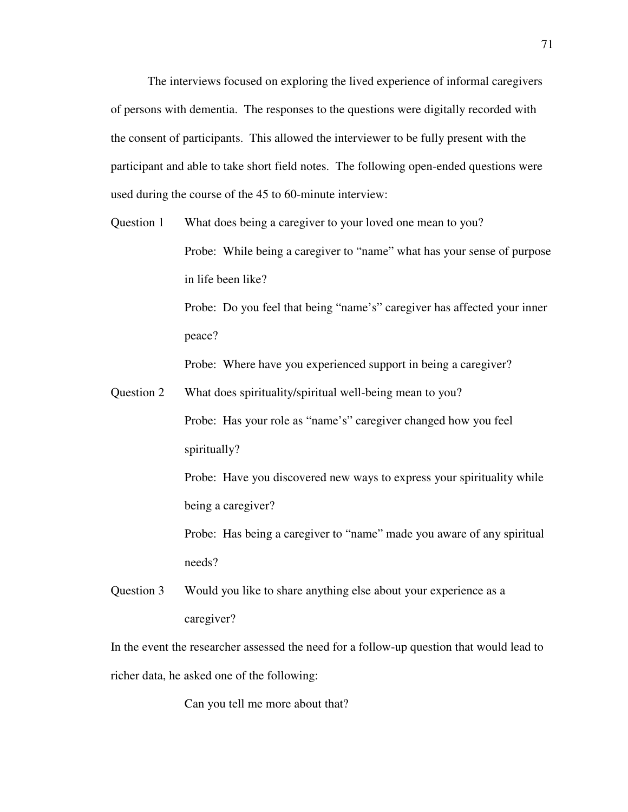The interviews focused on exploring the lived experience of informal caregivers of persons with dementia. The responses to the questions were digitally recorded with the consent of participants. This allowed the interviewer to be fully present with the participant and able to take short field notes. The following open-ended questions were used during the course of the 45 to 60-minute interview:

Question 1 What does being a caregiver to your loved one mean to you? Probe: While being a caregiver to "name" what has your sense of purpose in life been like? Probe: Do you feel that being "name's" caregiver has affected your inner

peace?

Probe: Where have you experienced support in being a caregiver?

Question 2 What does spirituality/spiritual well-being mean to you? Probe: Has your role as "name's" caregiver changed how you feel spiritually?

Probe: Have you discovered new ways to express your spirituality while being a caregiver?

Probe: Has being a caregiver to "name" made you aware of any spiritual needs?

Question 3 Would you like to share anything else about your experience as a caregiver?

In the event the researcher assessed the need for a follow-up question that would lead to richer data, he asked one of the following:

Can you tell me more about that?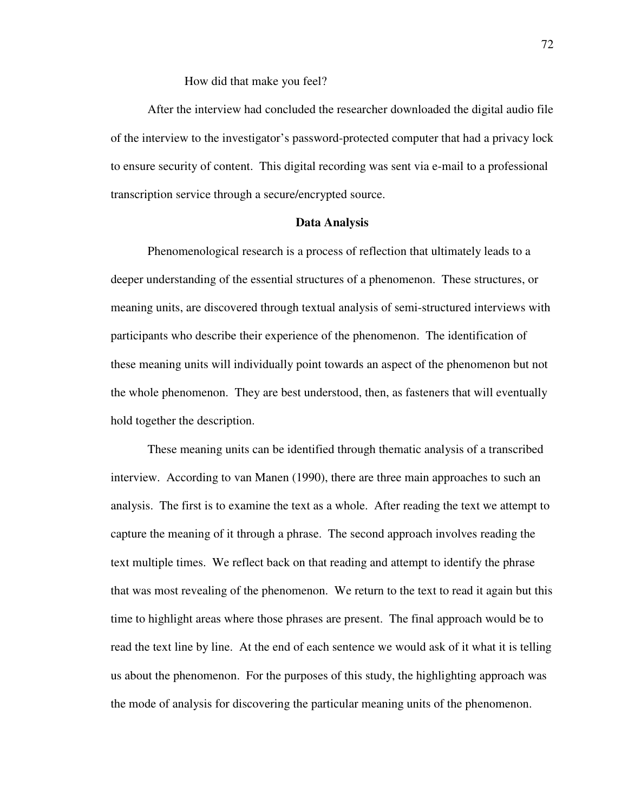How did that make you feel?

 After the interview had concluded the researcher downloaded the digital audio file of the interview to the investigator's password-protected computer that had a privacy lock to ensure security of content. This digital recording was sent via e-mail to a professional transcription service through a secure/encrypted source.

# **Data Analysis**

 Phenomenological research is a process of reflection that ultimately leads to a deeper understanding of the essential structures of a phenomenon. These structures, or meaning units, are discovered through textual analysis of semi-structured interviews with participants who describe their experience of the phenomenon. The identification of these meaning units will individually point towards an aspect of the phenomenon but not the whole phenomenon. They are best understood, then, as fasteners that will eventually hold together the description.

 These meaning units can be identified through thematic analysis of a transcribed interview. According to van Manen (1990), there are three main approaches to such an analysis. The first is to examine the text as a whole. After reading the text we attempt to capture the meaning of it through a phrase. The second approach involves reading the text multiple times. We reflect back on that reading and attempt to identify the phrase that was most revealing of the phenomenon. We return to the text to read it again but this time to highlight areas where those phrases are present. The final approach would be to read the text line by line. At the end of each sentence we would ask of it what it is telling us about the phenomenon. For the purposes of this study, the highlighting approach was the mode of analysis for discovering the particular meaning units of the phenomenon.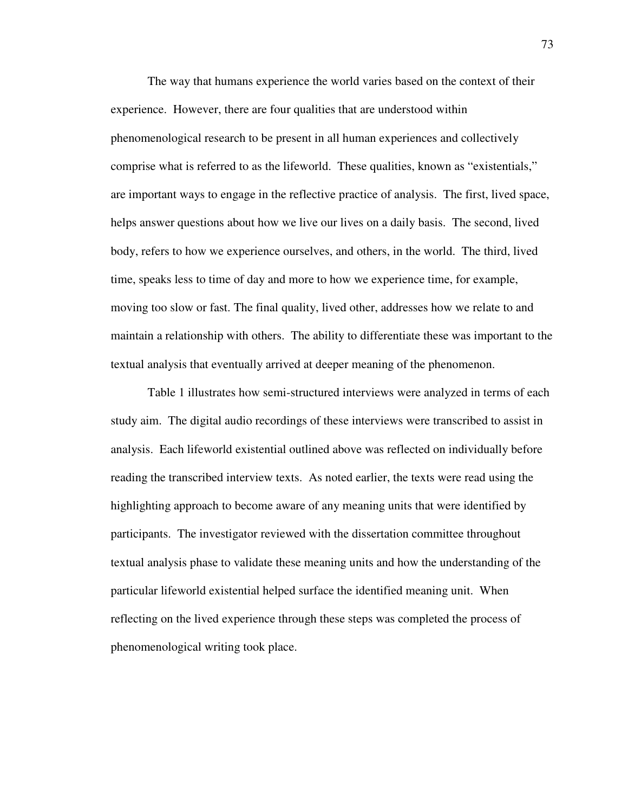The way that humans experience the world varies based on the context of their experience. However, there are four qualities that are understood within phenomenological research to be present in all human experiences and collectively comprise what is referred to as the lifeworld. These qualities, known as "existentials," are important ways to engage in the reflective practice of analysis. The first, lived space, helps answer questions about how we live our lives on a daily basis. The second, lived body, refers to how we experience ourselves, and others, in the world. The third, lived time, speaks less to time of day and more to how we experience time, for example, moving too slow or fast. The final quality, lived other, addresses how we relate to and maintain a relationship with others. The ability to differentiate these was important to the textual analysis that eventually arrived at deeper meaning of the phenomenon.

 Table 1 illustrates how semi-structured interviews were analyzed in terms of each study aim. The digital audio recordings of these interviews were transcribed to assist in analysis. Each lifeworld existential outlined above was reflected on individually before reading the transcribed interview texts. As noted earlier, the texts were read using the highlighting approach to become aware of any meaning units that were identified by participants. The investigator reviewed with the dissertation committee throughout textual analysis phase to validate these meaning units and how the understanding of the particular lifeworld existential helped surface the identified meaning unit. When reflecting on the lived experience through these steps was completed the process of phenomenological writing took place.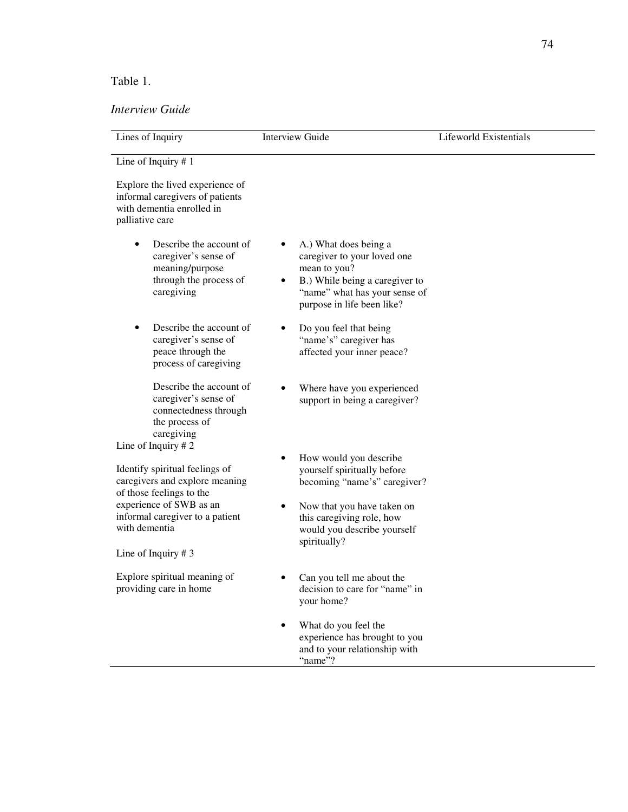# Table 1.

# *Interview Guide*

| Lines of Inquiry                                                                                                                  | <b>Interview Guide</b>                                                                                                                                                | Lifeworld Existentials |  |  |
|-----------------------------------------------------------------------------------------------------------------------------------|-----------------------------------------------------------------------------------------------------------------------------------------------------------------------|------------------------|--|--|
| Line of Inquiry $# 1$                                                                                                             |                                                                                                                                                                       |                        |  |  |
| Explore the lived experience of<br>informal caregivers of patients<br>with dementia enrolled in<br>palliative care                |                                                                                                                                                                       |                        |  |  |
| Describe the account of<br>caregiver's sense of<br>meaning/purpose<br>through the process of<br>caregiving                        | A.) What does being a<br>caregiver to your loved one<br>mean to you?<br>B.) While being a caregiver to<br>"name" what has your sense of<br>purpose in life been like? |                        |  |  |
| Describe the account of<br>caregiver's sense of<br>peace through the<br>process of caregiving                                     | Do you feel that being<br>٠<br>"name's" caregiver has<br>affected your inner peace?                                                                                   |                        |  |  |
| Describe the account of<br>caregiver's sense of<br>connectedness through<br>the process of<br>caregiving<br>Line of Inquiry $# 2$ | Where have you experienced<br>support in being a caregiver?                                                                                                           |                        |  |  |
| Identify spiritual feelings of<br>caregivers and explore meaning<br>of those feelings to the                                      | How would you describe<br>yourself spiritually before<br>becoming "name's" caregiver?                                                                                 |                        |  |  |
| experience of SWB as an<br>informal caregiver to a patient<br>with dementia                                                       | Now that you have taken on<br>this caregiving role, how<br>would you describe yourself<br>spiritually?                                                                |                        |  |  |
| Line of Inquiry $# 3$                                                                                                             |                                                                                                                                                                       |                        |  |  |
| Explore spiritual meaning of<br>providing care in home                                                                            | Can you tell me about the<br>decision to care for "name" in<br>your home?                                                                                             |                        |  |  |
|                                                                                                                                   | What do you feel the<br>experience has brought to you<br>and to your relationship with<br>"name"?                                                                     |                        |  |  |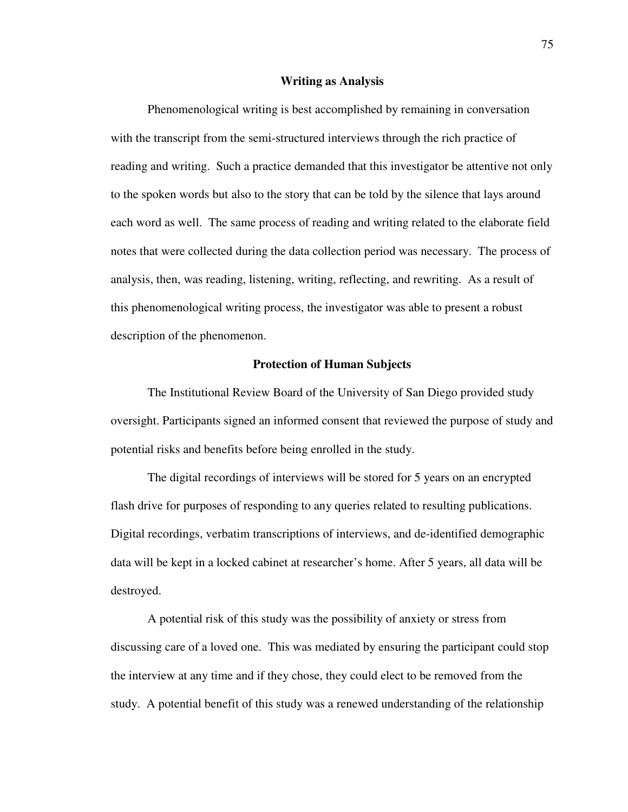#### **Writing as Analysis**

Phenomenological writing is best accomplished by remaining in conversation with the transcript from the semi-structured interviews through the rich practice of reading and writing. Such a practice demanded that this investigator be attentive not only to the spoken words but also to the story that can be told by the silence that lays around each word as well. The same process of reading and writing related to the elaborate field notes that were collected during the data collection period was necessary. The process of analysis, then, was reading, listening, writing, reflecting, and rewriting. As a result of this phenomenological writing process, the investigator was able to present a robust description of the phenomenon.

#### **Protection of Human Subjects**

 The Institutional Review Board of the University of San Diego provided study oversight. Participants signed an informed consent that reviewed the purpose of study and potential risks and benefits before being enrolled in the study.

The digital recordings of interviews will be stored for 5 years on an encrypted flash drive for purposes of responding to any queries related to resulting publications. Digital recordings, verbatim transcriptions of interviews, and de-identified demographic data will be kept in a locked cabinet at researcher's home. After 5 years, all data will be destroyed.

A potential risk of this study was the possibility of anxiety or stress from discussing care of a loved one. This was mediated by ensuring the participant could stop the interview at any time and if they chose, they could elect to be removed from the study. A potential benefit of this study was a renewed understanding of the relationship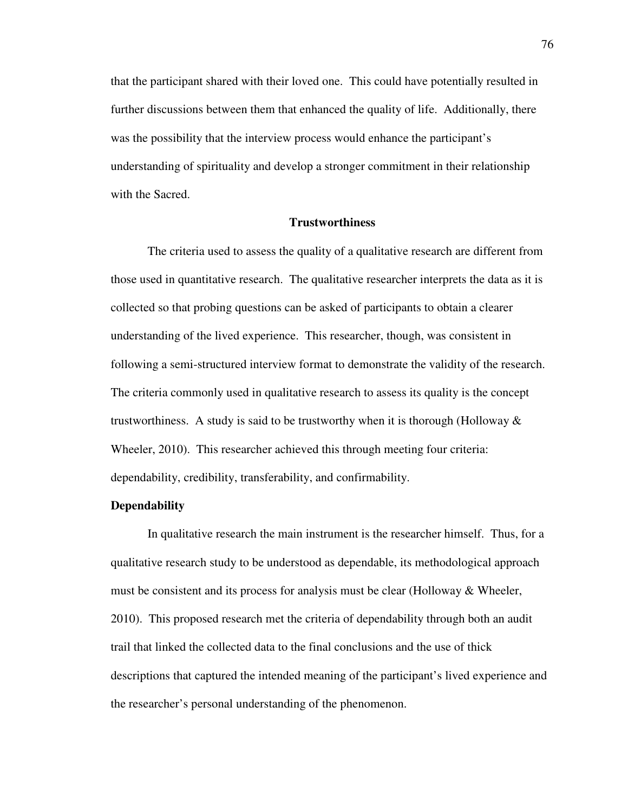that the participant shared with their loved one. This could have potentially resulted in further discussions between them that enhanced the quality of life. Additionally, there was the possibility that the interview process would enhance the participant's understanding of spirituality and develop a stronger commitment in their relationship with the Sacred.

# **Trustworthiness**

 The criteria used to assess the quality of a qualitative research are different from those used in quantitative research. The qualitative researcher interprets the data as it is collected so that probing questions can be asked of participants to obtain a clearer understanding of the lived experience. This researcher, though, was consistent in following a semi-structured interview format to demonstrate the validity of the research. The criteria commonly used in qualitative research to assess its quality is the concept trustworthiness. A study is said to be trustworthy when it is thorough (Holloway  $\&$ Wheeler, 2010). This researcher achieved this through meeting four criteria: dependability, credibility, transferability, and confirmability.

#### **Dependability**

In qualitative research the main instrument is the researcher himself. Thus, for a qualitative research study to be understood as dependable, its methodological approach must be consistent and its process for analysis must be clear (Holloway  $\&$  Wheeler, 2010). This proposed research met the criteria of dependability through both an audit trail that linked the collected data to the final conclusions and the use of thick descriptions that captured the intended meaning of the participant's lived experience and the researcher's personal understanding of the phenomenon.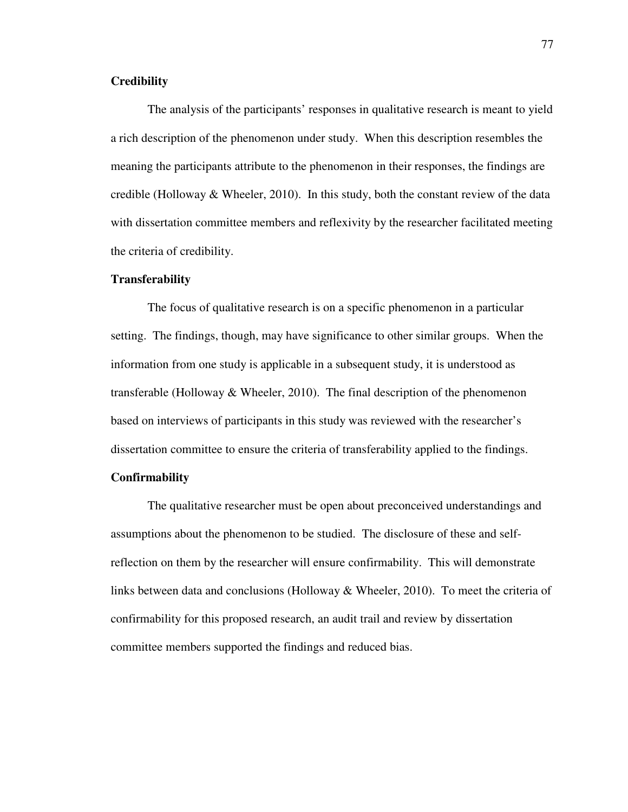# **Credibility**

The analysis of the participants' responses in qualitative research is meant to yield a rich description of the phenomenon under study. When this description resembles the meaning the participants attribute to the phenomenon in their responses, the findings are credible (Holloway  $\&$  Wheeler, 2010). In this study, both the constant review of the data with dissertation committee members and reflexivity by the researcher facilitated meeting the criteria of credibility.

#### **Transferability**

The focus of qualitative research is on a specific phenomenon in a particular setting. The findings, though, may have significance to other similar groups. When the information from one study is applicable in a subsequent study, it is understood as transferable (Holloway & Wheeler, 2010). The final description of the phenomenon based on interviews of participants in this study was reviewed with the researcher's dissertation committee to ensure the criteria of transferability applied to the findings.

# **Confirmability**

The qualitative researcher must be open about preconceived understandings and assumptions about the phenomenon to be studied. The disclosure of these and selfreflection on them by the researcher will ensure confirmability. This will demonstrate links between data and conclusions (Holloway & Wheeler, 2010). To meet the criteria of confirmability for this proposed research, an audit trail and review by dissertation committee members supported the findings and reduced bias.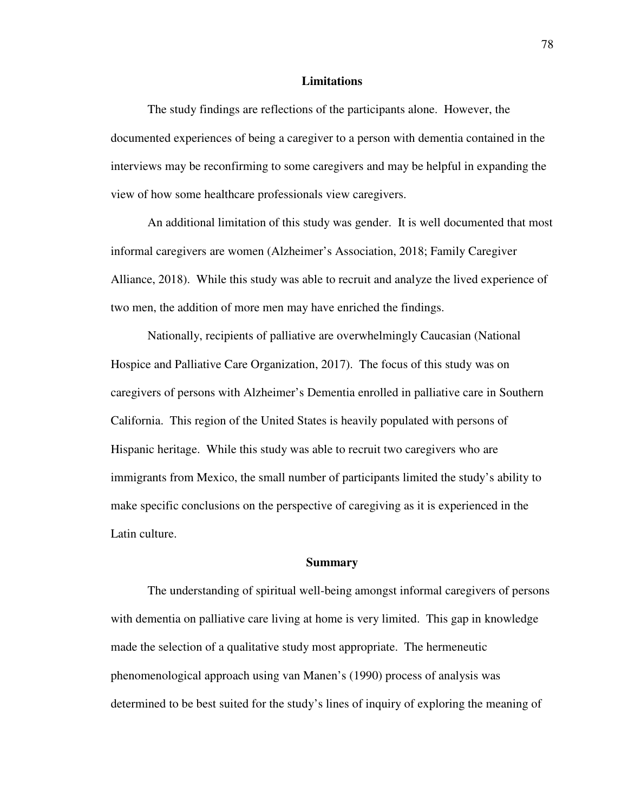#### **Limitations**

 The study findings are reflections of the participants alone. However, the documented experiences of being a caregiver to a person with dementia contained in the interviews may be reconfirming to some caregivers and may be helpful in expanding the view of how some healthcare professionals view caregivers.

 An additional limitation of this study was gender. It is well documented that most informal caregivers are women (Alzheimer's Association, 2018; Family Caregiver Alliance, 2018). While this study was able to recruit and analyze the lived experience of two men, the addition of more men may have enriched the findings.

 Nationally, recipients of palliative are overwhelmingly Caucasian (National Hospice and Palliative Care Organization, 2017). The focus of this study was on caregivers of persons with Alzheimer's Dementia enrolled in palliative care in Southern California. This region of the United States is heavily populated with persons of Hispanic heritage. While this study was able to recruit two caregivers who are immigrants from Mexico, the small number of participants limited the study's ability to make specific conclusions on the perspective of caregiving as it is experienced in the Latin culture.

#### **Summary**

 The understanding of spiritual well-being amongst informal caregivers of persons with dementia on palliative care living at home is very limited. This gap in knowledge made the selection of a qualitative study most appropriate. The hermeneutic phenomenological approach using van Manen's (1990) process of analysis was determined to be best suited for the study's lines of inquiry of exploring the meaning of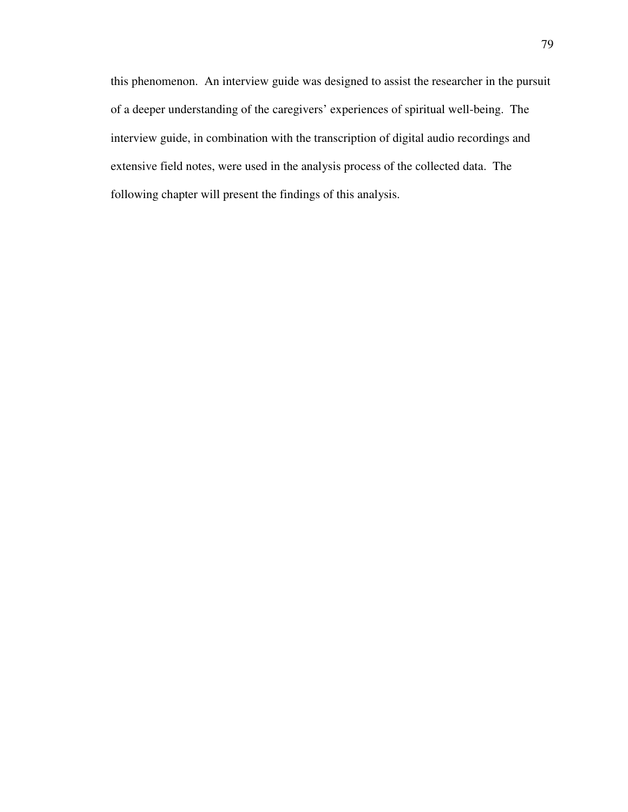this phenomenon. An interview guide was designed to assist the researcher in the pursuit of a deeper understanding of the caregivers' experiences of spiritual well-being. The interview guide, in combination with the transcription of digital audio recordings and extensive field notes, were used in the analysis process of the collected data. The following chapter will present the findings of this analysis.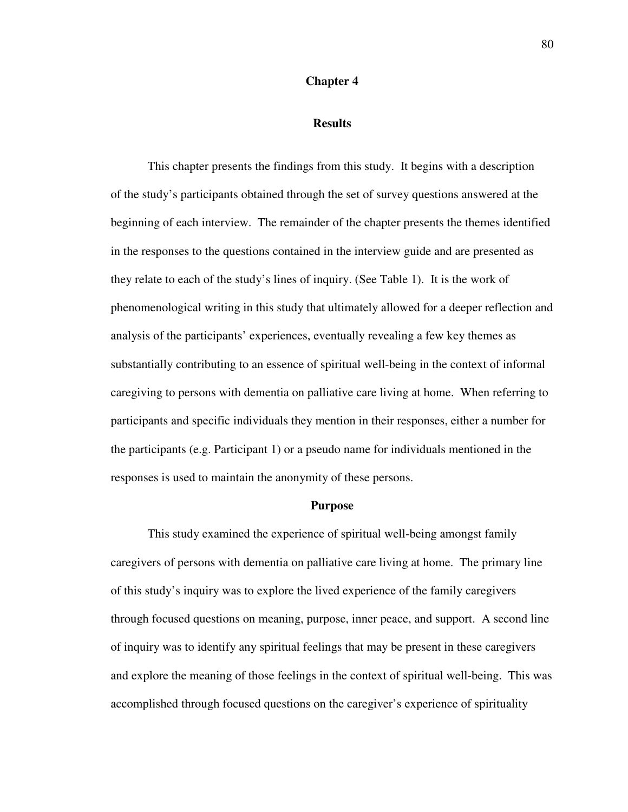# **Chapter 4**

## **Results**

 This chapter presents the findings from this study. It begins with a description of the study's participants obtained through the set of survey questions answered at the beginning of each interview. The remainder of the chapter presents the themes identified in the responses to the questions contained in the interview guide and are presented as they relate to each of the study's lines of inquiry. (See Table 1). It is the work of phenomenological writing in this study that ultimately allowed for a deeper reflection and analysis of the participants' experiences, eventually revealing a few key themes as substantially contributing to an essence of spiritual well-being in the context of informal caregiving to persons with dementia on palliative care living at home. When referring to participants and specific individuals they mention in their responses, either a number for the participants (e.g. Participant 1) or a pseudo name for individuals mentioned in the responses is used to maintain the anonymity of these persons.

#### **Purpose**

 This study examined the experience of spiritual well-being amongst family caregivers of persons with dementia on palliative care living at home. The primary line of this study's inquiry was to explore the lived experience of the family caregivers through focused questions on meaning, purpose, inner peace, and support. A second line of inquiry was to identify any spiritual feelings that may be present in these caregivers and explore the meaning of those feelings in the context of spiritual well-being. This was accomplished through focused questions on the caregiver's experience of spirituality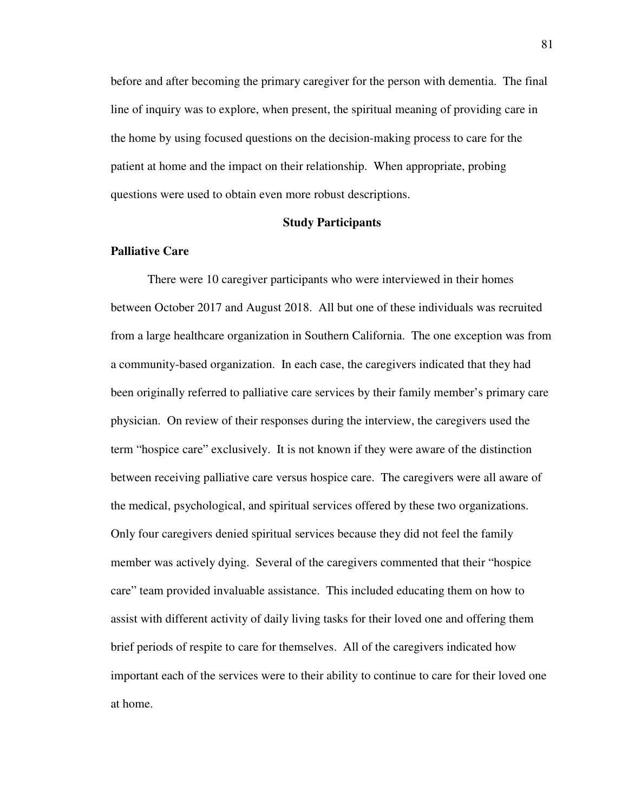before and after becoming the primary caregiver for the person with dementia. The final line of inquiry was to explore, when present, the spiritual meaning of providing care in the home by using focused questions on the decision-making process to care for the patient at home and the impact on their relationship. When appropriate, probing questions were used to obtain even more robust descriptions.

# **Study Participants**

# **Palliative Care**

 There were 10 caregiver participants who were interviewed in their homes between October 2017 and August 2018. All but one of these individuals was recruited from a large healthcare organization in Southern California. The one exception was from a community-based organization. In each case, the caregivers indicated that they had been originally referred to palliative care services by their family member's primary care physician. On review of their responses during the interview, the caregivers used the term "hospice care" exclusively. It is not known if they were aware of the distinction between receiving palliative care versus hospice care. The caregivers were all aware of the medical, psychological, and spiritual services offered by these two organizations. Only four caregivers denied spiritual services because they did not feel the family member was actively dying. Several of the caregivers commented that their "hospice care" team provided invaluable assistance. This included educating them on how to assist with different activity of daily living tasks for their loved one and offering them brief periods of respite to care for themselves. All of the caregivers indicated how important each of the services were to their ability to continue to care for their loved one at home.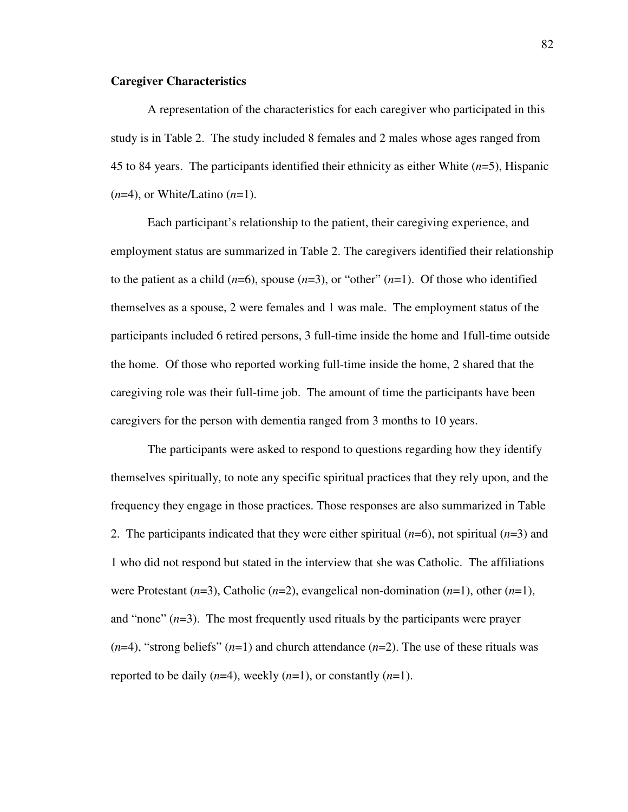# **Caregiver Characteristics**

A representation of the characteristics for each caregiver who participated in this study is in Table 2. The study included 8 females and 2 males whose ages ranged from 45 to 84 years. The participants identified their ethnicity as either White (*n*=5), Hispanic (*n*=4), or White/Latino (*n*=1).

Each participant's relationship to the patient, their caregiving experience, and employment status are summarized in Table 2. The caregivers identified their relationship to the patient as a child  $(n=6)$ , spouse  $(n=3)$ , or "other"  $(n=1)$ . Of those who identified themselves as a spouse, 2 were females and 1 was male. The employment status of the participants included 6 retired persons, 3 full-time inside the home and 1full-time outside the home. Of those who reported working full-time inside the home, 2 shared that the caregiving role was their full-time job. The amount of time the participants have been caregivers for the person with dementia ranged from 3 months to 10 years.

The participants were asked to respond to questions regarding how they identify themselves spiritually, to note any specific spiritual practices that they rely upon, and the frequency they engage in those practices. Those responses are also summarized in Table 2. The participants indicated that they were either spiritual (*n*=6), not spiritual (*n*=3) and 1 who did not respond but stated in the interview that she was Catholic. The affiliations were Protestant (*n*=3), Catholic (*n*=2), evangelical non-domination (*n*=1), other (*n*=1), and "none"  $(n=3)$ . The most frequently used rituals by the participants were prayer  $(n=4)$ , "strong beliefs"  $(n=1)$  and church attendance  $(n=2)$ . The use of these rituals was reported to be daily (*n*=4), weekly (*n*=1), or constantly (*n*=1).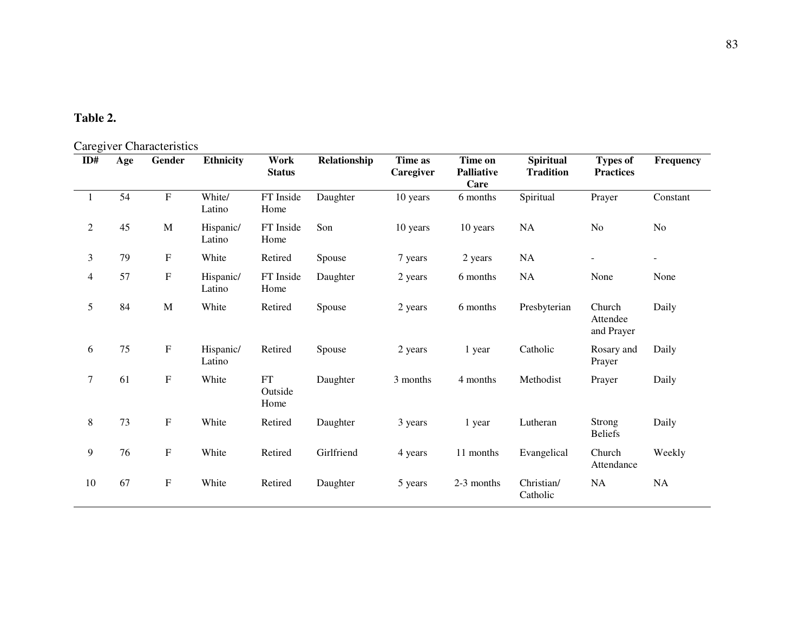# **Table 2.**

# Caregiver Characteristics

| ID#            | Age | $\alpha$ $\beta$ of $\alpha$ characteristics<br>Gender | <b>Ethnicity</b>    | Work<br><b>Status</b>         | Relationship | Time as<br>Caregiver | Time on<br><b>Palliative</b><br>Care | <b>Spiritual</b><br><b>Tradition</b> | <b>Types of</b><br><b>Practices</b> | Frequency |
|----------------|-----|--------------------------------------------------------|---------------------|-------------------------------|--------------|----------------------|--------------------------------------|--------------------------------------|-------------------------------------|-----------|
| $\mathbf{1}$   | 54  | ${\bf F}$                                              | White/<br>Latino    | FT Inside<br>Home             | Daughter     | 10 years             | 6 months                             | Spiritual                            | Prayer                              | Constant  |
| $\overline{2}$ | 45  | M                                                      | Hispanic/<br>Latino | FT Inside<br>Home             | Son          | 10 years             | 10 years                             | <b>NA</b>                            | N <sub>o</sub>                      | No        |
| 3              | 79  | F                                                      | White               | Retired                       | Spouse       | 7 years              | 2 years                              | NA                                   | $\overline{\phantom{a}}$            | $\sim$    |
| 4              | 57  | ${\bf F}$                                              | Hispanic/<br>Latino | FT Inside<br>Home             | Daughter     | 2 years              | 6 months                             | NA                                   | None                                | None      |
| 5              | 84  | $\mathbf M$                                            | White               | Retired                       | Spouse       | 2 years              | 6 months                             | Presbyterian                         | Church<br>Attendee<br>and Prayer    | Daily     |
| 6              | 75  | F                                                      | Hispanic/<br>Latino | Retired                       | Spouse       | 2 years              | 1 year                               | Catholic                             | Rosary and<br>Prayer                | Daily     |
| $\tau$         | 61  | ${\bf F}$                                              | White               | ${\rm FT}$<br>Outside<br>Home | Daughter     | 3 months             | 4 months                             | Methodist                            | Prayer                              | Daily     |
| $8\,$          | 73  | ${\bf F}$                                              | White               | Retired                       | Daughter     | 3 years              | 1 year                               | Lutheran                             | Strong<br><b>Beliefs</b>            | Daily     |
| 9              | 76  | ${\bf F}$                                              | White               | Retired                       | Girlfriend   | 4 years              | 11 months                            | Evangelical                          | Church<br>Attendance                | Weekly    |
| 10             | 67  | ${\bf F}$                                              | White               | Retired                       | Daughter     | 5 years              | 2-3 months                           | Christian/<br>Catholic               | NA                                  | <b>NA</b> |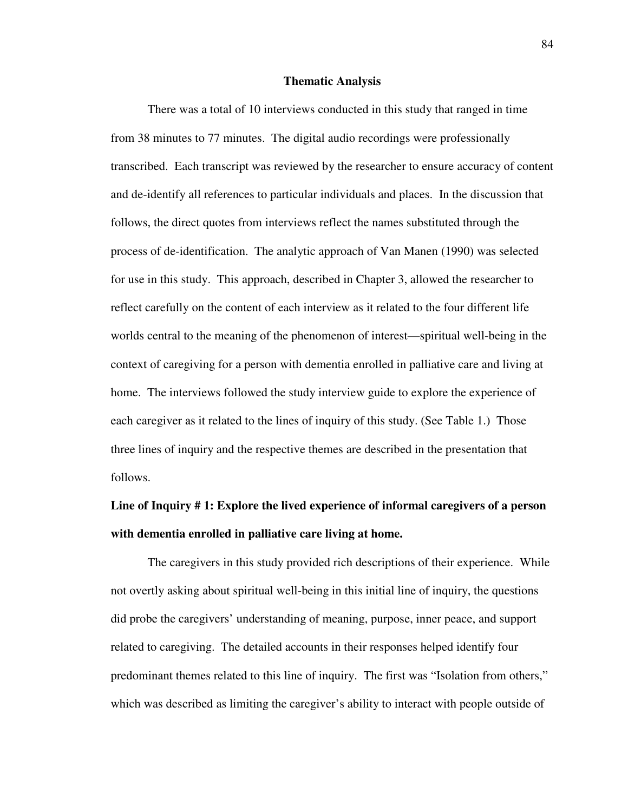#### **Thematic Analysis**

There was a total of 10 interviews conducted in this study that ranged in time from 38 minutes to 77 minutes. The digital audio recordings were professionally transcribed. Each transcript was reviewed by the researcher to ensure accuracy of content and de-identify all references to particular individuals and places. In the discussion that follows, the direct quotes from interviews reflect the names substituted through the process of de-identification. The analytic approach of Van Manen (1990) was selected for use in this study. This approach, described in Chapter 3, allowed the researcher to reflect carefully on the content of each interview as it related to the four different life worlds central to the meaning of the phenomenon of interest—spiritual well-being in the context of caregiving for a person with dementia enrolled in palliative care and living at home. The interviews followed the study interview guide to explore the experience of each caregiver as it related to the lines of inquiry of this study. (See Table 1.) Those three lines of inquiry and the respective themes are described in the presentation that follows.

# **Line of Inquiry # 1: Explore the lived experience of informal caregivers of a person with dementia enrolled in palliative care living at home.**

The caregivers in this study provided rich descriptions of their experience. While not overtly asking about spiritual well-being in this initial line of inquiry, the questions did probe the caregivers' understanding of meaning, purpose, inner peace, and support related to caregiving. The detailed accounts in their responses helped identify four predominant themes related to this line of inquiry. The first was "Isolation from others," which was described as limiting the caregiver's ability to interact with people outside of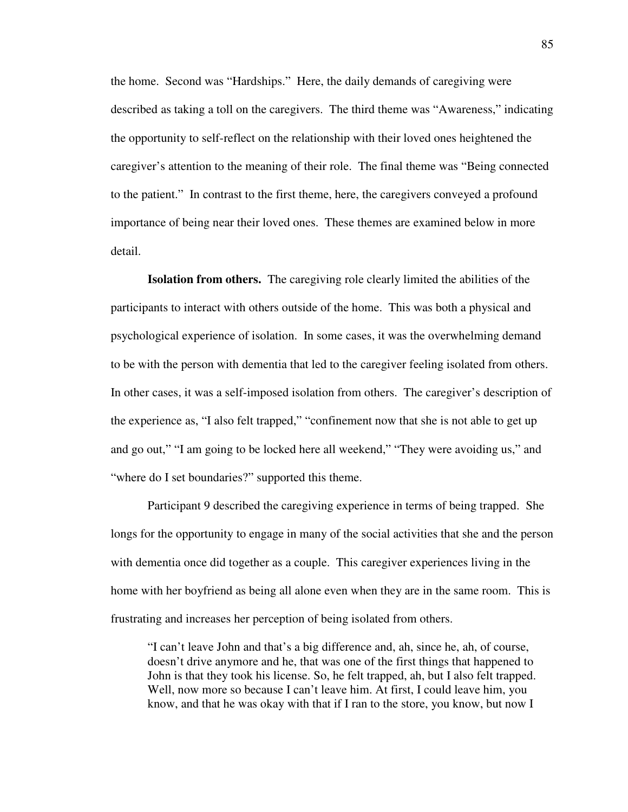the home. Second was "Hardships." Here, the daily demands of caregiving were described as taking a toll on the caregivers. The third theme was "Awareness," indicating the opportunity to self-reflect on the relationship with their loved ones heightened the caregiver's attention to the meaning of their role. The final theme was "Being connected to the patient." In contrast to the first theme, here, the caregivers conveyed a profound importance of being near their loved ones. These themes are examined below in more detail.

**Isolation from others.** The caregiving role clearly limited the abilities of the participants to interact with others outside of the home. This was both a physical and psychological experience of isolation. In some cases, it was the overwhelming demand to be with the person with dementia that led to the caregiver feeling isolated from others. In other cases, it was a self-imposed isolation from others. The caregiver's description of the experience as, "I also felt trapped," "confinement now that she is not able to get up and go out," "I am going to be locked here all weekend," "They were avoiding us," and "where do I set boundaries?" supported this theme.

Participant 9 described the caregiving experience in terms of being trapped. She longs for the opportunity to engage in many of the social activities that she and the person with dementia once did together as a couple. This caregiver experiences living in the home with her boyfriend as being all alone even when they are in the same room. This is frustrating and increases her perception of being isolated from others.

"I can't leave John and that's a big difference and, ah, since he, ah, of course, doesn't drive anymore and he, that was one of the first things that happened to John is that they took his license. So, he felt trapped, ah, but I also felt trapped. Well, now more so because I can't leave him. At first, I could leave him, you know, and that he was okay with that if I ran to the store, you know, but now I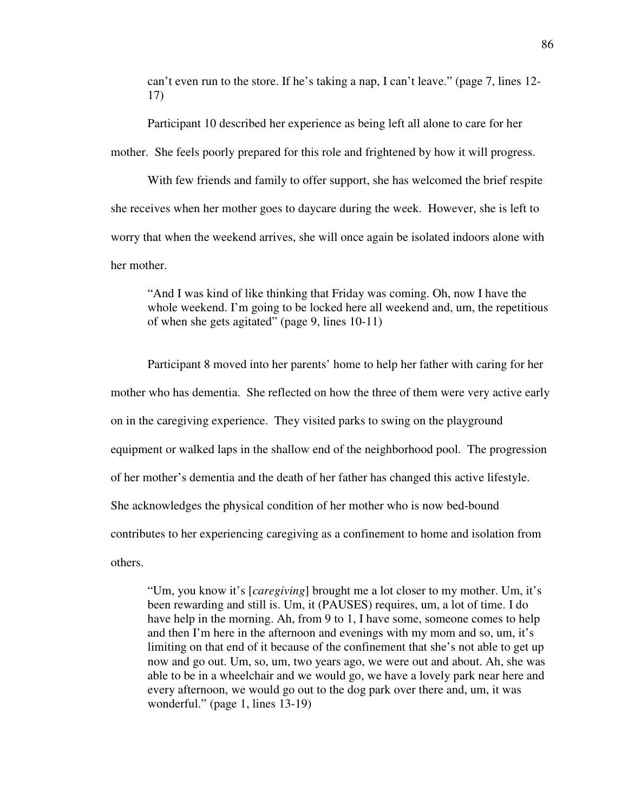can't even run to the store. If he's taking a nap, I can't leave." (page 7, lines 12- 17)

Participant 10 described her experience as being left all alone to care for her mother. She feels poorly prepared for this role and frightened by how it will progress.

With few friends and family to offer support, she has welcomed the brief respite she receives when her mother goes to daycare during the week. However, she is left to worry that when the weekend arrives, she will once again be isolated indoors alone with her mother.

"And I was kind of like thinking that Friday was coming. Oh, now I have the whole weekend. I'm going to be locked here all weekend and, um, the repetitious of when she gets agitated" (page 9, lines 10-11)

Participant 8 moved into her parents' home to help her father with caring for her mother who has dementia. She reflected on how the three of them were very active early on in the caregiving experience. They visited parks to swing on the playground equipment or walked laps in the shallow end of the neighborhood pool. The progression of her mother's dementia and the death of her father has changed this active lifestyle. She acknowledges the physical condition of her mother who is now bed-bound contributes to her experiencing caregiving as a confinement to home and isolation from others.

"Um, you know it's [*caregiving*] brought me a lot closer to my mother. Um, it's been rewarding and still is. Um, it (PAUSES) requires, um, a lot of time. I do have help in the morning. Ah, from 9 to 1, I have some, someone comes to help and then I'm here in the afternoon and evenings with my mom and so, um, it's limiting on that end of it because of the confinement that she's not able to get up now and go out. Um, so, um, two years ago, we were out and about. Ah, she was able to be in a wheelchair and we would go, we have a lovely park near here and every afternoon, we would go out to the dog park over there and, um, it was wonderful." (page 1, lines 13-19)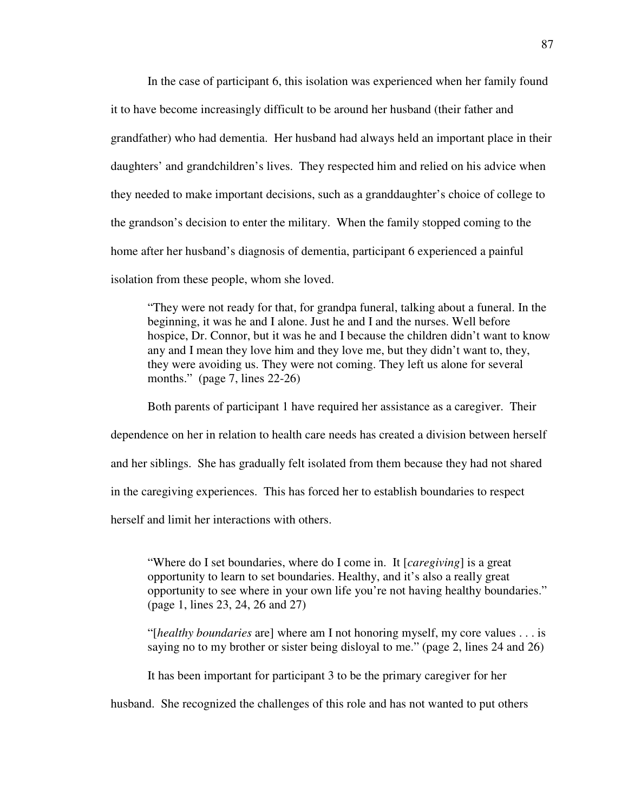In the case of participant 6, this isolation was experienced when her family found it to have become increasingly difficult to be around her husband (their father and grandfather) who had dementia. Her husband had always held an important place in their daughters' and grandchildren's lives. They respected him and relied on his advice when they needed to make important decisions, such as a granddaughter's choice of college to the grandson's decision to enter the military. When the family stopped coming to the home after her husband's diagnosis of dementia, participant 6 experienced a painful isolation from these people, whom she loved.

"They were not ready for that, for grandpa funeral, talking about a funeral. In the beginning, it was he and I alone. Just he and I and the nurses. Well before hospice, Dr. Connor, but it was he and I because the children didn't want to know any and I mean they love him and they love me, but they didn't want to, they, they were avoiding us. They were not coming. They left us alone for several months." (page 7, lines 22-26)

Both parents of participant 1 have required her assistance as a caregiver. Their dependence on her in relation to health care needs has created a division between herself and her siblings. She has gradually felt isolated from them because they had not shared in the caregiving experiences. This has forced her to establish boundaries to respect herself and limit her interactions with others.

"Where do I set boundaries, where do I come in. It [*caregiving*] is a great opportunity to learn to set boundaries. Healthy, and it's also a really great opportunity to see where in your own life you're not having healthy boundaries." (page 1, lines 23, 24, 26 and 27)

"[*healthy boundaries* are] where am I not honoring myself, my core values . . . is saying no to my brother or sister being disloyal to me." (page 2, lines 24 and 26)

It has been important for participant 3 to be the primary caregiver for her

husband. She recognized the challenges of this role and has not wanted to put others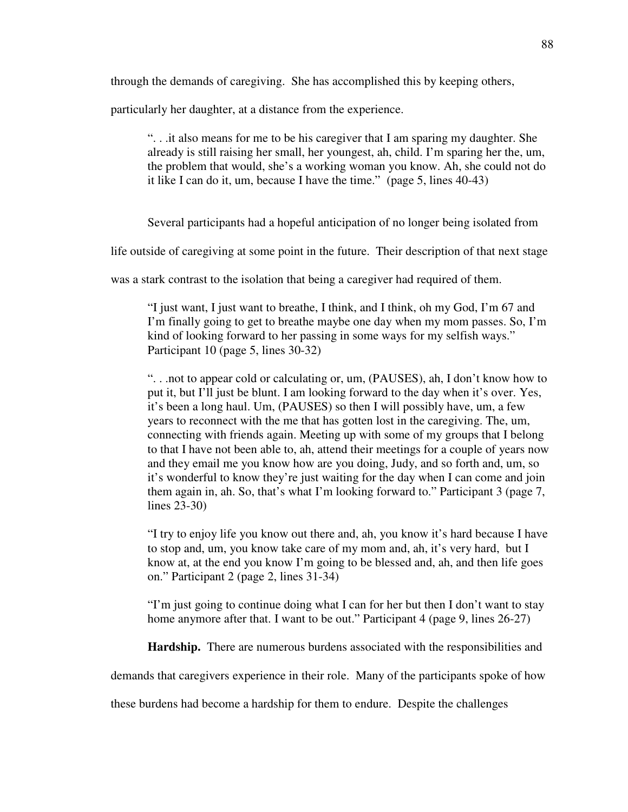through the demands of caregiving. She has accomplished this by keeping others,

particularly her daughter, at a distance from the experience.

". . .it also means for me to be his caregiver that I am sparing my daughter. She already is still raising her small, her youngest, ah, child. I'm sparing her the, um, the problem that would, she's a working woman you know. Ah, she could not do it like I can do it, um, because I have the time." (page 5, lines 40-43)

Several participants had a hopeful anticipation of no longer being isolated from

life outside of caregiving at some point in the future. Their description of that next stage

was a stark contrast to the isolation that being a caregiver had required of them.

"I just want, I just want to breathe, I think, and I think, oh my God, I'm 67 and I'm finally going to get to breathe maybe one day when my mom passes. So, I'm kind of looking forward to her passing in some ways for my selfish ways." Participant 10 (page 5, lines 30-32)

". . .not to appear cold or calculating or, um, (PAUSES), ah, I don't know how to put it, but I'll just be blunt. I am looking forward to the day when it's over. Yes, it's been a long haul. Um, (PAUSES) so then I will possibly have, um, a few years to reconnect with the me that has gotten lost in the caregiving. The, um, connecting with friends again. Meeting up with some of my groups that I belong to that I have not been able to, ah, attend their meetings for a couple of years now and they email me you know how are you doing, Judy, and so forth and, um, so it's wonderful to know they're just waiting for the day when I can come and join them again in, ah. So, that's what I'm looking forward to." Participant 3 (page 7, lines 23-30)

"I try to enjoy life you know out there and, ah, you know it's hard because I have to stop and, um, you know take care of my mom and, ah, it's very hard, but I know at, at the end you know I'm going to be blessed and, ah, and then life goes on." Participant 2 (page 2, lines 31-34)

"I'm just going to continue doing what I can for her but then I don't want to stay home anymore after that. I want to be out." Participant 4 (page 9, lines 26-27)

**Hardship.** There are numerous burdens associated with the responsibilities and

demands that caregivers experience in their role. Many of the participants spoke of how

these burdens had become a hardship for them to endure. Despite the challenges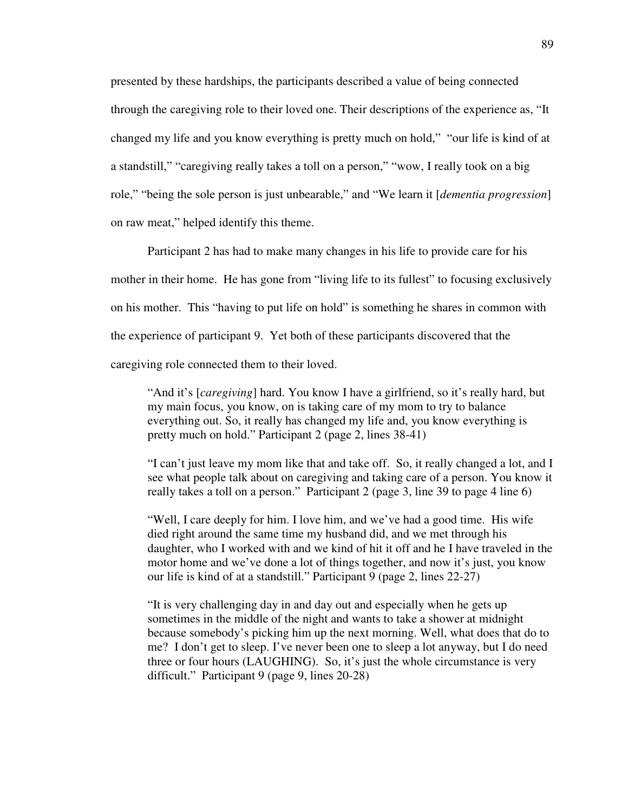presented by these hardships, the participants described a value of being connected through the caregiving role to their loved one. Their descriptions of the experience as, "It changed my life and you know everything is pretty much on hold," "our life is kind of at a standstill," "caregiving really takes a toll on a person," "wow, I really took on a big role," "being the sole person is just unbearable," and "We learn it [*dementia progression*] on raw meat," helped identify this theme.

Participant 2 has had to make many changes in his life to provide care for his mother in their home. He has gone from "living life to its fullest" to focusing exclusively on his mother. This "having to put life on hold" is something he shares in common with the experience of participant 9. Yet both of these participants discovered that the caregiving role connected them to their loved.

"And it's [*caregiving*] hard. You know I have a girlfriend, so it's really hard, but my main focus, you know, on is taking care of my mom to try to balance everything out. So, it really has changed my life and, you know everything is pretty much on hold." Participant 2 (page 2, lines 38-41)

"I can't just leave my mom like that and take off. So, it really changed a lot, and I see what people talk about on caregiving and taking care of a person. You know it really takes a toll on a person." Participant 2 (page 3, line 39 to page 4 line 6)

"Well, I care deeply for him. I love him, and we've had a good time. His wife died right around the same time my husband did, and we met through his daughter, who I worked with and we kind of hit it off and he I have traveled in the motor home and we've done a lot of things together, and now it's just, you know our life is kind of at a standstill." Participant 9 (page 2, lines 22-27)

"It is very challenging day in and day out and especially when he gets up sometimes in the middle of the night and wants to take a shower at midnight because somebody's picking him up the next morning. Well, what does that do to me? I don't get to sleep. I've never been one to sleep a lot anyway, but I do need three or four hours (LAUGHING). So, it's just the whole circumstance is very difficult." Participant 9 (page 9, lines 20-28)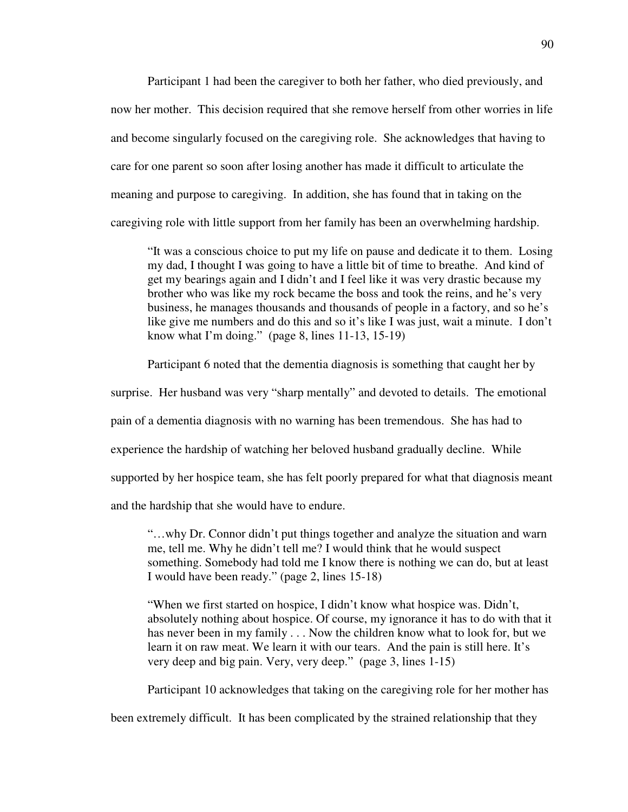Participant 1 had been the caregiver to both her father, who died previously, and now her mother. This decision required that she remove herself from other worries in life and become singularly focused on the caregiving role. She acknowledges that having to care for one parent so soon after losing another has made it difficult to articulate the meaning and purpose to caregiving. In addition, she has found that in taking on the caregiving role with little support from her family has been an overwhelming hardship.

"It was a conscious choice to put my life on pause and dedicate it to them. Losing my dad, I thought I was going to have a little bit of time to breathe. And kind of get my bearings again and I didn't and I feel like it was very drastic because my brother who was like my rock became the boss and took the reins, and he's very business, he manages thousands and thousands of people in a factory, and so he's like give me numbers and do this and so it's like I was just, wait a minute. I don't know what I'm doing." (page 8, lines 11-13, 15-19)

Participant 6 noted that the dementia diagnosis is something that caught her by

surprise. Her husband was very "sharp mentally" and devoted to details. The emotional

pain of a dementia diagnosis with no warning has been tremendous. She has had to

experience the hardship of watching her beloved husband gradually decline. While

supported by her hospice team, she has felt poorly prepared for what that diagnosis meant

and the hardship that she would have to endure.

"…why Dr. Connor didn't put things together and analyze the situation and warn me, tell me. Why he didn't tell me? I would think that he would suspect something. Somebody had told me I know there is nothing we can do, but at least I would have been ready." (page 2, lines 15-18)

"When we first started on hospice, I didn't know what hospice was. Didn't, absolutely nothing about hospice. Of course, my ignorance it has to do with that it has never been in my family . . . Now the children know what to look for, but we learn it on raw meat. We learn it with our tears. And the pain is still here. It's very deep and big pain. Very, very deep." (page 3, lines 1-15)

Participant 10 acknowledges that taking on the caregiving role for her mother has

been extremely difficult. It has been complicated by the strained relationship that they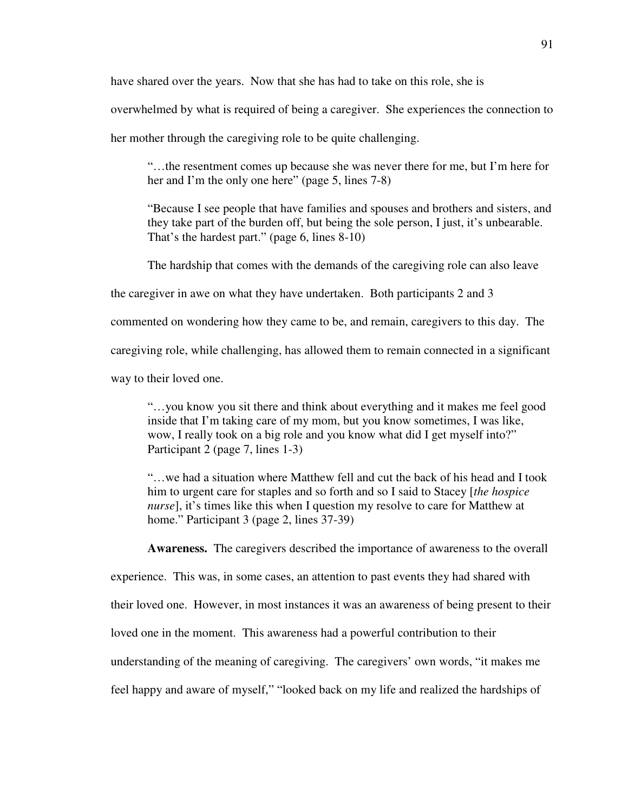have shared over the years. Now that she has had to take on this role, she is

overwhelmed by what is required of being a caregiver. She experiences the connection to

her mother through the caregiving role to be quite challenging.

"…the resentment comes up because she was never there for me, but I'm here for her and I'm the only one here" (page 5, lines 7-8)

"Because I see people that have families and spouses and brothers and sisters, and they take part of the burden off, but being the sole person, I just, it's unbearable. That's the hardest part." (page 6, lines 8-10)

The hardship that comes with the demands of the caregiving role can also leave

the caregiver in awe on what they have undertaken. Both participants 2 and 3

commented on wondering how they came to be, and remain, caregivers to this day. The

caregiving role, while challenging, has allowed them to remain connected in a significant

way to their loved one.

"…you know you sit there and think about everything and it makes me feel good inside that I'm taking care of my mom, but you know sometimes, I was like, wow, I really took on a big role and you know what did I get myself into?" Participant 2 (page 7, lines 1-3)

"…we had a situation where Matthew fell and cut the back of his head and I took him to urgent care for staples and so forth and so I said to Stacey [*the hospice nurse*], it's times like this when I question my resolve to care for Matthew at home." Participant 3 (page 2, lines 37-39)

**Awareness.** The caregivers described the importance of awareness to the overall

experience. This was, in some cases, an attention to past events they had shared with their loved one. However, in most instances it was an awareness of being present to their loved one in the moment. This awareness had a powerful contribution to their understanding of the meaning of caregiving. The caregivers' own words, "it makes me feel happy and aware of myself," "looked back on my life and realized the hardships of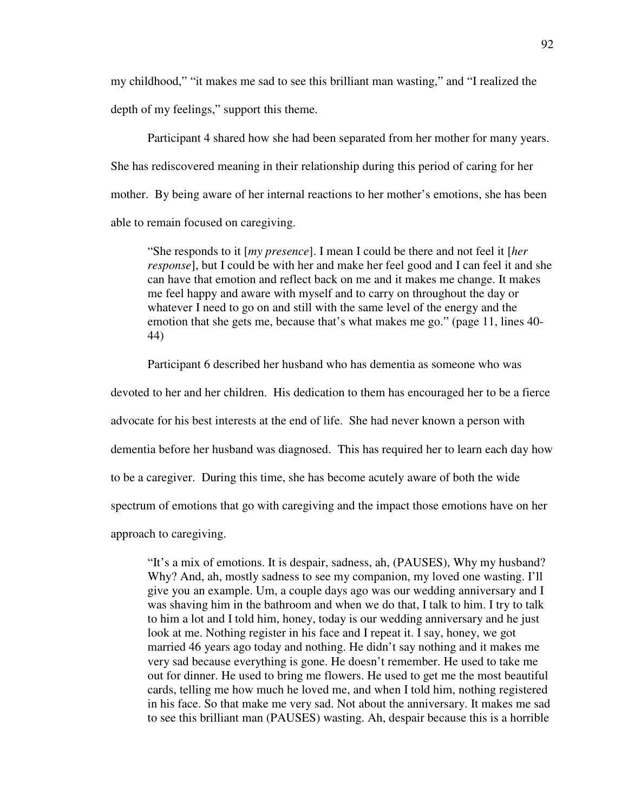my childhood," "it makes me sad to see this brilliant man wasting," and "I realized the depth of my feelings," support this theme.

Participant 4 shared how she had been separated from her mother for many years. She has rediscovered meaning in their relationship during this period of caring for her mother. By being aware of her internal reactions to her mother's emotions, she has been able to remain focused on caregiving.

"She responds to it [*my presence*]. I mean I could be there and not feel it [*her response*], but I could be with her and make her feel good and I can feel it and she can have that emotion and reflect back on me and it makes me change. It makes me feel happy and aware with myself and to carry on throughout the day or whatever I need to go on and still with the same level of the energy and the emotion that she gets me, because that's what makes me go." (page 11, lines 40- 44)

Participant 6 described her husband who has dementia as someone who was

devoted to her and her children. His dedication to them has encouraged her to be a fierce advocate for his best interests at the end of life. She had never known a person with dementia before her husband was diagnosed. This has required her to learn each day how

to be a caregiver. During this time, she has become acutely aware of both the wide

spectrum of emotions that go with caregiving and the impact those emotions have on her

approach to caregiving.

"It's a mix of emotions. It is despair, sadness, ah, (PAUSES), Why my husband? Why? And, ah, mostly sadness to see my companion, my loved one wasting. I'll give you an example. Um, a couple days ago was our wedding anniversary and I was shaving him in the bathroom and when we do that, I talk to him. I try to talk to him a lot and I told him, honey, today is our wedding anniversary and he just look at me. Nothing register in his face and I repeat it. I say, honey, we got married 46 years ago today and nothing. He didn't say nothing and it makes me very sad because everything is gone. He doesn't remember. He used to take me out for dinner. He used to bring me flowers. He used to get me the most beautiful cards, telling me how much he loved me, and when I told him, nothing registered in his face. So that make me very sad. Not about the anniversary. It makes me sad to see this brilliant man (PAUSES) wasting. Ah, despair because this is a horrible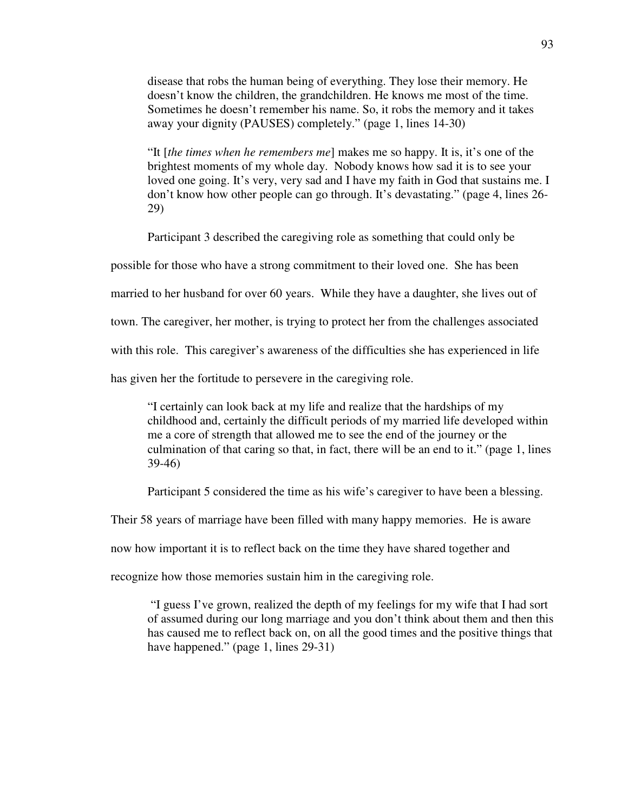disease that robs the human being of everything. They lose their memory. He doesn't know the children, the grandchildren. He knows me most of the time. Sometimes he doesn't remember his name. So, it robs the memory and it takes away your dignity (PAUSES) completely." (page 1, lines 14-30)

"It [*the times when he remembers me*] makes me so happy. It is, it's one of the brightest moments of my whole day. Nobody knows how sad it is to see your loved one going. It's very, very sad and I have my faith in God that sustains me. I don't know how other people can go through. It's devastating." (page 4, lines 26- 29)

Participant 3 described the caregiving role as something that could only be

possible for those who have a strong commitment to their loved one. She has been

married to her husband for over 60 years. While they have a daughter, she lives out of

town. The caregiver, her mother, is trying to protect her from the challenges associated

with this role. This caregiver's awareness of the difficulties she has experienced in life

has given her the fortitude to persevere in the caregiving role.

"I certainly can look back at my life and realize that the hardships of my childhood and, certainly the difficult periods of my married life developed within me a core of strength that allowed me to see the end of the journey or the culmination of that caring so that, in fact, there will be an end to it." (page 1, lines 39-46)

Participant 5 considered the time as his wife's caregiver to have been a blessing.

Their 58 years of marriage have been filled with many happy memories. He is aware

now how important it is to reflect back on the time they have shared together and

recognize how those memories sustain him in the caregiving role.

 "I guess I've grown, realized the depth of my feelings for my wife that I had sort of assumed during our long marriage and you don't think about them and then this has caused me to reflect back on, on all the good times and the positive things that have happened." (page 1, lines 29-31)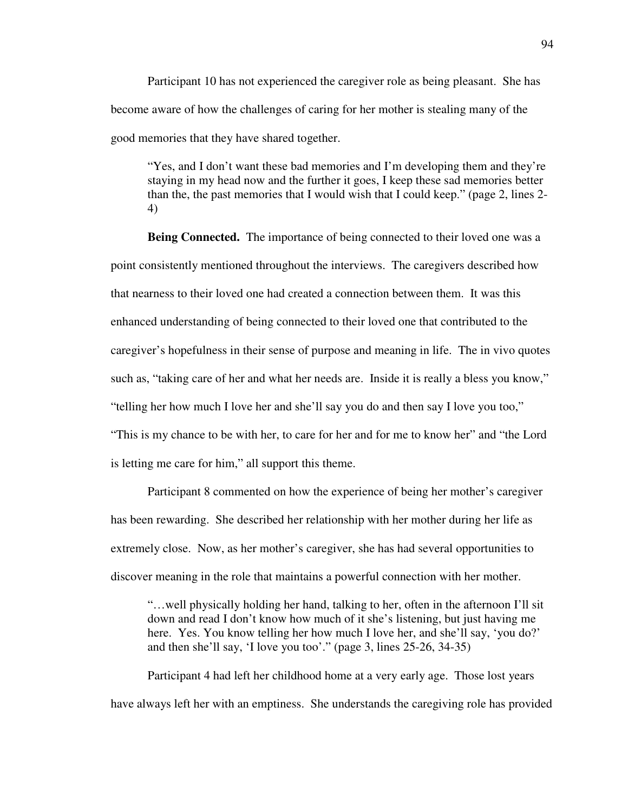Participant 10 has not experienced the caregiver role as being pleasant. She has become aware of how the challenges of caring for her mother is stealing many of the good memories that they have shared together.

"Yes, and I don't want these bad memories and I'm developing them and they're staying in my head now and the further it goes, I keep these sad memories better than the, the past memories that I would wish that I could keep." (page 2, lines 2- 4)

**Being Connected.** The importance of being connected to their loved one was a point consistently mentioned throughout the interviews. The caregivers described how that nearness to their loved one had created a connection between them. It was this enhanced understanding of being connected to their loved one that contributed to the caregiver's hopefulness in their sense of purpose and meaning in life. The in vivo quotes such as, "taking care of her and what her needs are. Inside it is really a bless you know," "telling her how much I love her and she'll say you do and then say I love you too," "This is my chance to be with her, to care for her and for me to know her" and "the Lord is letting me care for him," all support this theme.

Participant 8 commented on how the experience of being her mother's caregiver has been rewarding. She described her relationship with her mother during her life as extremely close. Now, as her mother's caregiver, she has had several opportunities to discover meaning in the role that maintains a powerful connection with her mother.

"…well physically holding her hand, talking to her, often in the afternoon I'll sit down and read I don't know how much of it she's listening, but just having me here. Yes. You know telling her how much I love her, and she'll say, 'you do?' and then she'll say, 'I love you too'." (page 3, lines 25-26, 34-35)

 Participant 4 had left her childhood home at a very early age. Those lost years have always left her with an emptiness. She understands the caregiving role has provided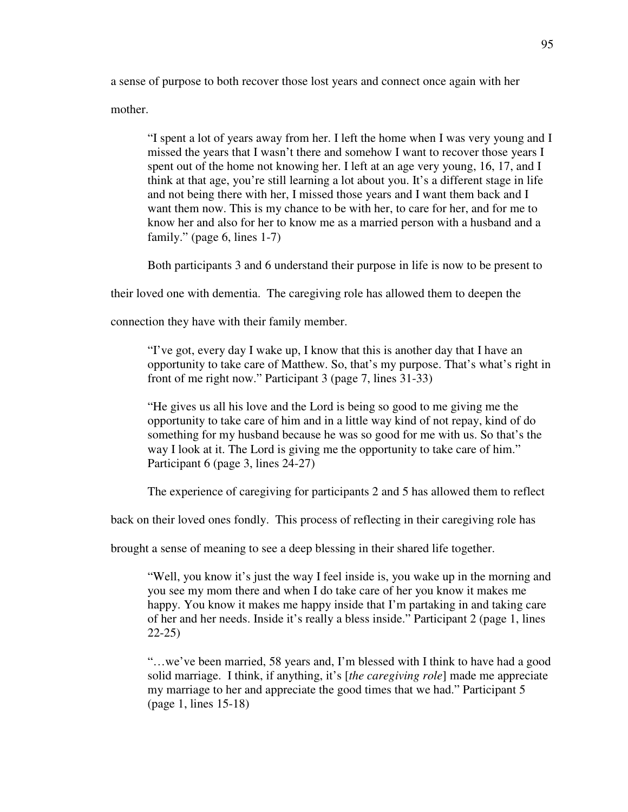a sense of purpose to both recover those lost years and connect once again with her

mother.

"I spent a lot of years away from her. I left the home when I was very young and I missed the years that I wasn't there and somehow I want to recover those years I spent out of the home not knowing her. I left at an age very young, 16, 17, and I think at that age, you're still learning a lot about you. It's a different stage in life and not being there with her, I missed those years and I want them back and I want them now. This is my chance to be with her, to care for her, and for me to know her and also for her to know me as a married person with a husband and a family." (page 6, lines 1-7)

Both participants 3 and 6 understand their purpose in life is now to be present to

their loved one with dementia. The caregiving role has allowed them to deepen the

connection they have with their family member.

"I've got, every day I wake up, I know that this is another day that I have an opportunity to take care of Matthew. So, that's my purpose. That's what's right in front of me right now." Participant 3 (page 7, lines 31-33)

"He gives us all his love and the Lord is being so good to me giving me the opportunity to take care of him and in a little way kind of not repay, kind of do something for my husband because he was so good for me with us. So that's the way I look at it. The Lord is giving me the opportunity to take care of him." Participant 6 (page 3, lines 24-27)

The experience of caregiving for participants 2 and 5 has allowed them to reflect

back on their loved ones fondly. This process of reflecting in their caregiving role has

brought a sense of meaning to see a deep blessing in their shared life together.

"Well, you know it's just the way I feel inside is, you wake up in the morning and you see my mom there and when I do take care of her you know it makes me happy. You know it makes me happy inside that I'm partaking in and taking care of her and her needs. Inside it's really a bless inside." Participant 2 (page 1, lines 22-25)

"…we've been married, 58 years and, I'm blessed with I think to have had a good solid marriage. I think, if anything, it's [*the caregiving role*] made me appreciate my marriage to her and appreciate the good times that we had." Participant 5 (page 1, lines 15-18)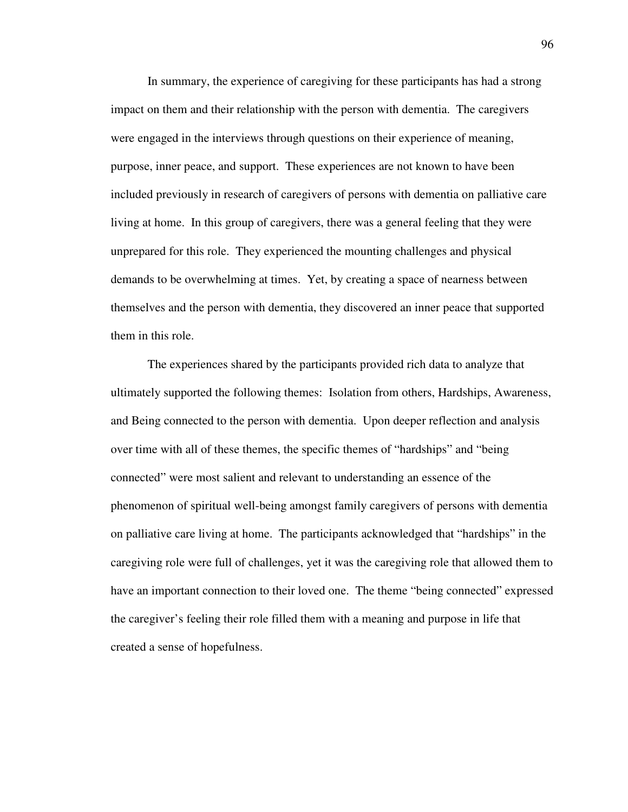In summary, the experience of caregiving for these participants has had a strong impact on them and their relationship with the person with dementia. The caregivers were engaged in the interviews through questions on their experience of meaning, purpose, inner peace, and support. These experiences are not known to have been included previously in research of caregivers of persons with dementia on palliative care living at home. In this group of caregivers, there was a general feeling that they were unprepared for this role. They experienced the mounting challenges and physical demands to be overwhelming at times. Yet, by creating a space of nearness between themselves and the person with dementia, they discovered an inner peace that supported them in this role.

The experiences shared by the participants provided rich data to analyze that ultimately supported the following themes: Isolation from others, Hardships, Awareness, and Being connected to the person with dementia. Upon deeper reflection and analysis over time with all of these themes, the specific themes of "hardships" and "being connected" were most salient and relevant to understanding an essence of the phenomenon of spiritual well-being amongst family caregivers of persons with dementia on palliative care living at home. The participants acknowledged that "hardships" in the caregiving role were full of challenges, yet it was the caregiving role that allowed them to have an important connection to their loved one. The theme "being connected" expressed the caregiver's feeling their role filled them with a meaning and purpose in life that created a sense of hopefulness.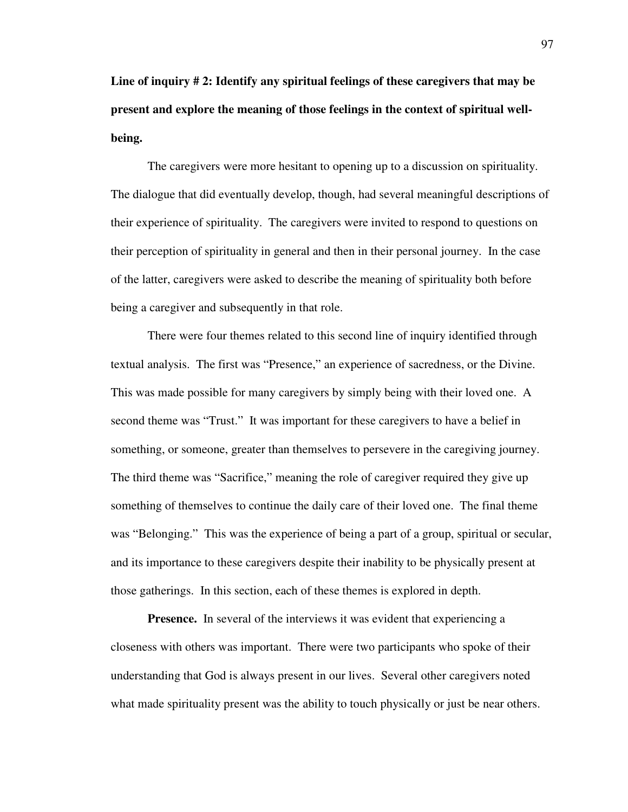**Line of inquiry # 2: Identify any spiritual feelings of these caregivers that may be present and explore the meaning of those feelings in the context of spiritual wellbeing.** 

The caregivers were more hesitant to opening up to a discussion on spirituality. The dialogue that did eventually develop, though, had several meaningful descriptions of their experience of spirituality. The caregivers were invited to respond to questions on their perception of spirituality in general and then in their personal journey. In the case of the latter, caregivers were asked to describe the meaning of spirituality both before being a caregiver and subsequently in that role.

There were four themes related to this second line of inquiry identified through textual analysis. The first was "Presence," an experience of sacredness, or the Divine. This was made possible for many caregivers by simply being with their loved one. A second theme was "Trust." It was important for these caregivers to have a belief in something, or someone, greater than themselves to persevere in the caregiving journey. The third theme was "Sacrifice," meaning the role of caregiver required they give up something of themselves to continue the daily care of their loved one. The final theme was "Belonging." This was the experience of being a part of a group, spiritual or secular, and its importance to these caregivers despite their inability to be physically present at those gatherings. In this section, each of these themes is explored in depth.

**Presence.** In several of the interviews it was evident that experiencing a closeness with others was important. There were two participants who spoke of their understanding that God is always present in our lives. Several other caregivers noted what made spirituality present was the ability to touch physically or just be near others.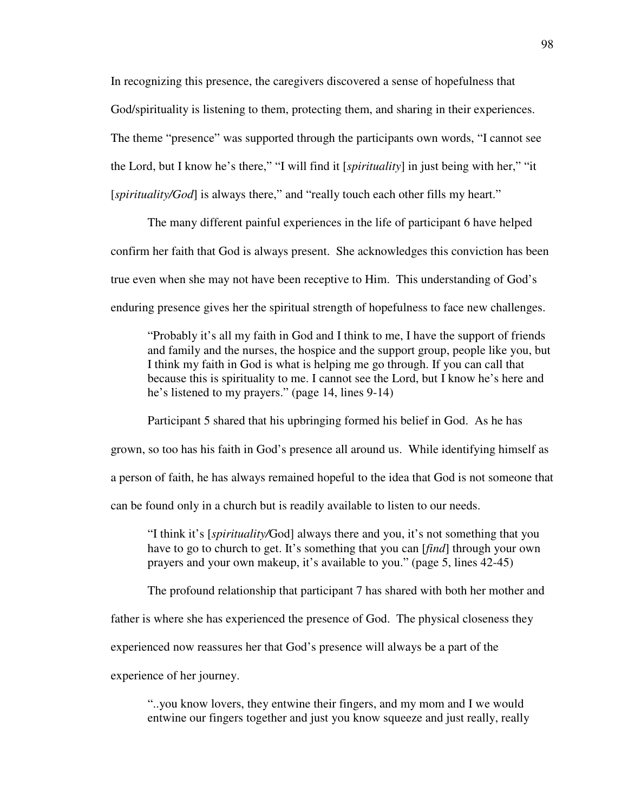In recognizing this presence, the caregivers discovered a sense of hopefulness that God/spirituality is listening to them, protecting them, and sharing in their experiences. The theme "presence" was supported through the participants own words, "I cannot see the Lord, but I know he's there," "I will find it [*spirituality*] in just being with her," "it [*spirituality/God*] is always there," and "really touch each other fills my heart."

The many different painful experiences in the life of participant 6 have helped confirm her faith that God is always present. She acknowledges this conviction has been true even when she may not have been receptive to Him. This understanding of God's enduring presence gives her the spiritual strength of hopefulness to face new challenges.

"Probably it's all my faith in God and I think to me, I have the support of friends and family and the nurses, the hospice and the support group, people like you, but I think my faith in God is what is helping me go through. If you can call that because this is spirituality to me. I cannot see the Lord, but I know he's here and he's listened to my prayers." (page 14, lines 9-14)

Participant 5 shared that his upbringing formed his belief in God. As he has grown, so too has his faith in God's presence all around us. While identifying himself as a person of faith, he has always remained hopeful to the idea that God is not someone that can be found only in a church but is readily available to listen to our needs.

"I think it's [*spirituality/*God] always there and you, it's not something that you have to go to church to get. It's something that you can [*find*] through your own prayers and your own makeup, it's available to you." (page 5, lines 42-45)

The profound relationship that participant 7 has shared with both her mother and

father is where she has experienced the presence of God. The physical closeness they

experienced now reassures her that God's presence will always be a part of the

experience of her journey.

"..you know lovers, they entwine their fingers, and my mom and I we would entwine our fingers together and just you know squeeze and just really, really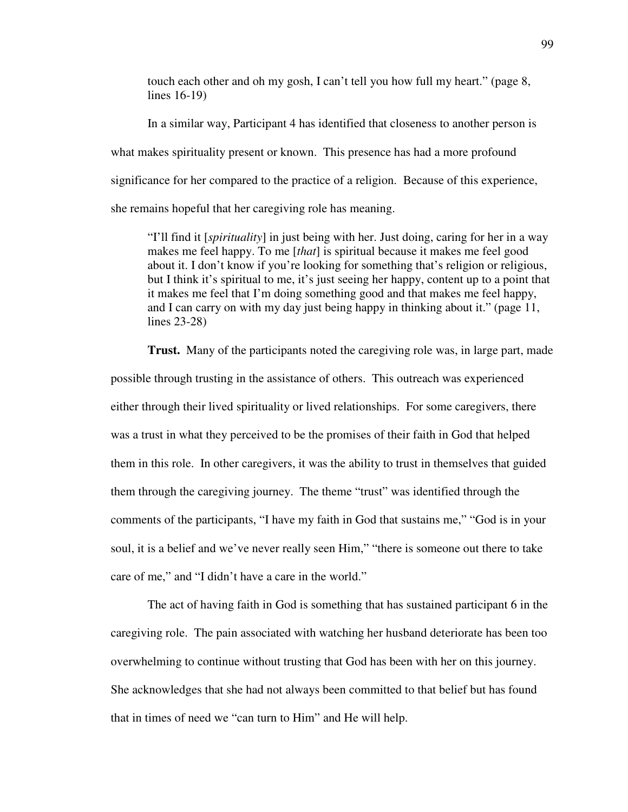touch each other and oh my gosh, I can't tell you how full my heart." (page 8, lines 16-19)

 In a similar way, Participant 4 has identified that closeness to another person is what makes spirituality present or known. This presence has had a more profound significance for her compared to the practice of a religion. Because of this experience, she remains hopeful that her caregiving role has meaning.

"I'll find it [*spirituality*] in just being with her. Just doing, caring for her in a way makes me feel happy. To me [*that*] is spiritual because it makes me feel good about it. I don't know if you're looking for something that's religion or religious, but I think it's spiritual to me, it's just seeing her happy, content up to a point that it makes me feel that I'm doing something good and that makes me feel happy, and I can carry on with my day just being happy in thinking about it." (page 11, lines 23-28)

**Trust.** Many of the participants noted the caregiving role was, in large part, made possible through trusting in the assistance of others. This outreach was experienced either through their lived spirituality or lived relationships. For some caregivers, there was a trust in what they perceived to be the promises of their faith in God that helped them in this role. In other caregivers, it was the ability to trust in themselves that guided them through the caregiving journey. The theme "trust" was identified through the comments of the participants, "I have my faith in God that sustains me," "God is in your soul, it is a belief and we've never really seen Him," "there is someone out there to take care of me," and "I didn't have a care in the world."

The act of having faith in God is something that has sustained participant 6 in the caregiving role. The pain associated with watching her husband deteriorate has been too overwhelming to continue without trusting that God has been with her on this journey. She acknowledges that she had not always been committed to that belief but has found that in times of need we "can turn to Him" and He will help.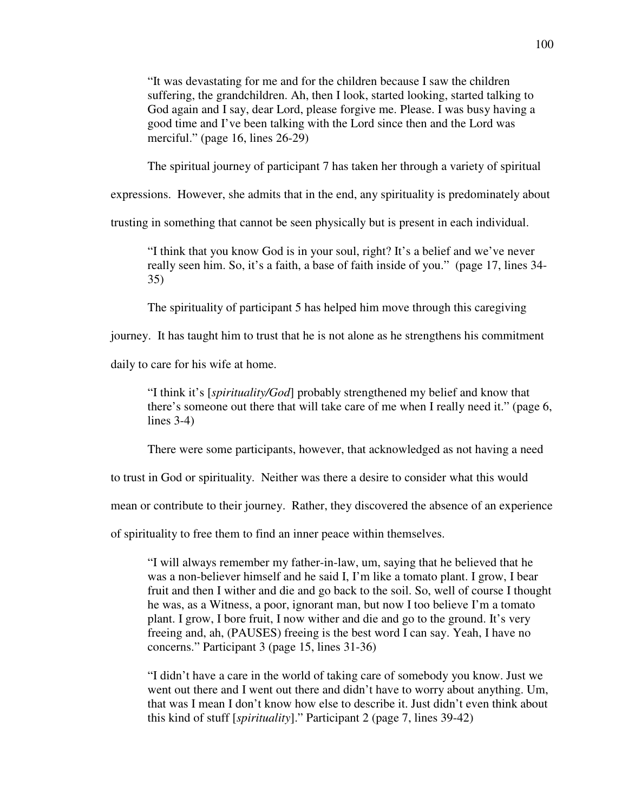"It was devastating for me and for the children because I saw the children suffering, the grandchildren. Ah, then I look, started looking, started talking to God again and I say, dear Lord, please forgive me. Please. I was busy having a good time and I've been talking with the Lord since then and the Lord was merciful." (page 16, lines 26-29)

The spiritual journey of participant 7 has taken her through a variety of spiritual

expressions. However, she admits that in the end, any spirituality is predominately about

trusting in something that cannot be seen physically but is present in each individual.

"I think that you know God is in your soul, right? It's a belief and we've never really seen him. So, it's a faith, a base of faith inside of you." (page 17, lines 34- 35)

The spirituality of participant 5 has helped him move through this caregiving

journey. It has taught him to trust that he is not alone as he strengthens his commitment

daily to care for his wife at home.

"I think it's [*spirituality/God*] probably strengthened my belief and know that there's someone out there that will take care of me when I really need it." (page 6, lines 3-4)

There were some participants, however, that acknowledged as not having a need

to trust in God or spirituality. Neither was there a desire to consider what this would

mean or contribute to their journey. Rather, they discovered the absence of an experience

of spirituality to free them to find an inner peace within themselves.

"I will always remember my father-in-law, um, saying that he believed that he was a non-believer himself and he said I, I'm like a tomato plant. I grow, I bear fruit and then I wither and die and go back to the soil. So, well of course I thought he was, as a Witness, a poor, ignorant man, but now I too believe I'm a tomato plant. I grow, I bore fruit, I now wither and die and go to the ground. It's very freeing and, ah, (PAUSES) freeing is the best word I can say. Yeah, I have no concerns." Participant 3 (page 15, lines 31-36)

"I didn't have a care in the world of taking care of somebody you know. Just we went out there and I went out there and didn't have to worry about anything. Um, that was I mean I don't know how else to describe it. Just didn't even think about this kind of stuff [*spirituality*]." Participant 2 (page 7, lines 39-42)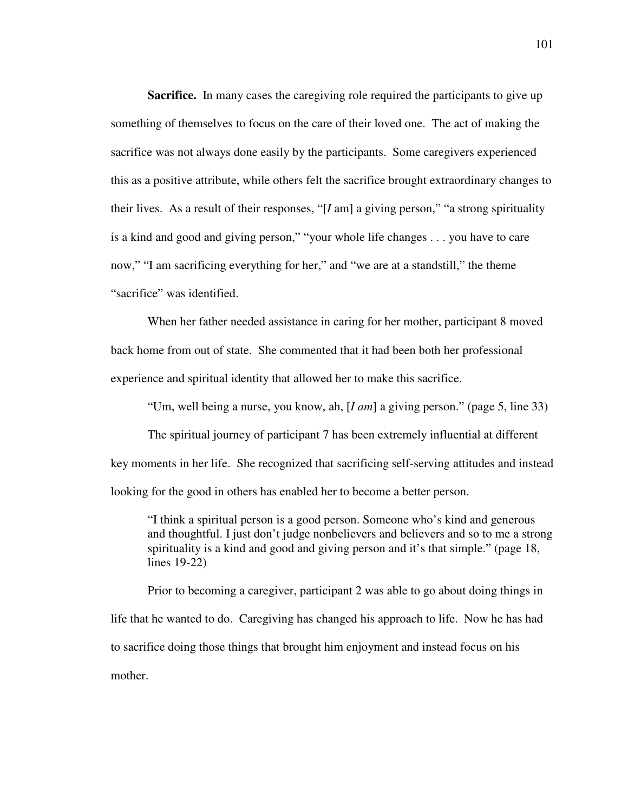**Sacrifice.** In many cases the caregiving role required the participants to give up something of themselves to focus on the care of their loved one. The act of making the sacrifice was not always done easily by the participants. Some caregivers experienced this as a positive attribute, while others felt the sacrifice brought extraordinary changes to their lives. As a result of their responses, "[*I* am] a giving person," "a strong spirituality is a kind and good and giving person," "your whole life changes . . . you have to care now," "I am sacrificing everything for her," and "we are at a standstill," the theme "sacrifice" was identified.

When her father needed assistance in caring for her mother, participant 8 moved back home from out of state. She commented that it had been both her professional experience and spiritual identity that allowed her to make this sacrifice.

"Um, well being a nurse, you know, ah, [*I am*] a giving person." (page 5, line 33)

The spiritual journey of participant 7 has been extremely influential at different key moments in her life. She recognized that sacrificing self-serving attitudes and instead looking for the good in others has enabled her to become a better person.

"I think a spiritual person is a good person. Someone who's kind and generous and thoughtful. I just don't judge nonbelievers and believers and so to me a strong spirituality is a kind and good and giving person and it's that simple." (page 18, lines 19-22)

Prior to becoming a caregiver, participant 2 was able to go about doing things in life that he wanted to do. Caregiving has changed his approach to life. Now he has had to sacrifice doing those things that brought him enjoyment and instead focus on his mother.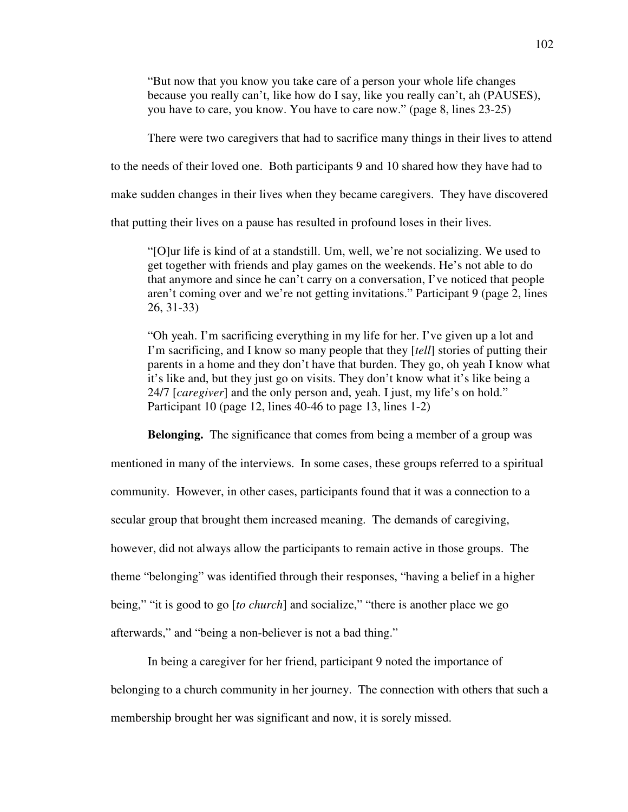"But now that you know you take care of a person your whole life changes because you really can't, like how do I say, like you really can't, ah (PAUSES), you have to care, you know. You have to care now." (page 8, lines 23-25)

There were two caregivers that had to sacrifice many things in their lives to attend

to the needs of their loved one. Both participants 9 and 10 shared how they have had to

make sudden changes in their lives when they became caregivers. They have discovered

that putting their lives on a pause has resulted in profound loses in their lives.

"[O]ur life is kind of at a standstill. Um, well, we're not socializing. We used to get together with friends and play games on the weekends. He's not able to do that anymore and since he can't carry on a conversation, I've noticed that people aren't coming over and we're not getting invitations." Participant 9 (page 2, lines 26, 31-33)

"Oh yeah. I'm sacrificing everything in my life for her. I've given up a lot and I'm sacrificing, and I know so many people that they [*tell*] stories of putting their parents in a home and they don't have that burden. They go, oh yeah I know what it's like and, but they just go on visits. They don't know what it's like being a 24/7 [*caregiver*] and the only person and, yeah. I just, my life's on hold." Participant 10 (page 12, lines 40-46 to page 13, lines 1-2)

**Belonging.** The significance that comes from being a member of a group was mentioned in many of the interviews. In some cases, these groups referred to a spiritual community. However, in other cases, participants found that it was a connection to a secular group that brought them increased meaning. The demands of caregiving, however, did not always allow the participants to remain active in those groups. The theme "belonging" was identified through their responses, "having a belief in a higher being," "it is good to go [*to church*] and socialize," "there is another place we go afterwards," and "being a non-believer is not a bad thing."

In being a caregiver for her friend, participant 9 noted the importance of

belonging to a church community in her journey. The connection with others that such a membership brought her was significant and now, it is sorely missed.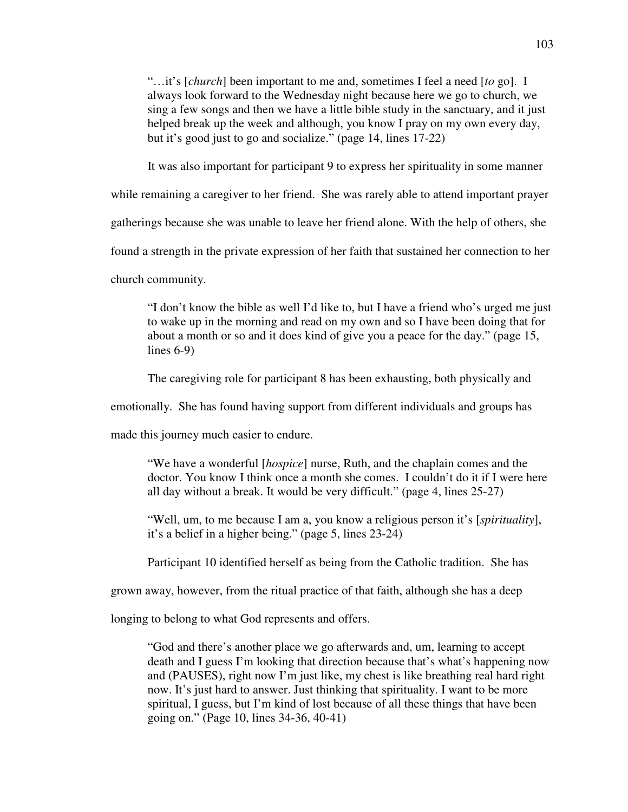"…it's [*church*] been important to me and, sometimes I feel a need [*to* go]. I always look forward to the Wednesday night because here we go to church, we sing a few songs and then we have a little bible study in the sanctuary, and it just helped break up the week and although, you know I pray on my own every day, but it's good just to go and socialize." (page 14, lines 17-22)

It was also important for participant 9 to express her spirituality in some manner

while remaining a caregiver to her friend. She was rarely able to attend important prayer

gatherings because she was unable to leave her friend alone. With the help of others, she

found a strength in the private expression of her faith that sustained her connection to her

church community.

"I don't know the bible as well I'd like to, but I have a friend who's urged me just to wake up in the morning and read on my own and so I have been doing that for about a month or so and it does kind of give you a peace for the day." (page 15, lines 6-9)

The caregiving role for participant 8 has been exhausting, both physically and

emotionally. She has found having support from different individuals and groups has

made this journey much easier to endure.

"We have a wonderful [*hospice*] nurse, Ruth, and the chaplain comes and the doctor. You know I think once a month she comes. I couldn't do it if I were here all day without a break. It would be very difficult." (page 4, lines 25-27)

"Well, um, to me because I am a, you know a religious person it's [*spirituality*], it's a belief in a higher being." (page 5, lines 23-24)

Participant 10 identified herself as being from the Catholic tradition. She has

grown away, however, from the ritual practice of that faith, although she has a deep

longing to belong to what God represents and offers.

"God and there's another place we go afterwards and, um, learning to accept death and I guess I'm looking that direction because that's what's happening now and (PAUSES), right now I'm just like, my chest is like breathing real hard right now. It's just hard to answer. Just thinking that spirituality. I want to be more spiritual, I guess, but I'm kind of lost because of all these things that have been going on." (Page 10, lines 34-36, 40-41)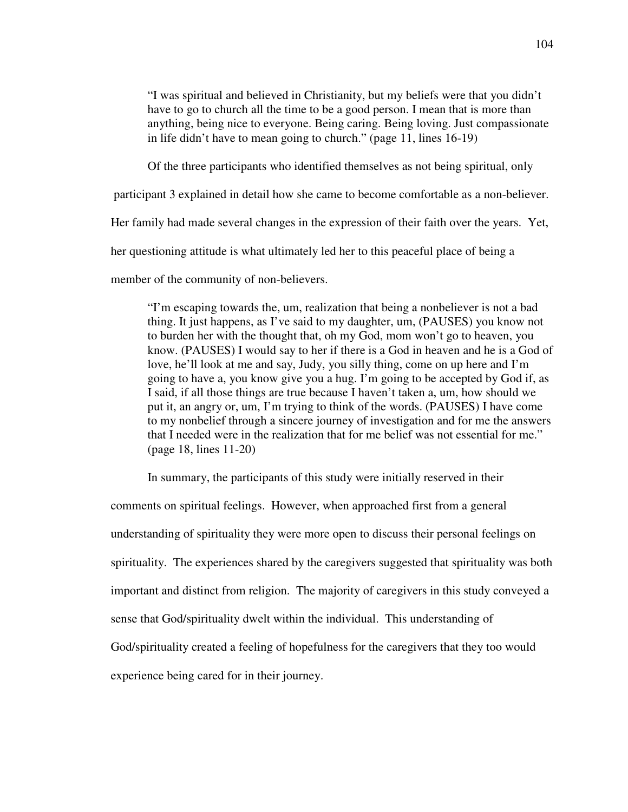"I was spiritual and believed in Christianity, but my beliefs were that you didn't have to go to church all the time to be a good person. I mean that is more than anything, being nice to everyone. Being caring. Being loving. Just compassionate in life didn't have to mean going to church." (page 11, lines 16-19)

Of the three participants who identified themselves as not being spiritual, only

participant 3 explained in detail how she came to become comfortable as a non-believer.

Her family had made several changes in the expression of their faith over the years. Yet,

her questioning attitude is what ultimately led her to this peaceful place of being a

member of the community of non-believers.

"I'm escaping towards the, um, realization that being a nonbeliever is not a bad thing. It just happens, as I've said to my daughter, um, (PAUSES) you know not to burden her with the thought that, oh my God, mom won't go to heaven, you know. (PAUSES) I would say to her if there is a God in heaven and he is a God of love, he'll look at me and say, Judy, you silly thing, come on up here and I'm going to have a, you know give you a hug. I'm going to be accepted by God if, as I said, if all those things are true because I haven't taken a, um, how should we put it, an angry or, um, I'm trying to think of the words. (PAUSES) I have come to my nonbelief through a sincere journey of investigation and for me the answers that I needed were in the realization that for me belief was not essential for me." (page 18, lines 11-20)

In summary, the participants of this study were initially reserved in their

comments on spiritual feelings. However, when approached first from a general understanding of spirituality they were more open to discuss their personal feelings on spirituality. The experiences shared by the caregivers suggested that spirituality was both important and distinct from religion. The majority of caregivers in this study conveyed a sense that God/spirituality dwelt within the individual. This understanding of God/spirituality created a feeling of hopefulness for the caregivers that they too would experience being cared for in their journey.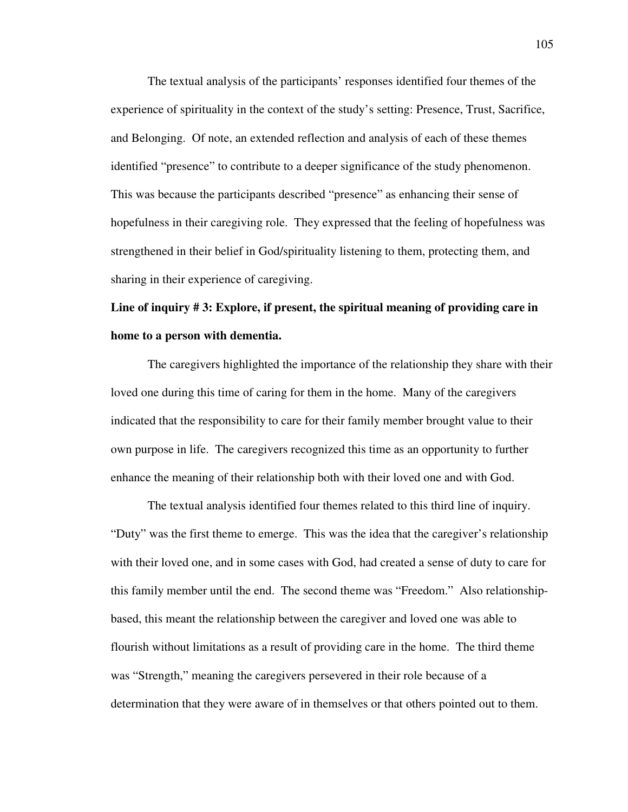The textual analysis of the participants' responses identified four themes of the experience of spirituality in the context of the study's setting: Presence, Trust, Sacrifice, and Belonging. Of note, an extended reflection and analysis of each of these themes identified "presence" to contribute to a deeper significance of the study phenomenon. This was because the participants described "presence" as enhancing their sense of hopefulness in their caregiving role. They expressed that the feeling of hopefulness was strengthened in their belief in God/spirituality listening to them, protecting them, and sharing in their experience of caregiving.

# **Line of inquiry # 3: Explore, if present, the spiritual meaning of providing care in home to a person with dementia.**

The caregivers highlighted the importance of the relationship they share with their loved one during this time of caring for them in the home. Many of the caregivers indicated that the responsibility to care for their family member brought value to their own purpose in life. The caregivers recognized this time as an opportunity to further enhance the meaning of their relationship both with their loved one and with God.

The textual analysis identified four themes related to this third line of inquiry. "Duty" was the first theme to emerge. This was the idea that the caregiver's relationship with their loved one, and in some cases with God, had created a sense of duty to care for this family member until the end. The second theme was "Freedom." Also relationshipbased, this meant the relationship between the caregiver and loved one was able to flourish without limitations as a result of providing care in the home. The third theme was "Strength," meaning the caregivers persevered in their role because of a determination that they were aware of in themselves or that others pointed out to them.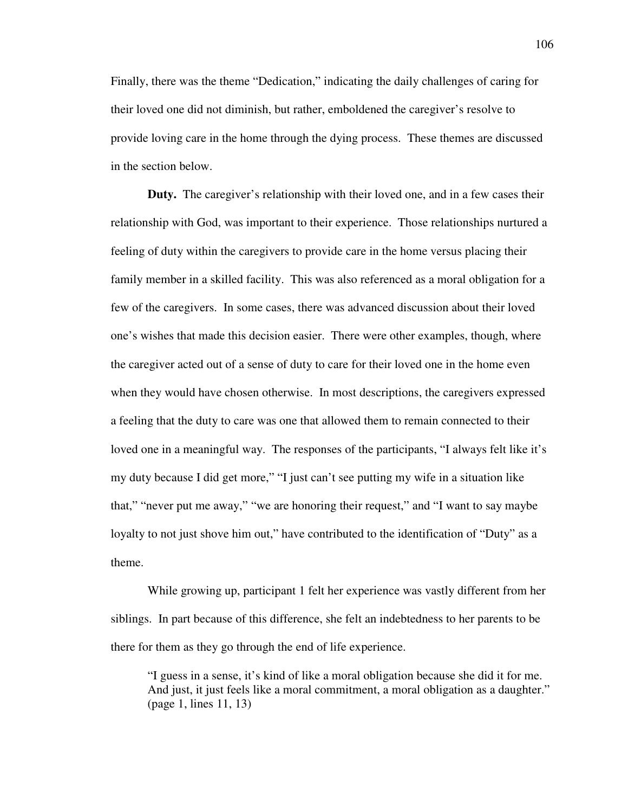Finally, there was the theme "Dedication," indicating the daily challenges of caring for their loved one did not diminish, but rather, emboldened the caregiver's resolve to provide loving care in the home through the dying process. These themes are discussed in the section below.

**Duty.** The caregiver's relationship with their loved one, and in a few cases their relationship with God, was important to their experience. Those relationships nurtured a feeling of duty within the caregivers to provide care in the home versus placing their family member in a skilled facility. This was also referenced as a moral obligation for a few of the caregivers. In some cases, there was advanced discussion about their loved one's wishes that made this decision easier. There were other examples, though, where the caregiver acted out of a sense of duty to care for their loved one in the home even when they would have chosen otherwise. In most descriptions, the caregivers expressed a feeling that the duty to care was one that allowed them to remain connected to their loved one in a meaningful way. The responses of the participants, "I always felt like it's my duty because I did get more," "I just can't see putting my wife in a situation like that," "never put me away," "we are honoring their request," and "I want to say maybe loyalty to not just shove him out," have contributed to the identification of "Duty" as a theme.

While growing up, participant 1 felt her experience was vastly different from her siblings. In part because of this difference, she felt an indebtedness to her parents to be there for them as they go through the end of life experience.

"I guess in a sense, it's kind of like a moral obligation because she did it for me. And just, it just feels like a moral commitment, a moral obligation as a daughter." (page 1, lines 11, 13)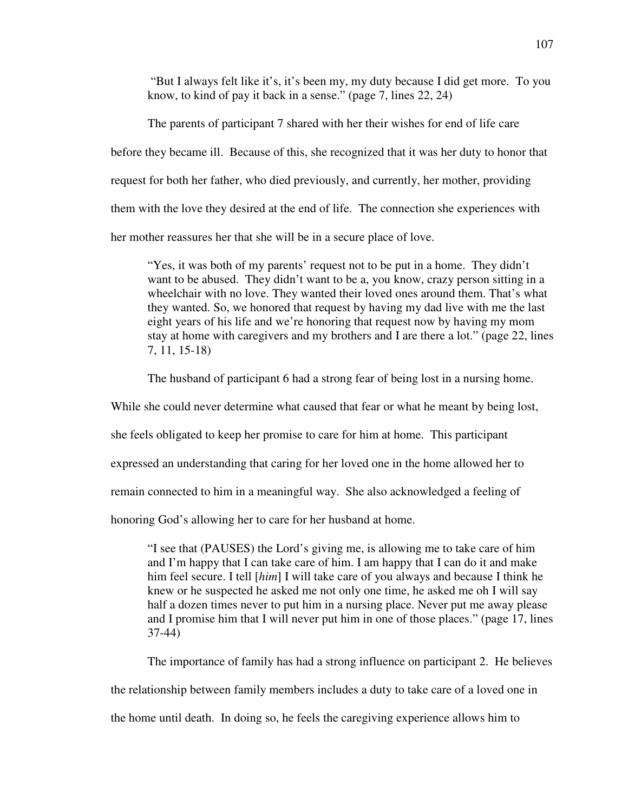"But I always felt like it's, it's been my, my duty because I did get more. To you know, to kind of pay it back in a sense." (page 7, lines 22, 24)

The parents of participant 7 shared with her their wishes for end of life care before they became ill. Because of this, she recognized that it was her duty to honor that request for both her father, who died previously, and currently, her mother, providing them with the love they desired at the end of life. The connection she experiences with her mother reassures her that she will be in a secure place of love.

"Yes, it was both of my parents' request not to be put in a home. They didn't want to be abused. They didn't want to be a, you know, crazy person sitting in a wheelchair with no love. They wanted their loved ones around them. That's what they wanted. So, we honored that request by having my dad live with me the last eight years of his life and we're honoring that request now by having my mom stay at home with caregivers and my brothers and I are there a lot." (page 22, lines 7, 11, 15-18)

The husband of participant 6 had a strong fear of being lost in a nursing home.

While she could never determine what caused that fear or what he meant by being lost,

she feels obligated to keep her promise to care for him at home. This participant

expressed an understanding that caring for her loved one in the home allowed her to

remain connected to him in a meaningful way. She also acknowledged a feeling of

honoring God's allowing her to care for her husband at home.

"I see that (PAUSES) the Lord's giving me, is allowing me to take care of him and I'm happy that I can take care of him. I am happy that I can do it and make him feel secure. I tell [*him*] I will take care of you always and because I think he knew or he suspected he asked me not only one time, he asked me oh I will say half a dozen times never to put him in a nursing place. Never put me away please and I promise him that I will never put him in one of those places." (page 17, lines 37-44)

The importance of family has had a strong influence on participant 2. He believes

the relationship between family members includes a duty to take care of a loved one in

the home until death. In doing so, he feels the caregiving experience allows him to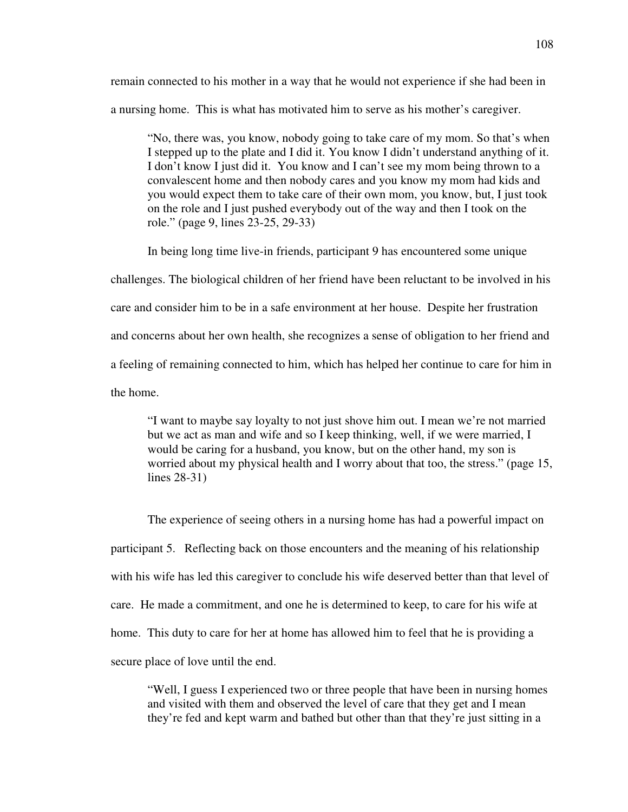remain connected to his mother in a way that he would not experience if she had been in a nursing home. This is what has motivated him to serve as his mother's caregiver.

"No, there was, you know, nobody going to take care of my mom. So that's when I stepped up to the plate and I did it. You know I didn't understand anything of it. I don't know I just did it. You know and I can't see my mom being thrown to a convalescent home and then nobody cares and you know my mom had kids and you would expect them to take care of their own mom, you know, but, I just took on the role and I just pushed everybody out of the way and then I took on the role." (page 9, lines 23-25, 29-33)

 In being long time live-in friends, participant 9 has encountered some unique challenges. The biological children of her friend have been reluctant to be involved in his care and consider him to be in a safe environment at her house. Despite her frustration and concerns about her own health, she recognizes a sense of obligation to her friend and a feeling of remaining connected to him, which has helped her continue to care for him in the home.

"I want to maybe say loyalty to not just shove him out. I mean we're not married but we act as man and wife and so I keep thinking, well, if we were married, I would be caring for a husband, you know, but on the other hand, my son is worried about my physical health and I worry about that too, the stress." (page 15, lines 28-31)

The experience of seeing others in a nursing home has had a powerful impact on participant 5. Reflecting back on those encounters and the meaning of his relationship with his wife has led this caregiver to conclude his wife deserved better than that level of care. He made a commitment, and one he is determined to keep, to care for his wife at home. This duty to care for her at home has allowed him to feel that he is providing a secure place of love until the end.

"Well, I guess I experienced two or three people that have been in nursing homes and visited with them and observed the level of care that they get and I mean they're fed and kept warm and bathed but other than that they're just sitting in a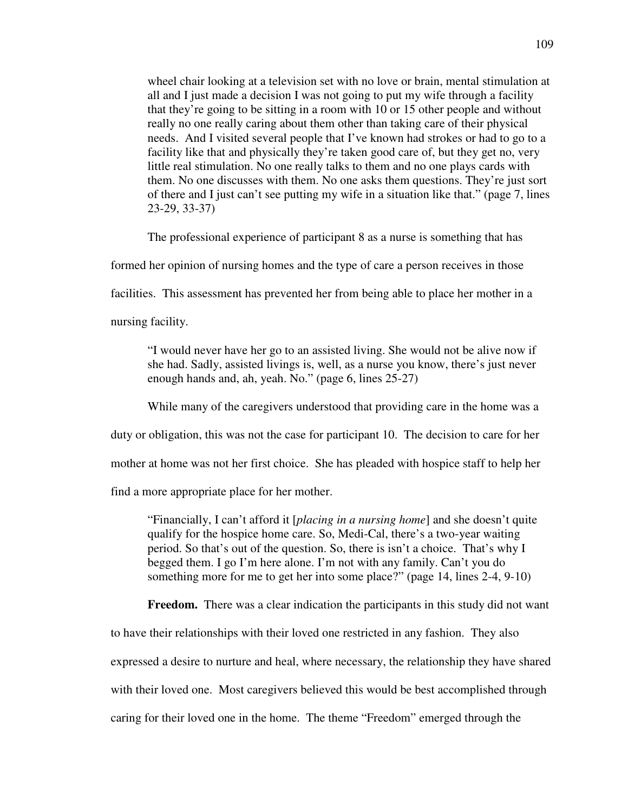wheel chair looking at a television set with no love or brain, mental stimulation at all and I just made a decision I was not going to put my wife through a facility that they're going to be sitting in a room with 10 or 15 other people and without really no one really caring about them other than taking care of their physical needs. And I visited several people that I've known had strokes or had to go to a facility like that and physically they're taken good care of, but they get no, very little real stimulation. No one really talks to them and no one plays cards with them. No one discusses with them. No one asks them questions. They're just sort of there and I just can't see putting my wife in a situation like that." (page 7, lines 23-29, 33-37)

The professional experience of participant 8 as a nurse is something that has

formed her opinion of nursing homes and the type of care a person receives in those

facilities. This assessment has prevented her from being able to place her mother in a

nursing facility.

"I would never have her go to an assisted living. She would not be alive now if she had. Sadly, assisted livings is, well, as a nurse you know, there's just never enough hands and, ah, yeah. No." (page 6, lines 25-27)

While many of the caregivers understood that providing care in the home was a

duty or obligation, this was not the case for participant 10. The decision to care for her

mother at home was not her first choice. She has pleaded with hospice staff to help her

find a more appropriate place for her mother.

"Financially, I can't afford it [*placing in a nursing home*] and she doesn't quite qualify for the hospice home care. So, Medi-Cal, there's a two-year waiting period. So that's out of the question. So, there is isn't a choice. That's why I begged them. I go I'm here alone. I'm not with any family. Can't you do something more for me to get her into some place?" (page 14, lines 2-4, 9-10)

**Freedom.** There was a clear indication the participants in this study did not want

to have their relationships with their loved one restricted in any fashion. They also

expressed a desire to nurture and heal, where necessary, the relationship they have shared

with their loved one. Most caregivers believed this would be best accomplished through

caring for their loved one in the home. The theme "Freedom" emerged through the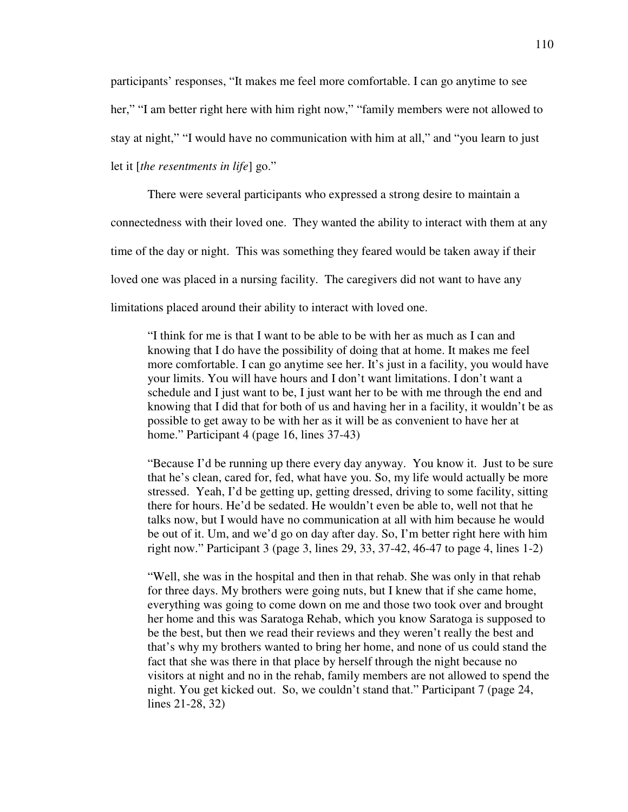participants' responses, "It makes me feel more comfortable. I can go anytime to see her," "I am better right here with him right now," "family members were not allowed to stay at night," "I would have no communication with him at all," and "you learn to just let it [*the resentments in life*] go."

There were several participants who expressed a strong desire to maintain a connectedness with their loved one. They wanted the ability to interact with them at any time of the day or night. This was something they feared would be taken away if their loved one was placed in a nursing facility. The caregivers did not want to have any limitations placed around their ability to interact with loved one.

"I think for me is that I want to be able to be with her as much as I can and knowing that I do have the possibility of doing that at home. It makes me feel more comfortable. I can go anytime see her. It's just in a facility, you would have your limits. You will have hours and I don't want limitations. I don't want a schedule and I just want to be, I just want her to be with me through the end and knowing that I did that for both of us and having her in a facility, it wouldn't be as possible to get away to be with her as it will be as convenient to have her at home." Participant 4 (page 16, lines 37-43)

"Because I'd be running up there every day anyway. You know it. Just to be sure that he's clean, cared for, fed, what have you. So, my life would actually be more stressed. Yeah, I'd be getting up, getting dressed, driving to some facility, sitting there for hours. He'd be sedated. He wouldn't even be able to, well not that he talks now, but I would have no communication at all with him because he would be out of it. Um, and we'd go on day after day. So, I'm better right here with him right now." Participant 3 (page 3, lines 29, 33, 37-42, 46-47 to page 4, lines 1-2)

"Well, she was in the hospital and then in that rehab. She was only in that rehab for three days. My brothers were going nuts, but I knew that if she came home, everything was going to come down on me and those two took over and brought her home and this was Saratoga Rehab, which you know Saratoga is supposed to be the best, but then we read their reviews and they weren't really the best and that's why my brothers wanted to bring her home, and none of us could stand the fact that she was there in that place by herself through the night because no visitors at night and no in the rehab, family members are not allowed to spend the night. You get kicked out. So, we couldn't stand that." Participant 7 (page 24, lines 21-28, 32)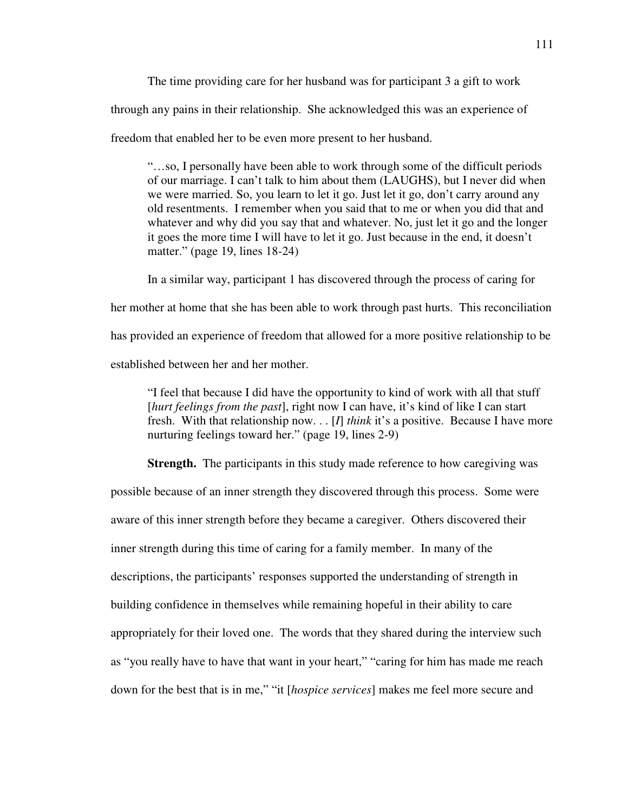The time providing care for her husband was for participant 3 a gift to work through any pains in their relationship. She acknowledged this was an experience of freedom that enabled her to be even more present to her husband.

"…so, I personally have been able to work through some of the difficult periods of our marriage. I can't talk to him about them (LAUGHS), but I never did when we were married. So, you learn to let it go. Just let it go, don't carry around any old resentments. I remember when you said that to me or when you did that and whatever and why did you say that and whatever. No, just let it go and the longer it goes the more time I will have to let it go. Just because in the end, it doesn't matter." (page 19, lines 18-24)

In a similar way, participant 1 has discovered through the process of caring for her mother at home that she has been able to work through past hurts. This reconciliation has provided an experience of freedom that allowed for a more positive relationship to be established between her and her mother.

"I feel that because I did have the opportunity to kind of work with all that stuff [*hurt feelings from the past*], right now I can have, it's kind of like I can start fresh. With that relationship now. . . [*I*] *think* it's a positive. Because I have more nurturing feelings toward her." (page 19, lines 2-9)

**Strength.** The participants in this study made reference to how caregiving was possible because of an inner strength they discovered through this process. Some were aware of this inner strength before they became a caregiver. Others discovered their inner strength during this time of caring for a family member. In many of the descriptions, the participants' responses supported the understanding of strength in building confidence in themselves while remaining hopeful in their ability to care appropriately for their loved one. The words that they shared during the interview such as "you really have to have that want in your heart," "caring for him has made me reach down for the best that is in me," "it [*hospice services*] makes me feel more secure and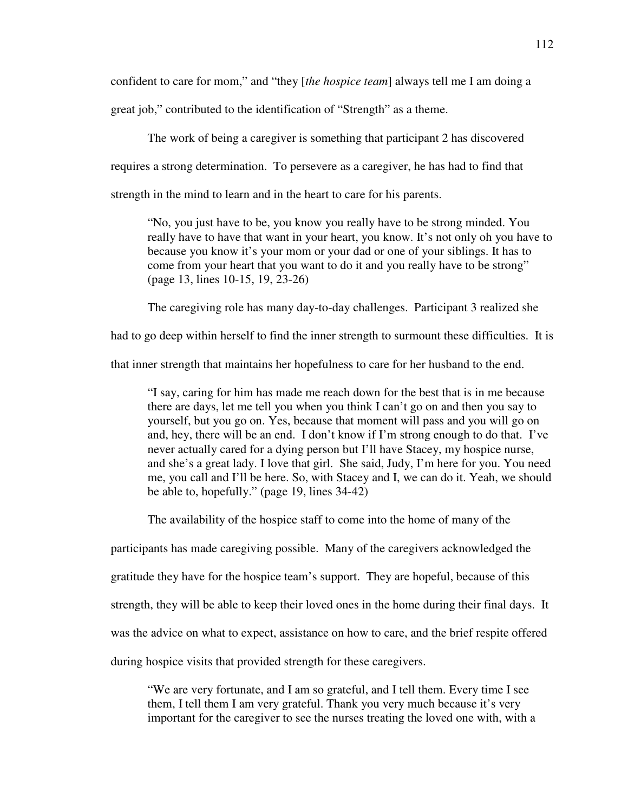confident to care for mom," and "they [*the hospice team*] always tell me I am doing a great job," contributed to the identification of "Strength" as a theme.

The work of being a caregiver is something that participant 2 has discovered requires a strong determination. To persevere as a caregiver, he has had to find that strength in the mind to learn and in the heart to care for his parents.

"No, you just have to be, you know you really have to be strong minded. You really have to have that want in your heart, you know. It's not only oh you have to because you know it's your mom or your dad or one of your siblings. It has to come from your heart that you want to do it and you really have to be strong" (page 13, lines 10-15, 19, 23-26)

The caregiving role has many day-to-day challenges. Participant 3 realized she

had to go deep within herself to find the inner strength to surmount these difficulties. It is

that inner strength that maintains her hopefulness to care for her husband to the end.

"I say, caring for him has made me reach down for the best that is in me because there are days, let me tell you when you think I can't go on and then you say to yourself, but you go on. Yes, because that moment will pass and you will go on and, hey, there will be an end. I don't know if I'm strong enough to do that. I've never actually cared for a dying person but I'll have Stacey, my hospice nurse, and she's a great lady. I love that girl. She said, Judy, I'm here for you. You need me, you call and I'll be here. So, with Stacey and I, we can do it. Yeah, we should be able to, hopefully." (page 19, lines 34-42)

The availability of the hospice staff to come into the home of many of the

participants has made caregiving possible. Many of the caregivers acknowledged the

gratitude they have for the hospice team's support. They are hopeful, because of this

strength, they will be able to keep their loved ones in the home during their final days. It

was the advice on what to expect, assistance on how to care, and the brief respite offered

during hospice visits that provided strength for these caregivers.

"We are very fortunate, and I am so grateful, and I tell them. Every time I see them, I tell them I am very grateful. Thank you very much because it's very important for the caregiver to see the nurses treating the loved one with, with a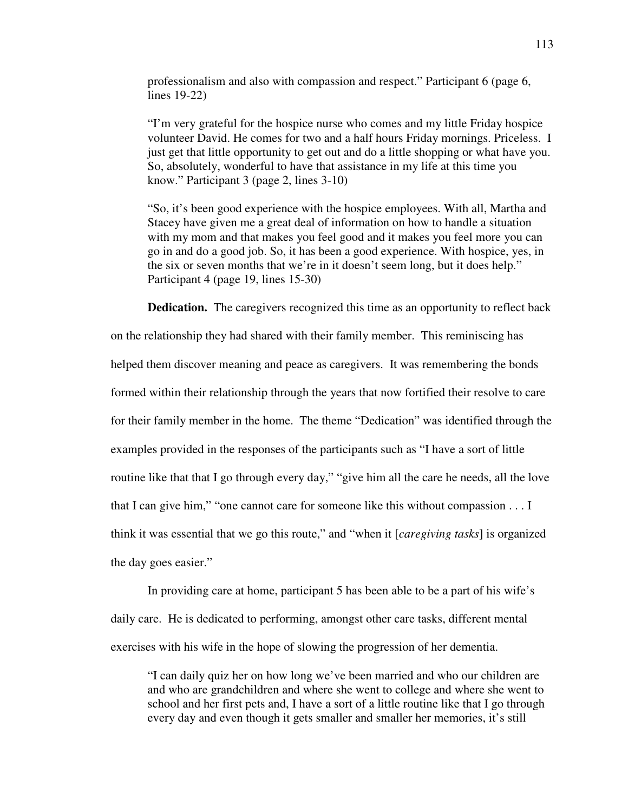professionalism and also with compassion and respect." Participant 6 (page 6, lines 19-22)

"I'm very grateful for the hospice nurse who comes and my little Friday hospice volunteer David. He comes for two and a half hours Friday mornings. Priceless. I just get that little opportunity to get out and do a little shopping or what have you. So, absolutely, wonderful to have that assistance in my life at this time you know." Participant 3 (page 2, lines 3-10)

"So, it's been good experience with the hospice employees. With all, Martha and Stacey have given me a great deal of information on how to handle a situation with my mom and that makes you feel good and it makes you feel more you can go in and do a good job. So, it has been a good experience. With hospice, yes, in the six or seven months that we're in it doesn't seem long, but it does help." Participant 4 (page 19, lines 15-30)

**Dedication.** The caregivers recognized this time as an opportunity to reflect back

on the relationship they had shared with their family member. This reminiscing has

helped them discover meaning and peace as caregivers. It was remembering the bonds

formed within their relationship through the years that now fortified their resolve to care

for their family member in the home. The theme "Dedication" was identified through the

examples provided in the responses of the participants such as "I have a sort of little

routine like that that I go through every day," "give him all the care he needs, all the love

that I can give him," "one cannot care for someone like this without compassion . . . I

think it was essential that we go this route," and "when it [*caregiving tasks*] is organized

the day goes easier."

In providing care at home, participant 5 has been able to be a part of his wife's daily care. He is dedicated to performing, amongst other care tasks, different mental exercises with his wife in the hope of slowing the progression of her dementia.

"I can daily quiz her on how long we've been married and who our children are and who are grandchildren and where she went to college and where she went to school and her first pets and, I have a sort of a little routine like that I go through every day and even though it gets smaller and smaller her memories, it's still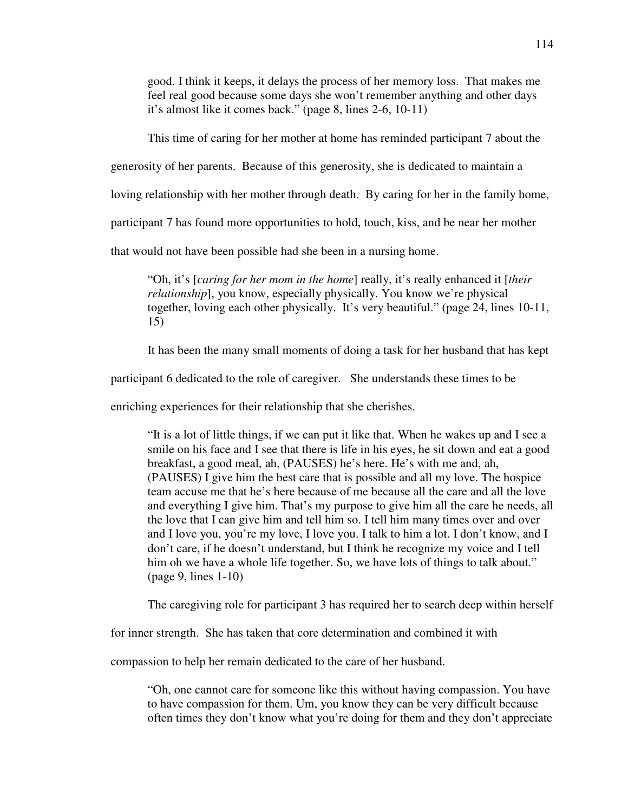good. I think it keeps, it delays the process of her memory loss. That makes me feel real good because some days she won't remember anything and other days it's almost like it comes back." (page 8, lines 2-6, 10-11)

This time of caring for her mother at home has reminded participant 7 about the

generosity of her parents. Because of this generosity, she is dedicated to maintain a

loving relationship with her mother through death. By caring for her in the family home,

participant 7 has found more opportunities to hold, touch, kiss, and be near her mother

that would not have been possible had she been in a nursing home.

"Oh, it's [*caring for her mom in the home*] really, it's really enhanced it [*their relationship*], you know, especially physically. You know we're physical together, loving each other physically. It's very beautiful." (page 24, lines 10-11, 15)

It has been the many small moments of doing a task for her husband that has kept

participant 6 dedicated to the role of caregiver. She understands these times to be

enriching experiences for their relationship that she cherishes.

"It is a lot of little things, if we can put it like that. When he wakes up and I see a smile on his face and I see that there is life in his eyes, he sit down and eat a good breakfast, a good meal, ah, (PAUSES) he's here. He's with me and, ah, (PAUSES) I give him the best care that is possible and all my love. The hospice team accuse me that he's here because of me because all the care and all the love and everything I give him. That's my purpose to give him all the care he needs, all the love that I can give him and tell him so. I tell him many times over and over and I love you, you're my love, I love you. I talk to him a lot. I don't know, and I don't care, if he doesn't understand, but I think he recognize my voice and I tell him oh we have a whole life together. So, we have lots of things to talk about." (page 9, lines 1-10)

The caregiving role for participant 3 has required her to search deep within herself

for inner strength. She has taken that core determination and combined it with

compassion to help her remain dedicated to the care of her husband.

"Oh, one cannot care for someone like this without having compassion. You have to have compassion for them. Um, you know they can be very difficult because often times they don't know what you're doing for them and they don't appreciate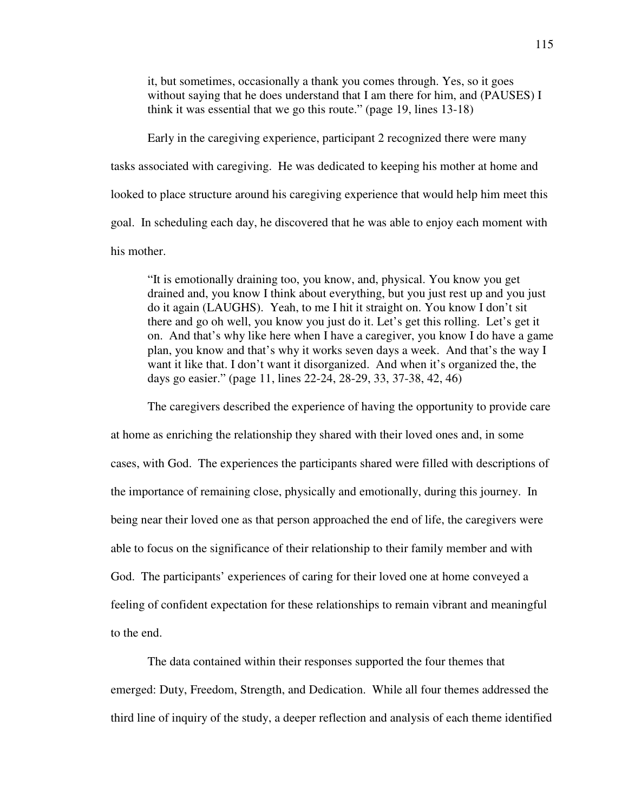it, but sometimes, occasionally a thank you comes through. Yes, so it goes without saying that he does understand that I am there for him, and (PAUSES) I think it was essential that we go this route." (page 19, lines 13-18)

 Early in the caregiving experience, participant 2 recognized there were many tasks associated with caregiving. He was dedicated to keeping his mother at home and looked to place structure around his caregiving experience that would help him meet this goal. In scheduling each day, he discovered that he was able to enjoy each moment with his mother.

"It is emotionally draining too, you know, and, physical. You know you get drained and, you know I think about everything, but you just rest up and you just do it again (LAUGHS). Yeah, to me I hit it straight on. You know I don't sit there and go oh well, you know you just do it. Let's get this rolling. Let's get it on. And that's why like here when I have a caregiver, you know I do have a game plan, you know and that's why it works seven days a week. And that's the way I want it like that. I don't want it disorganized. And when it's organized the, the days go easier." (page 11, lines 22-24, 28-29, 33, 37-38, 42, 46)

The caregivers described the experience of having the opportunity to provide care

at home as enriching the relationship they shared with their loved ones and, in some cases, with God. The experiences the participants shared were filled with descriptions of the importance of remaining close, physically and emotionally, during this journey. In being near their loved one as that person approached the end of life, the caregivers were able to focus on the significance of their relationship to their family member and with God. The participants' experiences of caring for their loved one at home conveyed a feeling of confident expectation for these relationships to remain vibrant and meaningful to the end.

The data contained within their responses supported the four themes that emerged: Duty, Freedom, Strength, and Dedication. While all four themes addressed the third line of inquiry of the study, a deeper reflection and analysis of each theme identified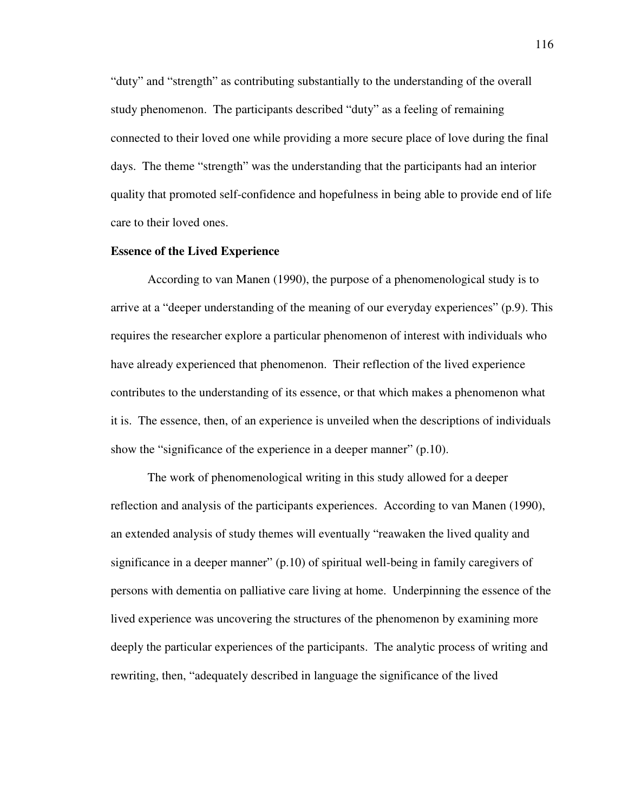"duty" and "strength" as contributing substantially to the understanding of the overall study phenomenon. The participants described "duty" as a feeling of remaining connected to their loved one while providing a more secure place of love during the final days. The theme "strength" was the understanding that the participants had an interior quality that promoted self-confidence and hopefulness in being able to provide end of life care to their loved ones.

## **Essence of the Lived Experience**

According to van Manen (1990), the purpose of a phenomenological study is to arrive at a "deeper understanding of the meaning of our everyday experiences" (p.9). This requires the researcher explore a particular phenomenon of interest with individuals who have already experienced that phenomenon. Their reflection of the lived experience contributes to the understanding of its essence, or that which makes a phenomenon what it is. The essence, then, of an experience is unveiled when the descriptions of individuals show the "significance of the experience in a deeper manner" (p.10).

The work of phenomenological writing in this study allowed for a deeper reflection and analysis of the participants experiences. According to van Manen (1990), an extended analysis of study themes will eventually "reawaken the lived quality and significance in a deeper manner" (p.10) of spiritual well-being in family caregivers of persons with dementia on palliative care living at home. Underpinning the essence of the lived experience was uncovering the structures of the phenomenon by examining more deeply the particular experiences of the participants. The analytic process of writing and rewriting, then, "adequately described in language the significance of the lived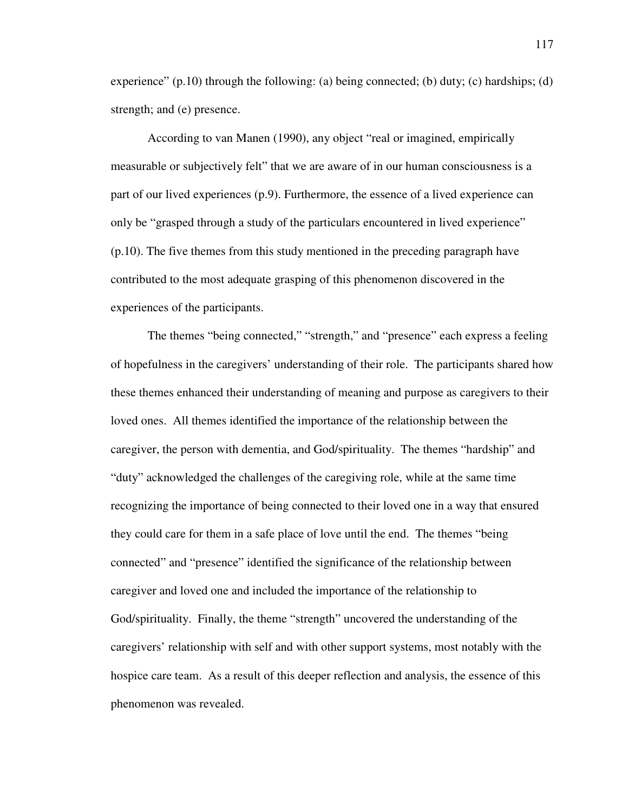experience"  $(p.10)$  through the following: (a) being connected; (b) duty; (c) hardships; (d) strength; and (e) presence.

According to van Manen (1990), any object "real or imagined, empirically measurable or subjectively felt" that we are aware of in our human consciousness is a part of our lived experiences (p.9). Furthermore, the essence of a lived experience can only be "grasped through a study of the particulars encountered in lived experience" (p.10). The five themes from this study mentioned in the preceding paragraph have contributed to the most adequate grasping of this phenomenon discovered in the experiences of the participants.

The themes "being connected," "strength," and "presence" each express a feeling of hopefulness in the caregivers' understanding of their role. The participants shared how these themes enhanced their understanding of meaning and purpose as caregivers to their loved ones. All themes identified the importance of the relationship between the caregiver, the person with dementia, and God/spirituality. The themes "hardship" and "duty" acknowledged the challenges of the caregiving role, while at the same time recognizing the importance of being connected to their loved one in a way that ensured they could care for them in a safe place of love until the end. The themes "being connected" and "presence" identified the significance of the relationship between caregiver and loved one and included the importance of the relationship to God/spirituality. Finally, the theme "strength" uncovered the understanding of the caregivers' relationship with self and with other support systems, most notably with the hospice care team. As a result of this deeper reflection and analysis, the essence of this phenomenon was revealed.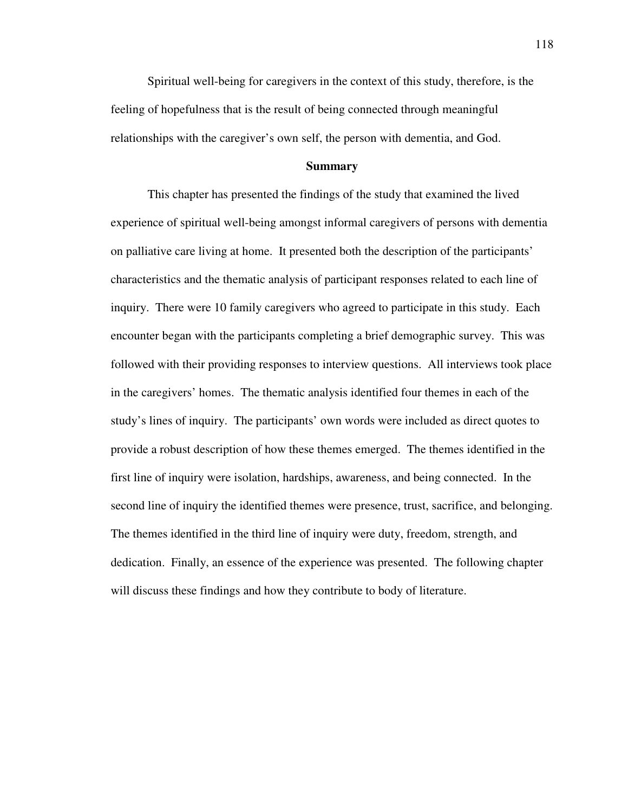Spiritual well-being for caregivers in the context of this study, therefore, is the feeling of hopefulness that is the result of being connected through meaningful relationships with the caregiver's own self, the person with dementia, and God.

#### **Summary**

 This chapter has presented the findings of the study that examined the lived experience of spiritual well-being amongst informal caregivers of persons with dementia on palliative care living at home. It presented both the description of the participants' characteristics and the thematic analysis of participant responses related to each line of inquiry. There were 10 family caregivers who agreed to participate in this study. Each encounter began with the participants completing a brief demographic survey. This was followed with their providing responses to interview questions. All interviews took place in the caregivers' homes. The thematic analysis identified four themes in each of the study's lines of inquiry. The participants' own words were included as direct quotes to provide a robust description of how these themes emerged. The themes identified in the first line of inquiry were isolation, hardships, awareness, and being connected. In the second line of inquiry the identified themes were presence, trust, sacrifice, and belonging. The themes identified in the third line of inquiry were duty, freedom, strength, and dedication. Finally, an essence of the experience was presented. The following chapter will discuss these findings and how they contribute to body of literature.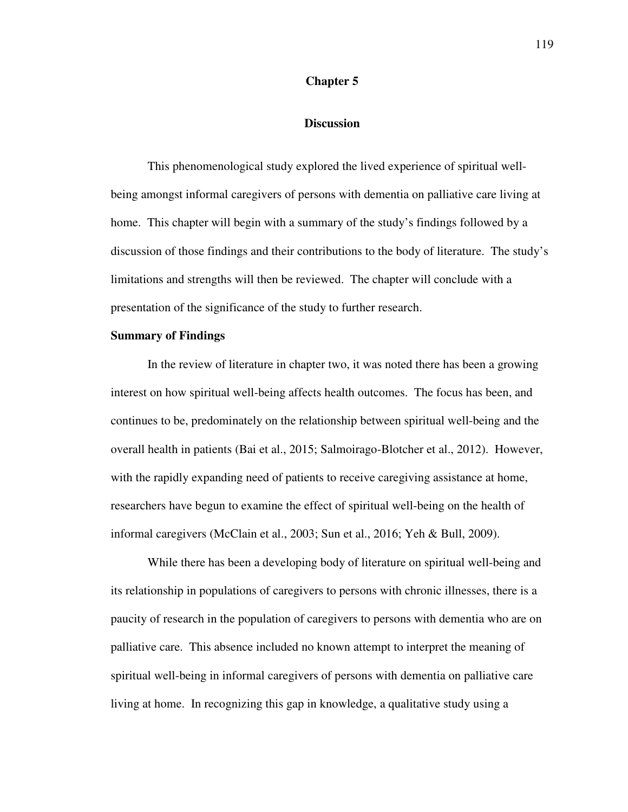# **Chapter 5**

# **Discussion**

 This phenomenological study explored the lived experience of spiritual wellbeing amongst informal caregivers of persons with dementia on palliative care living at home. This chapter will begin with a summary of the study's findings followed by a discussion of those findings and their contributions to the body of literature. The study's limitations and strengths will then be reviewed. The chapter will conclude with a presentation of the significance of the study to further research.

#### **Summary of Findings**

 In the review of literature in chapter two, it was noted there has been a growing interest on how spiritual well-being affects health outcomes. The focus has been, and continues to be, predominately on the relationship between spiritual well-being and the overall health in patients (Bai et al., 2015; Salmoirago-Blotcher et al., 2012). However, with the rapidly expanding need of patients to receive caregiving assistance at home, researchers have begun to examine the effect of spiritual well-being on the health of informal caregivers (McClain et al., 2003; Sun et al., 2016; Yeh & Bull, 2009).

While there has been a developing body of literature on spiritual well-being and its relationship in populations of caregivers to persons with chronic illnesses, there is a paucity of research in the population of caregivers to persons with dementia who are on palliative care. This absence included no known attempt to interpret the meaning of spiritual well-being in informal caregivers of persons with dementia on palliative care living at home. In recognizing this gap in knowledge, a qualitative study using a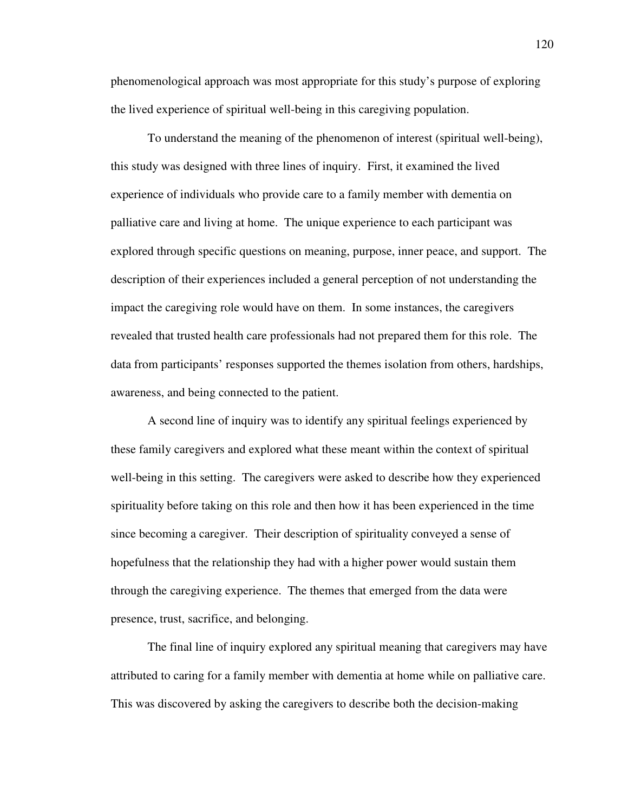phenomenological approach was most appropriate for this study's purpose of exploring the lived experience of spiritual well-being in this caregiving population.

 To understand the meaning of the phenomenon of interest (spiritual well-being), this study was designed with three lines of inquiry. First, it examined the lived experience of individuals who provide care to a family member with dementia on palliative care and living at home. The unique experience to each participant was explored through specific questions on meaning, purpose, inner peace, and support. The description of their experiences included a general perception of not understanding the impact the caregiving role would have on them. In some instances, the caregivers revealed that trusted health care professionals had not prepared them for this role. The data from participants' responses supported the themes isolation from others, hardships, awareness, and being connected to the patient.

A second line of inquiry was to identify any spiritual feelings experienced by these family caregivers and explored what these meant within the context of spiritual well-being in this setting. The caregivers were asked to describe how they experienced spirituality before taking on this role and then how it has been experienced in the time since becoming a caregiver. Their description of spirituality conveyed a sense of hopefulness that the relationship they had with a higher power would sustain them through the caregiving experience. The themes that emerged from the data were presence, trust, sacrifice, and belonging.

The final line of inquiry explored any spiritual meaning that caregivers may have attributed to caring for a family member with dementia at home while on palliative care. This was discovered by asking the caregivers to describe both the decision-making

120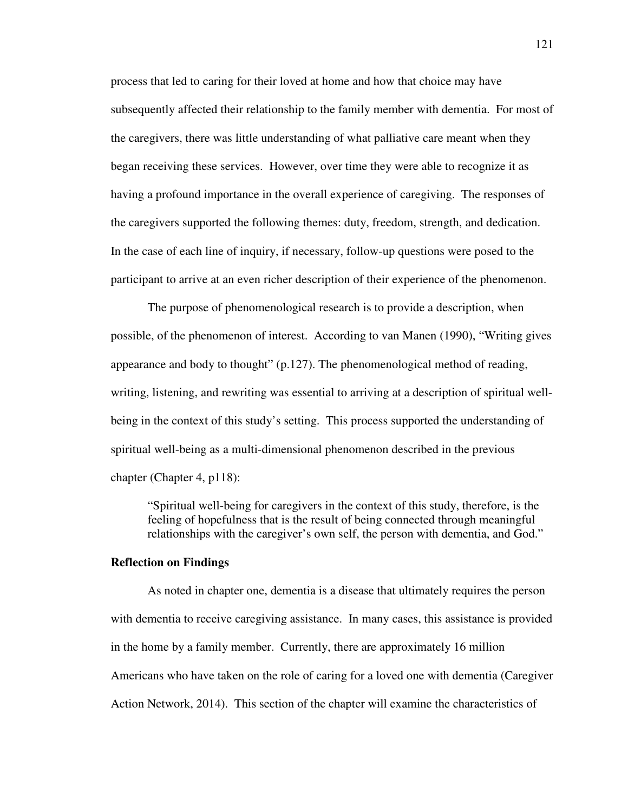process that led to caring for their loved at home and how that choice may have subsequently affected their relationship to the family member with dementia. For most of the caregivers, there was little understanding of what palliative care meant when they began receiving these services. However, over time they were able to recognize it as having a profound importance in the overall experience of caregiving. The responses of the caregivers supported the following themes: duty, freedom, strength, and dedication. In the case of each line of inquiry, if necessary, follow-up questions were posed to the participant to arrive at an even richer description of their experience of the phenomenon.

The purpose of phenomenological research is to provide a description, when possible, of the phenomenon of interest. According to van Manen (1990), "Writing gives appearance and body to thought" (p.127). The phenomenological method of reading, writing, listening, and rewriting was essential to arriving at a description of spiritual wellbeing in the context of this study's setting. This process supported the understanding of spiritual well-being as a multi-dimensional phenomenon described in the previous chapter (Chapter 4, p118):

"Spiritual well-being for caregivers in the context of this study, therefore, is the feeling of hopefulness that is the result of being connected through meaningful relationships with the caregiver's own self, the person with dementia, and God."

# **Reflection on Findings**

 As noted in chapter one, dementia is a disease that ultimately requires the person with dementia to receive caregiving assistance. In many cases, this assistance is provided in the home by a family member. Currently, there are approximately 16 million Americans who have taken on the role of caring for a loved one with dementia (Caregiver Action Network, 2014). This section of the chapter will examine the characteristics of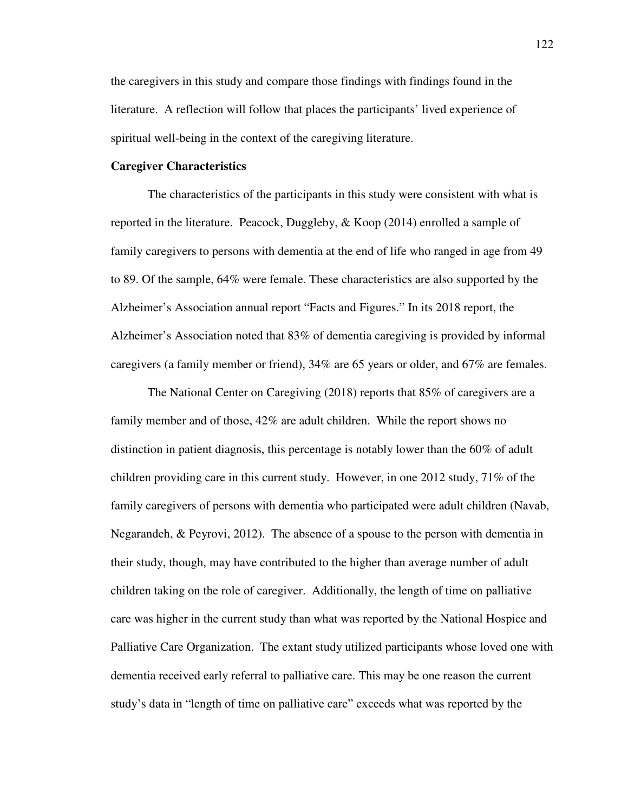the caregivers in this study and compare those findings with findings found in the literature. A reflection will follow that places the participants' lived experience of spiritual well-being in the context of the caregiving literature.

## **Caregiver Characteristics**

The characteristics of the participants in this study were consistent with what is reported in the literature. Peacock, Duggleby, & Koop (2014) enrolled a sample of family caregivers to persons with dementia at the end of life who ranged in age from 49 to 89. Of the sample, 64% were female. These characteristics are also supported by the Alzheimer's Association annual report "Facts and Figures." In its 2018 report, the Alzheimer's Association noted that 83% of dementia caregiving is provided by informal caregivers (a family member or friend), 34% are 65 years or older, and 67% are females.

The National Center on Caregiving (2018) reports that 85% of caregivers are a family member and of those, 42% are adult children. While the report shows no distinction in patient diagnosis, this percentage is notably lower than the 60% of adult children providing care in this current study. However, in one 2012 study, 71% of the family caregivers of persons with dementia who participated were adult children (Navab, Negarandeh, & Peyrovi, 2012). The absence of a spouse to the person with dementia in their study, though, may have contributed to the higher than average number of adult children taking on the role of caregiver. Additionally, the length of time on palliative care was higher in the current study than what was reported by the National Hospice and Palliative Care Organization. The extant study utilized participants whose loved one with dementia received early referral to palliative care. This may be one reason the current study's data in "length of time on palliative care" exceeds what was reported by the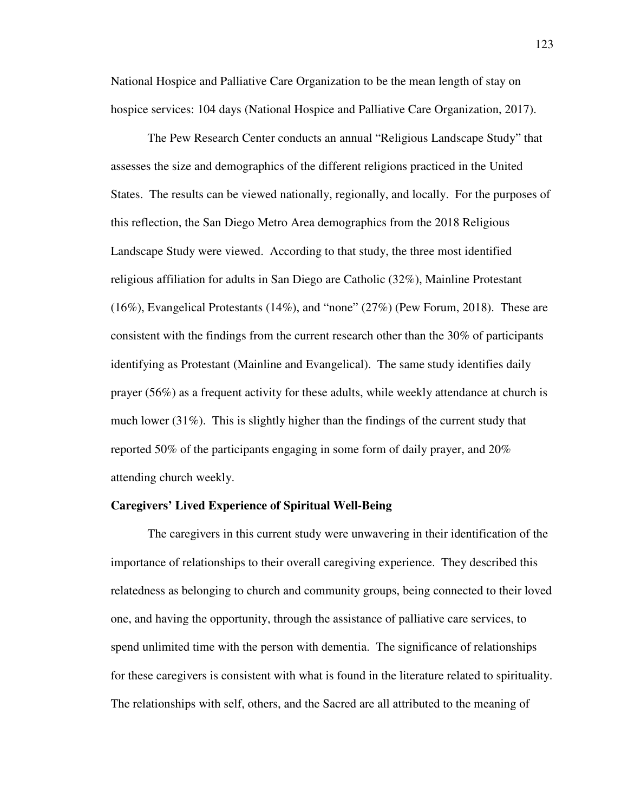National Hospice and Palliative Care Organization to be the mean length of stay on hospice services: 104 days (National Hospice and Palliative Care Organization, 2017).

The Pew Research Center conducts an annual "Religious Landscape Study" that assesses the size and demographics of the different religions practiced in the United States. The results can be viewed nationally, regionally, and locally. For the purposes of this reflection, the San Diego Metro Area demographics from the 2018 Religious Landscape Study were viewed. According to that study, the three most identified religious affiliation for adults in San Diego are Catholic (32%), Mainline Protestant (16%), Evangelical Protestants (14%), and "none" (27%) (Pew Forum, 2018). These are consistent with the findings from the current research other than the 30% of participants identifying as Protestant (Mainline and Evangelical). The same study identifies daily prayer (56%) as a frequent activity for these adults, while weekly attendance at church is much lower (31%). This is slightly higher than the findings of the current study that reported 50% of the participants engaging in some form of daily prayer, and 20% attending church weekly.

#### **Caregivers' Lived Experience of Spiritual Well-Being**

 The caregivers in this current study were unwavering in their identification of the importance of relationships to their overall caregiving experience. They described this relatedness as belonging to church and community groups, being connected to their loved one, and having the opportunity, through the assistance of palliative care services, to spend unlimited time with the person with dementia. The significance of relationships for these caregivers is consistent with what is found in the literature related to spirituality. The relationships with self, others, and the Sacred are all attributed to the meaning of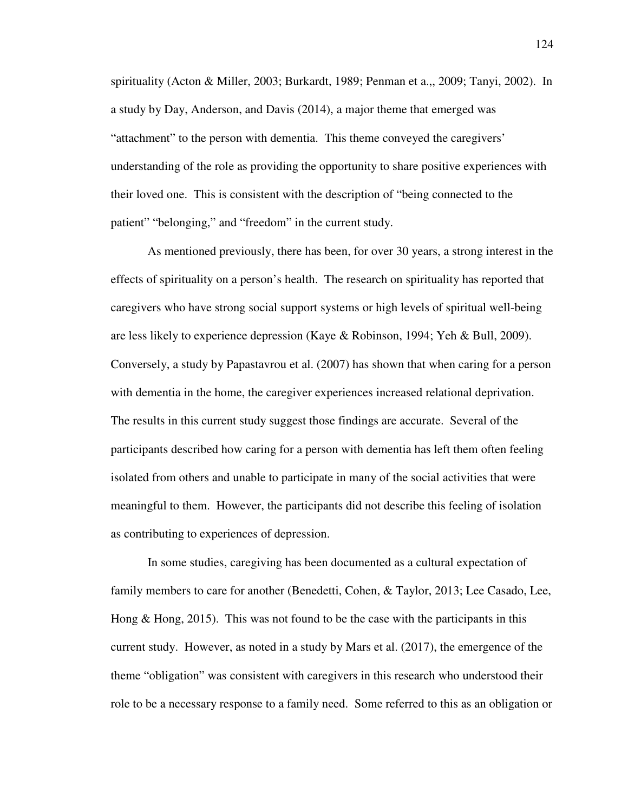spirituality (Acton & Miller, 2003; Burkardt, 1989; Penman et a.,, 2009; Tanyi, 2002). In a study by Day, Anderson, and Davis (2014), a major theme that emerged was "attachment" to the person with dementia. This theme conveyed the caregivers' understanding of the role as providing the opportunity to share positive experiences with their loved one. This is consistent with the description of "being connected to the patient" "belonging," and "freedom" in the current study.

 As mentioned previously, there has been, for over 30 years, a strong interest in the effects of spirituality on a person's health. The research on spirituality has reported that caregivers who have strong social support systems or high levels of spiritual well-being are less likely to experience depression (Kaye & Robinson, 1994; Yeh & Bull, 2009). Conversely, a study by Papastavrou et al. (2007) has shown that when caring for a person with dementia in the home, the caregiver experiences increased relational deprivation. The results in this current study suggest those findings are accurate. Several of the participants described how caring for a person with dementia has left them often feeling isolated from others and unable to participate in many of the social activities that were meaningful to them. However, the participants did not describe this feeling of isolation as contributing to experiences of depression.

 In some studies, caregiving has been documented as a cultural expectation of family members to care for another (Benedetti, Cohen, & Taylor, 2013; Lee Casado, Lee, Hong & Hong, 2015). This was not found to be the case with the participants in this current study. However, as noted in a study by Mars et al. (2017), the emergence of the theme "obligation" was consistent with caregivers in this research who understood their role to be a necessary response to a family need. Some referred to this as an obligation or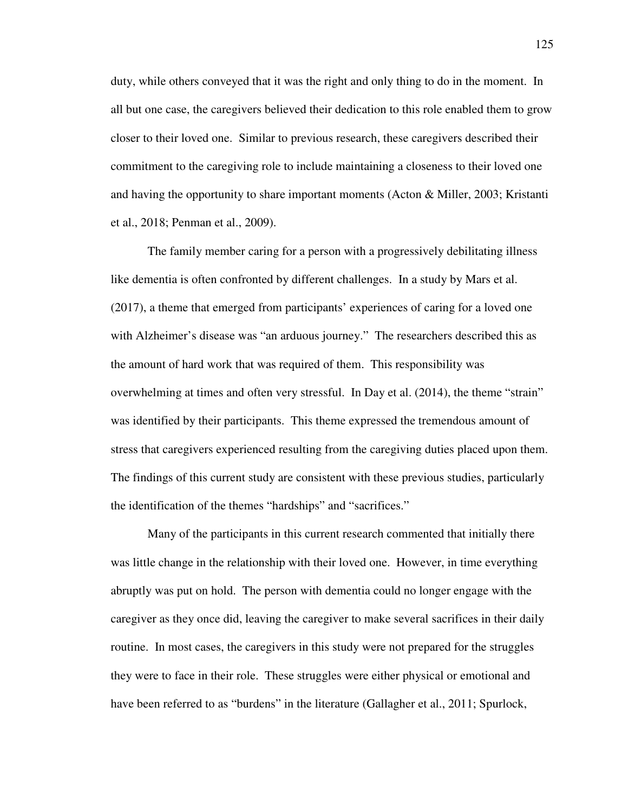duty, while others conveyed that it was the right and only thing to do in the moment. In all but one case, the caregivers believed their dedication to this role enabled them to grow closer to their loved one. Similar to previous research, these caregivers described their commitment to the caregiving role to include maintaining a closeness to their loved one and having the opportunity to share important moments (Acton & Miller, 2003; Kristanti et al., 2018; Penman et al., 2009).

 The family member caring for a person with a progressively debilitating illness like dementia is often confronted by different challenges. In a study by Mars et al. (2017), a theme that emerged from participants' experiences of caring for a loved one with Alzheimer's disease was "an arduous journey." The researchers described this as the amount of hard work that was required of them. This responsibility was overwhelming at times and often very stressful. In Day et al. (2014), the theme "strain" was identified by their participants. This theme expressed the tremendous amount of stress that caregivers experienced resulting from the caregiving duties placed upon them. The findings of this current study are consistent with these previous studies, particularly the identification of the themes "hardships" and "sacrifices."

Many of the participants in this current research commented that initially there was little change in the relationship with their loved one. However, in time everything abruptly was put on hold. The person with dementia could no longer engage with the caregiver as they once did, leaving the caregiver to make several sacrifices in their daily routine. In most cases, the caregivers in this study were not prepared for the struggles they were to face in their role. These struggles were either physical or emotional and have been referred to as "burdens" in the literature (Gallagher et al., 2011; Spurlock,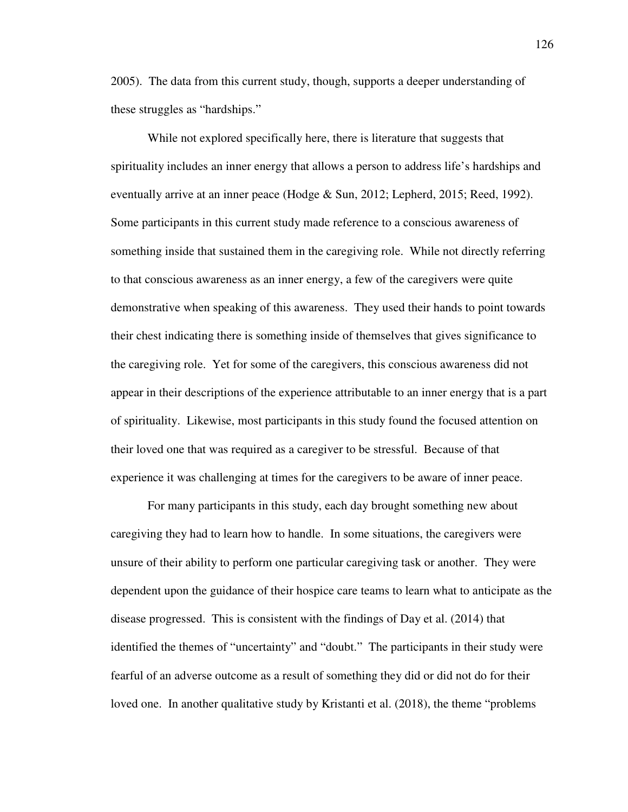2005). The data from this current study, though, supports a deeper understanding of these struggles as "hardships."

While not explored specifically here, there is literature that suggests that spirituality includes an inner energy that allows a person to address life's hardships and eventually arrive at an inner peace (Hodge & Sun, 2012; Lepherd, 2015; Reed, 1992). Some participants in this current study made reference to a conscious awareness of something inside that sustained them in the caregiving role. While not directly referring to that conscious awareness as an inner energy, a few of the caregivers were quite demonstrative when speaking of this awareness. They used their hands to point towards their chest indicating there is something inside of themselves that gives significance to the caregiving role. Yet for some of the caregivers, this conscious awareness did not appear in their descriptions of the experience attributable to an inner energy that is a part of spirituality. Likewise, most participants in this study found the focused attention on their loved one that was required as a caregiver to be stressful. Because of that experience it was challenging at times for the caregivers to be aware of inner peace.

For many participants in this study, each day brought something new about caregiving they had to learn how to handle. In some situations, the caregivers were unsure of their ability to perform one particular caregiving task or another. They were dependent upon the guidance of their hospice care teams to learn what to anticipate as the disease progressed. This is consistent with the findings of Day et al. (2014) that identified the themes of "uncertainty" and "doubt." The participants in their study were fearful of an adverse outcome as a result of something they did or did not do for their loved one. In another qualitative study by Kristanti et al. (2018), the theme "problems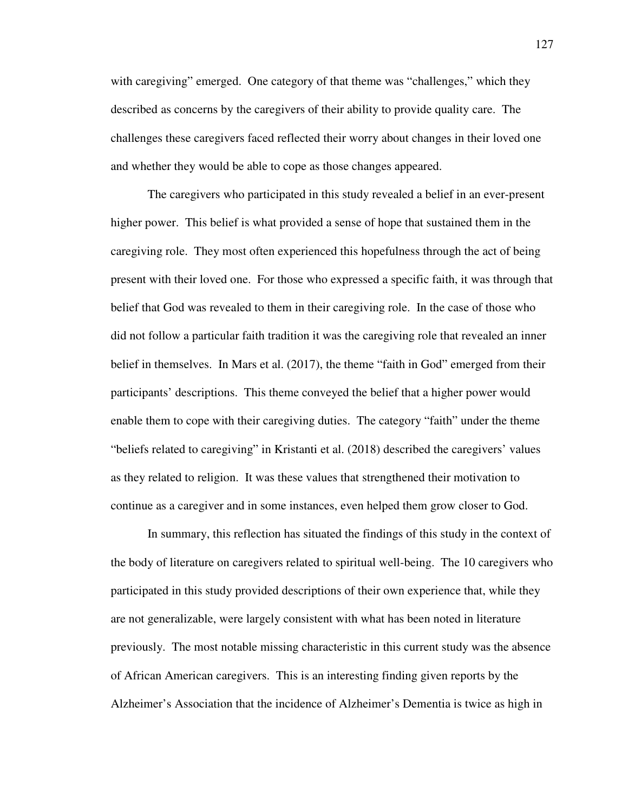with caregiving" emerged. One category of that theme was "challenges," which they described as concerns by the caregivers of their ability to provide quality care. The challenges these caregivers faced reflected their worry about changes in their loved one and whether they would be able to cope as those changes appeared.

The caregivers who participated in this study revealed a belief in an ever-present higher power. This belief is what provided a sense of hope that sustained them in the caregiving role. They most often experienced this hopefulness through the act of being present with their loved one. For those who expressed a specific faith, it was through that belief that God was revealed to them in their caregiving role. In the case of those who did not follow a particular faith tradition it was the caregiving role that revealed an inner belief in themselves. In Mars et al. (2017), the theme "faith in God" emerged from their participants' descriptions. This theme conveyed the belief that a higher power would enable them to cope with their caregiving duties. The category "faith" under the theme "beliefs related to caregiving" in Kristanti et al. (2018) described the caregivers' values as they related to religion. It was these values that strengthened their motivation to continue as a caregiver and in some instances, even helped them grow closer to God.

In summary, this reflection has situated the findings of this study in the context of the body of literature on caregivers related to spiritual well-being. The 10 caregivers who participated in this study provided descriptions of their own experience that, while they are not generalizable, were largely consistent with what has been noted in literature previously. The most notable missing characteristic in this current study was the absence of African American caregivers. This is an interesting finding given reports by the Alzheimer's Association that the incidence of Alzheimer's Dementia is twice as high in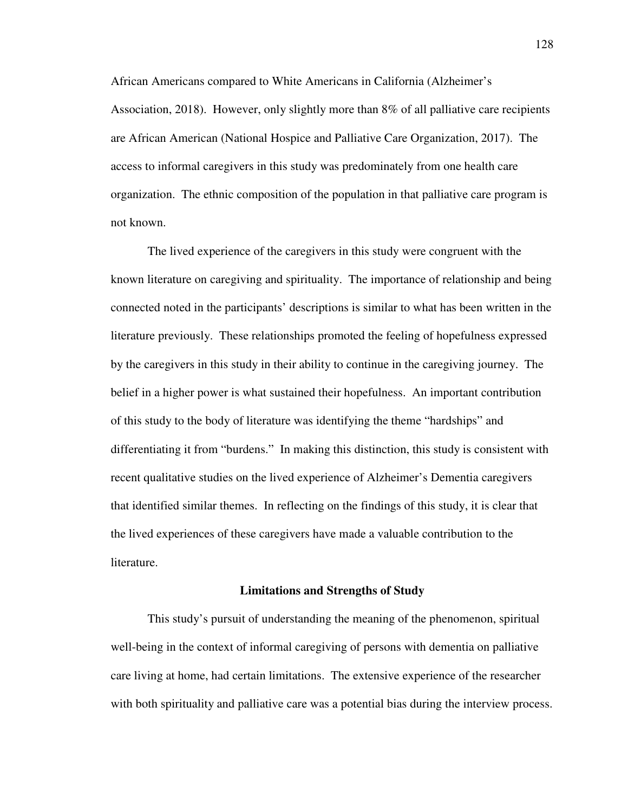African Americans compared to White Americans in California (Alzheimer's Association, 2018). However, only slightly more than 8% of all palliative care recipients are African American (National Hospice and Palliative Care Organization, 2017). The access to informal caregivers in this study was predominately from one health care organization. The ethnic composition of the population in that palliative care program is not known.

The lived experience of the caregivers in this study were congruent with the known literature on caregiving and spirituality. The importance of relationship and being connected noted in the participants' descriptions is similar to what has been written in the literature previously. These relationships promoted the feeling of hopefulness expressed by the caregivers in this study in their ability to continue in the caregiving journey. The belief in a higher power is what sustained their hopefulness. An important contribution of this study to the body of literature was identifying the theme "hardships" and differentiating it from "burdens." In making this distinction, this study is consistent with recent qualitative studies on the lived experience of Alzheimer's Dementia caregivers that identified similar themes. In reflecting on the findings of this study, it is clear that the lived experiences of these caregivers have made a valuable contribution to the literature.

#### **Limitations and Strengths of Study**

 This study's pursuit of understanding the meaning of the phenomenon, spiritual well-being in the context of informal caregiving of persons with dementia on palliative care living at home, had certain limitations. The extensive experience of the researcher with both spirituality and palliative care was a potential bias during the interview process.

128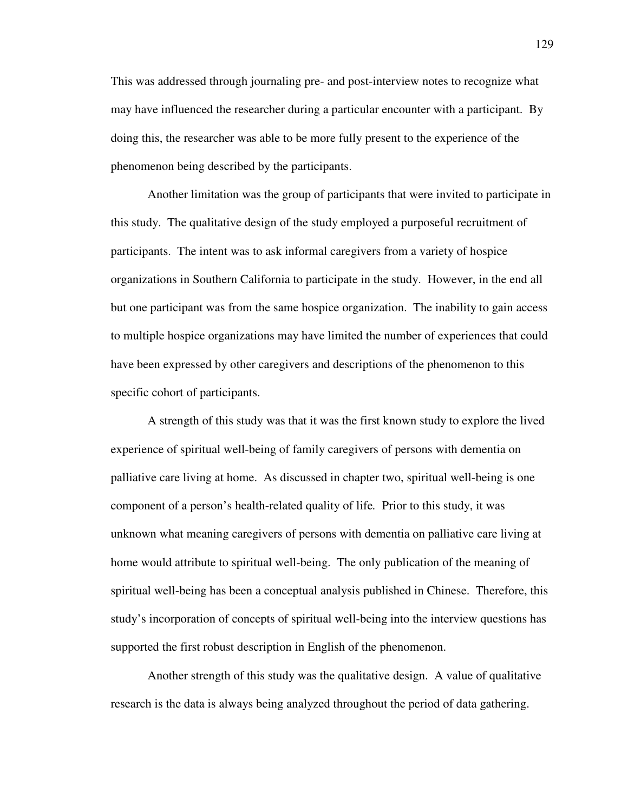This was addressed through journaling pre- and post-interview notes to recognize what may have influenced the researcher during a particular encounter with a participant. By doing this, the researcher was able to be more fully present to the experience of the phenomenon being described by the participants.

 Another limitation was the group of participants that were invited to participate in this study. The qualitative design of the study employed a purposeful recruitment of participants. The intent was to ask informal caregivers from a variety of hospice organizations in Southern California to participate in the study. However, in the end all but one participant was from the same hospice organization. The inability to gain access to multiple hospice organizations may have limited the number of experiences that could have been expressed by other caregivers and descriptions of the phenomenon to this specific cohort of participants.

 A strength of this study was that it was the first known study to explore the lived experience of spiritual well-being of family caregivers of persons with dementia on palliative care living at home. As discussed in chapter two, spiritual well-being is one component of a person's health-related quality of life*.* Prior to this study, it was unknown what meaning caregivers of persons with dementia on palliative care living at home would attribute to spiritual well-being. The only publication of the meaning of spiritual well-being has been a conceptual analysis published in Chinese. Therefore, this study's incorporation of concepts of spiritual well-being into the interview questions has supported the first robust description in English of the phenomenon.

 Another strength of this study was the qualitative design. A value of qualitative research is the data is always being analyzed throughout the period of data gathering.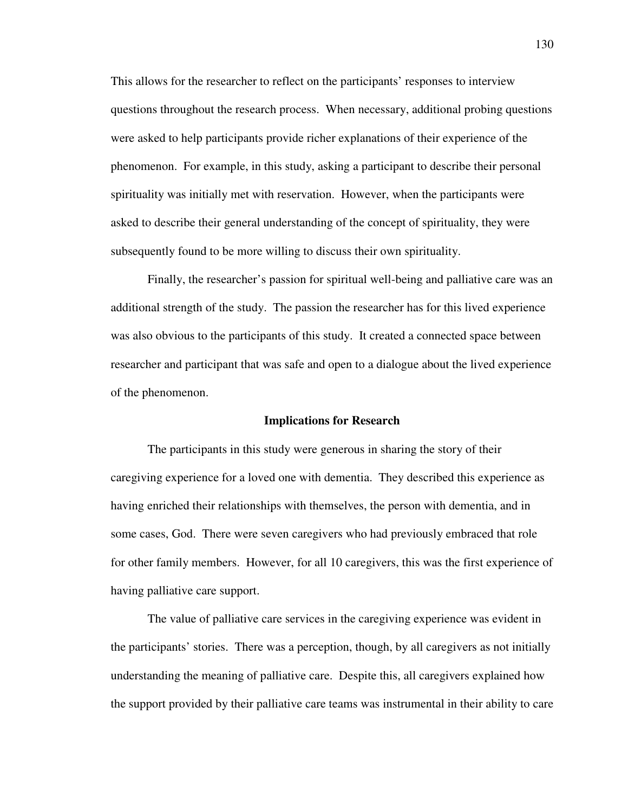This allows for the researcher to reflect on the participants' responses to interview questions throughout the research process. When necessary, additional probing questions were asked to help participants provide richer explanations of their experience of the phenomenon. For example, in this study, asking a participant to describe their personal spirituality was initially met with reservation. However, when the participants were asked to describe their general understanding of the concept of spirituality, they were subsequently found to be more willing to discuss their own spirituality.

 Finally, the researcher's passion for spiritual well-being and palliative care was an additional strength of the study. The passion the researcher has for this lived experience was also obvious to the participants of this study. It created a connected space between researcher and participant that was safe and open to a dialogue about the lived experience of the phenomenon.

#### **Implications for Research**

 The participants in this study were generous in sharing the story of their caregiving experience for a loved one with dementia. They described this experience as having enriched their relationships with themselves, the person with dementia, and in some cases, God. There were seven caregivers who had previously embraced that role for other family members. However, for all 10 caregivers, this was the first experience of having palliative care support.

The value of palliative care services in the caregiving experience was evident in the participants' stories. There was a perception, though, by all caregivers as not initially understanding the meaning of palliative care. Despite this, all caregivers explained how the support provided by their palliative care teams was instrumental in their ability to care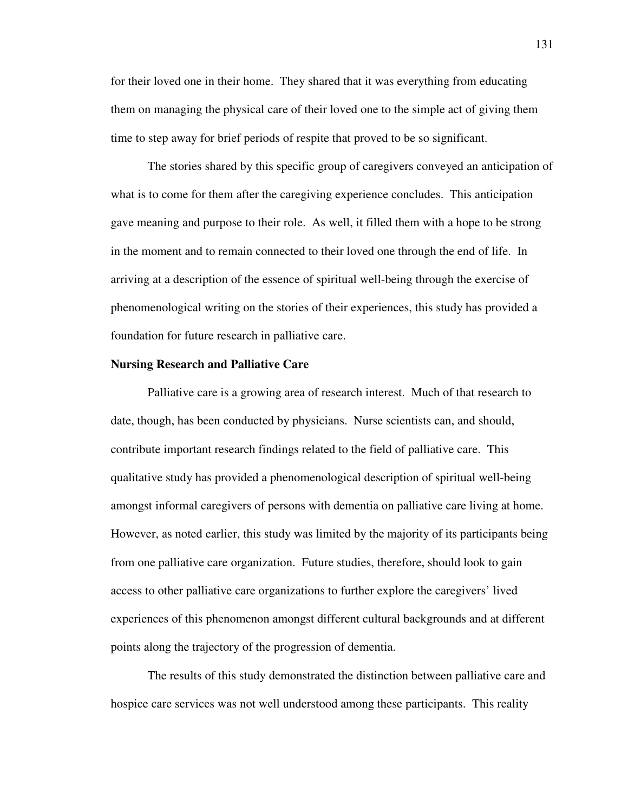for their loved one in their home. They shared that it was everything from educating them on managing the physical care of their loved one to the simple act of giving them time to step away for brief periods of respite that proved to be so significant.

The stories shared by this specific group of caregivers conveyed an anticipation of what is to come for them after the caregiving experience concludes. This anticipation gave meaning and purpose to their role. As well, it filled them with a hope to be strong in the moment and to remain connected to their loved one through the end of life. In arriving at a description of the essence of spiritual well-being through the exercise of phenomenological writing on the stories of their experiences, this study has provided a foundation for future research in palliative care.

#### **Nursing Research and Palliative Care**

Palliative care is a growing area of research interest. Much of that research to date, though, has been conducted by physicians. Nurse scientists can, and should, contribute important research findings related to the field of palliative care. This qualitative study has provided a phenomenological description of spiritual well-being amongst informal caregivers of persons with dementia on palliative care living at home. However, as noted earlier, this study was limited by the majority of its participants being from one palliative care organization. Future studies, therefore, should look to gain access to other palliative care organizations to further explore the caregivers' lived experiences of this phenomenon amongst different cultural backgrounds and at different points along the trajectory of the progression of dementia.

The results of this study demonstrated the distinction between palliative care and hospice care services was not well understood among these participants. This reality

131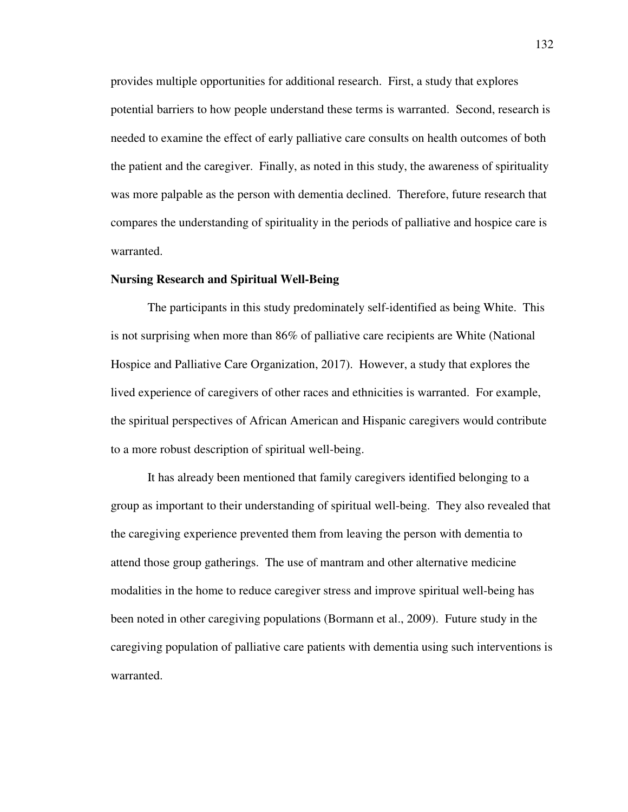provides multiple opportunities for additional research. First, a study that explores potential barriers to how people understand these terms is warranted. Second, research is needed to examine the effect of early palliative care consults on health outcomes of both the patient and the caregiver. Finally, as noted in this study, the awareness of spirituality was more palpable as the person with dementia declined. Therefore, future research that compares the understanding of spirituality in the periods of palliative and hospice care is warranted.

#### **Nursing Research and Spiritual Well-Being**

The participants in this study predominately self-identified as being White. This is not surprising when more than 86% of palliative care recipients are White (National Hospice and Palliative Care Organization, 2017). However, a study that explores the lived experience of caregivers of other races and ethnicities is warranted. For example, the spiritual perspectives of African American and Hispanic caregivers would contribute to a more robust description of spiritual well-being.

It has already been mentioned that family caregivers identified belonging to a group as important to their understanding of spiritual well-being. They also revealed that the caregiving experience prevented them from leaving the person with dementia to attend those group gatherings. The use of mantram and other alternative medicine modalities in the home to reduce caregiver stress and improve spiritual well-being has been noted in other caregiving populations (Bormann et al., 2009). Future study in the caregiving population of palliative care patients with dementia using such interventions is warranted.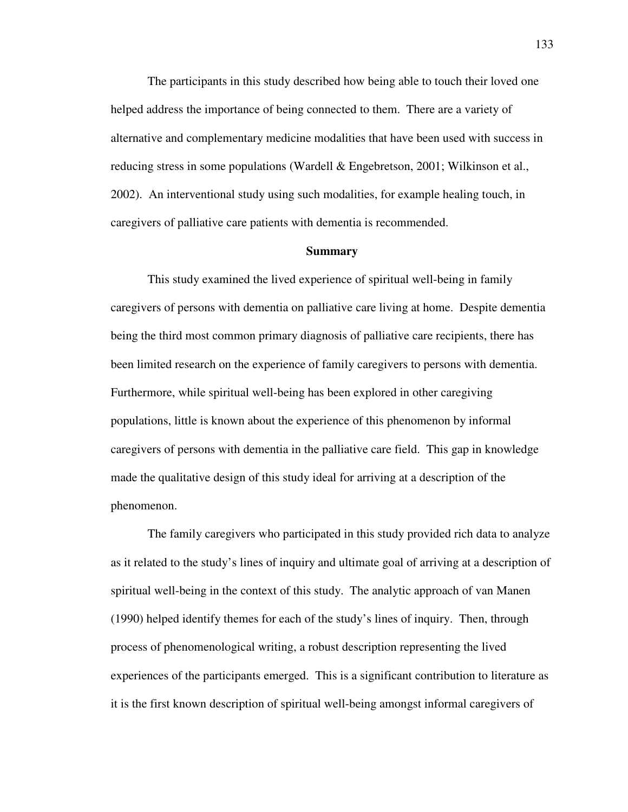The participants in this study described how being able to touch their loved one helped address the importance of being connected to them. There are a variety of alternative and complementary medicine modalities that have been used with success in reducing stress in some populations (Wardell & Engebretson, 2001; Wilkinson et al., 2002). An interventional study using such modalities, for example healing touch, in caregivers of palliative care patients with dementia is recommended.

#### **Summary**

 This study examined the lived experience of spiritual well-being in family caregivers of persons with dementia on palliative care living at home. Despite dementia being the third most common primary diagnosis of palliative care recipients, there has been limited research on the experience of family caregivers to persons with dementia. Furthermore, while spiritual well-being has been explored in other caregiving populations, little is known about the experience of this phenomenon by informal caregivers of persons with dementia in the palliative care field. This gap in knowledge made the qualitative design of this study ideal for arriving at a description of the phenomenon.

The family caregivers who participated in this study provided rich data to analyze as it related to the study's lines of inquiry and ultimate goal of arriving at a description of spiritual well-being in the context of this study. The analytic approach of van Manen (1990) helped identify themes for each of the study's lines of inquiry. Then, through process of phenomenological writing, a robust description representing the lived experiences of the participants emerged. This is a significant contribution to literature as it is the first known description of spiritual well-being amongst informal caregivers of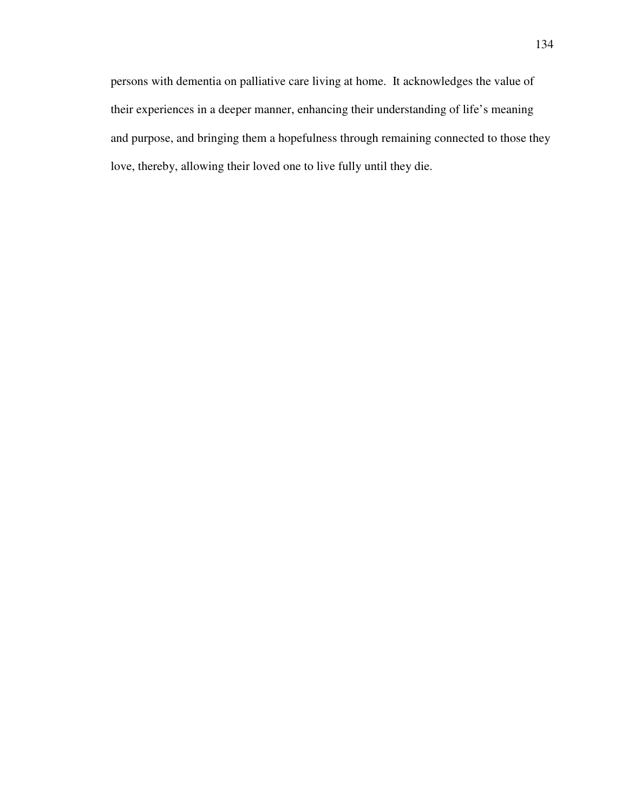persons with dementia on palliative care living at home. It acknowledges the value of their experiences in a deeper manner, enhancing their understanding of life's meaning and purpose, and bringing them a hopefulness through remaining connected to those they love, thereby, allowing their loved one to live fully until they die.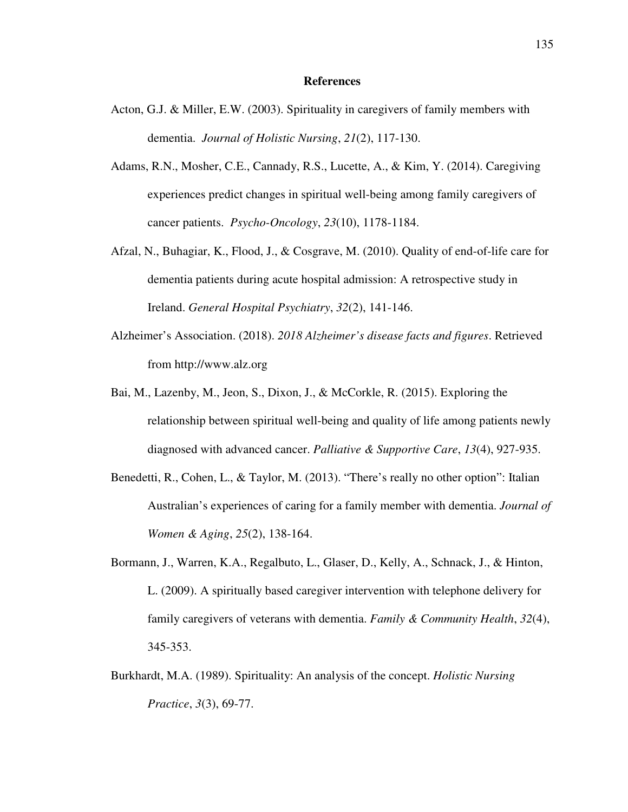#### **References**

- Acton, G.J. & Miller, E.W. (2003). Spirituality in caregivers of family members with dementia. *Journal of Holistic Nursing*, *21*(2), 117-130.
- Adams, R.N., Mosher, C.E., Cannady, R.S., Lucette, A., & Kim, Y. (2014). Caregiving experiences predict changes in spiritual well-being among family caregivers of cancer patients. *Psycho-Oncology*, *23*(10), 1178-1184.
- Afzal, N., Buhagiar, K., Flood, J., & Cosgrave, M. (2010). Quality of end-of-life care for dementia patients during acute hospital admission: A retrospective study in Ireland. *General Hospital Psychiatry*, *32*(2), 141-146.
- Alzheimer's Association. (2018). *2018 Alzheimer's disease facts and figures*. Retrieved from http://www.alz.org
- Bai, M., Lazenby, M., Jeon, S., Dixon, J., & McCorkle, R. (2015). Exploring the relationship between spiritual well-being and quality of life among patients newly diagnosed with advanced cancer. *Palliative & Supportive Care*, *13*(4), 927-935.
- Benedetti, R., Cohen, L., & Taylor, M. (2013). "There's really no other option": Italian Australian's experiences of caring for a family member with dementia. *Journal of Women & Aging*, *25*(2), 138-164.
- Bormann, J., Warren, K.A., Regalbuto, L., Glaser, D., Kelly, A., Schnack, J., & Hinton, L. (2009). A spiritually based caregiver intervention with telephone delivery for family caregivers of veterans with dementia. *Family & Community Health*, *32*(4), 345-353.
- Burkhardt, M.A. (1989). Spirituality: An analysis of the concept. *Holistic Nursing Practice*, *3*(3), 69-77.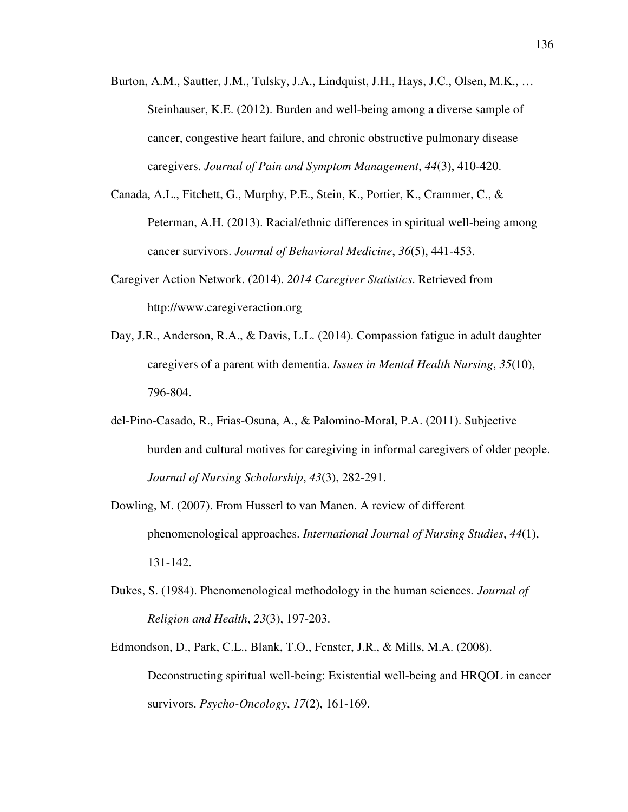- Burton, A.M., Sautter, J.M., Tulsky, J.A., Lindquist, J.H., Hays, J.C., Olsen, M.K., … Steinhauser, K.E. (2012). Burden and well-being among a diverse sample of cancer, congestive heart failure, and chronic obstructive pulmonary disease caregivers. *Journal of Pain and Symptom Management*, *44*(3), 410-420.
- Canada, A.L., Fitchett, G., Murphy, P.E., Stein, K., Portier, K., Crammer, C., & Peterman, A.H. (2013). Racial/ethnic differences in spiritual well-being among cancer survivors. *Journal of Behavioral Medicine*, *36*(5), 441-453.
- Caregiver Action Network. (2014). *2014 Caregiver Statistics*. Retrieved from http://www.caregiveraction.org
- Day, J.R., Anderson, R.A., & Davis, L.L. (2014). Compassion fatigue in adult daughter caregivers of a parent with dementia. *Issues in Mental Health Nursing*, *35*(10), 796-804.
- del-Pino-Casado, R., Frias-Osuna, A., & Palomino-Moral, P.A. (2011). Subjective burden and cultural motives for caregiving in informal caregivers of older people. *Journal of Nursing Scholarship*, *43*(3), 282-291.
- Dowling, M. (2007). From Husserl to van Manen. A review of different phenomenological approaches. *International Journal of Nursing Studies*, *44*(1), 131-142.
- Dukes, S. (1984). Phenomenological methodology in the human sciences*. Journal of Religion and Health*, *23*(3), 197-203.
- Edmondson, D., Park, C.L., Blank, T.O., Fenster, J.R., & Mills, M.A. (2008). Deconstructing spiritual well-being: Existential well-being and HRQOL in cancer survivors. *Psycho-Oncology*, *17*(2), 161-169.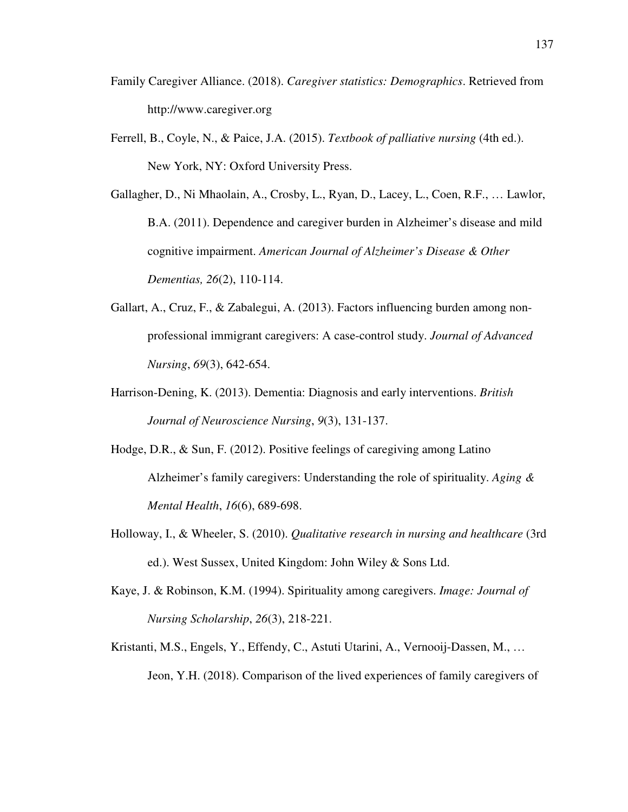- Family Caregiver Alliance. (2018). *Caregiver statistics: Demographics*. Retrieved from http://www.caregiver.org
- Ferrell, B., Coyle, N., & Paice, J.A. (2015). *Textbook of palliative nursing* (4th ed.). New York, NY: Oxford University Press.

Gallagher, D., Ni Mhaolain, A., Crosby, L., Ryan, D., Lacey, L., Coen, R.F., … Lawlor, B.A. (2011). Dependence and caregiver burden in Alzheimer's disease and mild cognitive impairment. *American Journal of Alzheimer's Disease & Other Dementias, 26*(2), 110-114.

- Gallart, A., Cruz, F., & Zabalegui, A. (2013). Factors influencing burden among nonprofessional immigrant caregivers: A case-control study. *Journal of Advanced Nursing*, *69*(3), 642-654.
- Harrison-Dening, K. (2013). Dementia: Diagnosis and early interventions. *British Journal of Neuroscience Nursing*, *9*(3), 131-137.
- Hodge, D.R., & Sun, F. (2012). Positive feelings of caregiving among Latino Alzheimer's family caregivers: Understanding the role of spirituality. *Aging & Mental Health*, *16*(6), 689-698.
- Holloway, I., & Wheeler, S. (2010). *Qualitative research in nursing and healthcare* (3rd ed.). West Sussex, United Kingdom: John Wiley & Sons Ltd.
- Kaye, J. & Robinson, K.M. (1994). Spirituality among caregivers. *Image: Journal of Nursing Scholarship*, *26*(3), 218-221.
- Kristanti, M.S., Engels, Y., Effendy, C., Astuti Utarini, A., Vernooij-Dassen, M., … Jeon, Y.H. (2018). Comparison of the lived experiences of family caregivers of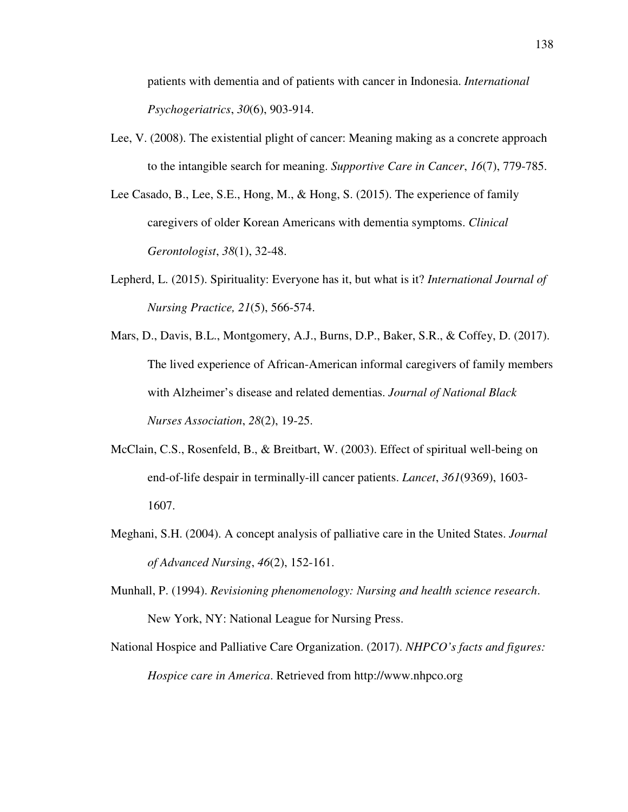patients with dementia and of patients with cancer in Indonesia. *International Psychogeriatrics*, *30*(6), 903-914.

- Lee, V. (2008). The existential plight of cancer: Meaning making as a concrete approach to the intangible search for meaning. *Supportive Care in Cancer*, *16*(7), 779-785.
- Lee Casado, B., Lee, S.E., Hong, M., & Hong, S. (2015). The experience of family caregivers of older Korean Americans with dementia symptoms. *Clinical Gerontologist*, *38*(1), 32-48.
- Lepherd, L. (2015). Spirituality: Everyone has it, but what is it? *International Journal of Nursing Practice, 21*(5), 566-574.
- Mars, D., Davis, B.L., Montgomery, A.J., Burns, D.P., Baker, S.R., & Coffey, D. (2017). The lived experience of African-American informal caregivers of family members with Alzheimer's disease and related dementias. *Journal of National Black Nurses Association*, *28*(2), 19-25.
- McClain, C.S., Rosenfeld, B., & Breitbart, W. (2003). Effect of spiritual well-being on end-of-life despair in terminally-ill cancer patients. *Lancet*, *361*(9369), 1603- 1607.
- Meghani, S.H. (2004). A concept analysis of palliative care in the United States. *Journal of Advanced Nursing*, *46*(2), 152-161.
- Munhall, P. (1994). *Revisioning phenomenology: Nursing and health science research*. New York, NY: National League for Nursing Press.
- National Hospice and Palliative Care Organization. (2017). *NHPCO's facts and figures: Hospice care in America*. Retrieved from http://www.nhpco.org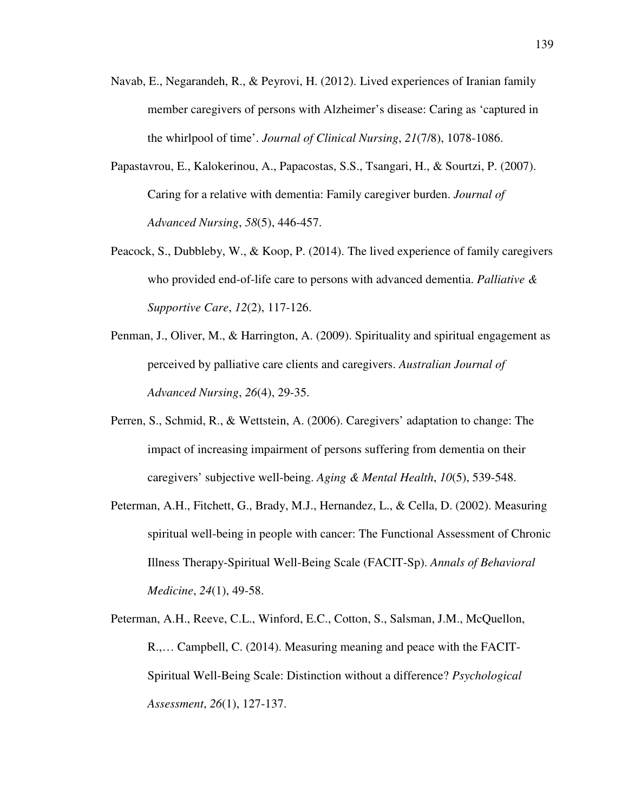- Navab, E., Negarandeh, R., & Peyrovi, H. (2012). Lived experiences of Iranian family member caregivers of persons with Alzheimer's disease: Caring as 'captured in the whirlpool of time'. *Journal of Clinical Nursing*, *21*(7/8), 1078-1086.
- Papastavrou, E., Kalokerinou, A., Papacostas, S.S., Tsangari, H., & Sourtzi, P. (2007). Caring for a relative with dementia: Family caregiver burden. *Journal of Advanced Nursing*, *58*(5), 446-457.
- Peacock, S., Dubbleby, W., & Koop, P. (2014). The lived experience of family caregivers who provided end-of-life care to persons with advanced dementia. *Palliative & Supportive Care*, *12*(2), 117-126.
- Penman, J., Oliver, M., & Harrington, A. (2009). Spirituality and spiritual engagement as perceived by palliative care clients and caregivers. *Australian Journal of Advanced Nursing*, *26*(4), 29-35.
- Perren, S., Schmid, R., & Wettstein, A. (2006). Caregivers' adaptation to change: The impact of increasing impairment of persons suffering from dementia on their caregivers' subjective well-being. *Aging & Mental Health*, *10*(5), 539-548.
- Peterman, A.H., Fitchett, G., Brady, M.J., Hernandez, L., & Cella, D. (2002). Measuring spiritual well-being in people with cancer: The Functional Assessment of Chronic Illness Therapy-Spiritual Well-Being Scale (FACIT-Sp). *Annals of Behavioral Medicine*, *24*(1), 49-58.
- Peterman, A.H., Reeve, C.L., Winford, E.C., Cotton, S., Salsman, J.M., McQuellon, R.,… Campbell, C. (2014). Measuring meaning and peace with the FACIT-Spiritual Well-Being Scale: Distinction without a difference? *Psychological Assessment*, *26*(1), 127-137.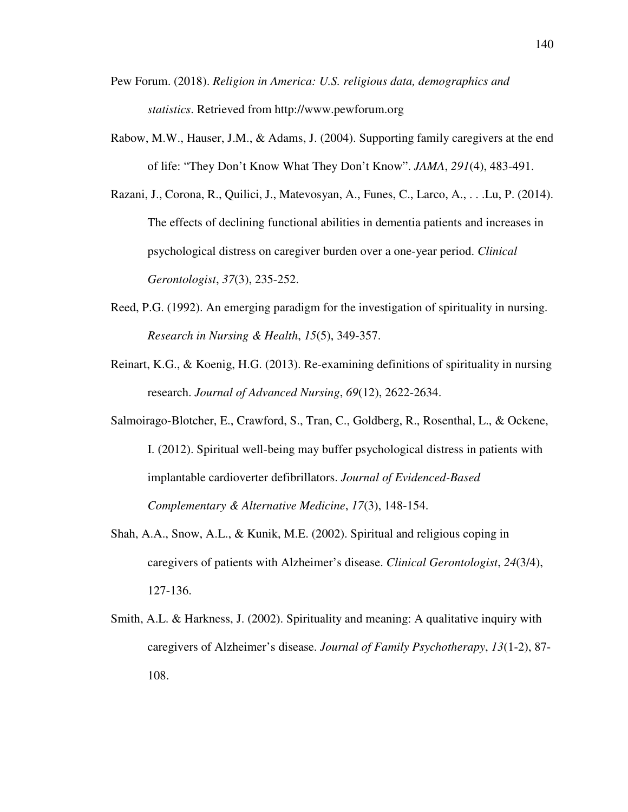- Pew Forum. (2018). *Religion in America: U.S. religious data, demographics and statistics*. Retrieved from http://www.pewforum.org
- Rabow, M.W., Hauser, J.M., & Adams, J. (2004). Supporting family caregivers at the end of life: "They Don't Know What They Don't Know". *JAMA*, *291*(4), 483-491.
- Razani, J., Corona, R., Quilici, J., Matevosyan, A., Funes, C., Larco, A., . . .Lu, P. (2014). The effects of declining functional abilities in dementia patients and increases in psychological distress on caregiver burden over a one-year period. *Clinical Gerontologist*, *37*(3), 235-252.
- Reed, P.G. (1992). An emerging paradigm for the investigation of spirituality in nursing. *Research in Nursing & Health*, *15*(5), 349-357.
- Reinart, K.G., & Koenig, H.G. (2013). Re-examining definitions of spirituality in nursing research. *Journal of Advanced Nursing*, *69*(12), 2622-2634.
- Salmoirago-Blotcher, E., Crawford, S., Tran, C., Goldberg, R., Rosenthal, L., & Ockene, I. (2012). Spiritual well-being may buffer psychological distress in patients with implantable cardioverter defibrillators. *Journal of Evidenced-Based Complementary & Alternative Medicine*, *17*(3), 148-154.
- Shah, A.A., Snow, A.L., & Kunik, M.E. (2002). Spiritual and religious coping in caregivers of patients with Alzheimer's disease. *Clinical Gerontologist*, *24*(3/4), 127-136.
- Smith, A.L. & Harkness, J. (2002). Spirituality and meaning: A qualitative inquiry with caregivers of Alzheimer's disease. *Journal of Family Psychotherapy*, *13*(1-2), 87- 108.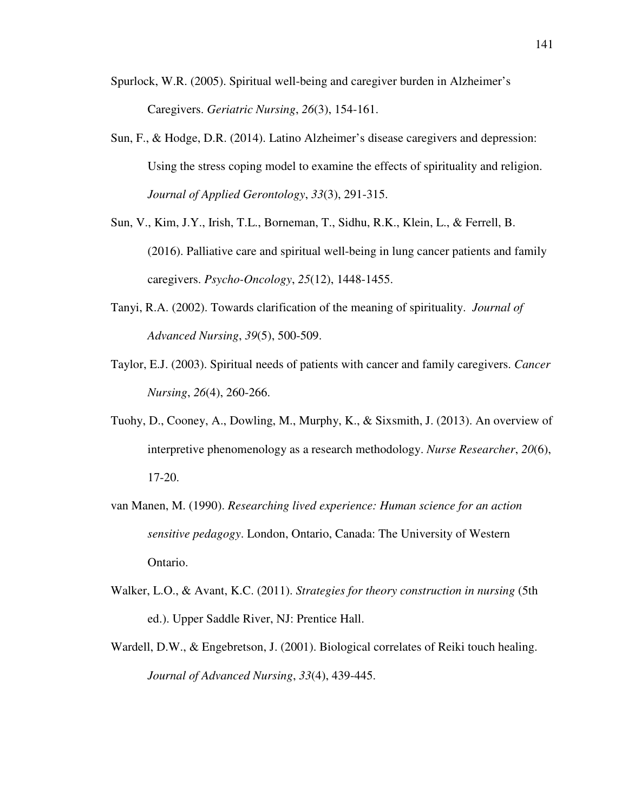- Spurlock, W.R. (2005). Spiritual well-being and caregiver burden in Alzheimer's Caregivers. *Geriatric Nursing*, *26*(3), 154-161.
- Sun, F., & Hodge, D.R. (2014). Latino Alzheimer's disease caregivers and depression: Using the stress coping model to examine the effects of spirituality and religion. *Journal of Applied Gerontology*, *33*(3), 291-315.
- Sun, V., Kim, J.Y., Irish, T.L., Borneman, T., Sidhu, R.K., Klein, L., & Ferrell, B. (2016). Palliative care and spiritual well-being in lung cancer patients and family caregivers. *Psycho-Oncology*, *25*(12), 1448-1455.
- Tanyi, R.A. (2002). Towards clarification of the meaning of spirituality. *Journal of Advanced Nursing*, *39*(5), 500-509.
- Taylor, E.J. (2003). Spiritual needs of patients with cancer and family caregivers. *Cancer Nursing*, *26*(4), 260-266.
- Tuohy, D., Cooney, A., Dowling, M., Murphy, K., & Sixsmith, J. (2013). An overview of interpretive phenomenology as a research methodology. *Nurse Researcher*, *20*(6), 17-20.
- van Manen, M. (1990). *Researching lived experience: Human science for an action sensitive pedagogy*. London, Ontario, Canada: The University of Western Ontario.
- Walker, L.O., & Avant, K.C. (2011). *Strategies for theory construction in nursing* (5th ed.). Upper Saddle River, NJ: Prentice Hall.
- Wardell, D.W., & Engebretson, J. (2001). Biological correlates of Reiki touch healing. *Journal of Advanced Nursing*, *33*(4), 439-445.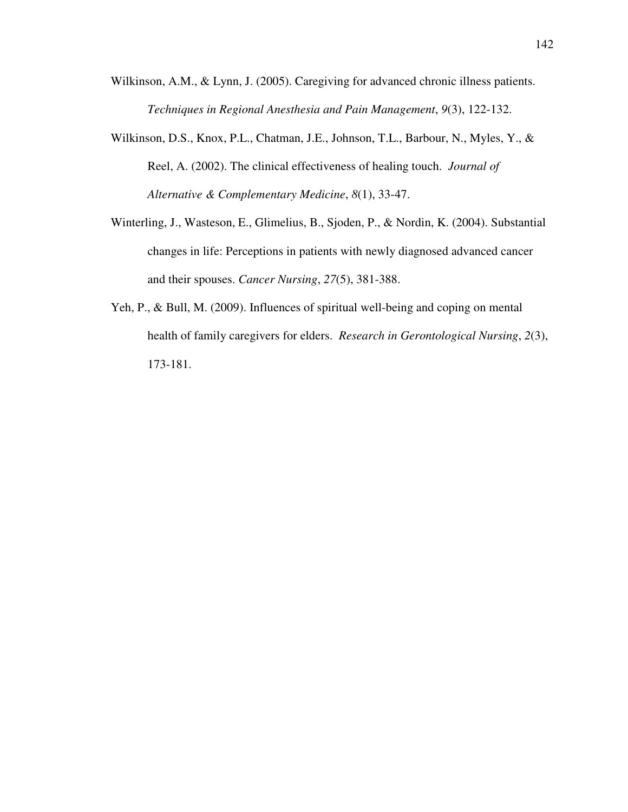- Wilkinson, A.M., & Lynn, J. (2005). Caregiving for advanced chronic illness patients. *Techniques in Regional Anesthesia and Pain Management*, *9*(3), 122-132.
- Wilkinson, D.S., Knox, P.L., Chatman, J.E., Johnson, T.L., Barbour, N., Myles, Y., & Reel, A. (2002). The clinical effectiveness of healing touch. *Journal of Alternative & Complementary Medicine*, *8*(1), 33-47.
- Winterling, J., Wasteson, E., Glimelius, B., Sjoden, P., & Nordin, K. (2004). Substantial changes in life: Perceptions in patients with newly diagnosed advanced cancer and their spouses. *Cancer Nursing*, *27*(5), 381-388.
- Yeh, P., & Bull, M. (2009). Influences of spiritual well-being and coping on mental health of family caregivers for elders. *Research in Gerontological Nursing*, *2*(3), 173-181.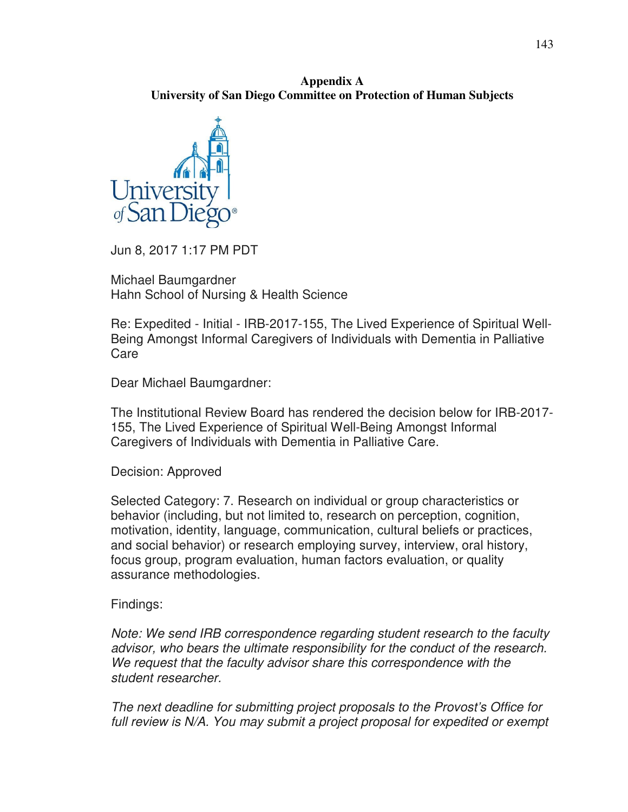**Appendix A University of San Diego Committee on Protection of Human Subjects** 



Jun 8, 2017 1:17 PM PDT

Michael Baumgardner Hahn School of Nursing & Health Science

Re: Expedited - Initial - IRB-2017-155, The Lived Experience of Spiritual Well-Being Amongst Informal Caregivers of Individuals with Dementia in Palliative Care

Dear Michael Baumgardner:

The Institutional Review Board has rendered the decision below for IRB-2017- 155, The Lived Experience of Spiritual Well-Being Amongst Informal Caregivers of Individuals with Dementia in Palliative Care.

Decision: Approved

Selected Category: 7. Research on individual or group characteristics or behavior (including, but not limited to, research on perception, cognition, motivation, identity, language, communication, cultural beliefs or practices, and social behavior) or research employing survey, interview, oral history, focus group, program evaluation, human factors evaluation, or quality assurance methodologies.

## Findings:

*Note: We send IRB correspondence regarding student research to the faculty advisor, who bears the ultimate responsibility for the conduct of the research. We request that the faculty advisor share this correspondence with the student researcher.* 

*The next deadline for submitting project proposals to the Provost's Office for*  full review is N/A. You may submit a project proposal for expedited or exempt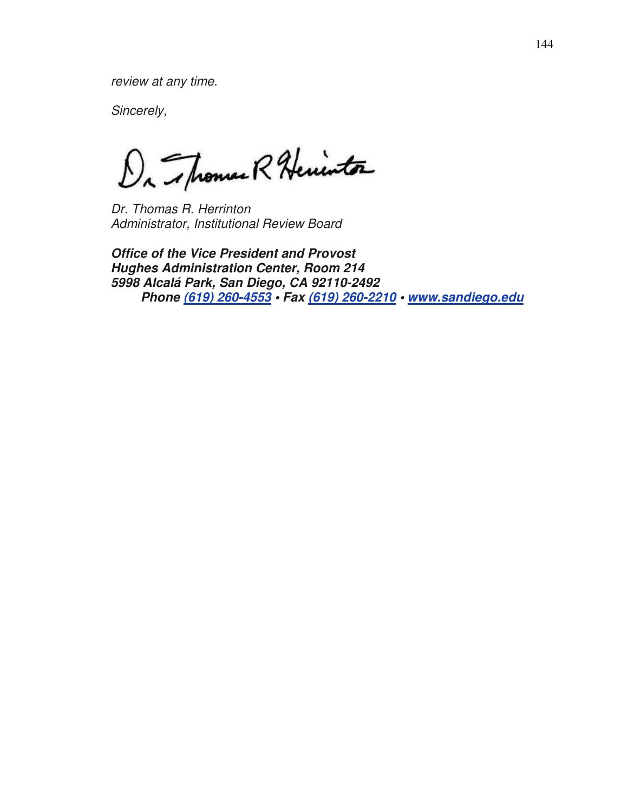*review at any time.* 

*Sincerely,* 

Da Thomas R Herinton

*Dr. Thomas R. Herrinton Administrator, Institutional Review Board* 

**Office of the Vice President and Provost Hughes Administration Center, Room 214 5998 Alcalá Park, San Diego, CA 92110-2492 Phone (619) 260-4553 • Fax (619) 260-2210 • www.sandiego.edu**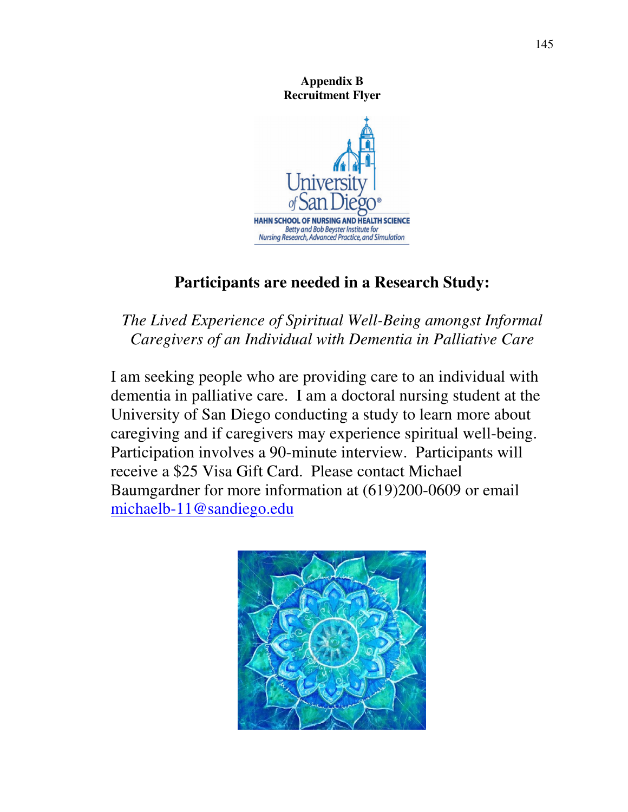**Appendix B Recruitment Flyer** 



# **Participants are needed in a Research Study:**

# *The Lived Experience of Spiritual Well-Being amongst Informal Caregivers of an Individual with Dementia in Palliative Care*

I am seeking people who are providing care to an individual with dementia in palliative care. I am a doctoral nursing student at the University of San Diego conducting a study to learn more about caregiving and if caregivers may experience spiritual well-being. Participation involves a 90-minute interview. Participants will receive a \$25 Visa Gift Card. Please contact Michael Baumgardner for more information at (619)200-0609 or email michaelb-11@sandiego.edu

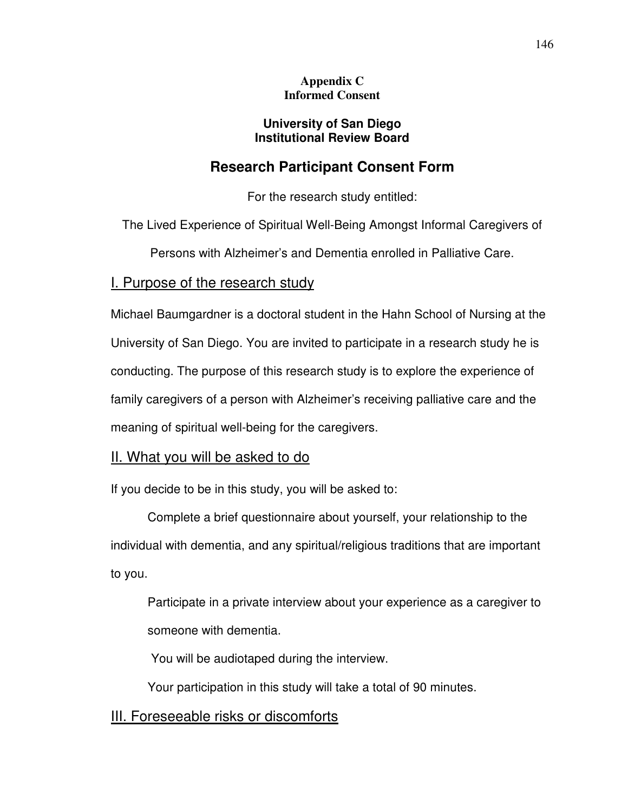### **Appendix C Informed Consent**

## **University of San Diego Institutional Review Board**

# **Research Participant Consent Form**

For the research study entitled:

The Lived Experience of Spiritual Well-Being Amongst Informal Caregivers of

Persons with Alzheimer's and Dementia enrolled in Palliative Care.

# I. Purpose of the research study

Michael Baumgardner is a doctoral student in the Hahn School of Nursing at the University of San Diego. You are invited to participate in a research study he is conducting. The purpose of this research study is to explore the experience of family caregivers of a person with Alzheimer's receiving palliative care and the meaning of spiritual well-being for the caregivers.

# II. What you will be asked to do

If you decide to be in this study, you will be asked to:

Complete a brief questionnaire about yourself, your relationship to the individual with dementia, and any spiritual/religious traditions that are important to you.

Participate in a private interview about your experience as a caregiver to someone with dementia.

You will be audiotaped during the interview.

Your participation in this study will take a total of 90 minutes.

# III. Foreseeable risks or discomforts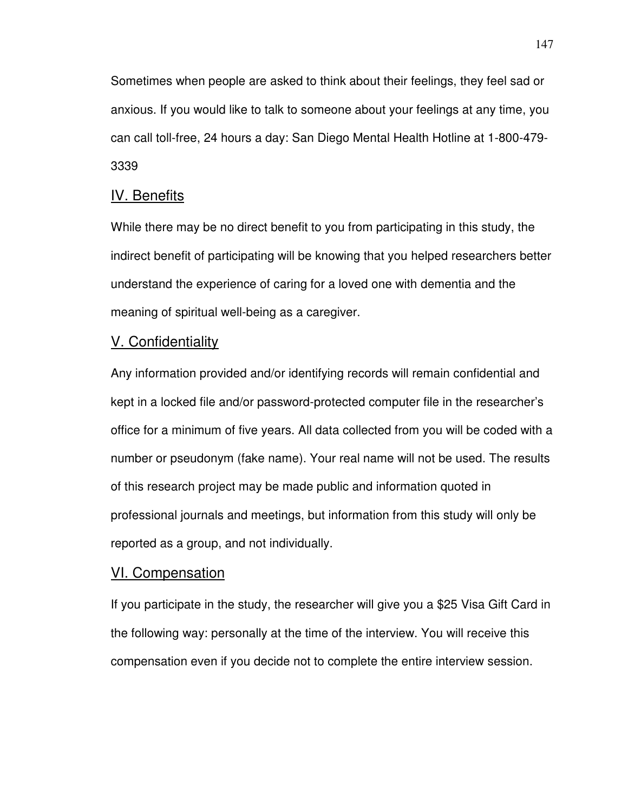Sometimes when people are asked to think about their feelings, they feel sad or anxious. If you would like to talk to someone about your feelings at any time, you can call toll-free, 24 hours a day: San Diego Mental Health Hotline at 1-800-479- 3339

## IV. Benefits

While there may be no direct benefit to you from participating in this study, the indirect benefit of participating will be knowing that you helped researchers better understand the experience of caring for a loved one with dementia and the meaning of spiritual well-being as a caregiver.

### V. Confidentiality

Any information provided and/or identifying records will remain confidential and kept in a locked file and/or password-protected computer file in the researcher's office for a minimum of five years. All data collected from you will be coded with a number or pseudonym (fake name). Your real name will not be used. The results of this research project may be made public and information quoted in professional journals and meetings, but information from this study will only be reported as a group, and not individually.

### VI. Compensation

If you participate in the study, the researcher will give you a \$25 Visa Gift Card in the following way: personally at the time of the interview. You will receive this compensation even if you decide not to complete the entire interview session.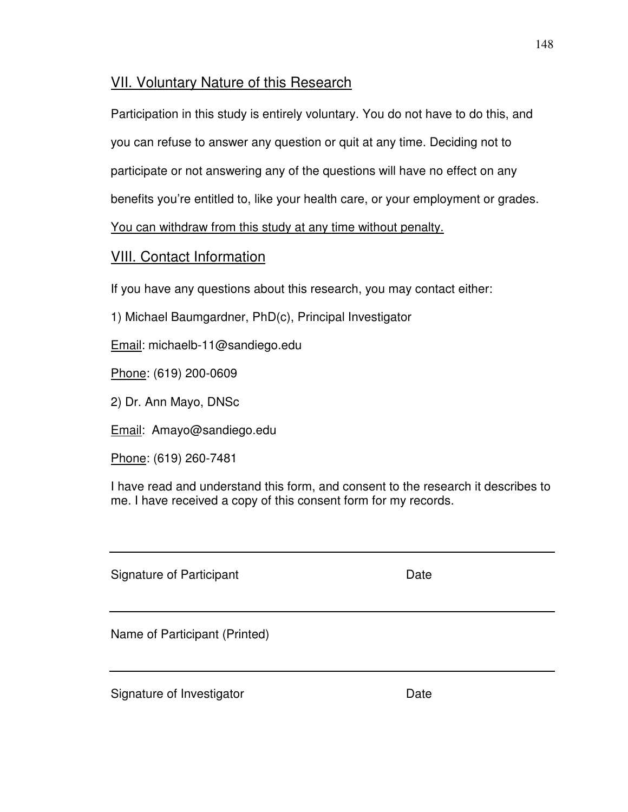# VII. Voluntary Nature of this Research

Participation in this study is entirely voluntary. You do not have to do this, and

you can refuse to answer any question or quit at any time. Deciding not to

participate or not answering any of the questions will have no effect on any

benefits you're entitled to, like your health care, or your employment or grades.

You can withdraw from this study at any time without penalty.

# VIII. Contact Information

If you have any questions about this research, you may contact either:

1) Michael Baumgardner, PhD(c), Principal Investigator

Email: michaelb-11@sandiego.edu

Phone: (619) 200-0609

2) Dr. Ann Mayo, DNSc

Email: Amayo@sandiego.edu

Phone: (619) 260-7481

I have read and understand this form, and consent to the research it describes to me. I have received a copy of this consent form for my records.

Signature of Participant **Date** Date

Name of Participant (Printed)

Signature of Investigator **Date**